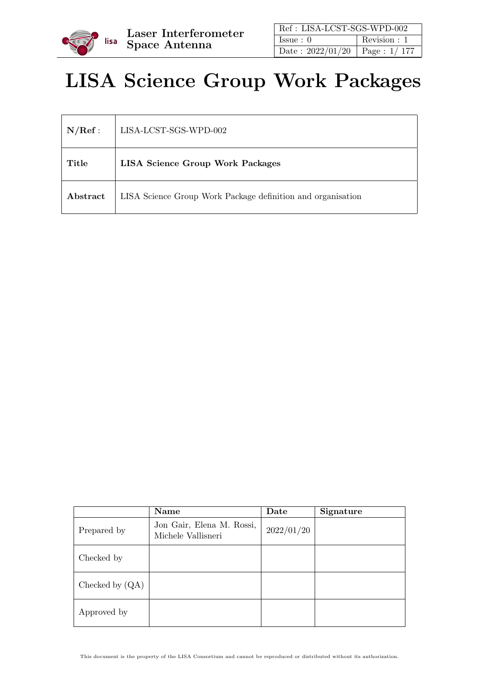

# LISA Science Group Work Packages

| N/Ref:   | LISA-LCST-SGS-WPD-002                                       |
|----------|-------------------------------------------------------------|
| Title    | <b>LISA Science Group Work Packages</b>                     |
| Abstract | LISA Science Group Work Package definition and organisation |

|                   | Name                                            | Date       | Signature |
|-------------------|-------------------------------------------------|------------|-----------|
| Prepared by       | Jon Gair, Elena M. Rossi,<br>Michele Vallisneri | 2022/01/20 |           |
| Checked by        |                                                 |            |           |
| Checked by $(QA)$ |                                                 |            |           |
| Approved by       |                                                 |            |           |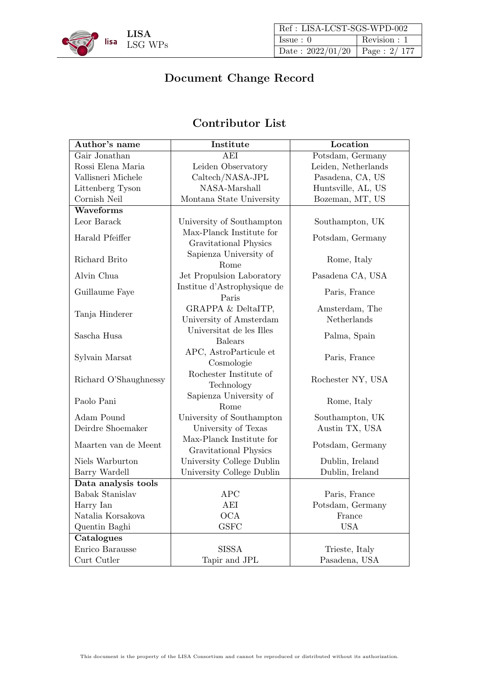

| Ref: LISA-LCST-SGS-WPD-002         |                      |  |  |  |
|------------------------------------|----------------------|--|--|--|
| Issue: 0                           | $\vert$ Revision : 1 |  |  |  |
| Date: $2022/01/20$   Page: $2/177$ |                      |  |  |  |

# Document Change Record

# Contributor List

| Author's name         | Institute                                         | Location                      |
|-----------------------|---------------------------------------------------|-------------------------------|
| Gair Jonathan         | AEI                                               | Potsdam, Germany              |
| Rossi Elena Maria     | Leiden Observatory                                | Leiden, Netherlands           |
| Vallisneri Michele    | Caltech/NASA-JPL                                  | Pasadena, CA, US              |
| Littenberg Tyson      | NASA-Marshall                                     | Huntsville, AL, US            |
| Cornish Neil          | Montana State University                          | Bozeman, MT, US               |
| Waveforms             |                                                   |                               |
| Leor Barack           | University of Southampton                         | Southampton, UK               |
| Harald Pfeiffer       | Max-Planck Institute for<br>Gravitational Physics | Potsdam, Germany              |
| Richard Brito         | Sapienza University of<br>Rome                    | Rome, Italy                   |
| Alvin Chua            | Jet Propulsion Laboratory                         | Pasadena CA, USA              |
| Guillaume Faye        | Institue d'Astrophysique de<br>Paris              | Paris, France                 |
| Tanja Hinderer        | GRAPPA & DeltaITP,<br>University of Amsterdam     | Amsterdam, The<br>Netherlands |
| Sascha Husa           | Universitat de les Illes<br><b>Balears</b>        | Palma, Spain                  |
| Sylvain Marsat        | APC, AstroParticule et<br>Cosmologie              | Paris, France                 |
| Richard O'Shaughnessy | Rochester Institute of<br>Technology              | Rochester NY, USA             |
| Paolo Pani            | Sapienza University of<br>Rome                    | Rome, Italy                   |
| Adam Pound            | University of Southampton                         | Southampton, UK               |
| Deirdre Shoemaker     | University of Texas                               | Austin TX, USA                |
| Maarten van de Meent  | Max-Planck Institute for<br>Gravitational Physics | Potsdam, Germany              |
| Niels Warburton       | University College Dublin                         | Dublin, Ireland               |
| Barry Wardell         | University College Dublin                         | Dublin, Ireland               |
| Data analysis tools   |                                                   |                               |
| Babak Stanislav       | <b>APC</b>                                        | Paris, France                 |
| Harry Ian             | AEI                                               | Potsdam, Germany              |
| Natalia Korsakova     | <b>OCA</b>                                        | France                        |
| Quentin Baghi         | <b>GSFC</b>                                       | <b>USA</b>                    |
| Catalogues            |                                                   |                               |
| Enrico Barausse       | ${\rm SISSA}$                                     | Trieste, Italy                |
| Curt Cutler           | Tapir and JPL                                     | Pasadena, USA                 |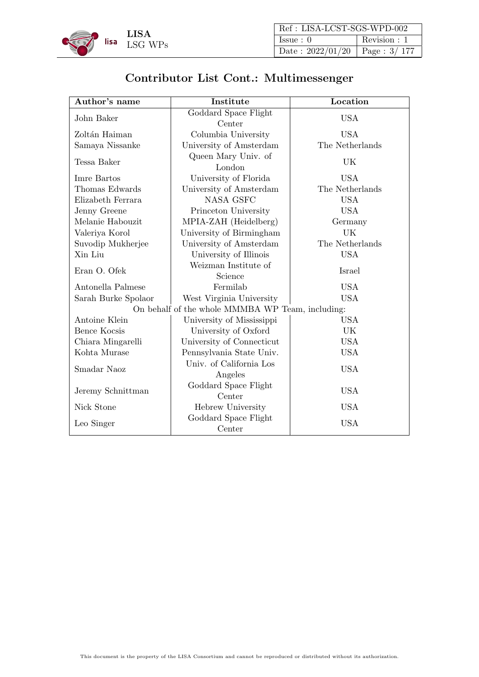|     | Ref: LISA-LCST-SGS-WPD-002         |              |
|-----|------------------------------------|--------------|
| 'Ps | Issue: 0                           | Revision : 1 |
|     | Date: $2022/01/20$   Page: $3/177$ |              |



# Contributor List Cont.: Multimessenger

| Author's name       | Institute                                        | Location        |
|---------------------|--------------------------------------------------|-----------------|
| John Baker          | Goddard Space Flight<br>Center                   | <b>USA</b>      |
| Zoltán Haiman       | Columbia University                              | <b>USA</b>      |
| Samaya Nissanke     | University of Amsterdam                          | The Netherlands |
| Tessa Baker         | Queen Mary Univ. of<br>London                    | UK              |
| Imre Bartos         | University of Florida                            | <b>USA</b>      |
| Thomas Edwards      | University of Amsterdam                          | The Netherlands |
| Elizabeth Ferrara   | <b>NASA GSFC</b>                                 | <b>USA</b>      |
| Jenny Greene        | Princeton University                             | <b>USA</b>      |
| Melanie Habouzit    | MPIA-ZAH (Heidelberg)                            | Germany         |
| Valeriya Korol      | University of Birmingham                         | UK              |
| Suvodip Mukherjee   | University of Amsterdam                          | The Netherlands |
| Xin Liu             | University of Illinois                           | <b>USA</b>      |
| Eran O. Ofek        | Weizman Institute of<br>Science                  | Israel          |
| Antonella Palmese   | Fermilab                                         | <b>USA</b>      |
| Sarah Burke Spolaor | West Virginia University                         | <b>USA</b>      |
|                     | On behalf of the whole MMMBA WP Team, including: |                 |
| Antoine Klein       | University of Mississippi                        | <b>USA</b>      |
| <b>Bence Kocsis</b> | University of Oxford                             | UK              |
| Chiara Mingarelli   | University of Connecticut                        | <b>USA</b>      |
| Kohta Murase        | Pennsylvania State Univ.                         | <b>USA</b>      |
| Smadar Naoz         | Univ. of California Los<br>Angeles               | <b>USA</b>      |
| Jeremy Schnittman   | Goddard Space Flight<br>Center                   | <b>USA</b>      |
| Nick Stone          | Hebrew University                                | <b>USA</b>      |
| Leo Singer          | Goddard Space Flight<br>Center                   | <b>USA</b>      |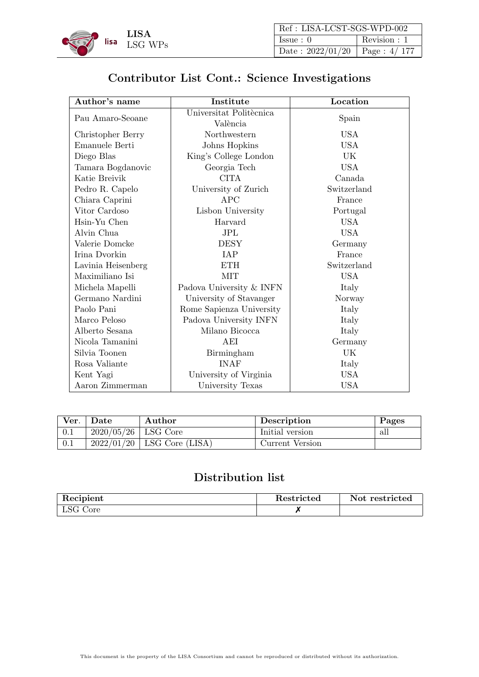| Ref: LISA-LCST-SGS-WPD-002         |              |  |  |  |
|------------------------------------|--------------|--|--|--|
| $\text{Issue}:0$                   | Revision : 1 |  |  |  |
| Date: $2022/01/20$   Page: $4/177$ |              |  |  |  |



# Contributor List Cont.: Science Investigations

| Author's name      | Institute                | Location    |
|--------------------|--------------------------|-------------|
| Pau Amaro-Seoane   | Universitat Politècnica  |             |
|                    | València                 | Spain       |
| Christopher Berry  | Northwestern             | <b>USA</b>  |
| Emanuele Berti     | Johns Hopkins            | <b>USA</b>  |
| Diego Blas         | King's College London    | UK          |
| Tamara Bogdanovic  | Georgia Tech             | <b>USA</b>  |
| Katie Breivik      | CITA                     | Canada      |
| Pedro R. Capelo    | University of Zurich     | Switzerland |
| Chiara Caprini     | <b>APC</b>               | France      |
| Vitor Cardoso      | Lisbon University        | Portugal    |
| Hsin-Yu Chen       | Harvard                  | <b>USA</b>  |
| Alvin Chua         | $_{\rm JPL}$             | USA         |
| Valerie Domcke     | <b>DESY</b>              | Germany     |
| Irina Dvorkin      | <b>IAP</b>               | France      |
| Lavinia Heisenberg | <b>ETH</b>               | Switzerland |
| Maximiliano Isi    | MIT                      | <b>USA</b>  |
| Michela Mapelli    | Padova University & INFN | Italy       |
| Germano Nardini    | University of Stavanger  | Norway      |
| Paolo Pani         | Rome Sapienza University | Italy       |
| Marco Peloso       | Padova University INFN   | Italy       |
| Alberto Sesana     | Milano Bicocca           | Italy       |
| Nicola Tamanini    | AEI                      | Germany     |
| Silvia Toonen      | Birmingham               | UK          |
| Rosa Valiante      | <b>INAF</b>              | Italy       |
| Kent Yagi          | University of Virginia   | <b>USA</b>  |
| Aaron Zimmerman    | University Texas         | <b>USA</b>  |

| Ver.    | $\perp$ Date            | Author                       | Description     | Pages |
|---------|-------------------------|------------------------------|-----------------|-------|
| 0.1     | $2020/05/26$   LSG Core |                              | Initial version | all   |
| $0.1\,$ |                         | $2022/01/20$ LSG Core (LISA) | Current Version |       |

# Distribution list

| Recipient           | Restricted | Not restricted |
|---------------------|------------|----------------|
| S(1)<br>$\circ$ ore |            |                |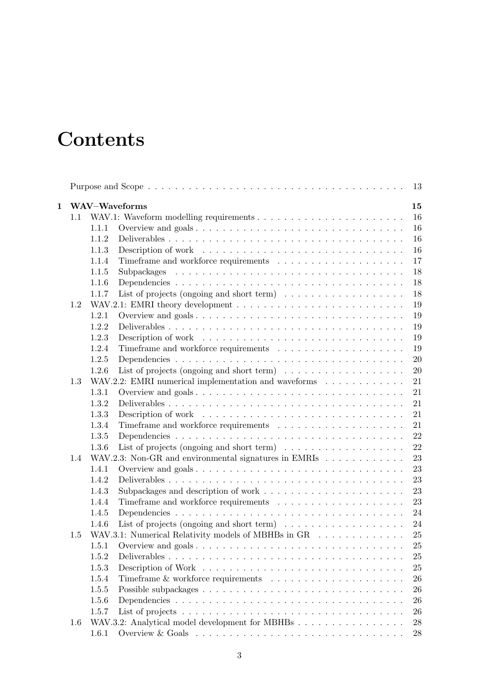# **Contents**

|             |     |           | 13                                                                                                                     |
|-------------|-----|-----------|------------------------------------------------------------------------------------------------------------------------|
| $\mathbf 1$ |     |           | WAV-Waveforms<br>15                                                                                                    |
|             | 1.1 |           | 16                                                                                                                     |
|             |     | 1.1.1     | 16                                                                                                                     |
|             |     | 1.1.2     | 16                                                                                                                     |
|             |     | 1.1.3     | 16                                                                                                                     |
|             |     | 1.1.4     | 17                                                                                                                     |
|             |     | 1.1.5     | 18                                                                                                                     |
|             |     | 1.1.6     | 18                                                                                                                     |
|             |     | 1.1.7     | List of projects (ongoing and short term) $\ldots \ldots \ldots \ldots \ldots$<br>18                                   |
|             | 1.2 |           | 19<br>WAV.2.1: EMRI theory development $\dots \dots \dots \dots \dots \dots \dots \dots \dots \dots \dots$             |
|             |     | 1.2.1     | 19                                                                                                                     |
|             |     | 1.2.2     | 19                                                                                                                     |
|             |     | 1.2.3     | 19                                                                                                                     |
|             |     | 1.2.4     | 19                                                                                                                     |
|             |     | 1.2.5     | 20                                                                                                                     |
|             |     | 1.2.6     | List of projects (ongoing and short term) $\ldots \ldots \ldots \ldots \ldots$<br>20                                   |
|             | 1.3 |           | WAV.2.2: EMRI numerical implementation and waveforms<br>21                                                             |
|             |     | 1.3.1     | 21                                                                                                                     |
|             |     | 1.3.2     | 21                                                                                                                     |
|             |     | 1.3.3     | 21                                                                                                                     |
|             |     | 1.3.4     | 21                                                                                                                     |
|             |     | 1.3.5     | 22                                                                                                                     |
|             |     | 1.3.6     | 22<br>List of projects (ongoing and short term) $\ldots \ldots \ldots \ldots \ldots$                                   |
|             | 1.4 |           | WAV.2.3: Non-GR and environmental signatures in EMRIs $\dots \dots \dots$<br>23                                        |
|             |     | 1.4.1     | 23                                                                                                                     |
|             |     | 1.4.2     | 23                                                                                                                     |
|             |     | 1.4.3     | 23                                                                                                                     |
|             |     | 1.4.4     | 23                                                                                                                     |
|             |     | 1.4.5     | 24                                                                                                                     |
|             |     | 1.4.6     | List of projects (ongoing and short term) $\ldots \ldots \ldots \ldots \ldots$<br>24                                   |
|             | 1.5 |           | WAV.3.1: Numerical Relativity models of MBHBs in GR<br>25                                                              |
|             |     | 1.5.1     | 25                                                                                                                     |
|             |     | 1.5.2     | 25                                                                                                                     |
|             |     | 1.5.3     | 25                                                                                                                     |
|             |     | 1.5.4     | 26                                                                                                                     |
|             |     |           | Timeframe & workforce requirements $\ldots \ldots \ldots \ldots \ldots \ldots \ldots$                                  |
|             |     | $1.5.5\,$ | 26                                                                                                                     |
|             |     | 1.5.6     | 26                                                                                                                     |
|             |     | 1.5.7     | 26                                                                                                                     |
|             | 1.6 |           | WAV.3.2: Analytical model development for MBHBs<br>28                                                                  |
|             |     |           | 1.6.1 Overview & Goals $\ldots$ $\ldots$ $\ldots$ $\ldots$ $\ldots$ $\ldots$ $\ldots$ $\ldots$ $\ldots$ $\ldots$<br>28 |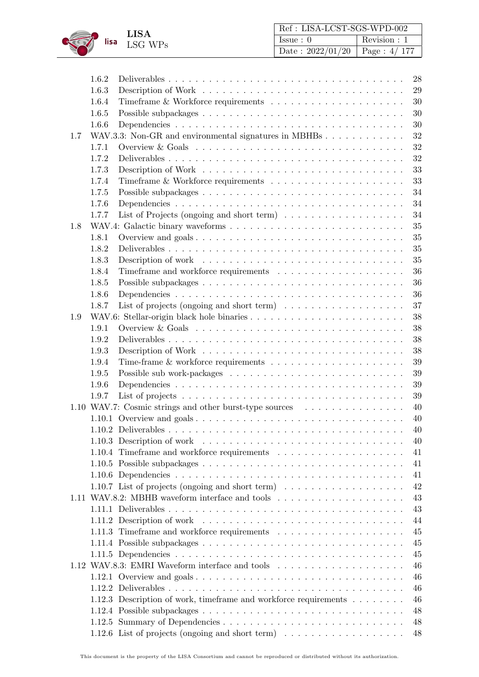

|     | 1.6.2          |                                                                                                            |  |  |  | 28       |
|-----|----------------|------------------------------------------------------------------------------------------------------------|--|--|--|----------|
|     | 1.6.3          |                                                                                                            |  |  |  | 29       |
|     | 1.6.4          |                                                                                                            |  |  |  | 30       |
|     | 1.6.5          |                                                                                                            |  |  |  | 30       |
|     | 1.6.6          |                                                                                                            |  |  |  | 30       |
| 1.7 |                | WAV.3.3: Non-GR and environmental signatures in MBHBs $\dots \dots \dots \dots$                            |  |  |  | 32       |
|     | 1.7.1          |                                                                                                            |  |  |  | 32       |
|     | 1.7.2          |                                                                                                            |  |  |  | 32       |
|     | 1.7.3          |                                                                                                            |  |  |  | 33       |
|     | 1.7.4          |                                                                                                            |  |  |  | 33       |
|     | 1.7.5          |                                                                                                            |  |  |  | 34       |
|     | 1.7.6          |                                                                                                            |  |  |  | 34       |
|     | 1.7.7          | List of Projects (ongoing and short term) $\ldots \ldots \ldots \ldots \ldots$                             |  |  |  | 34       |
| 1.8 |                |                                                                                                            |  |  |  | 35       |
|     | 1.8.1          |                                                                                                            |  |  |  | 35       |
|     | 1.8.2          |                                                                                                            |  |  |  | 35       |
|     | 1.8.3          |                                                                                                            |  |  |  | 35       |
|     | 1.8.4          |                                                                                                            |  |  |  | 36       |
|     | 1.8.5          |                                                                                                            |  |  |  | 36       |
|     | 1.8.6          |                                                                                                            |  |  |  | 36       |
|     | 1.8.7          | List of projects (ongoing and short term) $\ldots \ldots \ldots \ldots \ldots$                             |  |  |  | 37       |
| 1.9 |                |                                                                                                            |  |  |  | 38       |
|     | 1.9.1          |                                                                                                            |  |  |  | 38       |
|     | 1.9.2          |                                                                                                            |  |  |  | 38       |
|     | 1.9.3          |                                                                                                            |  |  |  | 38       |
|     | 1.9.4          |                                                                                                            |  |  |  | 39       |
|     |                |                                                                                                            |  |  |  |          |
|     | 1.9.5<br>1.9.6 |                                                                                                            |  |  |  | 39<br>39 |
|     |                |                                                                                                            |  |  |  |          |
|     | 1.9.7          |                                                                                                            |  |  |  | 39       |
|     |                | 1.10 WAV.7: Cosmic strings and other burst-type sources                                                    |  |  |  | 40       |
|     |                |                                                                                                            |  |  |  | 40       |
|     |                |                                                                                                            |  |  |  | 40       |
|     |                | 1.10.3 Description of work $\dots \dots \dots \dots \dots \dots \dots \dots \dots \dots \dots \dots \dots$ |  |  |  | 40       |
|     |                |                                                                                                            |  |  |  | 41       |
|     |                |                                                                                                            |  |  |  | 41       |
|     |                |                                                                                                            |  |  |  | 41       |
|     |                | 1.10.7 List of projects (ongoing and short term) $\ldots \ldots \ldots \ldots \ldots$                      |  |  |  | 42       |
|     |                |                                                                                                            |  |  |  | 43       |
|     |                |                                                                                                            |  |  |  | 43       |
|     |                | 1.11.2 Description of work $\dots \dots \dots \dots \dots \dots \dots \dots \dots \dots \dots \dots \dots$ |  |  |  | 44       |
|     |                |                                                                                                            |  |  |  | 45       |
|     |                |                                                                                                            |  |  |  | 45       |
|     |                |                                                                                                            |  |  |  | 45       |
|     |                | 1.12 WAV.8.3: EMRI Waveform interface and tools                                                            |  |  |  | 46       |
|     |                |                                                                                                            |  |  |  | 46       |
|     |                |                                                                                                            |  |  |  | 46       |
|     |                | 1.12.3 Description of work, timeframe and workforce requirements                                           |  |  |  | 46       |
|     |                |                                                                                                            |  |  |  | 48       |
|     |                |                                                                                                            |  |  |  | 48       |
|     |                | 1.12.6 List of projects (ongoing and short term) $\ldots \ldots \ldots \ldots \ldots$                      |  |  |  | 48       |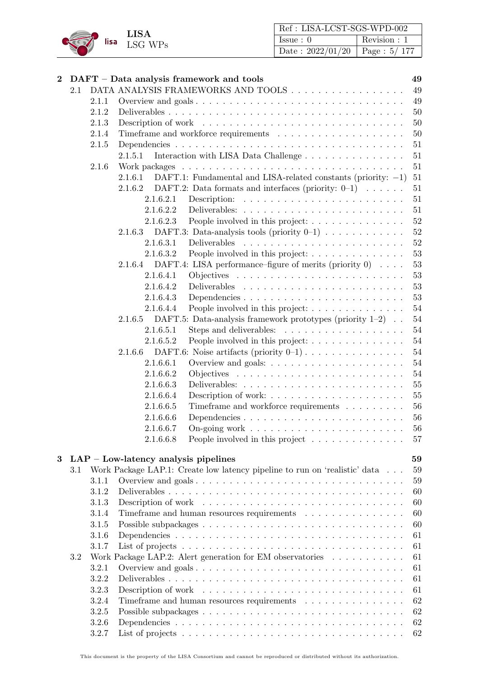

| Ref: LISA-LCST-SGS-WPD-002         |                      |
|------------------------------------|----------------------|
| $I_{\text{ssue}}:0$                | $\vert$ Revision : 1 |
| Date: $2022/01/20$   Page: $5/177$ |                      |

| $\bf{2}$ |     |                | DAFT - Data analysis framework and tools                                           | 49       |
|----------|-----|----------------|------------------------------------------------------------------------------------|----------|
|          | 2.1 |                | DATA ANALYSIS FRAMEWORKS AND TOOLS                                                 | 49       |
|          |     | 2.1.1          |                                                                                    | 49       |
|          |     | 2.1.2          |                                                                                    | 50       |
|          |     | 2.1.3          |                                                                                    | 50       |
|          |     | 2.1.4          |                                                                                    | 50       |
|          |     | 2.1.5          |                                                                                    | 51       |
|          |     |                | Interaction with LISA Data Challenge<br>2.1.5.1                                    | 51       |
|          |     | 2.1.6          |                                                                                    | 51       |
|          |     |                | DAFT.1: Fundamental and LISA-related constants (priority: $-1$ )<br>2.1.6.1        | 51       |
|          |     |                | 2.1.6.2<br>DAFT.2: Data formats and interfaces (priority: $0-1$ )                  | 51       |
|          |     |                | 2.1.6.2.1                                                                          | 51       |
|          |     |                | 2.1.6.2.2                                                                          | 51       |
|          |     |                | 2.1.6.2.3<br>People involved in this project:                                      | $52\,$   |
|          |     |                | DAFT.3: Data-analysis tools (priority $0-1$ )<br>2.1.6.3                           | $52\,$   |
|          |     |                | 2.1.6.3.1                                                                          | $52\,$   |
|          |     |                | People involved in this project:<br>2.1.6.3.2                                      | 53       |
|          |     |                | 2.1.6.4 DAFT.4: LISA performance–figure of merits (priority $0$ )                  | 53       |
|          |     |                | 2.1.6.4.1                                                                          | 53       |
|          |     |                | 2.1.6.4.2                                                                          | 53       |
|          |     |                | 2.1.6.4.3                                                                          | 53       |
|          |     |                | People involved in this project:<br>2.1.6.4.4                                      | 54       |
|          |     |                | DAFT.5: Data-analysis framework prototypes (priority $1-2$ )<br>2.1.6.5            | 54       |
|          |     |                | Steps and deliverables:<br>2.1.6.5.1                                               | $54\,$   |
|          |     |                | 2.1.6.5.2<br>People involved in this project: $\dots \dots \dots \dots \dots$      | 54       |
|          |     |                | DAFT.6: Noise artifacts (priority $0-1$ )<br>2.1.6.6<br>2.1.6.6.1                  | 54<br>54 |
|          |     |                | 2.1.6.6.2                                                                          | 54       |
|          |     |                | 2.1.6.6.3                                                                          | 55       |
|          |     |                | 2.1.6.6.4                                                                          | 55       |
|          |     |                | Timeframe and workforce requirements $\ldots \ldots \ldots$<br>2.1.6.6.5           | 56       |
|          |     |                | 2.1.6.6.6                                                                          | 56       |
|          |     |                | 2.1.6.6.7<br>On-going work $\dots \dots \dots \dots \dots \dots \dots \dots \dots$ | 56       |
|          |     |                | People involved in this project<br>2.1.6.6.8                                       | 57       |
|          |     |                |                                                                                    |          |
| 3        |     |                | $LAP - Low\text{-}latency$ analysis pipelines                                      | 59       |
|          | 3.1 |                | Work Package LAP.1: Create low latency pipeline to run on 'realistic' data         | 59       |
|          |     | 3.1.1          |                                                                                    | 59       |
|          |     | 3.1.2          |                                                                                    | 60       |
|          |     | 3.1.3          |                                                                                    | 60       |
|          |     | 3.1.4          | Timeframe and human resources requirements                                         | 60       |
|          |     | 3.1.5          |                                                                                    | 60       |
|          |     | 3.1.6          |                                                                                    | 61       |
|          |     | 3.1.7          |                                                                                    | 61       |
|          | 3.2 |                | Work Package LAP.2: Alert generation for EM observatories                          | 61       |
|          |     | 3.2.1          |                                                                                    | 61       |
|          |     | 3.2.2          |                                                                                    | 61       |
|          |     | 3.2.3          |                                                                                    | 61       |
|          |     | 3.2.4          | Timeframe and human resources requirements                                         | 62       |
|          |     | 3.2.5          |                                                                                    | 62       |
|          |     | 3.2.6<br>3.2.7 |                                                                                    | 62<br>62 |
|          |     |                |                                                                                    |          |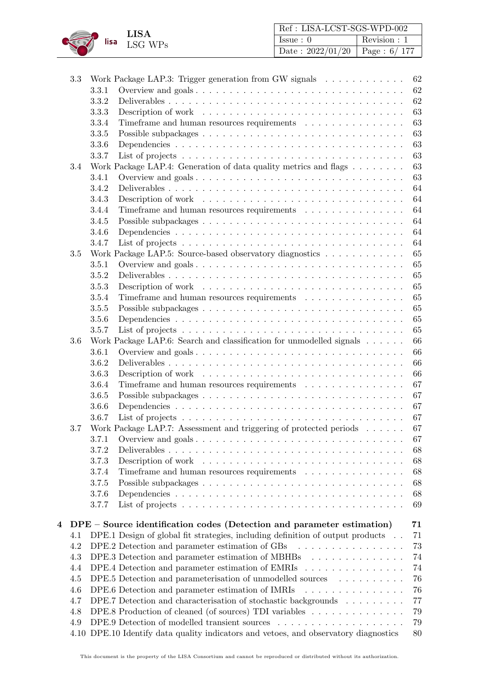

|   | 3.3  | Work Package LAP.3: Trigger generation from GW signals                                                    | 62 |
|---|------|-----------------------------------------------------------------------------------------------------------|----|
|   |      | 3.3.1                                                                                                     | 62 |
|   |      | 3.3.2<br>62                                                                                               |    |
|   |      | 3.3.3                                                                                                     | 63 |
|   |      | 63<br>3.3.4<br>Timeframe and human resources requirements                                                 |    |
|   |      | 3.3.5<br>63                                                                                               |    |
|   |      | 3.3.6<br>63                                                                                               |    |
|   |      | 3.3.7                                                                                                     | 63 |
|   | 3.4  | Work Package LAP.4: Generation of data quality metrics and flags $\dots \dots$                            | 63 |
|   |      | 3.4.1                                                                                                     | 63 |
|   |      | 3.4.2                                                                                                     | 64 |
|   |      | 3.4.3                                                                                                     | 64 |
|   |      | 3.4.4<br>Timeframe and human resources requirements $\ldots \ldots \ldots \ldots \ldots$                  | 64 |
|   |      | 3.4.5                                                                                                     | 64 |
|   |      | 3.4.6                                                                                                     | 64 |
|   |      | 3.4.7<br>List of projects $\dots \dots \dots \dots \dots \dots \dots \dots \dots \dots \dots \dots \dots$ | 64 |
|   | 3.5  | Work Package LAP.5: Source-based observatory diagnostics                                                  | 65 |
|   |      | 3.5.1<br>65                                                                                               |    |
|   |      | 3.5.2<br>65                                                                                               |    |
|   |      | 3.5.3                                                                                                     | 65 |
|   |      | 3.5.4<br>65                                                                                               |    |
|   |      | Timeframe and human resources requirements $\ldots \ldots \ldots \ldots \ldots$<br>3.5.5<br>65            |    |
|   |      | 3.5.6                                                                                                     | 65 |
|   |      |                                                                                                           | 65 |
|   |      | 3.5.7                                                                                                     |    |
|   | 3.6  | Work Package LAP.6: Search and classification for unmodelled signals                                      | 66 |
|   |      | Overview and goals<br>3.6.1<br>66                                                                         |    |
|   |      | 3.6.2<br>66                                                                                               |    |
|   |      | 3.6.3<br>66                                                                                               |    |
|   |      | 3.6.4<br>Timeframe and human resources requirements $\ldots \ldots \ldots \ldots \ldots$<br>67            |    |
|   |      | 3.6.5<br>67                                                                                               |    |
|   |      | 3.6.6                                                                                                     | 67 |
|   |      | 3.6.7<br>List of projects $\dots \dots \dots \dots \dots \dots \dots \dots \dots \dots \dots \dots \dots$ | 67 |
|   | 3.7  | Work Package LAP.7: Assessment and triggering of protected periods<br>67                                  |    |
|   |      | 3.7.1                                                                                                     | 67 |
|   |      | 3.7.2                                                                                                     | 68 |
|   |      | 3.7.3                                                                                                     | 68 |
|   |      | Timeframe and human resources requirements<br>3.7.4                                                       | 68 |
|   |      | 3.7.5                                                                                                     | 68 |
|   |      | 3.7.6                                                                                                     | 68 |
|   |      | 3.7.7<br>69                                                                                               |    |
| 4 |      | DPE – Source identification codes (Detection and parameter estimation)<br>71                              |    |
|   | 4.1  | DPE.1 Design of global fit strategies, including definition of output products                            | 71 |
|   | 4.2  | DPE.2 Detection and parameter estimation of GBs                                                           | 73 |
|   | 4.3  |                                                                                                           | 74 |
|   | 4.4  | DPE.3 Detection and parameter estimation of MBHBs<br>DPE.4 Detection and parameter estimation of EMRIS    | 74 |
|   | 4.5  |                                                                                                           | 76 |
|   | 4.6  | DPE.5 Detection and parameterisation of unmodelled sources                                                | 76 |
|   | 4.7  | DPE.6 Detection and parameter estimation of IMRIs<br>.                                                    | 77 |
|   |      | DPE.7 Detection and characterisation of stochastic backgrounds                                            |    |
|   | 4.8  | DPE.8 Production of cleaned (of sources) TDI variables                                                    | 79 |
|   | 4.9  |                                                                                                           | 79 |
|   | 4.10 | DPE.10 Identify data quality indicators and vetoes, and observatory diagnostics                           | 80 |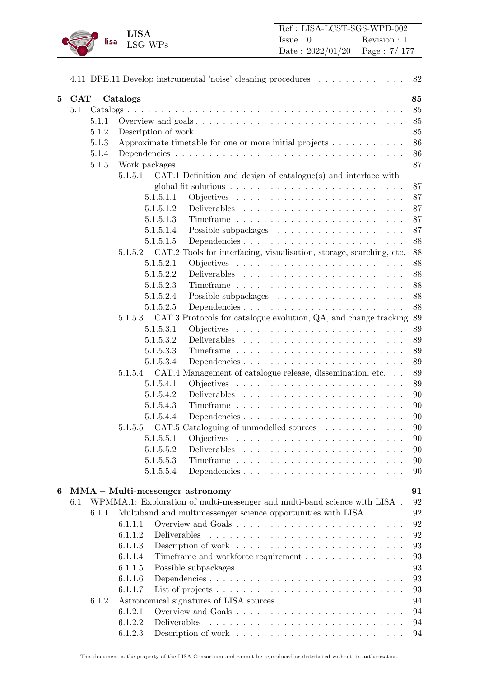

| Ref: LISA-LCST-SGS-WPD-002        |                      |
|-----------------------------------|----------------------|
| $I_{\text{ssue}}:0$               | $\vert$ Revision : 1 |
| Date: $2022/01/20$   Page: 7/ 177 |                      |

|   |     |       | 4.11 DPE.11 Develop instrumental 'noise' cleaning procedures                                                 | 82 |
|---|-----|-------|--------------------------------------------------------------------------------------------------------------|----|
| 5 |     |       | $CAT - Catalogs$                                                                                             | 85 |
|   | 5.1 |       |                                                                                                              | 85 |
|   |     | 5.1.1 |                                                                                                              | 85 |
|   |     | 5.1.2 |                                                                                                              | 85 |
|   |     | 5.1.3 | Approximate timetable for one or more initial projects $\dots \dots \dots$                                   | 86 |
|   |     | 5.1.4 |                                                                                                              | 86 |
|   |     | 5.1.5 |                                                                                                              | 87 |
|   |     |       | 5.1.5.1<br>CAT.1 Definition and design of catalogue(s) and interface with                                    |    |
|   |     |       |                                                                                                              | 87 |
|   |     |       | 5.1.5.1.1                                                                                                    | 87 |
|   |     |       | 5.1.5.1.2                                                                                                    | 87 |
|   |     |       | 5.1.5.1.3                                                                                                    | 87 |
|   |     |       | 5.1.5.1.4                                                                                                    | 87 |
|   |     |       |                                                                                                              | 88 |
|   |     |       | 5.1.5.1.5                                                                                                    |    |
|   |     |       | CAT.2 Tools for interfacing, visualisation, storage, searching, etc.<br>5.1.5.2                              | 88 |
|   |     |       | 5.1.5.2.1                                                                                                    | 88 |
|   |     |       | 5.1.5.2.2                                                                                                    | 88 |
|   |     |       | 5.1.5.2.3                                                                                                    | 88 |
|   |     |       | 5.1.5.2.4                                                                                                    | 88 |
|   |     |       | 5.1.5.2.5                                                                                                    | 88 |
|   |     |       | CAT.3 Protocols for catalogue evolution, QA, and change tracking<br>5.1.5.3                                  | 89 |
|   |     |       | 5.1.5.3.1                                                                                                    | 89 |
|   |     |       | 5.1.5.3.2                                                                                                    | 89 |
|   |     |       | 5.1.5.3.3                                                                                                    | 89 |
|   |     |       | 5.1.5.3.4                                                                                                    | 89 |
|   |     |       | CAT.4 Management of catalogue release, dissemination, etc.<br>5.1.5.4                                        | 89 |
|   |     |       | 5.1.5.4.1                                                                                                    | 89 |
|   |     |       | 5.1.5.4.2                                                                                                    | 90 |
|   |     |       | 5.1.5.4.3                                                                                                    | 90 |
|   |     |       | 5.1.5.4.4                                                                                                    | 90 |
|   |     |       | CAT.5 Cataloguing of unmodelled sources<br>5.1.5.5                                                           | 90 |
|   |     |       | 5.1.5.5.1                                                                                                    | 90 |
|   |     |       | 5.1.5.5.2                                                                                                    | 90 |
|   |     |       | 5.1.5.5.3                                                                                                    | 90 |
|   |     |       | 5.1.5.5.4                                                                                                    | 90 |
|   |     |       |                                                                                                              |    |
| 6 |     |       | $MMA - Multi-messenger$ astronomy                                                                            | 91 |
|   | 6.1 |       | $\operatorname{WPMMA}.1$ : Exploration of multi-messenger and multi-band science with LISA $% \mathcal{M}$ . | 92 |
|   |     | 6.1.1 | Multiband and multimessenger science opportunities with LISA                                                 | 92 |
|   |     |       | 6.1.1.1                                                                                                      | 92 |
|   |     |       | 6.1.1.2<br>Deliverables                                                                                      | 92 |
|   |     |       | 6.1.1.3<br>Description of work $\dots \dots \dots \dots \dots \dots \dots \dots \dots$                       | 93 |
|   |     |       | 6.1.1.4<br>Timeframe and workforce requirement                                                               | 93 |
|   |     |       | 6.1.1.5                                                                                                      | 93 |
|   |     |       | 6.1.1.6                                                                                                      | 93 |
|   |     |       | 6.1.1.7                                                                                                      | 93 |
|   |     | 6.1.2 |                                                                                                              | 94 |
|   |     |       | 6.1.2.1                                                                                                      | 94 |
|   |     |       | 6.1.2.2<br>Deliverables                                                                                      | 94 |
|   |     |       | 6.1.2.3                                                                                                      | 94 |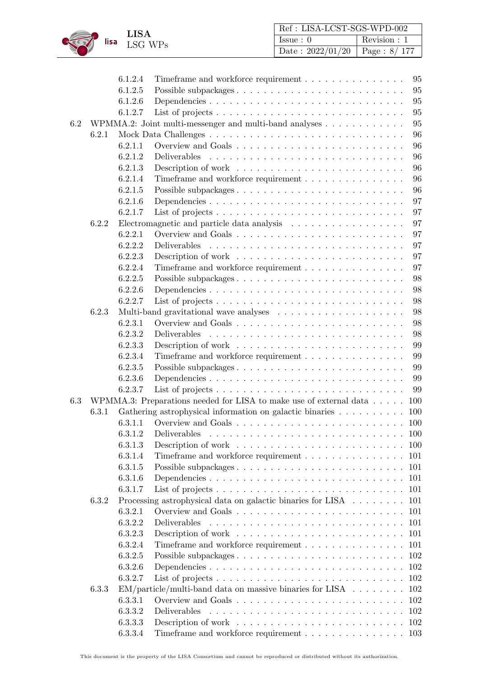

Ref : LISA-LCST-SGS-WPD-002 Issue : 0 Revision : 1 Date : 2022/01/20 Page : 8/ [177](#page-178-0)

|     |       | 6.1.2.4 | Timeframe and workforce requirement $\ldots \ldots \ldots \ldots \ldots$          |  |  | 95       |
|-----|-------|---------|-----------------------------------------------------------------------------------|--|--|----------|
|     |       | 6.1.2.5 |                                                                                   |  |  | 95       |
|     |       | 6.1.2.6 |                                                                                   |  |  | 95       |
|     |       | 6.1.2.7 |                                                                                   |  |  | 95       |
| 6.2 |       |         | WPMMA.2: Joint multi-messenger and multi-band analyses                            |  |  | 95       |
|     | 6.2.1 |         |                                                                                   |  |  | 96       |
|     |       | 6.2.1.1 |                                                                                   |  |  | 96       |
|     |       | 6.2.1.2 | Deliverables                                                                      |  |  | 96       |
|     |       | 6.2.1.3 |                                                                                   |  |  | 96       |
|     |       | 6.2.1.4 | Timeframe and workforce requirement                                               |  |  | 96       |
|     |       | 6.2.1.5 |                                                                                   |  |  | 96       |
|     |       | 6.2.1.6 |                                                                                   |  |  | 97       |
|     |       | 6.2.1.7 |                                                                                   |  |  | 97       |
|     | 6.2.2 |         |                                                                                   |  |  | 97       |
|     |       | 6.2.2.1 |                                                                                   |  |  | 97       |
|     |       | 6.2.2.2 |                                                                                   |  |  | 97       |
|     |       | 6.2.2.3 |                                                                                   |  |  | 97       |
|     |       | 6.2.2.4 | Timeframe and workforce requirement                                               |  |  | 97       |
|     |       | 6.2.2.5 |                                                                                   |  |  | 98       |
|     |       | 6.2.2.6 |                                                                                   |  |  | 98       |
|     |       | 6.2.2.7 |                                                                                   |  |  | 98       |
|     | 6.2.3 |         |                                                                                   |  |  |          |
|     |       | 6.2.3.1 |                                                                                   |  |  | 98<br>98 |
|     |       | 6.2.3.2 |                                                                                   |  |  | 98       |
|     |       | 6.2.3.3 |                                                                                   |  |  | 99       |
|     |       |         |                                                                                   |  |  |          |
|     |       | 6.2.3.4 |                                                                                   |  |  | 99       |
|     |       | 6.2.3.5 |                                                                                   |  |  | 99       |
|     |       | 6.2.3.6 |                                                                                   |  |  | 99       |
|     |       | 6.2.3.7 |                                                                                   |  |  | 99       |
| 6.3 |       |         | WPMMA.3: Preparations needed for LISA to make use of external data                |  |  | 100      |
|     | 6.3.1 |         | Gathering astrophysical information on galactic binaries 100                      |  |  |          |
|     |       | 6.3.1.1 |                                                                                   |  |  |          |
|     |       |         |                                                                                   |  |  |          |
|     |       | 6.3.1.3 | Description of work $\dots \dots \dots \dots \dots \dots \dots \dots \dots$       |  |  | 100      |
|     |       | 6.3.1.4 | Timeframe and workforce requirement                                               |  |  | 101      |
|     |       | 6.3.1.5 | Possible subpackages                                                              |  |  | 101      |
|     |       | 6.3.1.6 |                                                                                   |  |  | 101      |
|     |       | 6.3.1.7 |                                                                                   |  |  | 101      |
|     | 6.3.2 |         | Processing astrophysical data on galactic binaries for LISA                       |  |  | 101      |
|     |       | 6.3.2.1 |                                                                                   |  |  | 101      |
|     |       | 6.3.2.2 | Deliverables                                                                      |  |  | 101      |
|     |       | 6.3.2.3 |                                                                                   |  |  | 101      |
|     |       | 6.3.2.4 | Timeframe and workforce requirement                                               |  |  | 101      |
|     |       | 6.3.2.5 | Possible subpackages                                                              |  |  | 102      |
|     |       | 6.3.2.6 |                                                                                   |  |  | 102      |
|     |       | 6.3.2.7 |                                                                                   |  |  | 102      |
|     | 6.3.3 |         | $EM/particle/multi-band data$ on massive binaries for LISA                        |  |  | 102      |
|     |       | 6.3.3.1 |                                                                                   |  |  | 102      |
|     |       | 6.3.3.2 | Deliverables                                                                      |  |  | 102      |
|     |       | 6.3.3.3 | Description of work $\dots \dots \dots \dots \dots \dots \dots \dots \dots \dots$ |  |  | 102      |
|     |       | 6.3.3.4 | Time<br>frame and workforce requirement 103                                       |  |  |          |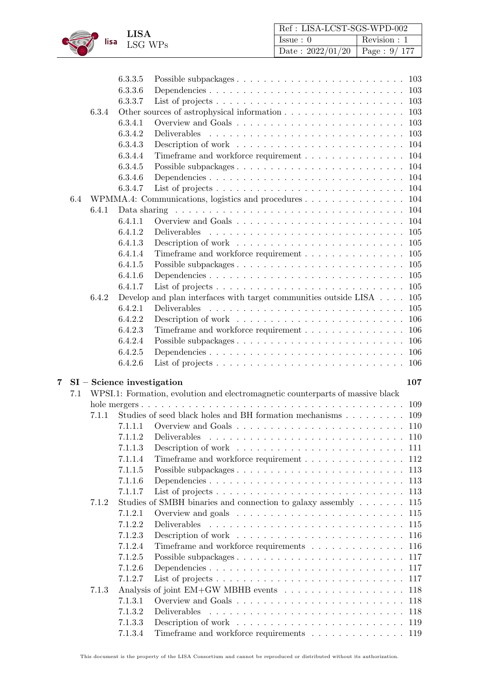

| Ref: LISA-LCST-SGS-WPD-002         |                           |  |  |
|------------------------------------|---------------------------|--|--|
| $I_{\text{ssue}}:0$                | $\mathbb{R}$ Revision : 1 |  |  |
| Date: $2022/01/20$   Page: $9/177$ |                           |  |  |

|   |     |       | 6.3.3.5                      |                                                                                |     |
|---|-----|-------|------------------------------|--------------------------------------------------------------------------------|-----|
|   |     |       | 6.3.3.6                      |                                                                                |     |
|   |     |       | 6.3.3.7                      |                                                                                |     |
|   |     | 6.3.4 |                              | Other sources of astrophysical information 103                                 |     |
|   |     |       | 6.3.4.1                      |                                                                                |     |
|   |     |       | 6.3.4.2                      |                                                                                |     |
|   |     |       | 6.3.4.3                      |                                                                                |     |
|   |     |       | 6.3.4.4                      | Timeframe and workforce requirement $\ldots \ldots \ldots \ldots \ldots 104$   |     |
|   |     |       | 6.3.4.5                      |                                                                                |     |
|   |     |       | 6.3.4.6                      |                                                                                |     |
|   |     |       | 6.3.4.7                      |                                                                                |     |
|   | 6.4 |       |                              | WPMMA.4: Communications, logistics and procedures 104                          |     |
|   |     | 6.4.1 |                              |                                                                                |     |
|   |     |       | 6.4.1.1                      |                                                                                |     |
|   |     |       | 6.4.1.2                      | Deliverables                                                                   |     |
|   |     |       | 6.4.1.3                      |                                                                                |     |
|   |     |       | 6.4.1.4                      | Timeframe and workforce requirement $\ldots \ldots \ldots \ldots \ldots 105$   |     |
|   |     |       | 6.4.1.5                      |                                                                                |     |
|   |     |       | 6.4.1.6                      |                                                                                |     |
|   |     |       | 6.4.1.7                      |                                                                                |     |
|   |     | 6.4.2 |                              | Develop and plan interfaces with target communities outside LISA $\dots$ . 105 |     |
|   |     |       | 6.4.2.1<br>6.4.2.2           | Deliverables                                                                   |     |
|   |     |       | 6.4.2.3                      | Timeframe and workforce requirement 106                                        |     |
|   |     |       |                              |                                                                                |     |
|   |     |       |                              |                                                                                |     |
|   |     |       | 6.4.2.4                      |                                                                                |     |
|   |     |       | 6.4.2.5                      |                                                                                |     |
|   |     |       | 6.4.2.6                      |                                                                                |     |
| 7 |     |       | $SI - Science$ investigation |                                                                                | 107 |
|   | 7.1 |       |                              | WPSI.1: Formation, evolution and electromagnetic counterparts of massive black |     |
|   |     |       |                              |                                                                                | 109 |
|   |     | 7.1.1 |                              | Studies of seed black holes and BH formation mechanisms 109                    |     |
|   |     |       |                              |                                                                                |     |
|   |     |       | 7.1.1.2                      |                                                                                |     |
|   |     |       | 7.1.1.3                      | Description of work $\dots \dots \dots \dots \dots \dots \dots \dots \dots$    | 111 |
|   |     |       | 7.1.1.4                      | Timeframe and workforce requirement 112                                        |     |
|   |     |       | 7.1.1.5                      |                                                                                |     |
|   |     |       | 7.1.1.6                      |                                                                                |     |
|   |     |       | 7.1.1.7                      |                                                                                |     |
|   |     | 7.1.2 |                              | Studies of SMBH binaries and connection to galaxy assembly $\dots \dots$ 115   |     |
|   |     |       | 7.1.2.1                      |                                                                                | 115 |
|   |     |       | 7.1.2.2                      | Deliverables                                                                   | 115 |
|   |     |       | 7.1.2.3                      | Description of work $\dots \dots \dots \dots \dots \dots \dots \dots \dots$    | 116 |
|   |     |       | 7.1.2.4                      | Timeframe and workforce requirements $\ldots \ldots \ldots \ldots \ldots 116$  |     |
|   |     |       | 7.1.2.5                      |                                                                                |     |
|   |     |       | 7.1.2.6                      |                                                                                | 117 |
|   |     |       | 7.1.2.7                      |                                                                                |     |
|   |     | 7.1.3 |                              |                                                                                | 118 |
|   |     |       | 7.1.3.1                      |                                                                                |     |
|   |     |       | 7.1.3.2                      | Deliverables                                                                   |     |
|   |     |       | 7.1.3.3<br>7.1.3.4           | Timeframe and workforce requirements $\ldots \ldots \ldots \ldots \ldots 119$  |     |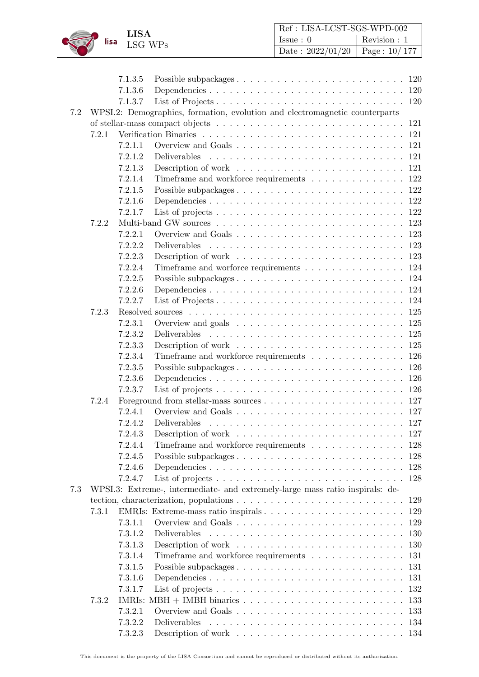

| Ref: LISA-LCST-SGS-WPD-002          |              |  |  |
|-------------------------------------|--------------|--|--|
| Issue:0                             | Revision : 1 |  |  |
| Date: $2022/01/20$   Page: $10/177$ |              |  |  |

|     |       | 7.1.3.5 |                                                                                          |     |
|-----|-------|---------|------------------------------------------------------------------------------------------|-----|
|     |       | 7.1.3.6 |                                                                                          | 120 |
|     |       | 7.1.3.7 | List of Projects                                                                         | 120 |
| 7.2 |       |         | WPSI.2: Demographics, formation, evolution and electromagnetic counterparts              |     |
|     |       |         |                                                                                          |     |
|     | 7.2.1 |         |                                                                                          |     |
|     |       | 7.2.1.1 |                                                                                          | 121 |
|     |       | 7.2.1.2 |                                                                                          |     |
|     |       | 7.2.1.3 |                                                                                          |     |
|     |       | 7.2.1.4 | Timeframe and workforce requirements 122                                                 |     |
|     |       | 7.2.1.5 |                                                                                          |     |
|     |       | 7.2.1.6 |                                                                                          |     |
|     |       | 7.2.1.7 |                                                                                          |     |
|     | 7.2.2 |         |                                                                                          |     |
|     |       | 7.2.2.1 |                                                                                          |     |
|     |       | 7.2.2.2 |                                                                                          |     |
|     |       | 7.2.2.3 | Description of work $\ldots \ldots \ldots \ldots \ldots \ldots \ldots \ldots \ldots 123$ |     |
|     |       | 7.2.2.4 | Timeframe and worforce requirements 124                                                  |     |
|     |       | 7.2.2.5 |                                                                                          |     |
|     |       | 7.2.2.6 |                                                                                          |     |
|     |       | 7.2.2.7 |                                                                                          |     |
|     | 7.2.3 |         |                                                                                          |     |
|     |       | 7.2.3.1 | Overview and goals $\ldots \ldots \ldots \ldots \ldots \ldots \ldots \ldots \ldots 125$  |     |
|     |       | 7.2.3.2 |                                                                                          |     |
|     |       | 7.2.3.3 |                                                                                          |     |
|     |       | 7.2.3.4 | Timeframe and workforce requirements $\ldots \ldots \ldots \ldots 126$                   |     |
|     |       | 7.2.3.5 |                                                                                          |     |
|     |       | 7.2.3.6 |                                                                                          |     |
|     |       | 7.2.3.7 |                                                                                          |     |
|     | 7.2.4 |         |                                                                                          |     |
|     |       | 7.2.4.1 |                                                                                          |     |
|     |       | 7.2.4.2 |                                                                                          |     |
|     |       | 7.2.4.3 |                                                                                          |     |
|     |       | 7.2.4.4 | Timeframe and workforce requirements                                                     | 128 |
|     |       | 7.2.4.5 |                                                                                          | 128 |
|     |       | 7.2.4.6 |                                                                                          | 128 |
|     |       | 7.2.4.7 |                                                                                          | 128 |
| 7.3 |       |         | WPSI.3: Extreme-, intermediate- and extremely-large mass ratio inspirals: de-            |     |
|     |       |         |                                                                                          | 129 |
|     | 7.3.1 |         | EMRIs: Extreme-mass ratio inspirals                                                      | 129 |
|     |       | 7.3.1.1 |                                                                                          | 129 |
|     |       | 7.3.1.2 | Deliverables                                                                             | 130 |
|     |       | 7.3.1.3 |                                                                                          | 130 |
|     |       | 7.3.1.4 | Timeframe and workforce requirements                                                     | 131 |
|     |       | 7.3.1.5 | Possible subpackages                                                                     | 131 |
|     |       | 7.3.1.6 |                                                                                          | 131 |
|     |       | 7.3.1.7 |                                                                                          | 132 |
|     | 7.3.2 |         |                                                                                          | 133 |
|     |       | 7.3.2.1 |                                                                                          | 133 |
|     |       | 7.3.2.2 | Deliverables                                                                             | 134 |
|     |       | 7.3.2.3 |                                                                                          |     |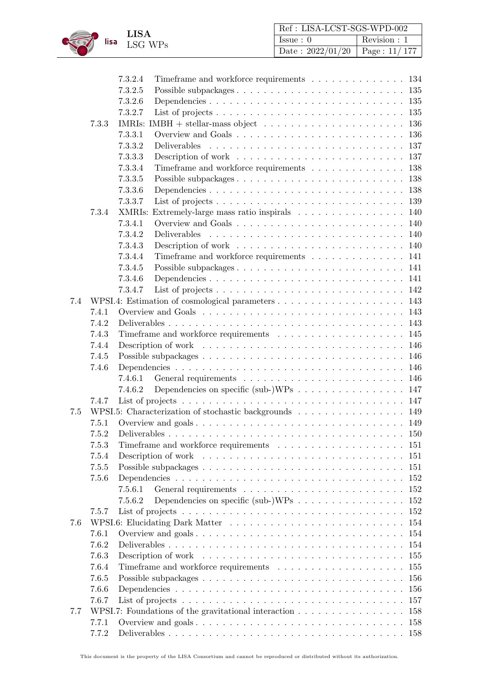

|     |       | 7.3.2.4<br>Timeframe and workforce requirements 134                                                                |
|-----|-------|--------------------------------------------------------------------------------------------------------------------|
|     |       | 7.3.2.5                                                                                                            |
|     |       | 7.3.2.6                                                                                                            |
|     |       | 7.3.2.7                                                                                                            |
|     | 7.3.3 | IMRIs: IMBH + stellar-mass object $\dots \dots \dots \dots \dots \dots \dots \dots \dots \dots \dots$              |
|     |       | 7.3.3.1                                                                                                            |
|     |       | 7.3.3.2                                                                                                            |
|     |       | Description of work $\dots \dots \dots \dots \dots \dots \dots \dots \dots \dots \dots \dots \dots 137$<br>7.3.3.3 |
|     |       | Timeframe and workforce requirements 138<br>7.3.3.4                                                                |
|     |       | 7.3.3.5                                                                                                            |
|     |       | 7.3.3.6                                                                                                            |
|     |       | 7.3.3.7                                                                                                            |
|     | 7.3.4 | XMRIs: Extremely-large mass ratio inspirals 140                                                                    |
|     |       | 7.3.4.1                                                                                                            |
|     |       | 7.3.4.2                                                                                                            |
|     |       | 7.3.4.3                                                                                                            |
|     |       | 7.3.4.4<br>Timeframe and workforce requirements 141                                                                |
|     |       | 7.3.4.5                                                                                                            |
|     |       | 7.3.4.6                                                                                                            |
|     |       | 7.3.4.7                                                                                                            |
| 7.4 |       |                                                                                                                    |
|     | 7.4.1 |                                                                                                                    |
|     | 7.4.2 |                                                                                                                    |
|     | 7.4.3 |                                                                                                                    |
|     | 7.4.4 |                                                                                                                    |
|     | 7.4.5 |                                                                                                                    |
|     | 7.4.6 |                                                                                                                    |
|     |       |                                                                                                                    |
|     |       | Dependencies on specific (sub-)WPs $\ldots \ldots \ldots \ldots \ldots \ldots 147$<br>7.4.6.2                      |
|     | 7.4.7 | List of projects $\ldots \ldots \ldots \ldots \ldots \ldots \ldots \ldots \ldots \ldots \ldots \ldots 147$         |
| 7.5 |       | WPSI.5: Characterization of stochastic backgrounds 149                                                             |
|     |       |                                                                                                                    |
|     | 7.5.2 |                                                                                                                    |
|     | 7.5.3 |                                                                                                                    |
|     | 7.5.4 | 151                                                                                                                |
|     | 7.5.5 | 151                                                                                                                |
|     | 7.5.6 | 152                                                                                                                |
|     |       | 7.5.6.1                                                                                                            |
|     |       | Dependencies on specific (sub-)WPs $\ldots \ldots \ldots \ldots \ldots \ldots 152$<br>7.5.6.2                      |
|     | 7.5.7 | 152                                                                                                                |
| 7.6 |       |                                                                                                                    |
|     | 7.6.1 | 154                                                                                                                |
|     | 7.6.2 |                                                                                                                    |
|     |       | 154                                                                                                                |
|     | 7.6.3 | 155                                                                                                                |
|     | 7.6.4 | 155                                                                                                                |
|     | 7.6.5 | 156                                                                                                                |
|     | 7.6.6 | 156                                                                                                                |
|     | 7.6.7 | 157                                                                                                                |
| 7.7 |       | WPSI.7: Foundations of the gravitational interaction<br>158                                                        |
|     | 7.7.1 | 158                                                                                                                |
|     | 7.7.2 |                                                                                                                    |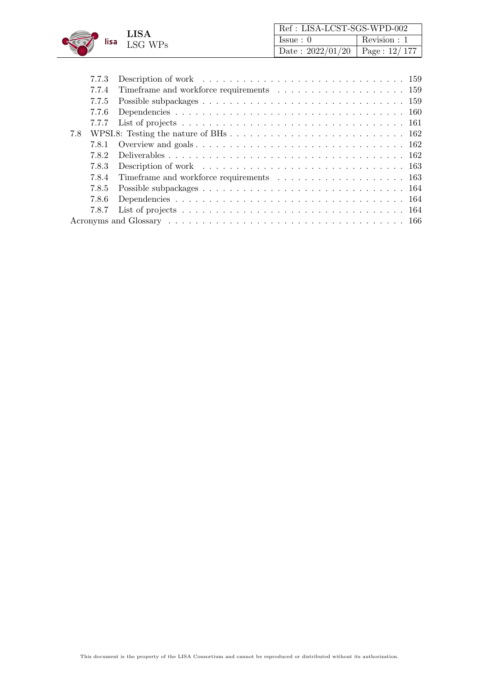

| Ref: LISA-LCST-SGS-WPD-002          |              |  |  |
|-------------------------------------|--------------|--|--|
| $\text{Issue}:0$                    | Revision : 1 |  |  |
| Date: $2022/01/20$   Page: $12/177$ |              |  |  |

|     | 7.7.3 |  |
|-----|-------|--|
|     | 7.7.4 |  |
|     | 7.7.5 |  |
|     | 7.7.6 |  |
|     | 7.7.7 |  |
| 7.8 |       |  |
|     | 7.8.1 |  |
|     | 782   |  |
|     | 7.8.3 |  |
|     | 7.8.4 |  |
|     | 7.8.5 |  |
|     | 7.8.6 |  |
|     | 7.8.7 |  |
|     |       |  |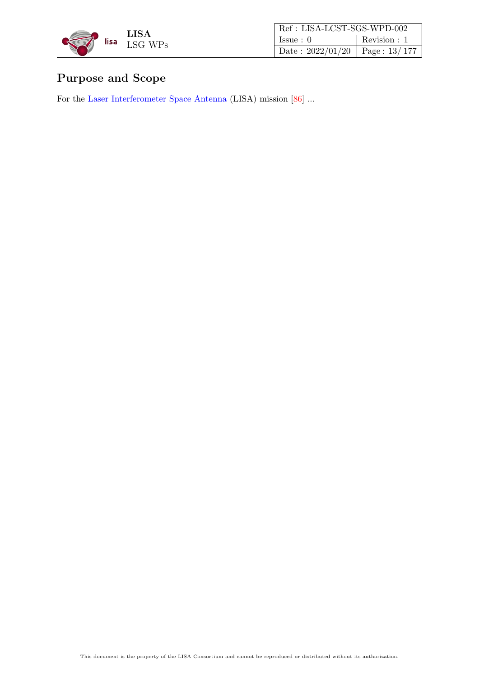

| Ref: LISA-LCST-SGS-WPD-002          |                      |  |
|-------------------------------------|----------------------|--|
| Issue:0                             | $\vert$ Revision : 1 |  |
| Date: $2022/01/20$   Page: $13/177$ |                      |  |

# <span id="page-14-0"></span>Purpose and Scope

For the [Laser Interferometer Space Antenna](https://www.lisamission.org/) [\(LISA\)](#page-167-1) mission [\[86\]](#page-173-0) ...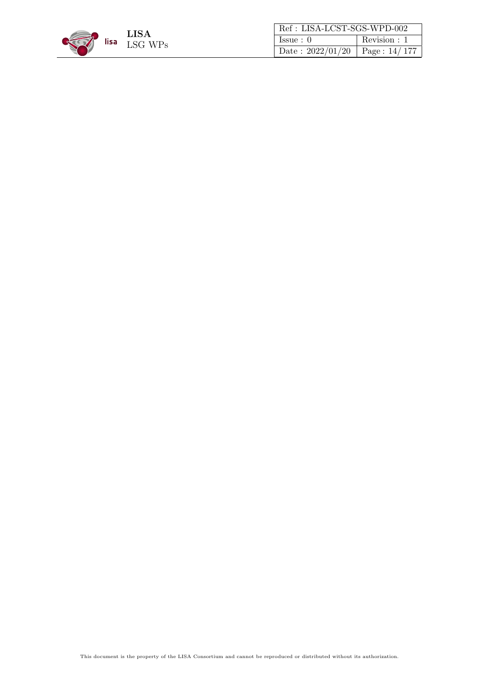

| Ref : LISA-LCST-SGS-WPD-002 |                |  |
|-----------------------------|----------------|--|
| $\text{I}\text{ssue}:0$     | Revision : 1   |  |
| Date: $2022/01/20$          | Page: $14/177$ |  |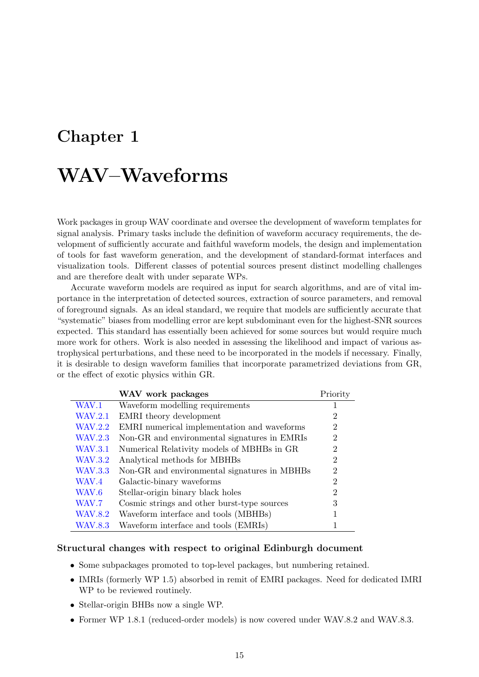# <span id="page-16-0"></span>Chapter 1

# WAV–Waveforms

Work packages in group WAV coordinate and oversee the development of waveform templates for signal analysis. Primary tasks include the definition of waveform accuracy requirements, the development of sufficiently accurate and faithful waveform models, the design and implementation of tools for fast waveform generation, and the development of standard-format interfaces and visualization tools. Different classes of potential sources present distinct modelling challenges and are therefore dealt with under separate WPs.

Accurate waveform models are required as input for search algorithms, and are of vital importance in the interpretation of detected sources, extraction of source parameters, and removal of foreground signals. As an ideal standard, we require that models are sufficiently accurate that "systematic" biases from modelling error are kept subdominant even for the highest-SNR sources expected. This standard has essentially been achieved for some sources but would require much more work for others. Work is also needed in assessing the likelihood and impact of various astrophysical perturbations, and these need to be incorporated in the models if necessary. Finally, it is desirable to design waveform families that incorporate parametrized deviations from GR, or the effect of exotic physics within GR.

|                | WAV work packages                            | Priority       |
|----------------|----------------------------------------------|----------------|
| WAV.1          | Waveform modelling requirements              |                |
| <b>WAV.2.1</b> | EMRI theory development                      | 2              |
| <b>WAV.2.2</b> | EMRI numerical implementation and waveforms  | 2              |
| <b>WAV.2.3</b> | Non-GR and environmental signatures in EMRIs | 2              |
| <b>WAV.3.1</b> | Numerical Relativity models of MBHBs in GR   | $\overline{2}$ |
| <b>WAV.3.2</b> | Analytical methods for MBHBs                 | $\overline{2}$ |
| <b>WAV.3.3</b> | Non-GR and environmental signatures in MBHBs | $\overline{2}$ |
| WAV.4          | Galactic-binary waveforms                    | $\overline{2}$ |
| WAV.6          | Stellar-origin binary black holes            | $\overline{2}$ |
| WAV.7          | Cosmic strings and other burst-type sources  | 3              |
| <b>WAV.8.2</b> | Waveform interface and tools (MBHBs)         |                |
| <b>WAV.8.3</b> | Waveform interface and tools (EMRIs)         |                |

#### Structural changes with respect to original Edinburgh document

- Some subpackages promoted to top-level packages, but numbering retained.
- IMRIs (formerly WP 1.5) absorbed in remit of EMRI packages. Need for dedicated IMRI WP to be reviewed routinely.
- Stellar-origin BHBs now a single WP.
- Former WP 1.8.1 (reduced-order models) is now covered under WAV.8.2 and WAV.8.3.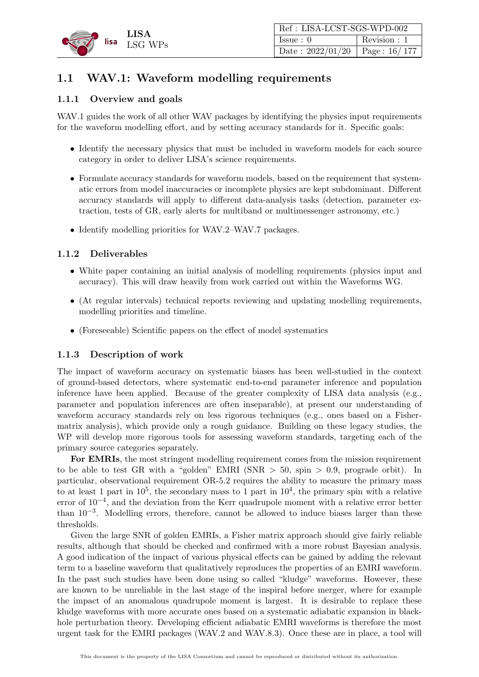

### <span id="page-17-0"></span>1.1 WAV.1: Waveform modelling requirements

#### <span id="page-17-1"></span>1.1.1 Overview and goals

WAV.1 guides the work of all other WAV packages by identifying the physics input requirements for the waveform modelling effort, and by setting accuracy standards for it. Specific goals:

- Identify the necessary physics that must be included in waveform models for each source category in order to deliver LISA's science requirements.
- Formulate accuracy standards for waveform models, based on the requirement that systematic errors from model inaccuracies or incomplete physics are kept subdominant. Different accuracy standards will apply to different data-analysis tasks (detection, parameter extraction, tests of GR, early alerts for multiband or multimessenger astronomy, etc.)
- Identify modelling priorities for WAV.2–WAV.7 packages.

#### <span id="page-17-2"></span>1.1.2 Deliverables

- White paper containing an initial analysis of modelling requirements (physics input and accuracy). This will draw heavily from work carried out within the Waveforms WG.
- (At regular intervals) technical reports reviewing and updating modelling requirements, modelling priorities and timeline.
- (Foreseeable) Scientific papers on the effect of model systematics

#### <span id="page-17-3"></span>1.1.3 Description of work

The impact of waveform accuracy on systematic biases has been well-studied in the context of ground-based detectors, where systematic end-to-end parameter inference and population inference have been applied. Because of the greater complexity of LISA data analysis (e.g., parameter and population inferences are often inseparable), at present our understanding of waveform accuracy standards rely on less rigorous techniques (e.g., ones based on a Fishermatrix analysis), which provide only a rough guidance. Building on these legacy studies, the WP will develop more rigorous tools for assessing waveform standards, targeting each of the primary source categories separately.

For EMRIs, the most stringent modelling requirement comes from the mission requirement to be able to test GR with a "golden" EMRI (SNR  $> 50$ , spin  $> 0.9$ , prograde orbit). In particular, observational requirement OR-5.2 requires the ability to measure the primary mass to at least 1 part in  $10^5$ , the secondary mass to 1 part in  $10^4$ , the primary spin with a relative error of 10<sup>-4</sup>, and the deviation from the Kerr quadrupole moment with a relative error better than 10−<sup>3</sup> . Modelling errors, therefore, cannot be allowed to induce biases larger than these thresholds.

Given the large SNR of golden EMRIs, a Fisher matrix approach should give fairly reliable results, although that should be checked and confirmed with a more robust Bayesian analysis. A good indication of the impact of various physical effects can be gained by adding the relevant term to a baseline waveform that qualitatively reproduces the properties of an EMRI waveform. In the past such studies have been done using so called "kludge" waveforms. However, these are known to be unreliable in the last stage of the inspiral before merger, where for example the impact of an anomalous quadrupole moment is largest. It is desirable to replace these kludge waveforms with more accurate ones based on a systematic adiabatic expansion in blackhole perturbation theory. Developing efficient adiabatic EMRI waveforms is therefore the most urgent task for the EMRI packages (WAV.2 and WAV.8.3). Once these are in place, a tool will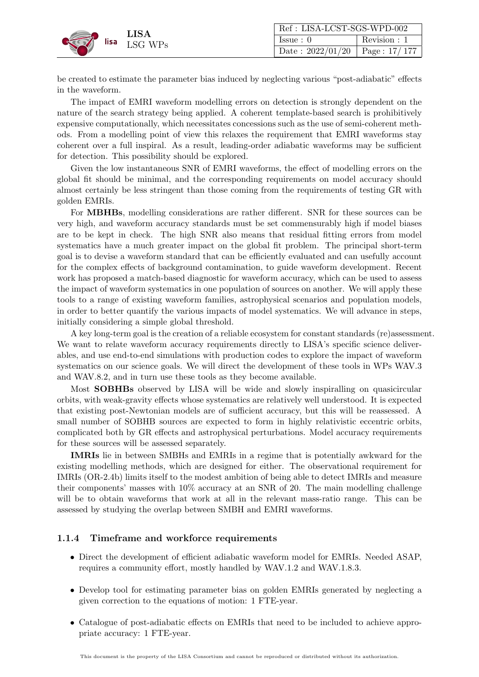| T | lisa | LISA<br>LSG WPs | Ref: LISA-LCST-SGS-WPD-002 |                         |
|---|------|-----------------|----------------------------|-------------------------|
|   |      |                 | $\text{Issue}:0$           | Revision : 1            |
|   |      |                 | Date: $2022/01/20$         | $  \text{Page}: 17/177$ |

be created to estimate the parameter bias induced by neglecting various "post-adiabatic" effects in the waveform.

The impact of EMRI waveform modelling errors on detection is strongly dependent on the nature of the search strategy being applied. A coherent template-based search is prohibitively expensive computationally, which necessitates concessions such as the use of semi-coherent methods. From a modelling point of view this relaxes the requirement that EMRI waveforms stay coherent over a full inspiral. As a result, leading-order adiabatic waveforms may be sufficient for detection. This possibility should be explored.

Given the low instantaneous SNR of EMRI waveforms, the effect of modelling errors on the global fit should be minimal, and the corresponding requirements on model accuracy should almost certainly be less stringent than those coming from the requirements of testing GR with golden EMRIs.

For MBHBs, modelling considerations are rather different. SNR for these sources can be very high, and waveform accuracy standards must be set commensurably high if model biases are to be kept in check. The high SNR also means that residual fitting errors from model systematics have a much greater impact on the global fit problem. The principal short-term goal is to devise a waveform standard that can be efficiently evaluated and can usefully account for the complex effects of background contamination, to guide waveform development. Recent work has proposed a match-based diagnostic for waveform accuracy, which can be used to assess the impact of waveform systematics in one population of sources on another. We will apply these tools to a range of existing waveform families, astrophysical scenarios and population models, in order to better quantify the various impacts of model systematics. We will advance in steps, initially considering a simple global threshold.

A key long-term goal is the creation of a reliable ecosystem for constant standards (re)assessment. We want to relate waveform accuracy requirements directly to LISA's specific science deliverables, and use end-to-end simulations with production codes to explore the impact of waveform systematics on our science goals. We will direct the development of these tools in WPs WAV.3 and WAV.8.2, and in turn use these tools as they become available.

Most SOBHBs observed by LISA will be wide and slowly inspiralling on quasicircular orbits, with weak-gravity effects whose systematics are relatively well understood. It is expected that existing post-Newtonian models are of sufficient accuracy, but this will be reassessed. A small number of SOBHB sources are expected to form in highly relativistic eccentric orbits, complicated both by GR effects and astrophysical perturbations. Model accuracy requirements for these sources will be assessed separately.

IMRIs lie in between SMBHs and EMRIs in a regime that is potentially awkward for the existing modelling methods, which are designed for either. The observational requirement for IMRIs (OR-2.4b) limits itself to the modest ambition of being able to detect IMRIs and measure their components' masses with 10% accuracy at an SNR of 20. The main modelling challenge will be to obtain waveforms that work at all in the relevant mass-ratio range. This can be assessed by studying the overlap between SMBH and EMRI waveforms.

#### <span id="page-18-0"></span>1.1.4 Timeframe and workforce requirements

- Direct the development of efficient adiabatic waveform model for EMRIs. Needed ASAP, requires a community effort, mostly handled by WAV.1.2 and WAV.1.8.3.
- Develop tool for estimating parameter bias on golden EMRIs generated by neglecting a given correction to the equations of motion: 1 FTE-year.
- Catalogue of post-adiabatic effects on EMRIs that need to be included to achieve appropriate accuracy: 1 FTE-year.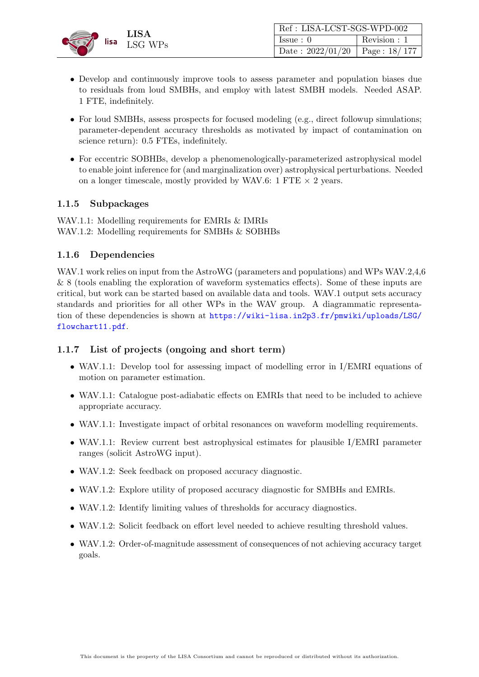

- Develop and continuously improve tools to assess parameter and population biases due to residuals from loud SMBHs, and employ with latest SMBH models. Needed ASAP. 1 FTE, indefinitely.
- For loud SMBHs, assess prospects for focused modeling (e.g., direct followup simulations; parameter-dependent accuracy thresholds as motivated by impact of contamination on science return): 0.5 FTEs, indefinitely.
- For eccentric SOBHBs, develop a phenomenologically-parameterized astrophysical model to enable joint inference for (and marginalization over) astrophysical perturbations. Needed on a longer timescale, mostly provided by WAV.6: 1 FTE  $\times$  2 years.

#### <span id="page-19-0"></span>1.1.5 Subpackages

WAV.1.1: Modelling requirements for EMRIs & IMRIs WAV.1.2: Modelling requirements for SMBHs & SOBHBs

#### <span id="page-19-1"></span>1.1.6 Dependencies

WAV.1 work relies on input from the AstroWG (parameters and populations) and WPs WAV.2,4,6 & 8 (tools enabling the exploration of waveform systematics effects). Some of these inputs are critical, but work can be started based on available data and tools. WAV.1 output sets accuracy standards and priorities for all other WPs in the WAV group. A diagrammatic representation of these dependencies is shown at [https://wiki-lisa.in2p3.fr/pmwiki/uploads/LSG/](https://wiki-lisa.in2p3.fr/pmwiki/uploads/LSG/flowchart11.pdf) [flowchart11.pdf](https://wiki-lisa.in2p3.fr/pmwiki/uploads/LSG/flowchart11.pdf).

#### <span id="page-19-2"></span>1.1.7 List of projects (ongoing and short term)

- WAV.1.1: Develop tool for assessing impact of modelling error in I/EMRI equations of motion on parameter estimation.
- WAV.1.1: Catalogue post-adiabatic effects on EMRIs that need to be included to achieve appropriate accuracy.
- WAV.1.1: Investigate impact of orbital resonances on waveform modelling requirements.
- WAV.1.1: Review current best astrophysical estimates for plausible I/EMRI parameter ranges (solicit AstroWG input).
- WAV.1.2: Seek feedback on proposed accuracy diagnostic.
- WAV.1.2: Explore utility of proposed accuracy diagnostic for SMBHs and EMRIs.
- WAV.1.2: Identify limiting values of thresholds for accuracy diagnostics.
- WAV.1.2: Solicit feedback on effort level needed to achieve resulting threshold values.
- WAV.1.2: Order-of-magnitude assessment of consequences of not achieving accuracy target goals.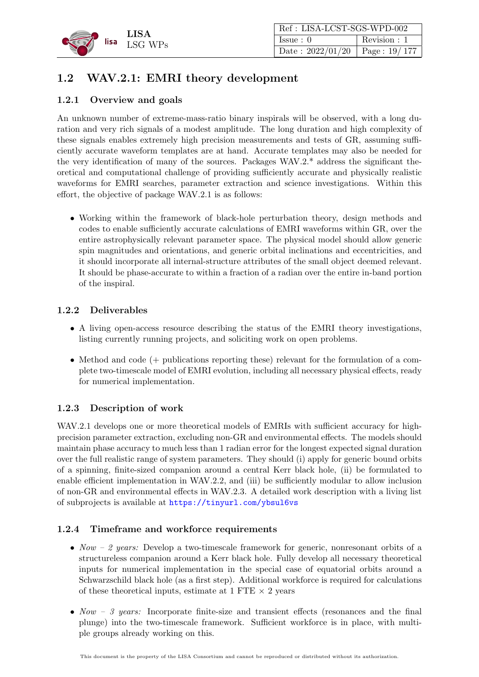

## <span id="page-20-0"></span>1.2 WAV.2.1: EMRI theory development

#### <span id="page-20-1"></span>1.2.1 Overview and goals

An unknown number of extreme-mass-ratio binary inspirals will be observed, with a long duration and very rich signals of a modest amplitude. The long duration and high complexity of these signals enables extremely high precision measurements and tests of GR, assuming sufficiently accurate waveform templates are at hand. Accurate templates may also be needed for the very identification of many of the sources. Packages WAV.2.\* address the significant theoretical and computational challenge of providing sufficiently accurate and physically realistic waveforms for EMRI searches, parameter extraction and science investigations. Within this effort, the objective of package WAV.2.1 is as follows:

• Working within the framework of black-hole perturbation theory, design methods and codes to enable sufficiently accurate calculations of EMRI waveforms within GR, over the entire astrophysically relevant parameter space. The physical model should allow generic spin magnitudes and orientations, and generic orbital inclinations and eccentricities, and it should incorporate all internal-structure attributes of the small object deemed relevant. It should be phase-accurate to within a fraction of a radian over the entire in-band portion of the inspiral.

#### <span id="page-20-2"></span>1.2.2 Deliverables

- A living open-access resource describing the status of the EMRI theory investigations, listing currently running projects, and soliciting work on open problems.
- Method and code (+ publications reporting these) relevant for the formulation of a complete two-timescale model of EMRI evolution, including all necessary physical effects, ready for numerical implementation.

#### <span id="page-20-3"></span>1.2.3 Description of work

WAV.2.1 develops one or more theoretical models of EMRIs with sufficient accuracy for highprecision parameter extraction, excluding non-GR and environmental effects. The models should maintain phase accuracy to much less than 1 radian error for the longest expected signal duration over the full realistic range of system parameters. They should (i) apply for generic bound orbits of a spinning, finite-sized companion around a central Kerr black hole, (ii) be formulated to enable efficient implementation in WAV.2.2, and (iii) be sufficiently modular to allow inclusion of non-GR and environmental effects in WAV.2.3. A detailed work description with a living list of subprojects is available at <https://tinyurl.com/ybsul6vs>

#### <span id="page-20-4"></span>1.2.4 Timeframe and workforce requirements

- Now 2 years: Develop a two-timescale framework for generic, nonresonant orbits of a structureless companion around a Kerr black hole. Fully develop all necessary theoretical inputs for numerical implementation in the special case of equatorial orbits around a Schwarzschild black hole (as a first step). Additional workforce is required for calculations of these theoretical inputs, estimate at 1 FTE  $\times$  2 years
- Now  $-$  3 years: Incorporate finite-size and transient effects (resonances and the final plunge) into the two-timescale framework. Sufficient workforce is in place, with multiple groups already working on this.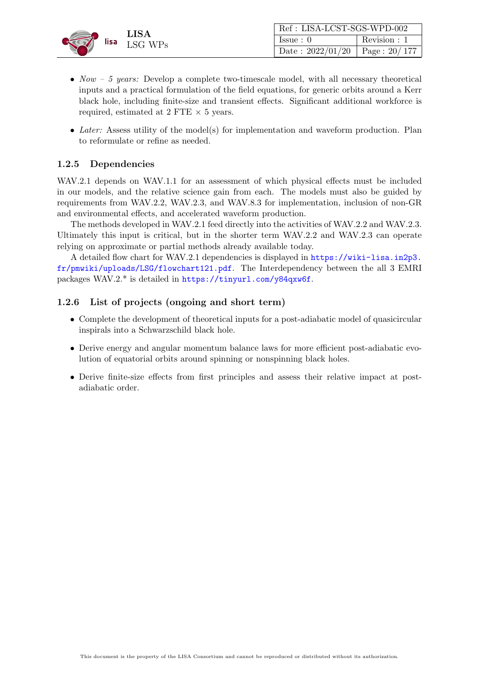

- Now  $-5$  years: Develop a complete two-timescale model, with all necessary theoretical inputs and a practical formulation of the field equations, for generic orbits around a Kerr black hole, including finite-size and transient effects. Significant additional workforce is required, estimated at 2 FTE  $\times$  5 years.
- Later: Assess utility of the model(s) for implementation and waveform production. Plan to reformulate or refine as needed.

#### <span id="page-21-0"></span>1.2.5 Dependencies

WAV.2.1 depends on WAV.1.1 for an assessment of which physical effects must be included in our models, and the relative science gain from each. The models must also be guided by requirements from WAV.2.2, WAV.2.3, and WAV.8.3 for implementation, inclusion of non-GR and environmental effects, and accelerated waveform production.

The methods developed in WAV.2.1 feed directly into the activities of WAV.2.2 and WAV.2.3. Ultimately this input is critical, but in the shorter term WAV.2.2 and WAV.2.3 can operate relying on approximate or partial methods already available today.

A detailed flow chart for WAV.2.1 dependencies is displayed in [https://wiki-lisa.in2p3.](https://wiki-lisa.in2p3.fr/pmwiki/uploads/LSG/flowchart121.pdf) [fr/pmwiki/uploads/LSG/flowchart121.pdf](https://wiki-lisa.in2p3.fr/pmwiki/uploads/LSG/flowchart121.pdf). The Interdependency between the all 3 EMRI packages WAV.2.\* is detailed in <https://tinyurl.com/y84qxw6f>.

#### <span id="page-21-1"></span>1.2.6 List of projects (ongoing and short term)

- Complete the development of theoretical inputs for a post-adiabatic model of quasicircular inspirals into a Schwarzschild black hole.
- Derive energy and angular momentum balance laws for more efficient post-adiabatic evolution of equatorial orbits around spinning or nonspinning black holes.
- Derive finite-size effects from first principles and assess their relative impact at postadiabatic order.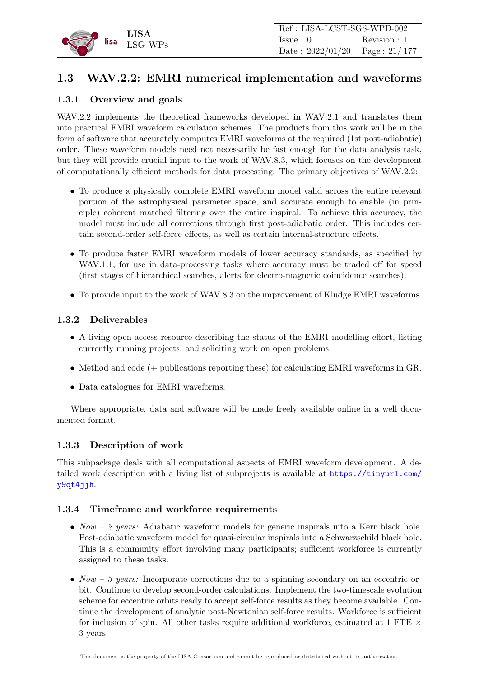

### <span id="page-22-0"></span>1.3 WAV.2.2: EMRI numerical implementation and waveforms

#### <span id="page-22-1"></span>1.3.1 Overview and goals

WAV.2.2 implements the theoretical frameworks developed in WAV.2.1 and translates them into practical EMRI waveform calculation schemes. The products from this work will be in the form of software that accurately computes EMRI waveforms at the required (1st post-adiabatic) order. These waveform models need not necessarily be fast enough for the data analysis task, but they will provide crucial input to the work of WAV.8.3, which focuses on the development of computationally efficient methods for data processing. The primary objectives of WAV.2.2:

- To produce a physically complete EMRI waveform model valid across the entire relevant portion of the astrophysical parameter space, and accurate enough to enable (in principle) coherent matched filtering over the entire inspiral. To achieve this accuracy, the model must include all corrections through first post-adiabatic order. This includes certain second-order self-force effects, as well as certain internal-structure effects.
- To produce faster EMRI waveform models of lower accuracy standards, as specified by WAV.1.1, for use in data-processing tasks where accuracy must be traded off for speed (first stages of hierarchical searches, alerts for electro-magnetic coincidence searches).
- To provide input to the work of WAV.8.3 on the improvement of Kludge EMRI waveforms.

#### <span id="page-22-2"></span>1.3.2 Deliverables

- A living open-access resource describing the status of the EMRI modelling effort, listing currently running projects, and soliciting work on open problems.
- Method and code (+ publications reporting these) for calculating EMRI waveforms in GR.
- Data catalogues for EMRI waveforms.

Where appropriate, data and software will be made freely available online in a well documented format.

#### <span id="page-22-3"></span>1.3.3 Description of work

This subpackage deals with all computational aspects of EMRI waveform development. A detailed work description with a living list of subprojects is available at [https://tinyurl.com/](https://tinyurl.com/y9qt4jjh) [y9qt4jjh](https://tinyurl.com/y9qt4jjh).

#### <span id="page-22-4"></span>1.3.4 Timeframe and workforce requirements

- Now  $-$  2 years: Adiabatic waveform models for generic inspirals into a Kerr black hole. Post-adiabatic waveform model for quasi-circular inspirals into a Schwarzschild black hole. This is a community effort involving many participants; sufficient workforce is currently assigned to these tasks.
- Now 3 years: Incorporate corrections due to a spinning secondary on an eccentric orbit. Continue to develop second-order calculations. Implement the two-timescale evolution scheme for eccentric orbits ready to accept self-force results as they become available. Continue the development of analytic post-Newtonian self-force results. Workforce is sufficient for inclusion of spin. All other tasks require additional workforce, estimated at 1 FTE  $\times$ 3 years.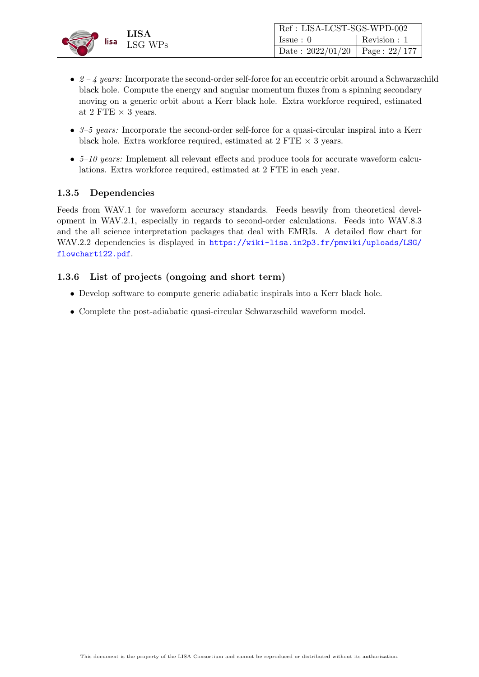

- $2 4$  years: Incorporate the second-order self-force for an eccentric orbit around a Schwarzschild black hole. Compute the energy and angular momentum fluxes from a spinning secondary moving on a generic orbit about a Kerr black hole. Extra workforce required, estimated at 2 FTE  $\times$  3 years.
- $3-5$  years: Incorporate the second-order self-force for a quasi-circular inspiral into a Kerr black hole. Extra workforce required, estimated at  $2$  FTE  $\times$  3 years.
- $\bullet$  5–10 years: Implement all relevant effects and produce tools for accurate waveform calculations. Extra workforce required, estimated at 2 FTE in each year.

#### <span id="page-23-0"></span>1.3.5 Dependencies

Feeds from WAV.1 for waveform accuracy standards. Feeds heavily from theoretical development in WAV.2.1, especially in regards to second-order calculations. Feeds into WAV.8.3 and the all science interpretation packages that deal with EMRIs. A detailed flow chart for WAV.2.2 dependencies is displayed in [https://wiki-lisa.in2p3.fr/pmwiki/uploads/LSG/](https://wiki-lisa.in2p3.fr/pmwiki/uploads/LSG/flowchart122.pdf) [flowchart122.pdf](https://wiki-lisa.in2p3.fr/pmwiki/uploads/LSG/flowchart122.pdf).

#### <span id="page-23-1"></span>1.3.6 List of projects (ongoing and short term)

- Develop software to compute generic adiabatic inspirals into a Kerr black hole.
- Complete the post-adiabatic quasi-circular Schwarzschild waveform model.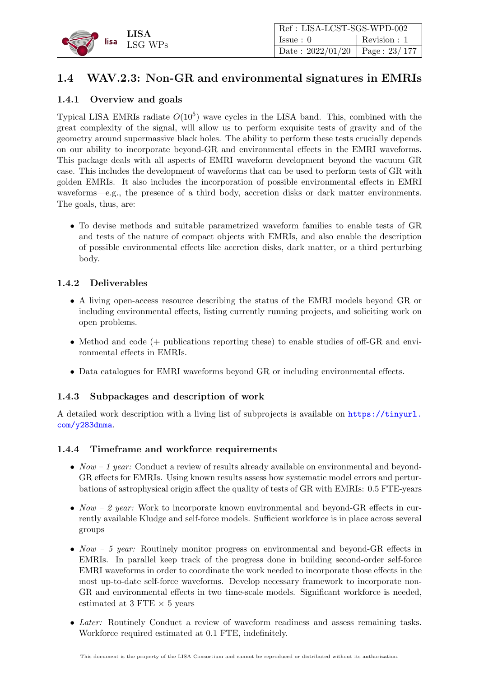

## <span id="page-24-0"></span>1.4 WAV.2.3: Non-GR and environmental signatures in EMRIs

#### <span id="page-24-1"></span>1.4.1 Overview and goals

Typical LISA EMRIs radiate  $O(10^5)$  wave cycles in the LISA band. This, combined with the great complexity of the signal, will allow us to perform exquisite tests of gravity and of the geometry around supermassive black holes. The ability to perform these tests crucially depends on our ability to incorporate beyond-GR and environmental effects in the EMRI waveforms. This package deals with all aspects of EMRI waveform development beyond the vacuum GR case. This includes the development of waveforms that can be used to perform tests of GR with golden EMRIs. It also includes the incorporation of possible environmental effects in EMRI waveforms—e.g., the presence of a third body, accretion disks or dark matter environments. The goals, thus, are:

• To devise methods and suitable parametrized waveform families to enable tests of GR and tests of the nature of compact objects with EMRIs, and also enable the description of possible environmental effects like accretion disks, dark matter, or a third perturbing body.

#### <span id="page-24-2"></span>1.4.2 Deliverables

- A living open-access resource describing the status of the EMRI models beyond GR or including environmental effects, listing currently running projects, and soliciting work on open problems.
- Method and code (+ publications reporting these) to enable studies of off-GR and environmental effects in EMRIs.
- Data catalogues for EMRI waveforms beyond GR or including environmental effects.

#### <span id="page-24-3"></span>1.4.3 Subpackages and description of work

A detailed work description with a living list of subprojects is available on [https://tinyurl.](https://tinyurl.com/y283dnma) [com/y283dnma](https://tinyurl.com/y283dnma).

#### <span id="page-24-4"></span>1.4.4 Timeframe and workforce requirements

- Now  $-1$  year: Conduct a review of results already available on environmental and beyond-GR effects for EMRIs. Using known results assess how systematic model errors and perturbations of astrophysical origin affect the quality of tests of GR with EMRIs: 0.5 FTE-years
- Now 2 year: Work to incorporate known environmental and beyond-GR effects in currently available Kludge and self-force models. Sufficient workforce is in place across several groups
- Now  $-5$  year: Routinely monitor progress on environmental and beyond-GR effects in EMRIs. In parallel keep track of the progress done in building second-order self-force EMRI waveforms in order to coordinate the work needed to incorporate those effects in the most up-to-date self-force waveforms. Develop necessary framework to incorporate non-GR and environmental effects in two time-scale models. Significant workforce is needed, estimated at 3 FTE  $\times$  5 years
- Later: Routinely Conduct a review of waveform readiness and assess remaining tasks. Workforce required estimated at 0.1 FTE, indefinitely.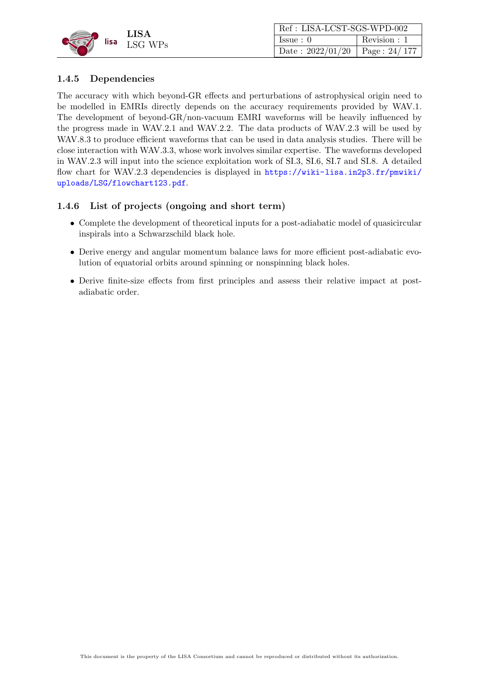

| Ref: LISA-LCST-SGS-WPD-002          |                      |  |
|-------------------------------------|----------------------|--|
| Issue:0                             | $\vert$ Revision : 1 |  |
| Date: $2022/01/20$   Page: $24/177$ |                      |  |

#### <span id="page-25-0"></span>1.4.5 Dependencies

The accuracy with which beyond-GR effects and perturbations of astrophysical origin need to be modelled in EMRIs directly depends on the accuracy requirements provided by WAV.1. The development of beyond-GR/non-vacuum EMRI waveforms will be heavily influenced by the progress made in WAV.2.1 and WAV.2.2. The data products of WAV.2.3 will be used by WAV.8.3 to produce efficient waveforms that can be used in data analysis studies. There will be close interaction with WAV.3.3, whose work involves similar expertise. The waveforms developed in WAV.2.3 will input into the science exploitation work of SI.3, SI.6, SI.7 and SI.8. A detailed flow chart for WAV.2.3 dependencies is displayed in [https://wiki-lisa.in2p3.fr/pmwiki/](https://wiki-lisa.in2p3.fr/pmwiki/uploads/LSG/flowchart123.pdf) [uploads/LSG/flowchart123.pdf](https://wiki-lisa.in2p3.fr/pmwiki/uploads/LSG/flowchart123.pdf).

#### <span id="page-25-1"></span>1.4.6 List of projects (ongoing and short term)

- Complete the development of theoretical inputs for a post-adiabatic model of quasicircular inspirals into a Schwarzschild black hole.
- Derive energy and angular momentum balance laws for more efficient post-adiabatic evolution of equatorial orbits around spinning or nonspinning black holes.
- Derive finite-size effects from first principles and assess their relative impact at postadiabatic order.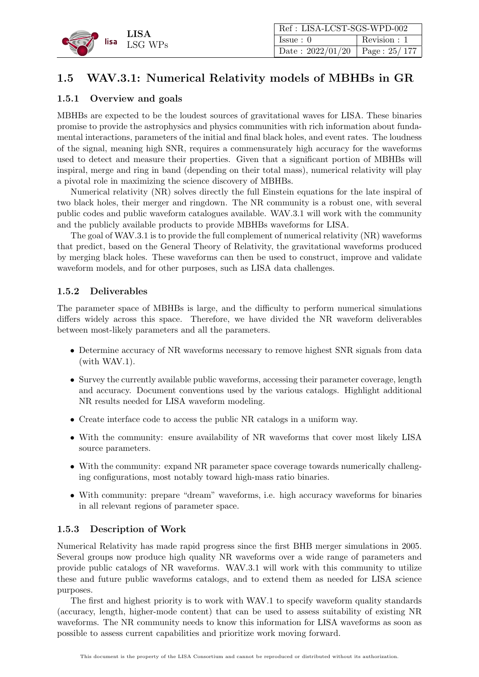

## <span id="page-26-0"></span>1.5 WAV.3.1: Numerical Relativity models of MBHBs in GR

#### <span id="page-26-1"></span>1.5.1 Overview and goals

MBHBs are expected to be the loudest sources of gravitational waves for LISA. These binaries promise to provide the astrophysics and physics communities with rich information about fundamental interactions, parameters of the initial and final black holes, and event rates. The loudness of the signal, meaning high SNR, requires a commensurately high accuracy for the waveforms used to detect and measure their properties. Given that a significant portion of MBHBs will inspiral, merge and ring in band (depending on their total mass), numerical relativity will play a pivotal role in maximizing the science discovery of MBHBs.

Numerical relativity (NR) solves directly the full Einstein equations for the late inspiral of two black holes, their merger and ringdown. The NR community is a robust one, with several public codes and public waveform catalogues available. WAV.3.1 will work with the community and the publicly available products to provide MBHBs waveforms for LISA.

The goal of WAV.3.1 is to provide the full complement of numerical relativity (NR) waveforms that predict, based on the General Theory of Relativity, the gravitational waveforms produced by merging black holes. These waveforms can then be used to construct, improve and validate waveform models, and for other purposes, such as LISA data challenges.

#### <span id="page-26-2"></span>1.5.2 Deliverables

The parameter space of MBHBs is large, and the difficulty to perform numerical simulations differs widely across this space. Therefore, we have divided the NR waveform deliverables between most-likely parameters and all the parameters.

- Determine accuracy of NR waveforms necessary to remove highest SNR signals from data (with WAV.1).
- Survey the currently available public waveforms, accessing their parameter coverage, length and accuracy. Document conventions used by the various catalogs. Highlight additional NR results needed for LISA waveform modeling.
- Create interface code to access the public NR catalogs in a uniform way.
- With the community: ensure availability of NR waveforms that cover most likely LISA source parameters.
- With the community: expand NR parameter space coverage towards numerically challenging configurations, most notably toward high-mass ratio binaries.
- With community: prepare "dream" waveforms, i.e. high accuracy waveforms for binaries in all relevant regions of parameter space.

#### <span id="page-26-3"></span>1.5.3 Description of Work

Numerical Relativity has made rapid progress since the first BHB merger simulations in 2005. Several groups now produce high quality NR waveforms over a wide range of parameters and provide public catalogs of NR waveforms. WAV.3.1 will work with this community to utilize these and future public waveforms catalogs, and to extend them as needed for LISA science purposes.

The first and highest priority is to work with WAV.1 to specify waveform quality standards (accuracy, length, higher-mode content) that can be used to assess suitability of existing NR waveforms. The NR community needs to know this information for LISA waveforms as soon as possible to assess current capabilities and prioritize work moving forward.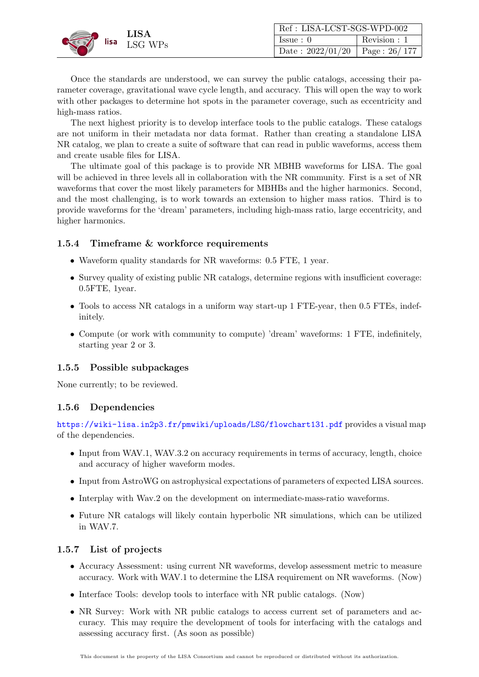

Once the standards are understood, we can survey the public catalogs, accessing their parameter coverage, gravitational wave cycle length, and accuracy. This will open the way to work with other packages to determine hot spots in the parameter coverage, such as eccentricity and high-mass ratios.

The next highest priority is to develop interface tools to the public catalogs. These catalogs are not uniform in their metadata nor data format. Rather than creating a standalone LISA NR catalog, we plan to create a suite of software that can read in public waveforms, access them and create usable files for LISA.

The ultimate goal of this package is to provide NR MBHB waveforms for LISA. The goal will be achieved in three levels all in collaboration with the NR community. First is a set of NR waveforms that cover the most likely parameters for MBHBs and the higher harmonics. Second, and the most challenging, is to work towards an extension to higher mass ratios. Third is to provide waveforms for the 'dream' parameters, including high-mass ratio, large eccentricity, and higher harmonics.

#### <span id="page-27-0"></span>1.5.4 Timeframe & workforce requirements

- Waveform quality standards for NR waveforms: 0.5 FTE, 1 year.
- Survey quality of existing public NR catalogs, determine regions with insufficient coverage: 0.5FTE, 1year.
- Tools to access NR catalogs in a uniform way start-up 1 FTE-year, then 0.5 FTEs, indefinitely.
- Compute (or work with community to compute) 'dream' waveforms: 1 FTE, indefinitely, starting year 2 or 3.

#### <span id="page-27-1"></span>1.5.5 Possible subpackages

None currently; to be reviewed.

#### <span id="page-27-2"></span>1.5.6 Dependencies

<https://wiki-lisa.in2p3.fr/pmwiki/uploads/LSG/flowchart131.pdf> provides a visual map of the dependencies.

- Input from WAV.1, WAV.3.2 on accuracy requirements in terms of accuracy, length, choice and accuracy of higher waveform modes.
- Input from AstroWG on astrophysical expectations of parameters of expected LISA sources.
- Interplay with Wav.2 on the development on intermediate-mass-ratio waveforms.
- Future NR catalogs will likely contain hyperbolic NR simulations, which can be utilized in WAV.7.

#### <span id="page-27-3"></span>1.5.7 List of projects

- Accuracy Assessment: using current NR waveforms, develop assessment metric to measure accuracy. Work with WAV.1 to determine the LISA requirement on NR waveforms. (Now)
- Interface Tools: develop tools to interface with NR public catalogs. (Now)
- NR Survey: Work with NR public catalogs to access current set of parameters and accuracy. This may require the development of tools for interfacing with the catalogs and assessing accuracy first. (As soon as possible)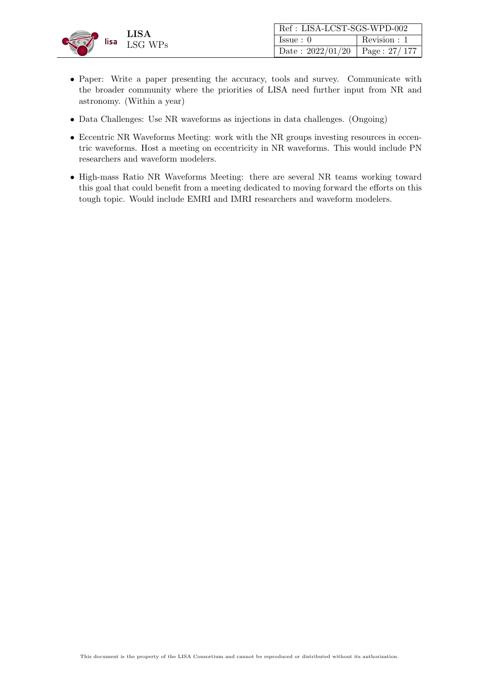



- Paper: Write a paper presenting the accuracy, tools and survey. Communicate with the broader community where the priorities of LISA need further input from NR and astronomy. (Within a year)
- Data Challenges: Use NR waveforms as injections in data challenges. (Ongoing)
- Eccentric NR Waveforms Meeting: work with the NR groups investing resources in eccentric waveforms. Host a meeting on eccentricity in NR waveforms. This would include PN researchers and waveform modelers.
- High-mass Ratio NR Waveforms Meeting: there are several NR teams working toward this goal that could benefit from a meeting dedicated to moving forward the efforts on this tough topic. Would include EMRI and IMRI researchers and waveform modelers.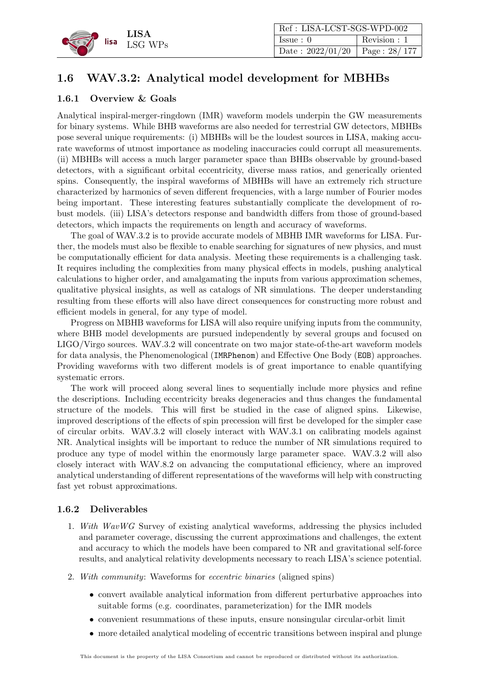

| Ref: LISA-LCST-SGS-WPD-002          |                      |  |
|-------------------------------------|----------------------|--|
| $\text{Issue}:0$                    | $\vert$ Revision : 1 |  |
| Date: $2022/01/20$   Page: $28/177$ |                      |  |

### <span id="page-29-0"></span>1.6 WAV.3.2: Analytical model development for MBHBs

#### <span id="page-29-1"></span>1.6.1 Overview & Goals

Analytical inspiral-merger-ringdown (IMR) waveform models underpin the GW measurements for binary systems. While BHB waveforms are also needed for terrestrial GW detectors, MBHBs pose several unique requirements: (i) MBHBs will be the loudest sources in LISA, making accurate waveforms of utmost importance as modeling inaccuracies could corrupt all measurements. (ii) MBHBs will access a much larger parameter space than BHBs observable by ground-based detectors, with a significant orbital eccentricity, diverse mass ratios, and generically oriented spins. Consequently, the inspiral waveforms of MBHBs will have an extremely rich structure characterized by harmonics of seven different frequencies, with a large number of Fourier modes being important. These interesting features substantially complicate the development of robust models. (iii) LISA's detectors response and bandwidth differs from those of ground-based detectors, which impacts the requirements on length and accuracy of waveforms.

The goal of WAV.3.2 is to provide accurate models of MBHB IMR waveforms for LISA. Further, the models must also be flexible to enable searching for signatures of new physics, and must be computationally efficient for data analysis. Meeting these requirements is a challenging task. It requires including the complexities from many physical effects in models, pushing analytical calculations to higher order, and amalgamating the inputs from various approximation schemes, qualitative physical insights, as well as catalogs of NR simulations. The deeper understanding resulting from these efforts will also have direct consequences for constructing more robust and efficient models in general, for any type of model.

Progress on MBHB waveforms for LISA will also require unifying inputs from the community, where BHB model developments are pursued independently by several groups and focused on LIGO/Virgo sources. WAV.3.2 will concentrate on two major state-of-the-art waveform models for data analysis, the Phenomenological (IMRPhenom) and Effective One Body (EOB) approaches. Providing waveforms with two different models is of great importance to enable quantifying systematic errors.

The work will proceed along several lines to sequentially include more physics and refine the descriptions. Including eccentricity breaks degeneracies and thus changes the fundamental structure of the models. This will first be studied in the case of aligned spins. Likewise, improved descriptions of the effects of spin precession will first be developed for the simpler case of circular orbits. WAV.3.2 will closely interact with WAV.3.1 on calibrating models against NR. Analytical insights will be important to reduce the number of NR simulations required to produce any type of model within the enormously large parameter space. WAV.3.2 will also closely interact with WAV.8.2 on advancing the computational efficiency, where an improved analytical understanding of different representations of the waveforms will help with constructing fast yet robust approximations.

#### <span id="page-29-3"></span><span id="page-29-2"></span>1.6.2 Deliverables

- 1. With WavWG Survey of existing analytical waveforms, addressing the physics included and parameter coverage, discussing the current approximations and challenges, the extent and accuracy to which the models have been compared to NR and gravitational self-force results, and analytical relativity developments necessary to reach LISA's science potential.
- <span id="page-29-4"></span>2. With community: Waveforms for eccentric binaries (aligned spins)
	- convert available analytical information from different perturbative approaches into suitable forms (e.g. coordinates, parameterization) for the IMR models
	- convenient resummations of these inputs, ensure nonsingular circular-orbit limit
	- more detailed analytical modeling of eccentric transitions between inspiral and plunge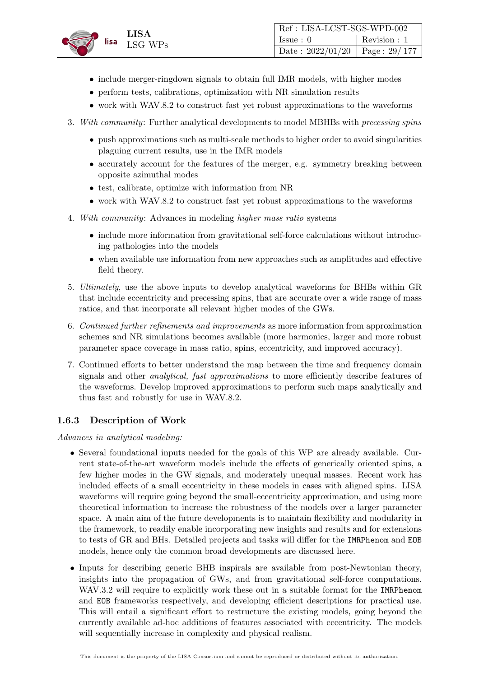

- include merger-ringdown signals to obtain full IMR models, with higher modes
- perform tests, calibrations, optimization with NR simulation results
- work with WAV.8.2 to construct fast yet robust approximations to the waveforms
- 3. With community: Further analytical developments to model MBHBs with precessing spins
	- push approximations such as multi-scale methods to higher order to avoid singularities plaguing current results, use in the IMR models
	- accurately account for the features of the merger, e.g. symmetry breaking between opposite azimuthal modes
	- test, calibrate, optimize with information from NR
	- work with WAV.8.2 to construct fast yet robust approximations to the waveforms
- <span id="page-30-1"></span>4. With community: Advances in modeling higher mass ratio systems
	- include more information from gravitational self-force calculations without introducing pathologies into the models
	- when available use information from new approaches such as amplitudes and effective field theory.
- <span id="page-30-2"></span>5. Ultimately, use the above inputs to develop analytical waveforms for BHBs within GR that include eccentricity and precessing spins, that are accurate over a wide range of mass ratios, and that incorporate all relevant higher modes of the GWs.
- <span id="page-30-3"></span>6. Continued further refinements and improvements as more information from approximation schemes and NR simulations becomes available (more harmonics, larger and more robust parameter space coverage in mass ratio, spins, eccentricity, and improved accuracy).
- <span id="page-30-4"></span>7. Continued efforts to better understand the map between the time and frequency domain signals and other analytical, fast approximations to more efficiently describe features of the waveforms. Develop improved approximations to perform such maps analytically and thus fast and robustly for use in WAV.8.2.

#### <span id="page-30-0"></span>1.6.3 Description of Work

Advances in analytical modeling:

- Several foundational inputs needed for the goals of this WP are already available. Current state-of-the-art waveform models include the effects of generically oriented spins, a few higher modes in the GW signals, and moderately unequal masses. Recent work has included effects of a small eccentricity in these models in cases with aligned spins. LISA waveforms will require going beyond the small-eccentricity approximation, and using more theoretical information to increase the robustness of the models over a larger parameter space. A main aim of the future developments is to maintain flexibility and modularity in the framework, to readily enable incorporating new insights and results and for extensions to tests of GR and BHs. Detailed projects and tasks will differ for the IMRPhenom and EOB models, hence only the common broad developments are discussed here.
- Inputs for describing generic BHB inspirals are available from post-Newtonian theory, insights into the propagation of GWs, and from gravitational self-force computations. WAV.3.2 will require to explicitly work these out in a suitable format for the IMRPhenom and EOB frameworks respectively, and developing efficient descriptions for practical use. This will entail a significant effort to restructure the existing models, going beyond the currently available ad-hoc additions of features associated with eccentricity. The models will sequentially increase in complexity and physical realism.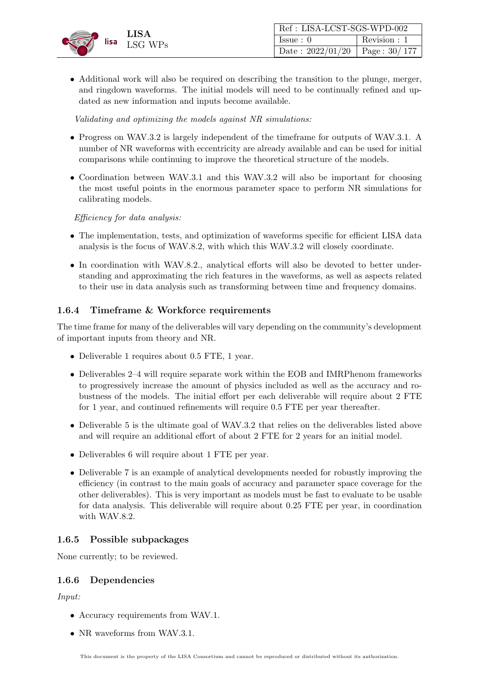

• Additional work will also be required on describing the transition to the plunge, merger, and ringdown waveforms. The initial models will need to be continually refined and updated as new information and inputs become available.

Validating and optimizing the models against NR simulations:

- Progress on WAV.3.2 is largely independent of the timeframe for outputs of WAV.3.1. A number of NR waveforms with eccentricity are already available and can be used for initial comparisons while continuing to improve the theoretical structure of the models.
- Coordination between WAV.3.1 and this WAV.3.2 will also be important for choosing the most useful points in the enormous parameter space to perform NR simulations for calibrating models.

Efficiency for data analysis:

- The implementation, tests, and optimization of waveforms specific for efficient LISA data analysis is the focus of WAV.8.2, with which this WAV.3.2 will closely coordinate.
- In coordination with WAV.8.2., analytical efforts will also be devoted to better understanding and approximating the rich features in the waveforms, as well as aspects related to their use in data analysis such as transforming between time and frequency domains.

#### <span id="page-31-0"></span>1.6.4 Timeframe & Workforce requirements

The time frame for many of the deliverables will vary depending on the community's development of important inputs from theory and NR.

- Deliverable [1](#page-29-3) requires about 0.5 FTE, 1 year.
- Deliverables [2–](#page-29-4)[4](#page-30-1) will require separate work within the EOB and IMRPhenom frameworks to progressively increase the amount of physics included as well as the accuracy and robustness of the models. The initial effort per each deliverable will require about 2 FTE for 1 year, and continued refinements will require 0.5 FTE per year thereafter.
- Deliverable [5](#page-30-2) is the ultimate goal of WAV.3.2 that relies on the deliverables listed above and will require an additional effort of about 2 FTE for 2 years for an initial model.
- Deliverables [6](#page-30-3) will require about 1 FTE per year.
- Deliverable [7](#page-30-4) is an example of analytical developments needed for robustly improving the efficiency (in contrast to the main goals of accuracy and parameter space coverage for the other deliverables). This is very important as models must be fast to evaluate to be usable for data analysis. This deliverable will require about 0.25 FTE per year, in coordination with WAV.8.2.

#### <span id="page-31-1"></span>1.6.5 Possible subpackages

None currently; to be reviewed.

#### <span id="page-31-2"></span>1.6.6 Dependencies

Input:

- Accuracy requirements from WAV.1.
- NR waveforms from WAV.3.1.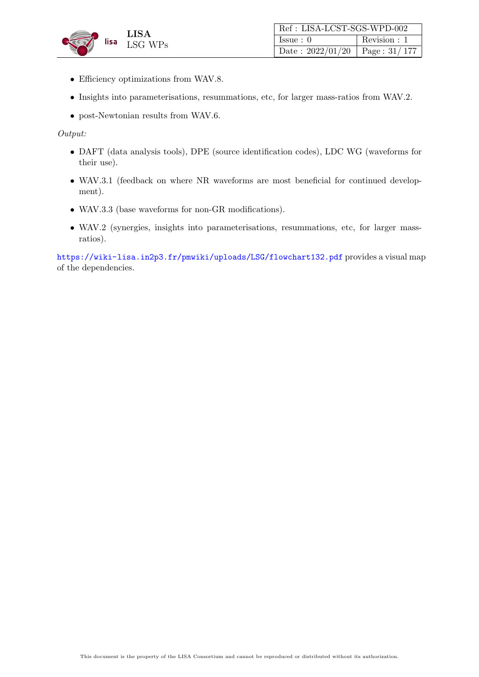

- Efficiency optimizations from WAV.8.
- Insights into parameterisations, resummations, etc, for larger mass-ratios from WAV.2.
- post-Newtonian results from WAV.6.

Output:

- DAFT (data analysis tools), DPE (source identification codes), LDC WG (waveforms for their use).
- WAV.3.1 (feedback on where NR waveforms are most beneficial for continued development).
- WAV.3.3 (base waveforms for non-GR modifications).
- WAV.2 (synergies, insights into parameterisations, resummations, etc, for larger massratios).

<https://wiki-lisa.in2p3.fr/pmwiki/uploads/LSG/flowchart132.pdf> provides a visual map of the dependencies.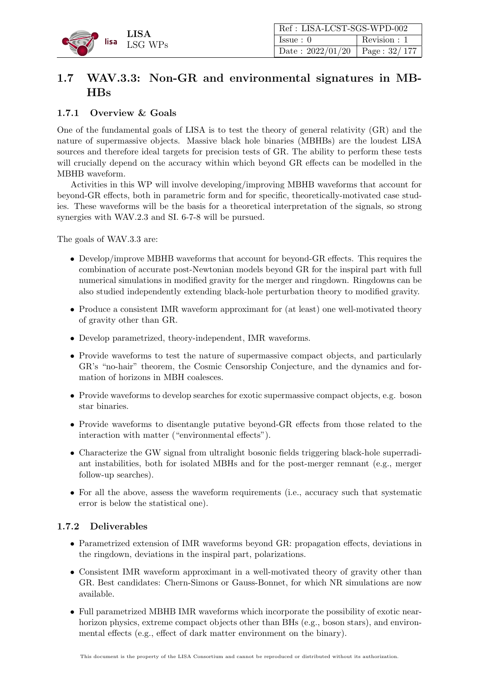

## <span id="page-33-0"></span>1.7 WAV.3.3: Non-GR and environmental signatures in MB-HBs

#### <span id="page-33-1"></span>1.7.1 Overview & Goals

One of the fundamental goals of LISA is to test the theory of general relativity (GR) and the nature of supermassive objects. Massive black hole binaries (MBHBs) are the loudest LISA sources and therefore ideal targets for precision tests of GR. The ability to perform these tests will crucially depend on the accuracy within which beyond GR effects can be modelled in the MBHB waveform.

Activities in this WP will involve developing/improving MBHB waveforms that account for beyond-GR effects, both in parametric form and for specific, theoretically-motivated case studies. These waveforms will be the basis for a theoretical interpretation of the signals, so strong synergies with WAV.2.3 and SI. 6-7-8 will be pursued.

The goals of WAV.3.3 are:

- Develop/improve MBHB waveforms that account for beyond-GR effects. This requires the combination of accurate post-Newtonian models beyond GR for the inspiral part with full numerical simulations in modified gravity for the merger and ringdown. Ringdowns can be also studied independently extending black-hole perturbation theory to modified gravity.
- Produce a consistent IMR waveform approximant for (at least) one well-motivated theory of gravity other than GR.
- Develop parametrized, theory-independent, IMR waveforms.
- Provide waveforms to test the nature of supermassive compact objects, and particularly GR's "no-hair" theorem, the Cosmic Censorship Conjecture, and the dynamics and formation of horizons in MBH coalesces.
- Provide waveforms to develop searches for exotic supermassive compact objects, e.g. boson star binaries.
- Provide waveforms to disentangle putative beyond-GR effects from those related to the interaction with matter ("environmental effects").
- Characterize the GW signal from ultralight bosonic fields triggering black-hole superradiant instabilities, both for isolated MBHs and for the post-merger remnant (e.g., merger follow-up searches).
- For all the above, assess the waveform requirements (i.e., accuracy such that systematic error is below the statistical one).

#### <span id="page-33-2"></span>1.7.2 Deliverables

- Parametrized extension of IMR waveforms beyond GR: propagation effects, deviations in the ringdown, deviations in the inspiral part, polarizations.
- Consistent IMR waveform approximant in a well-motivated theory of gravity other than GR. Best candidates: Chern-Simons or Gauss-Bonnet, for which NR simulations are now available.
- Full parametrized MBHB IMR waveforms which incorporate the possibility of exotic nearhorizon physics, extreme compact objects other than BHs (e.g., boson stars), and environmental effects (e.g., effect of dark matter environment on the binary).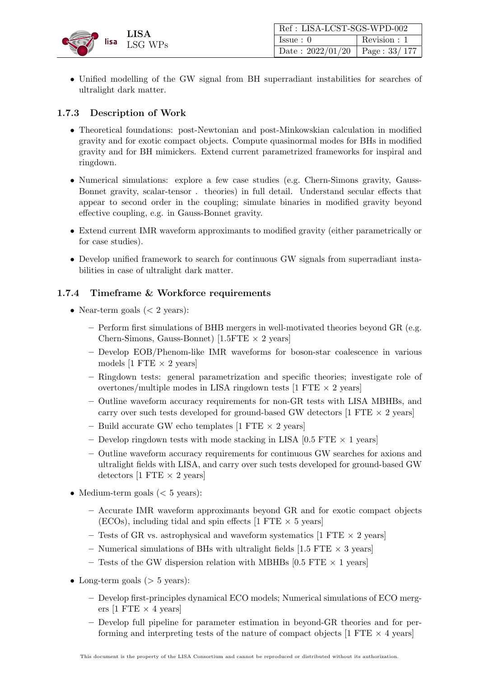

• Unified modelling of the GW signal from BH superradiant instabilities for searches of ultralight dark matter.

#### <span id="page-34-0"></span>1.7.3 Description of Work

- Theoretical foundations: post-Newtonian and post-Minkowskian calculation in modified gravity and for exotic compact objects. Compute quasinormal modes for BHs in modified gravity and for BH mimickers. Extend current parametrized frameworks for inspiral and ringdown.
- Numerical simulations: explore a few case studies (e.g. Chern-Simons gravity, Gauss-Bonnet gravity, scalar-tensor . theories) in full detail. Understand secular effects that appear to second order in the coupling; simulate binaries in modified gravity beyond effective coupling, e.g. in Gauss-Bonnet gravity.
- Extend current IMR waveform approximants to modified gravity (either parametrically or for case studies).
- Develop unified framework to search for continuous GW signals from superradiant instabilities in case of ultralight dark matter.

#### <span id="page-34-1"></span>1.7.4 Timeframe & Workforce requirements

- Near-term goals  $(< 2 \text{ years})$ :
	- Perform first simulations of BHB mergers in well-motivated theories beyond GR (e.g. Chern-Simons, Gauss-Bonnet)  $[1.5$ FTE  $\times$  2 years
	- Develop EOB/Phenom-like IMR waveforms for boson-star coalescence in various models  $[1 \text{ FTE} \times 2 \text{ years}]$
	- Ringdown tests: general parametrization and specific theories; investigate role of overtones/multiple modes in LISA ringdown tests  $[1 \text{ FTE} \times 2 \text{ years}]$
	- Outline waveform accuracy requirements for non-GR tests with LISA MBHBs, and carry over such tests developed for ground-based GW detectors  $[1 \text{ FTE} \times 2 \text{ years}]$
	- Build accurate GW echo templates  $[1 \text{ FTE} \times 2 \text{ years}]$
	- Develop ringdown tests with mode stacking in LISA  $[0.5$  FTE  $\times$  1 years
	- Outline waveform accuracy requirements for continuous GW searches for axions and ultralight fields with LISA, and carry over such tests developed for ground-based GW detectors  $[1 \text{ FTE} \times 2 \text{ years}]$
- Medium-term goals  $(< 5$  years):
	- Accurate IMR waveform approximants beyond GR and for exotic compact objects (ECOs), including tidal and spin effects  $[1 \text{ FTE} \times 5 \text{ years}]$
	- Tests of GR vs. astrophysical and waveform systematics  $[1 \text{ FTE} \times 2 \text{ years}]$
	- Numerical simulations of BHs with ultralight fields  $[1.5$  FTE  $\times$  3 years]
	- Tests of the GW dispersion relation with MBHBs  $[0.5$  FTE  $\times$  1 years]
- Long-term goals  $($  > 5 years):
	- Develop first-principles dynamical ECO models; Numerical simulations of ECO mergers [1 FTE  $\times$  4 years]
	- Develop full pipeline for parameter estimation in beyond-GR theories and for performing and interpreting tests of the nature of compact objects  $[1 \text{ FTE} \times 4 \text{ years}]$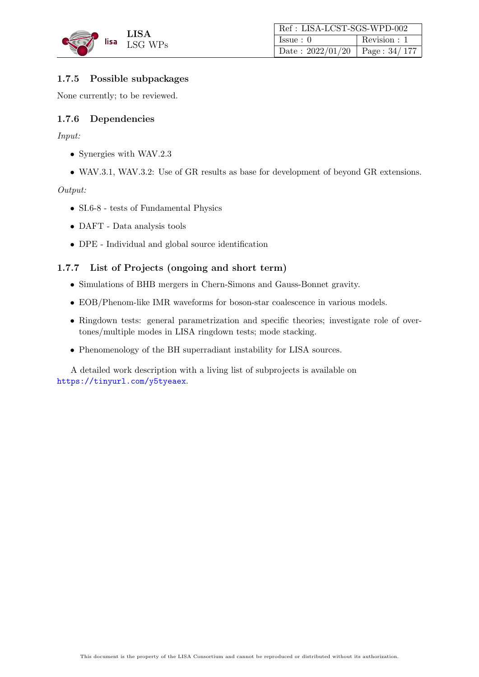

| Ref: LISA-LCST-SGS-WPD-002          |                      |  |
|-------------------------------------|----------------------|--|
| Issue:0                             | $\vert$ Revision : 1 |  |
| Date: $2022/01/20$   Page: $34/177$ |                      |  |

#### <span id="page-35-0"></span>1.7.5 Possible subpackages

None currently; to be reviewed.

#### <span id="page-35-1"></span>1.7.6 Dependencies

#### Input:

- Synergies with WAV.2.3
- WAV.3.1, WAV.3.2: Use of GR results as base for development of beyond GR extensions.

#### Output:

- SI.6-8 tests of Fundamental Physics
- DAFT Data analysis tools
- DPE Individual and global source identification

#### <span id="page-35-2"></span>1.7.7 List of Projects (ongoing and short term)

- Simulations of BHB mergers in Chern-Simons and Gauss-Bonnet gravity.
- EOB/Phenom-like IMR waveforms for boson-star coalescence in various models.
- Ringdown tests: general parametrization and specific theories; investigate role of overtones/multiple modes in LISA ringdown tests; mode stacking.
- Phenomenology of the BH superradiant instability for LISA sources.

A detailed work description with a living list of subprojects is available on <https://tinyurl.com/y5tyeaex>.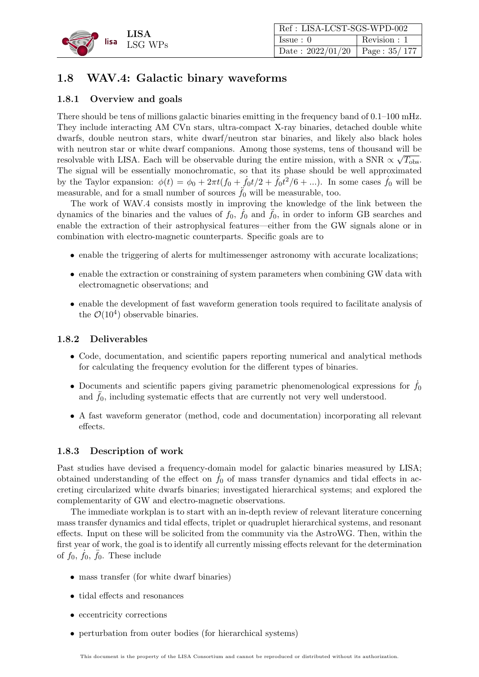

| Ref: LISA-LCST-SGS-WPD-002          |                      |  |
|-------------------------------------|----------------------|--|
| Issue:0                             | $\vert$ Revision : 1 |  |
| Date: $2022/01/20$   Page: $35/177$ |                      |  |

## 1.8 WAV.4: Galactic binary waveforms

### 1.8.1 Overview and goals

There should be tens of millions galactic binaries emitting in the frequency band of 0.1–100 mHz. They include interacting AM CVn stars, ultra-compact X-ray binaries, detached double white dwarfs, double neutron stars, white dwarf/neutron star binaries, and likely also black holes with neutron star or white dwarf companions. Among those systems, tens of thousand will be well be dependent of the companions. resolvable with LISA. Each will be observable during the entire mission, with a SNR  $\propto \sqrt{T_{\text{obs}}}$ . The signal will be essentially monochromatic, so that its phase should be well approximated by the Taylor expansion:  $\phi(t) = \phi_0 + 2\pi t (f_0 + \dot{f}_0 t/2 + \ddot{f}_0 t^2/6 + ...)$ . In some cases  $\dot{f}_0$  will be measurable, and for a small number of sources  $\ddot{f}_0$  will be measurable, too.

The work of WAV.4 consists mostly in improving the knowledge of the link between the dynamics of the binaries and the values of  $f_0$ ,  $\dot{f}_0$  and  $\ddot{f}_0$ , in order to inform GB searches and enable the extraction of their astrophysical features—either from the GW signals alone or in combination with electro-magnetic counterparts. Specific goals are to

- enable the triggering of alerts for multimessenger astronomy with accurate localizations;
- enable the extraction or constraining of system parameters when combining GW data with electromagnetic observations; and
- enable the development of fast waveform generation tools required to facilitate analysis of the  $\mathcal{O}(10^4)$  observable binaries.

### 1.8.2 Deliverables

- Code, documentation, and scientific papers reporting numerical and analytical methods for calculating the frequency evolution for the different types of binaries.
- Documents and scientific papers giving parametric phenomenological expressions for  $f_0$ and  $\hat{f}_0$ , including systematic effects that are currently not very well understood.
- A fast waveform generator (method, code and documentation) incorporating all relevant effects.

### 1.8.3 Description of work

Past studies have devised a frequency-domain model for galactic binaries measured by LISA; obtained understanding of the effect on  $f_0$  of mass transfer dynamics and tidal effects in accreting circularized white dwarfs binaries; investigated hierarchical systems; and explored the complementarity of GW and electro-magnetic observations.

The immediate workplan is to start with an in-depth review of relevant literature concerning mass transfer dynamics and tidal effects, triplet or quadruplet hierarchical systems, and resonant effects. Input on these will be solicited from the community via the AstroWG. Then, within the first year of work, the goal is to identify all currently missing effects relevant for the determination of  $f_0$ ,  $\ddot{f}_0$ ,  $\ddot{f}_0$ . These include

- mass transfer (for white dwarf binaries)
- tidal effects and resonances
- eccentricity corrections
- perturbation from outer bodies (for hierarchical systems)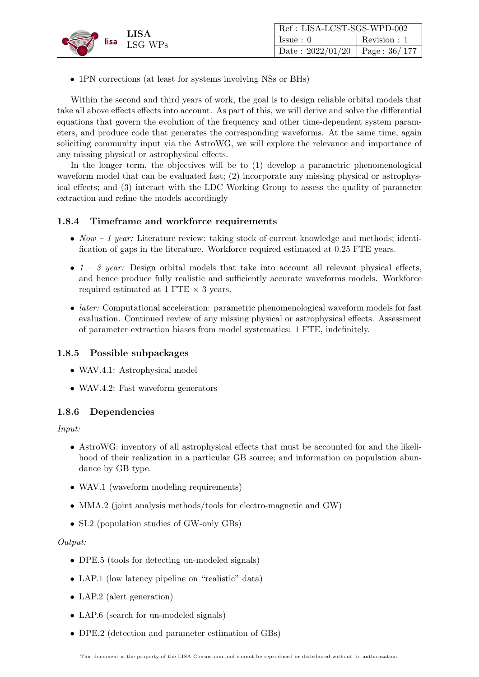

• 1PN corrections (at least for systems involving NSs or BHs)

Within the second and third years of work, the goal is to design reliable orbital models that take all above effects effects into account. As part of this, we will derive and solve the differential equations that govern the evolution of the frequency and other time-dependent system parameters, and produce code that generates the corresponding waveforms. At the same time, again soliciting community input via the AstroWG, we will explore the relevance and importance of any missing physical or astrophysical effects.

In the longer term, the objectives will be to (1) develop a parametric phenomenological waveform model that can be evaluated fast; (2) incorporate any missing physical or astrophysical effects; and (3) interact with the LDC Working Group to assess the quality of parameter extraction and refine the models accordingly

### 1.8.4 Timeframe and workforce requirements

- Now  $-1$  year: Literature review: taking stock of current knowledge and methods; identification of gaps in the literature. Workforce required estimated at 0.25 FTE years.
- $1 3$  year: Design orbital models that take into account all relevant physical effects, and hence produce fully realistic and sufficiently accurate waveforms models. Workforce required estimated at 1 FTE  $\times$  3 years.
- *later:* Computational acceleration: parametric phenomenological waveform models for fast evaluation. Continued review of any missing physical or astrophysical effects. Assessment of parameter extraction biases from model systematics: 1 FTE, indefinitely.

### 1.8.5 Possible subpackages

- WAV.4.1: Astrophysical model
- WAV.4.2: Fast waveform generators

### 1.8.6 Dependencies

Input:

- AstroWG: inventory of all astrophysical effects that must be accounted for and the likelihood of their realization in a particular GB source; and information on population abundance by GB type.
- WAV.1 (waveform modeling requirements)
- MMA.2 (joint analysis methods/tools for electro-magnetic and GW)
- SI.2 (population studies of GW-only GBs)

### Output:

- DPE.5 (tools for detecting un-modeled signals)
- LAP.1 (low latency pipeline on "realistic" data)
- LAP.2 (alert generation)
- LAP.6 (search for un-modeled signals)
- DPE.2 (detection and parameter estimation of GBs)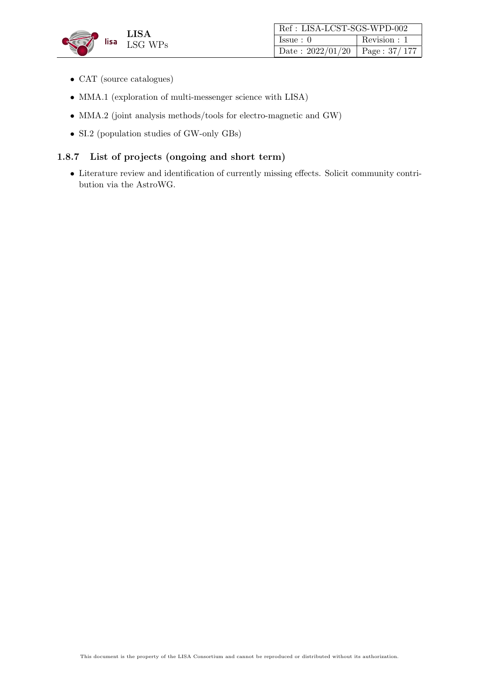

| Ref: LISA-LCST-SGS-WPD-002          |              |  |
|-------------------------------------|--------------|--|
| $I_{\text{ssue}}: 0$                | Revision : 1 |  |
| Date: $2022/01/20$   Page: $37/177$ |              |  |

- CAT (source catalogues)
- MMA.1 (exploration of multi-messenger science with LISA)
- MMA.2 (joint analysis methods/tools for electro-magnetic and GW)
- SI.2 (population studies of GW-only GBs)

### 1.8.7 List of projects (ongoing and short term)

• Literature review and identification of currently missing effects. Solicit community contribution via the AstroWG.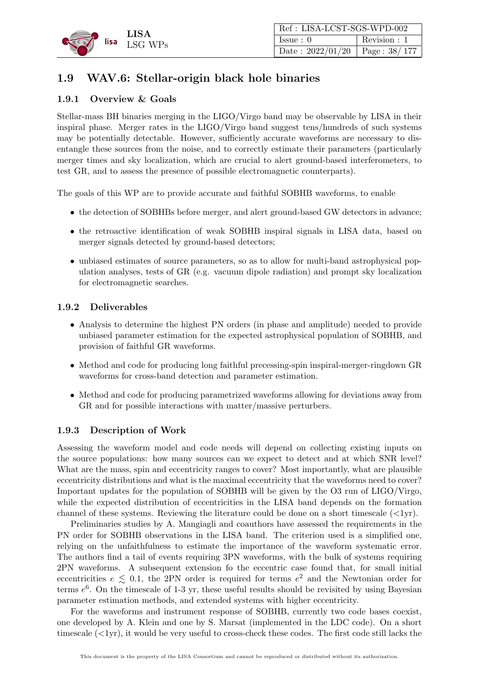

## 1.9 WAV.6: Stellar-origin black hole binaries

### 1.9.1 Overview & Goals

Stellar-mass BH binaries merging in the LIGO/Virgo band may be observable by LISA in their inspiral phase. Merger rates in the LIGO/Virgo band suggest tens/hundreds of such systems may be potentially detectable. However, sufficiently accurate waveforms are necessary to disentangle these sources from the noise, and to correctly estimate their parameters (particularly merger times and sky localization, which are crucial to alert ground-based interferometers, to test GR, and to assess the presence of possible electromagnetic counterparts).

The goals of this WP are to provide accurate and faithful SOBHB waveforms, to enable

- the detection of SOBHBs before merger, and alert ground-based GW detectors in advance;
- the retroactive identification of weak SOBHB inspiral signals in LISA data, based on merger signals detected by ground-based detectors;
- unbiased estimates of source parameters, so as to allow for multi-band astrophysical population analyses, tests of GR (e.g. vacuum dipole radiation) and prompt sky localization for electromagnetic searches.

### 1.9.2 Deliverables

- Analysis to determine the highest PN orders (in phase and amplitude) needed to provide unbiased parameter estimation for the expected astrophysical population of SOBHB, and provision of faithful GR waveforms.
- Method and code for producing long faithful precessing-spin inspiral-merger-ringdown GR waveforms for cross-band detection and parameter estimation.
- Method and code for producing parametrized waveforms allowing for deviations away from GR and for possible interactions with matter/massive perturbers.

### 1.9.3 Description of Work

Assessing the waveform model and code needs will depend on collecting existing inputs on the source populations: how many sources can we expect to detect and at which SNR level? What are the mass, spin and eccentricity ranges to cover? Most importantly, what are plausible eccentricity distributions and what is the maximal eccentricity that the waveforms need to cover? Important updates for the population of SOBHB will be given by the O3 run of LIGO/Virgo, while the expected distribution of eccentricities in the LISA band depends on the formation channel of these systems. Reviewing the literature could be done on a short timescale  $\langle \langle 1 \rangle \rangle$ .

Preliminaries studies by A. Mangiagli and coauthors have assessed the requirements in the PN order for SOBHB observations in the LISA band. The criterion used is a simplified one, relying on the unfaithfulness to estimate the importance of the waveform systematic error. The authors find a tail of events requiring 3PN waveforms, with the bulk of systems requiring 2PN waveforms. A subsequent extension fo the eccentric case found that, for small initial eccentricities  $e \lesssim 0.1$ , the 2PN order is required for terms  $e^2$  and the Newtonian order for terms  $e^6$ . On the timescale of 1-3 yr, these useful results should be revisited by using Bayesian parameter estimation methods, and extended systems with higher eccentricity.

For the waveforms and instrument response of SOBHB, currently two code bases coexist, one developed by A. Klein and one by S. Marsat (implemented in the LDC code). On a short timescale  $\langle \langle 1 \rangle$ , it would be very useful to cross-check these codes. The first code still lacks the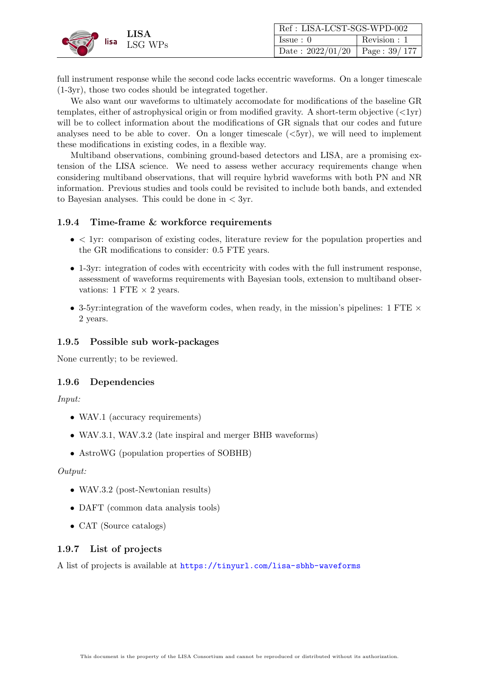| lisa<br>LSG WPs | Ref: LISA-LCST-SGS-WPD-002 |                                     |
|-----------------|----------------------------|-------------------------------------|
|                 | $\text{I}\text{ssue}:0$    | $^+$ Revision : $_1$                |
|                 |                            | Date: $2022/01/20$   Page: $39/177$ |

full instrument response while the second code lacks eccentric waveforms. On a longer timescale (1-3yr), those two codes should be integrated together.

We also want our waveforms to ultimately accomodate for modifications of the baseline GR templates, either of astrophysical origin or from modified gravity. A short-term objective  $\langle \langle 1 \rangle \rangle$ will be to collect information about the modifications of GR signals that our codes and future analyses need to be able to cover. On a longer timescale  $(*5*yr)$ , we will need to implement these modifications in existing codes, in a flexible way.

Multiband observations, combining ground-based detectors and LISA, are a promising extension of the LISA science. We need to assess wether accuracy requirements change when considering multiband observations, that will require hybrid waveforms with both PN and NR information. Previous studies and tools could be revisited to include both bands, and extended to Bayesian analyses. This could be done in  $\lt$  3yr.

### 1.9.4 Time-frame & workforce requirements

- $\bullet$  < 1yr: comparison of existing codes, literature review for the population properties and the GR modifications to consider: 0.5 FTE years.
- 1-3yr: integration of codes with eccentricity with codes with the full instrument response, assessment of waveforms requirements with Bayesian tools, extension to multiband observations:  $1$  FTE  $\times$  2 years.
- 3-5yr: integration of the waveform codes, when ready, in the mission's pipelines: 1 FTE  $\times$ 2 years.

### 1.9.5 Possible sub work-packages

None currently; to be reviewed.

### 1.9.6 Dependencies

Input:

- WAV.1 (accuracy requirements)
- WAV.3.1, WAV.3.2 (late inspiral and merger BHB waveforms)
- AstroWG (population properties of SOBHB)

### Output:

- WAV.3.2 (post-Newtonian results)
- DAFT (common data analysis tools)
- CAT (Source catalogs)

### 1.9.7 List of projects

A list of projects is available at <https://tinyurl.com/lisa-sbhb-waveforms>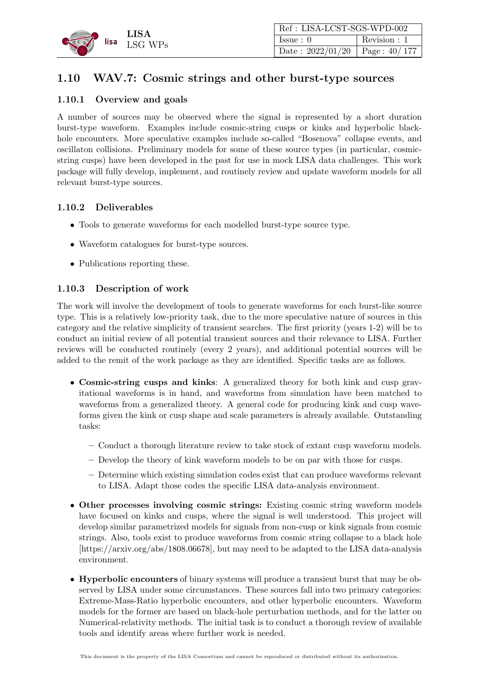

## 1.10 WAV.7: Cosmic strings and other burst-type sources

### 1.10.1 Overview and goals

A number of sources may be observed where the signal is represented by a short duration burst-type waveform. Examples include cosmic-string cusps or kinks and hyperbolic blackhole encounters. More speculative examples include so-called "Bosenova" collapse events, and oscillaton collisions. Preliminary models for some of these source types (in particular, cosmicstring cusps) have been developed in the past for use in mock LISA data challenges. This work package will fully develop, implement, and routinely review and update waveform models for all relevant burst-type sources.

### 1.10.2 Deliverables

- Tools to generate waveforms for each modelled burst-type source type.
- Waveform catalogues for burst-type sources.
- Publications reporting these.

### 1.10.3 Description of work

The work will involve the development of tools to generate waveforms for each burst-like source type. This is a relatively low-priority task, due to the more speculative nature of sources in this category and the relative simplicity of transient searches. The first priority (years 1-2) will be to conduct an initial review of all potential transient sources and their relevance to LISA. Further reviews will be conducted routinely (every 2 years), and additional potential sources will be added to the remit of the work package as they are identified. Specific tasks are as follows.

- Cosmic-string cusps and kinks: A generalized theory for both kink and cusp gravitational waveforms is in hand, and waveforms from simulation have been matched to waveforms from a generalized theory. A general code for producing kink and cusp waveforms given the kink or cusp shape and scale parameters is already available. Outstanding tasks:
	- Conduct a thorough literature review to take stock of extant cusp waveform models.
	- Develop the theory of kink waveform models to be on par with those for cusps.
	- Determine which existing simulation codes exist that can produce waveforms relevant to LISA. Adapt those codes the specific LISA data-analysis environment.
- Other processes involving cosmic strings: Existing cosmic string waveform models have focused on kinks and cusps, where the signal is well understood. This project will develop similar parametrized models for signals from non-cusp or kink signals from cosmic strings. Also, tools exist to produce waveforms from cosmic string collapse to a black hole [https://arxiv.org/abs/1808.06678], but may need to be adapted to the LISA data-analysis environment.
- Hyperbolic encounters of binary systems will produce a transient burst that may be observed by LISA under some circumstances. These sources fall into two primary categories: Extreme-Mass-Ratio hyperbolic encounters, and other hyperbolic encounters. Waveform models for the former are based on black-hole perturbation methods, and for the latter on Numerical-relativity methods. The initial task is to conduct a thorough review of available tools and identify areas where further work is needed.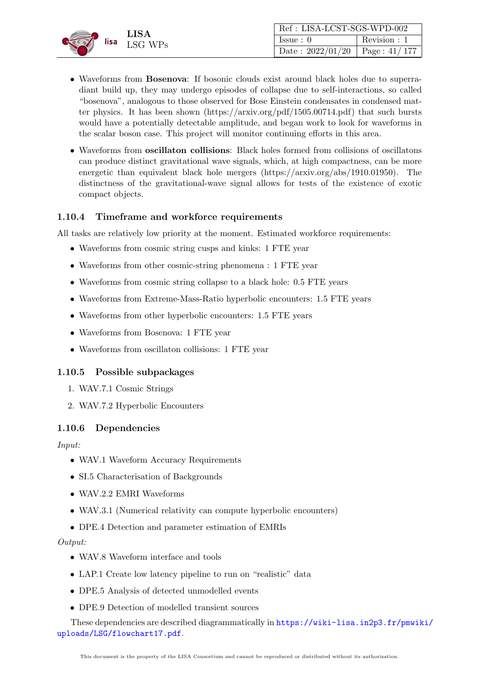

- Waveforms from **Bosenova**: If bosonic clouds exist around black holes due to superradiant build up, they may undergo episodes of collapse due to self-interactions, so called "bosenova", analogous to those observed for Bose Einstein condensates in condensed matter physics. It has been shown (https://arxiv.org/pdf/1505.00714.pdf) that such bursts would have a potentially detectable amplitude, and began work to look for waveforms in the scalar boson case. This project will monitor continuing efforts in this area.
- Waveforms from **oscillaton collisions**: Black holes formed from collisions of oscillatons can produce distinct gravitational wave signals, which, at high compactness, can be more energetic than equivalent black hole mergers (https://arxiv.org/abs/1910.01950). The distinctness of the gravitational-wave signal allows for tests of the existence of exotic compact objects.

### 1.10.4 Timeframe and workforce requirements

All tasks are relatively low priority at the moment. Estimated workforce requirements:

- Waveforms from cosmic string cusps and kinks: 1 FTE year
- Waveforms from other cosmic-string phenomena : 1 FTE year
- Waveforms from cosmic string collapse to a black hole: 0.5 FTE years
- Waveforms from Extreme-Mass-Ratio hyperbolic encounters: 1.5 FTE years
- Waveforms from other hyperbolic encounters: 1.5 FTE years
- Waveforms from Bosenova: 1 FTE year
- Waveforms from oscillaton collisions: 1 FTE year

### 1.10.5 Possible subpackages

- 1. WAV.7.1 Cosmic Strings
- 2. WAV.7.2 Hyperbolic Encounters

### 1.10.6 Dependencies

### Input:

- WAV.1 Waveform Accuracy Requirements
- SI.5 Characterisation of Backgrounds
- WAV.2.2 EMRI Waveforms
- WAV.3.1 (Numerical relativity can compute hyperbolic encounters)
- DPE.4 Detection and parameter estimation of EMRIs

### Output:

- WAV.8 Waveform interface and tools
- LAP.1 Create low latency pipeline to run on "realistic" data
- DPE.5 Analysis of detected unmodelled events
- DPE.9 Detection of modelled transient sources

These dependencies are described diagrammatically in [https://wiki-lisa.in2p3.fr/pmwik](https://wiki-lisa.in2p3.fr/pmwiki/uploads/LSG/flowchart17.pdf)i/ [uploads/LSG/flowchart17.pdf](https://wiki-lisa.in2p3.fr/pmwiki/uploads/LSG/flowchart17.pdf).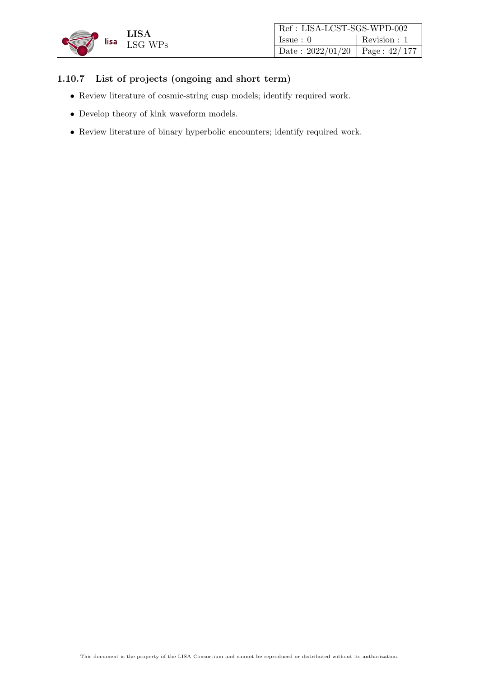

| Ref: LISA-LCST-SGS-WPD-002          |                      |  |
|-------------------------------------|----------------------|--|
| Issue:0                             | $\vert$ Revision : 1 |  |
| Date: $2022/01/20$   Page: $42/177$ |                      |  |

## 1.10.7 List of projects (ongoing and short term)

- $\bullet\,$  Review literature of cosmic-string cusp models; identify required work.
- Develop theory of kink waveform models.
- Review literature of binary hyperbolic encounters; identify required work.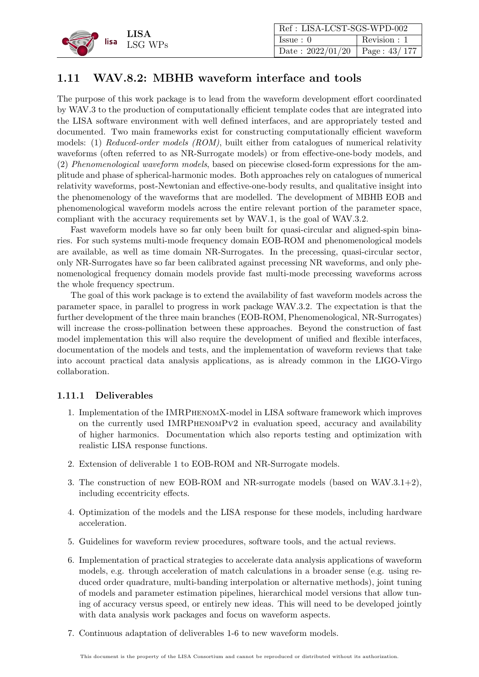

| Ref: LISA-LCST-SGS-WPD-002 |                         |  |
|----------------------------|-------------------------|--|
| Issue:0                    | Revision : $1$          |  |
| Date: $2022/01/20$         | $  \text{Page}: 43/177$ |  |

## 1.11 WAV.8.2: MBHB waveform interface and tools

The purpose of this work package is to lead from the waveform development effort coordinated by WAV.3 to the production of computationally efficient template codes that are integrated into the LISA software environment with well defined interfaces, and are appropriately tested and documented. Two main frameworks exist for constructing computationally efficient waveform models: (1) Reduced-order models (ROM), built either from catalogues of numerical relativity waveforms (often referred to as NR-Surrogate models) or from effective-one-body models, and (2) Phenomenological waveform models, based on piecewise closed-form expressions for the amplitude and phase of spherical-harmonic modes. Both approaches rely on catalogues of numerical relativity waveforms, post-Newtonian and effective-one-body results, and qualitative insight into the phenomenology of the waveforms that are modelled. The development of MBHB EOB and phenomenological waveform models across the entire relevant portion of the parameter space, compliant with the accuracy requirements set by WAV.1, is the goal of WAV.3.2.

Fast waveform models have so far only been built for quasi-circular and aligned-spin binaries. For such systems multi-mode frequency domain EOB-ROM and phenomenological models are available, as well as time domain NR-Surrogates. In the precessing, quasi-circular sector, only NR-Surrogates have so far been calibrated against precessing NR waveforms, and only phenomenological frequency domain models provide fast multi-mode precessing waveforms across the whole frequency spectrum.

The goal of this work package is to extend the availability of fast waveform models across the parameter space, in parallel to progress in work package WAV.3.2. The expectation is that the further development of the three main branches (EOB-ROM, Phenomenological, NR-Surrogates) will increase the cross-pollination between these approaches. Beyond the construction of fast model implementation this will also require the development of unified and flexible interfaces, documentation of the models and tests, and the implementation of waveform reviews that take into account practical data analysis applications, as is already common in the LIGO-Virgo collaboration.

### 1.11.1 Deliverables

- 1. Implementation of the IMRPhenomX-model in LISA software framework which improves on the currently used IMRPhenomPv2 in evaluation speed, accuracy and availability of higher harmonics. Documentation which also reports testing and optimization with realistic LISA response functions.
- 2. Extension of deliverable 1 to EOB-ROM and NR-Surrogate models.
- 3. The construction of new EOB-ROM and NR-surrogate models (based on WAV.3.1+2), including eccentricity effects.
- 4. Optimization of the models and the LISA response for these models, including hardware acceleration.
- 5. Guidelines for waveform review procedures, software tools, and the actual reviews.
- 6. Implementation of practical strategies to accelerate data analysis applications of waveform models, e.g. through acceleration of match calculations in a broader sense (e.g. using reduced order quadrature, multi-banding interpolation or alternative methods), joint tuning of models and parameter estimation pipelines, hierarchical model versions that allow tuning of accuracy versus speed, or entirely new ideas. This will need to be developed jointly with data analysis work packages and focus on waveform aspects.
- 7. Continuous adaptation of deliverables 1-6 to new waveform models.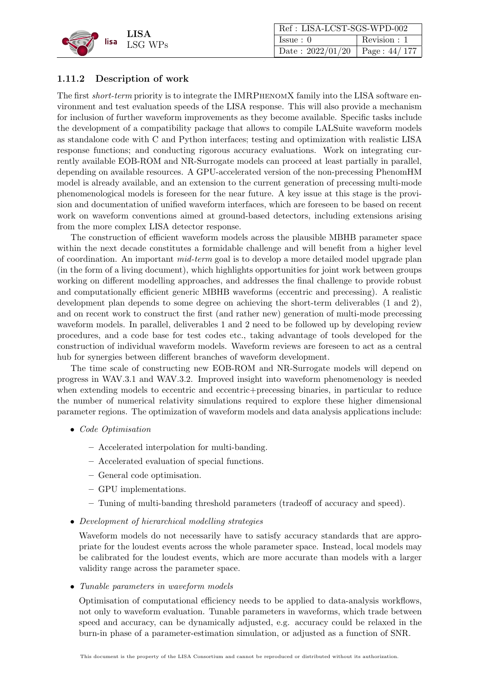

| Ref: LISA-LCST-SGS-WPD-002          |              |  |
|-------------------------------------|--------------|--|
| $I_{\text{ssue}}:0$                 | Revision : 1 |  |
| Date: $2022/01/20$   Page: $44/177$ |              |  |

### 1.11.2 Description of work

The first *short-term* priority is to integrate the IMRPHENOMX family into the LISA software environment and test evaluation speeds of the LISA response. This will also provide a mechanism for inclusion of further waveform improvements as they become available. Specific tasks include the development of a compatibility package that allows to compile LALSuite waveform models as standalone code with C and Python interfaces; testing and optimization with realistic LISA response functions; and conducting rigorous accuracy evaluations. Work on integrating currently available EOB-ROM and NR-Surrogate models can proceed at least partially in parallel, depending on available resources. A GPU-accelerated version of the non-precessing PhenomHM model is already available, and an extension to the current generation of precessing multi-mode phenomenological models is foreseen for the near future. A key issue at this stage is the provision and documentation of unified waveform interfaces, which are foreseen to be based on recent work on waveform conventions aimed at ground-based detectors, including extensions arising from the more complex LISA detector response.

The construction of efficient waveform models across the plausible MBHB parameter space within the next decade constitutes a formidable challenge and will benefit from a higher level of coordination. An important mid-term goal is to develop a more detailed model upgrade plan (in the form of a living document), which highlights opportunities for joint work between groups working on different modelling approaches, and addresses the final challenge to provide robust and computationally efficient generic MBHB waveforms (eccentric and precessing). A realistic development plan depends to some degree on achieving the short-term deliverables (1 and 2), and on recent work to construct the first (and rather new) generation of multi-mode precessing waveform models. In parallel, deliverables 1 and 2 need to be followed up by developing review procedures, and a code base for test codes etc., taking advantage of tools developed for the construction of individual waveform models. Waveform reviews are foreseen to act as a central hub for synergies between different branches of waveform development.

The time scale of constructing new EOB-ROM and NR-Surrogate models will depend on progress in WAV.3.1 and WAV.3.2. Improved insight into waveform phenomenology is needed when extending models to eccentric and eccentric+precessing binaries, in particular to reduce the number of numerical relativity simulations required to explore these higher dimensional parameter regions. The optimization of waveform models and data analysis applications include:

- Code Optimisation
	- Accelerated interpolation for multi-banding.
	- Accelerated evaluation of special functions.
	- General code optimisation.
	- GPU implementations.
	- Tuning of multi-banding threshold parameters (tradeoff of accuracy and speed).
- Development of hierarchical modelling strategies

Waveform models do not necessarily have to satisfy accuracy standards that are appropriate for the loudest events across the whole parameter space. Instead, local models may be calibrated for the loudest events, which are more accurate than models with a larger validity range across the parameter space.

• Tunable parameters in waveform models

Optimisation of computational efficiency needs to be applied to data-analysis workflows, not only to waveform evaluation. Tunable parameters in waveforms, which trade between speed and accuracy, can be dynamically adjusted, e.g. accuracy could be relaxed in the burn-in phase of a parameter-estimation simulation, or adjusted as a function of SNR.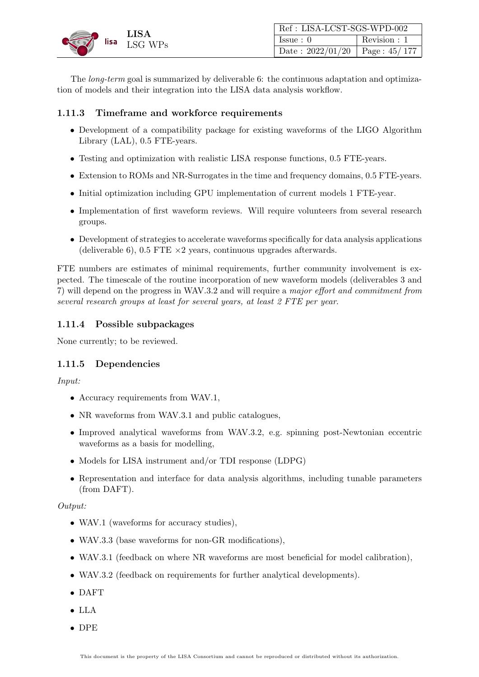

| Ref: LISA-LCST-SGS-WPD-002          |              |  |
|-------------------------------------|--------------|--|
| $I_{\text{ssue}}: 0$                | Revision : 1 |  |
| Date: $2022/01/20$   Page: $45/177$ |              |  |

The *long-term* goal is summarized by deliverable 6: the continuous adaptation and optimization of models and their integration into the LISA data analysis workflow.

### 1.11.3 Timeframe and workforce requirements

- Development of a compatibility package for existing waveforms of the LIGO Algorithm Library (LAL), 0.5 FTE-years.
- Testing and optimization with realistic LISA response functions, 0.5 FTE-years.
- Extension to ROMs and NR-Surrogates in the time and frequency domains, 0.5 FTE-years.
- Initial optimization including GPU implementation of current models 1 FTE-year.
- Implementation of first waveform reviews. Will require volunteers from several research groups.
- Development of strategies to accelerate waveforms specifically for data analysis applications (deliverable 6), 0.5 FTE  $\times$ 2 years, continuous upgrades afterwards.

FTE numbers are estimates of minimal requirements, further community involvement is expected. The timescale of the routine incorporation of new waveform models (deliverables 3 and 7) will depend on the progress in WAV.3.2 and will require a major effort and commitment from several research groups at least for several years, at least 2 FTE per year.

### 1.11.4 Possible subpackages

None currently; to be reviewed.

### 1.11.5 Dependencies

### Input:

- Accuracy requirements from WAV.1,
- NR waveforms from WAV.3.1 and public catalogues,
- Improved analytical waveforms from WAV.3.2, e.g. spinning post-Newtonian eccentric waveforms as a basis for modelling,
- Models for LISA instrument and/or TDI response (LDPG)
- Representation and interface for data analysis algorithms, including tunable parameters (from DAFT).

### Output:

- WAV.1 (waveforms for accuracy studies),
- WAV.3.3 (base waveforms for non-GR modifications),
- WAV.3.1 (feedback on where NR waveforms are most beneficial for model calibration),
- WAV.3.2 (feedback on requirements for further analytical developments).
- DAFT
- LLA
- DPE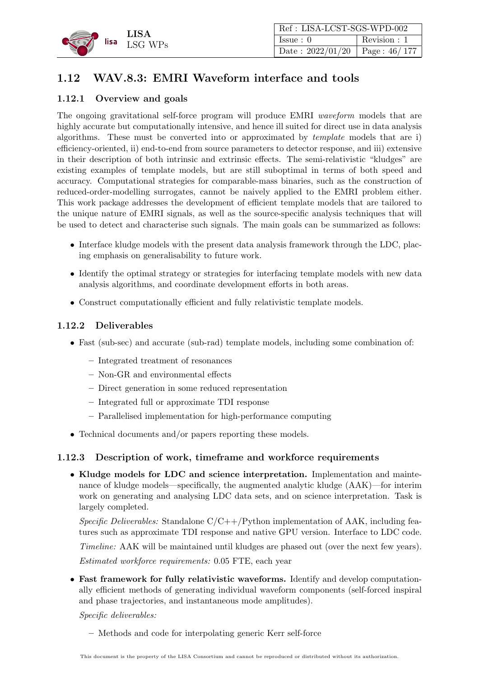

| Ref: LISA-LCST-SGS-WPD-002          |                      |  |
|-------------------------------------|----------------------|--|
| $I_{\text{ssue}}: 0$                | $\vert$ Revision : 1 |  |
| Date: $2022/01/20$   Page: $46/177$ |                      |  |

## 1.12 WAV.8.3: EMRI Waveform interface and tools

### 1.12.1 Overview and goals

The ongoing gravitational self-force program will produce EMRI waveform models that are highly accurate but computationally intensive, and hence ill suited for direct use in data analysis algorithms. These must be converted into or approximated by template models that are i) efficiency-oriented, ii) end-to-end from source parameters to detector response, and iii) extensive in their description of both intrinsic and extrinsic effects. The semi-relativistic "kludges" are existing examples of template models, but are still suboptimal in terms of both speed and accuracy. Computational strategies for comparable-mass binaries, such as the construction of reduced-order-modelling surrogates, cannot be naively applied to the EMRI problem either. This work package addresses the development of efficient template models that are tailored to the unique nature of EMRI signals, as well as the source-specific analysis techniques that will be used to detect and characterise such signals. The main goals can be summarized as follows:

- Interface kludge models with the present data analysis framework through the LDC, placing emphasis on generalisability to future work.
- Identify the optimal strategy or strategies for interfacing template models with new data analysis algorithms, and coordinate development efforts in both areas.
- Construct computationally efficient and fully relativistic template models.

### 1.12.2 Deliverables

- Fast (sub-sec) and accurate (sub-rad) template models, including some combination of:
	- Integrated treatment of resonances
	- Non-GR and environmental effects
	- Direct generation in some reduced representation
	- Integrated full or approximate TDI response
	- Parallelised implementation for high-performance computing
- Technical documents and/or papers reporting these models.

### 1.12.3 Description of work, timeframe and workforce requirements

• Kludge models for LDC and science interpretation. Implementation and maintenance of kludge models—specifically, the augmented analytic kludge (AAK)—for interim work on generating and analysing LDC data sets, and on science interpretation. Task is largely completed.

Specific Deliverables: Standalone  $C/C++/Py$ thon implementation of AAK, including features such as approximate TDI response and native GPU version. Interface to LDC code.

Timeline: AAK will be maintained until kludges are phased out (over the next few years).

Estimated workforce requirements: 0.05 FTE, each year

• Fast framework for fully relativistic waveforms. Identify and develop computationally efficient methods of generating individual waveform components (self-forced inspiral and phase trajectories, and instantaneous mode amplitudes).

Specific deliverables:

– Methods and code for interpolating generic Kerr self-force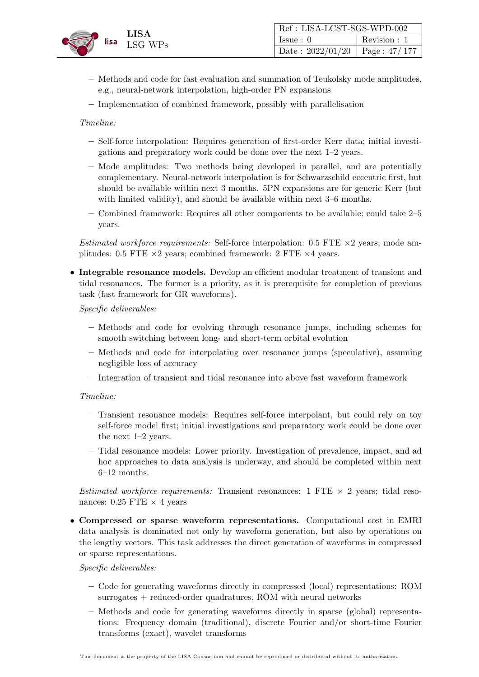

- Methods and code for fast evaluation and summation of Teukolsky mode amplitudes, e.g., neural-network interpolation, high-order PN expansions
- Implementation of combined framework, possibly with parallelisation

### Timeline:

- Self-force interpolation: Requires generation of first-order Kerr data; initial investigations and preparatory work could be done over the next 1–2 years.
- Mode amplitudes: Two methods being developed in parallel, and are potentially complementary. Neural-network interpolation is for Schwarzschild eccentric first, but should be available within next 3 months. 5PN expansions are for generic Kerr (but with limited validity), and should be available within next 3–6 months.
- Combined framework: Requires all other components to be available; could take 2–5 years.

Estimated workforce requirements: Self-force interpolation:  $0.5$  FTE  $\times$ 2 years; mode amplitudes: 0.5 FTE  $\times$ 2 years; combined framework: 2 FTE  $\times$ 4 years.

• Integrable resonance models. Develop an efficient modular treatment of transient and tidal resonances. The former is a priority, as it is prerequisite for completion of previous task (fast framework for GR waveforms).

Specific deliverables:

- Methods and code for evolving through resonance jumps, including schemes for smooth switching between long- and short-term orbital evolution
- Methods and code for interpolating over resonance jumps (speculative), assuming negligible loss of accuracy
- Integration of transient and tidal resonance into above fast waveform framework

### Timeline:

- Transient resonance models: Requires self-force interpolant, but could rely on toy self-force model first; initial investigations and preparatory work could be done over the next 1–2 years.
- Tidal resonance models: Lower priority. Investigation of prevalence, impact, and ad hoc approaches to data analysis is underway, and should be completed within next 6–12 months.

Estimated workforce requirements: Transient resonances: 1 FTE  $\times$  2 years; tidal resonances:  $0.25$  FTE  $\times$  4 years

• Compressed or sparse waveform representations. Computational cost in EMRI data analysis is dominated not only by waveform generation, but also by operations on the lengthy vectors. This task addresses the direct generation of waveforms in compressed or sparse representations.

Specific deliverables:

- Code for generating waveforms directly in compressed (local) representations: ROM surrogates + reduced-order quadratures, ROM with neural networks
- Methods and code for generating waveforms directly in sparse (global) representations: Frequency domain (traditional), discrete Fourier and/or short-time Fourier transforms (exact), wavelet transforms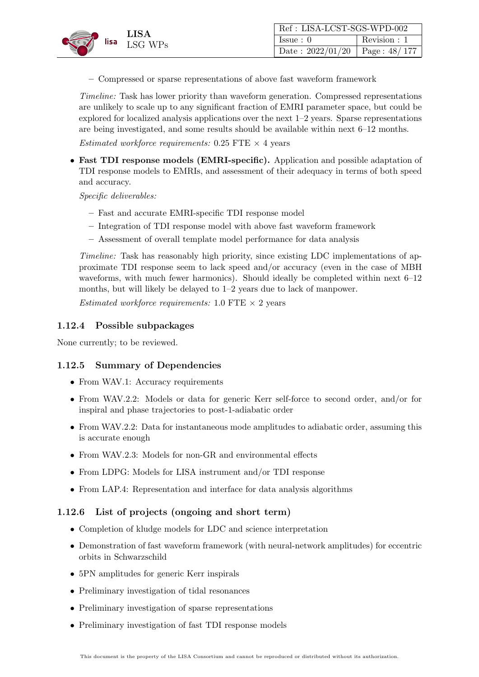

– Compressed or sparse representations of above fast waveform framework

Timeline: Task has lower priority than waveform generation. Compressed representations are unlikely to scale up to any significant fraction of EMRI parameter space, but could be explored for localized analysis applications over the next 1–2 years. Sparse representations are being investigated, and some results should be available within next 6–12 months.

*Estimated workforce requirements:*  $0.25$  FTE  $\times$  4 years

• Fast TDI response models (EMRI-specific). Application and possible adaptation of TDI response models to EMRIs, and assessment of their adequacy in terms of both speed and accuracy.

Specific deliverables:

- Fast and accurate EMRI-specific TDI response model
- Integration of TDI response model with above fast waveform framework
- Assessment of overall template model performance for data analysis

Timeline: Task has reasonably high priority, since existing LDC implementations of approximate TDI response seem to lack speed and/or accuracy (even in the case of MBH waveforms, with much fewer harmonics). Should ideally be completed within next 6–12 months, but will likely be delayed to 1–2 years due to lack of manpower.

Estimated workforce requirements: 1.0 FTE  $\times$  2 years

### 1.12.4 Possible subpackages

None currently; to be reviewed.

### 1.12.5 Summary of Dependencies

- From WAV.1: Accuracy requirements
- From WAV.2.2: Models or data for generic Kerr self-force to second order, and/or for inspiral and phase trajectories to post-1-adiabatic order
- From WAV.2.2: Data for instantaneous mode amplitudes to adiabatic order, assuming this is accurate enough
- From WAV.2.3: Models for non-GR and environmental effects
- From LDPG: Models for LISA instrument and/or TDI response
- From LAP.4: Representation and interface for data analysis algorithms

### 1.12.6 List of projects (ongoing and short term)

- Completion of kludge models for LDC and science interpretation
- Demonstration of fast waveform framework (with neural-network amplitudes) for eccentric orbits in Schwarzschild
- 5PN amplitudes for generic Kerr inspirals
- Preliminary investigation of tidal resonances
- Preliminary investigation of sparse representations
- Preliminary investigation of fast TDI response models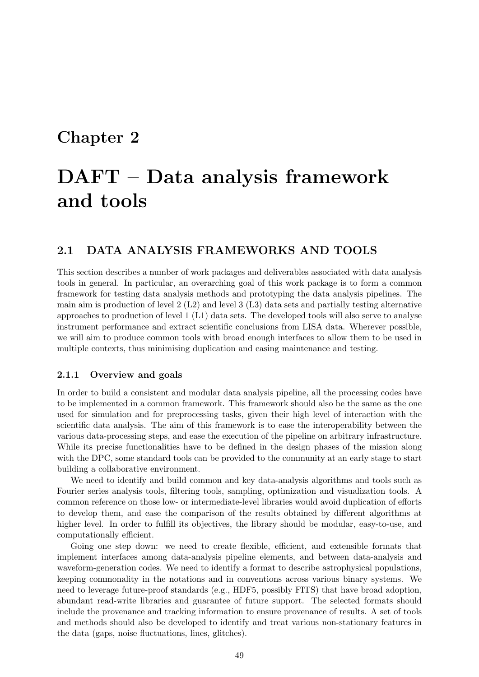## Chapter 2

# DAFT – Data analysis framework and tools

## 2.1 DATA ANALYSIS FRAMEWORKS AND TOOLS

This section describes a number of work packages and deliverables associated with data analysis tools in general. In particular, an overarching goal of this work package is to form a common framework for testing data analysis methods and prototyping the data analysis pipelines. The main aim is production of level  $2 (L2)$  and level  $3 (L3)$  data sets and partially testing alternative approaches to production of level 1 (L1) data sets. The developed tools will also serve to analyse instrument performance and extract scientific conclusions from LISA data. Wherever possible, we will aim to produce common tools with broad enough interfaces to allow them to be used in multiple contexts, thus minimising duplication and easing maintenance and testing.

### 2.1.1 Overview and goals

In order to build a consistent and modular data analysis pipeline, all the processing codes have to be implemented in a common framework. This framework should also be the same as the one used for simulation and for preprocessing tasks, given their high level of interaction with the scientific data analysis. The aim of this framework is to ease the interoperability between the various data-processing steps, and ease the execution of the pipeline on arbitrary infrastructure. While its precise functionalities have to be defined in the design phases of the mission along with the DPC, some standard tools can be provided to the community at an early stage to start building a collaborative environment.

We need to identify and build common and key data-analysis algorithms and tools such as Fourier series analysis tools, filtering tools, sampling, optimization and visualization tools. A common reference on those low- or intermediate-level libraries would avoid duplication of efforts to develop them, and ease the comparison of the results obtained by different algorithms at higher level. In order to fulfill its objectives, the library should be modular, easy-to-use, and computationally efficient.

Going one step down: we need to create flexible, efficient, and extensible formats that implement interfaces among data-analysis pipeline elements, and between data-analysis and waveform-generation codes. We need to identify a format to describe astrophysical populations, keeping commonality in the notations and in conventions across various binary systems. We need to leverage future-proof standards (e.g., HDF5, possibly FITS) that have broad adoption, abundant read-write libraries and guarantee of future support. The selected formats should include the provenance and tracking information to ensure provenance of results. A set of tools and methods should also be developed to identify and treat various non-stationary features in the data (gaps, noise fluctuations, lines, glitches).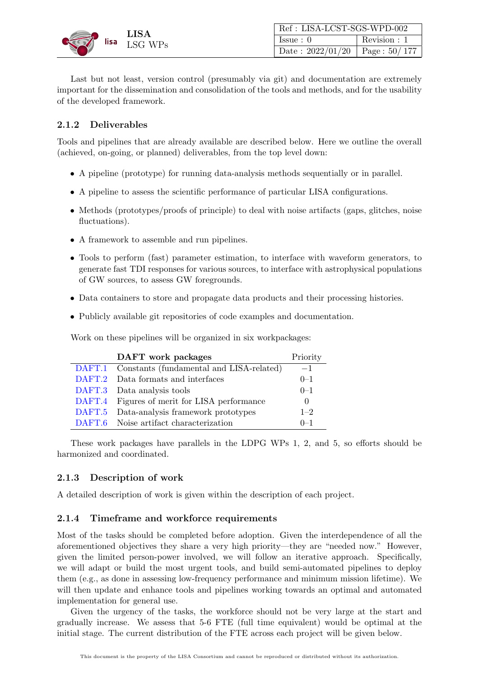

| Ref: LISA-LCST-SGS-WPD-002          |                      |  |
|-------------------------------------|----------------------|--|
| $I_{\text{ssue}}:0$                 | $\vert$ Revision : 1 |  |
| Date: $2022/01/20$   Page: $50/177$ |                      |  |

Last but not least, version control (presumably via git) and documentation are extremely important for the dissemination and consolidation of the tools and methods, and for the usability of the developed framework.

### 2.1.2 Deliverables

Tools and pipelines that are already available are described below. Here we outline the overall (achieved, on-going, or planned) deliverables, from the top level down:

- A pipeline (prototype) for running data-analysis methods sequentially or in parallel.
- A pipeline to assess the scientific performance of particular LISA configurations.
- Methods (prototypes/proofs of principle) to deal with noise artifacts (gaps, glitches, noise fluctuations).
- A framework to assemble and run pipelines.
- Tools to perform (fast) parameter estimation, to interface with waveform generators, to generate fast TDI responses for various sources, to interface with astrophysical populations of GW sources, to assess GW foregrounds.
- Data containers to store and propagate data products and their processing histories.
- Publicly available git repositories of code examples and documentation.

Work on these pipelines will be organized in six workpackages:

| DAFT work packages                              | Priority |
|-------------------------------------------------|----------|
| DAFT.1 Constants (fundamental and LISA-related) | $-1$     |
| DAFT.2 Data formats and interfaces              | $0 - 1$  |
| DAFT.3 Data analysis tools                      | $0 - 1$  |
| DAFT.4 Figures of merit for LISA performance    | 0        |
| DAFT.5 Data-analysis framework prototypes       | $1 - 2$  |
| DAFT.6 Noise artifact characterization          | $0 - 1$  |

These work packages have parallels in the LDPG WPs 1, 2, and 5, so efforts should be harmonized and coordinated.

### 2.1.3 Description of work

A detailed description of work is given within the description of each project.

### 2.1.4 Timeframe and workforce requirements

Most of the tasks should be completed before adoption. Given the interdependence of all the aforementioned objectives they share a very high priority—they are "needed now." However, given the limited person-power involved, we will follow an iterative approach. Specifically, we will adapt or build the most urgent tools, and build semi-automated pipelines to deploy them (e.g., as done in assessing low-frequency performance and minimum mission lifetime). We will then update and enhance tools and pipelines working towards an optimal and automated implementation for general use.

Given the urgency of the tasks, the workforce should not be very large at the start and gradually increase. We assess that 5-6 FTE (full time equivalent) would be optimal at the initial stage. The current distribution of the FTE across each project will be given below.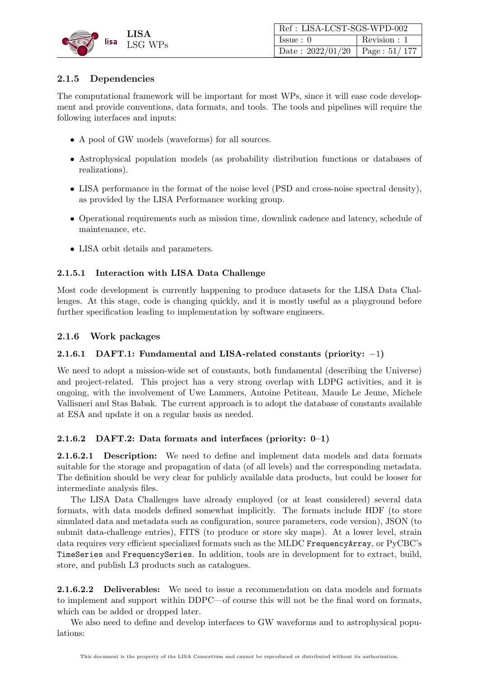

| Ref: LISA-LCST-SGS-WPD-002          |              |  |
|-------------------------------------|--------------|--|
| $I_{\text{ssue}}: 0$                | Revision : 1 |  |
| Date: $2022/01/20$   Page: $51/177$ |              |  |

### 2.1.5 Dependencies

The computational framework will be important for most WPs, since it will ease code development and provide conventions, data formats, and tools. The tools and pipelines will require the following interfaces and inputs:

- A pool of GW models (waveforms) for all sources.
- Astrophysical population models (as probability distribution functions or databases of realizations).
- LISA performance in the format of the noise level (PSD and cross-noise spectral density), as provided by the LISA Performance working group.
- Operational requirements such as mission time, downlink cadence and latency, schedule of maintenance, etc.
- LISA orbit details and parameters.

### 2.1.5.1 Interaction with LISA Data Challenge

Most code development is currently happening to produce datasets for the LISA Data Challenges. At this stage, code is changing quickly, and it is mostly useful as a playground before further specification leading to implementation by software engineers.

### 2.1.6 Work packages

### 2.1.6.1 DAFT.1: Fundamental and LISA-related constants (priority: −1)

We need to adopt a mission-wide set of constants, both fundamental (describing the Universe) and project-related. This project has a very strong overlap with LDPG activities, and it is ongoing, with the involvement of Uwe Lammers, Antoine Petiteau, Maude Le Jeune, Michele Vallisneri and Stas Babak. The current approach is to adopt the database of constants available at ESA and update it on a regular basis as needed.

### 2.1.6.2 DAFT.2: Data formats and interfaces (priority: 0–1)

**2.1.6.2.1 Description:** We need to define and implement data models and data formats suitable for the storage and propagation of data (of all levels) and the corresponding metadata. The definition should be very clear for publicly available data products, but could be looser for intermediate analysis files.

The LISA Data Challenges have already employed (or at least considered) several data formats, with data models defined somewhat implicitly. The formats include HDF (to store simulated data and metadata such as configuration, source parameters, code version), JSON (to submit data-challenge entries), FITS (to produce or store sky maps). At a lower level, strain data requires very efficient specialized formats such as the MLDC FrequencyArray, or PyCBC's TimeSeries and FrequencySeries. In addition, tools are in development for to extract, build, store, and publish L3 products such as catalogues.

2.1.6.2.2 Deliverables: We need to issue a recommendation on data models and formats to implement and support within DDPC—of course this will not be the final word on formats, which can be added or dropped later.

We also need to define and develop interfaces to GW waveforms and to astrophysical populations: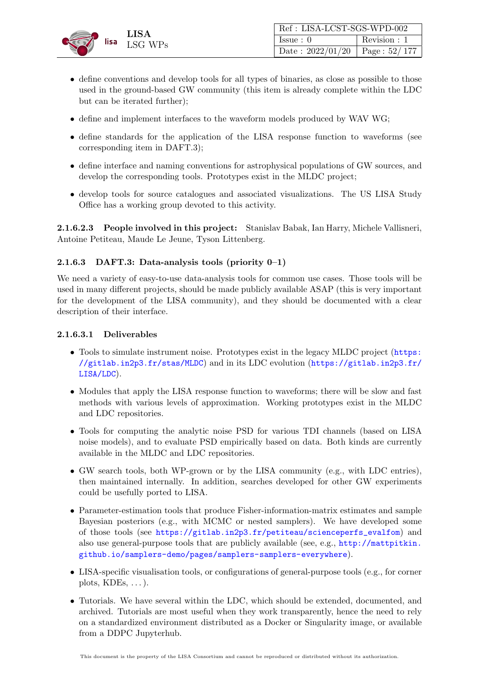

- define conventions and develop tools for all types of binaries, as close as possible to those used in the ground-based GW community (this item is already complete within the LDC but can be iterated further);
- define and implement interfaces to the waveform models produced by WAV WG;
- define standards for the application of the LISA response function to waveforms (see corresponding item in DAFT.3);
- define interface and naming conventions for astrophysical populations of GW sources, and develop the corresponding tools. Prototypes exist in the MLDC project;
- develop tools for source catalogues and associated visualizations. The US LISA Study Office has a working group devoted to this activity.

2.1.6.2.3 People involved in this project: Stanislav Babak, Ian Harry, Michele Vallisneri, Antoine Petiteau, Maude Le Jeune, Tyson Littenberg.

### 2.1.6.3 DAFT.3: Data-analysis tools (priority 0–1)

We need a variety of easy-to-use data-analysis tools for common use cases. Those tools will be used in many different projects, should be made publicly available ASAP (this is very important for the development of the LISA community), and they should be documented with a clear description of their interface.

### 2.1.6.3.1 Deliverables

- Tools to simulate instrument noise. Prototypes exist in the legacy MLDC project ([https:](https://gitlab.in2p3.fr/stas/MLDC) [//gitlab.in2p3.fr/stas/MLDC](https://gitlab.in2p3.fr/stas/MLDC)) and in its LDC evolution ([https://gitlab.in2p3.fr/](https://gitlab.in2p3.fr/LISA/LDC) [LISA/LDC](https://gitlab.in2p3.fr/LISA/LDC)).
- Modules that apply the LISA response function to waveforms; there will be slow and fast methods with various levels of approximation. Working prototypes exist in the MLDC and LDC repositories.
- Tools for computing the analytic noise PSD for various TDI channels (based on LISA noise models), and to evaluate PSD empirically based on data. Both kinds are currently available in the MLDC and LDC repositories.
- GW search tools, both WP-grown or by the LISA community (e.g., with LDC entries), then maintained internally. In addition, searches developed for other GW experiments could be usefully ported to LISA.
- Parameter-estimation tools that produce Fisher-information-matrix estimates and sample Bayesian posteriors (e.g., with MCMC or nested samplers). We have developed some of those tools (see [https://gitlab.in2p3.fr/petiteau/scienceperfs\\_evalfom](https://gitlab.in2p3.fr/petiteau/scienceperfs_evalfom)) and also use general-purpose tools that are publicly available (see, e.g., [http://mattpitkin.](http://mattpitkin.github.io/samplers-demo/pages/samplers-samplers-everywhere) [github.io/samplers-demo/pages/samplers-samplers-everywhere](http://mattpitkin.github.io/samplers-demo/pages/samplers-samplers-everywhere)).
- LISA-specific visualisation tools, or configurations of general-purpose tools (e.g., for corner plots, KDEs,  $\dots$ ).
- Tutorials. We have several within the LDC, which should be extended, documented, and archived. Tutorials are most useful when they work transparently, hence the need to rely on a standardized environment distributed as a Docker or Singularity image, or available from a DDPC Jupyterhub.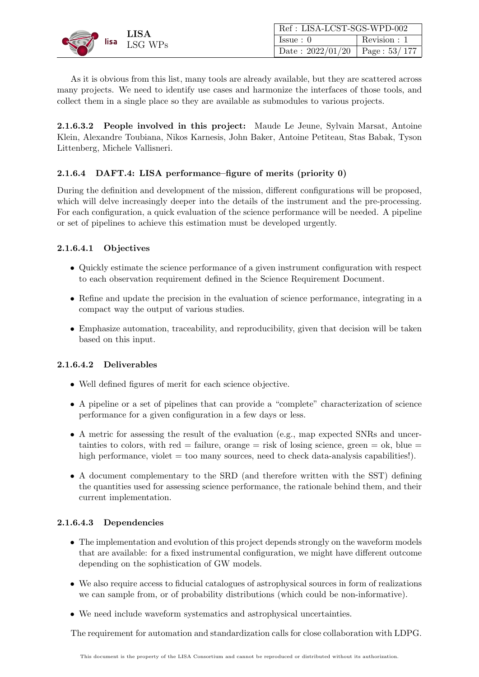

| Ref: LISA-LCST-SGS-WPD-002        |                      |  |
|-----------------------------------|----------------------|--|
| Issue:0                           | $\vert$ Revision : 1 |  |
| Date: $2022/01/20$   Page: 53/177 |                      |  |

As it is obvious from this list, many tools are already available, but they are scattered across many projects. We need to identify use cases and harmonize the interfaces of those tools, and collect them in a single place so they are available as submodules to various projects.

2.1.6.3.2 People involved in this project: Maude Le Jeune, Sylvain Marsat, Antoine Klein, Alexandre Toubiana, Nikos Karnesis, John Baker, Antoine Petiteau, Stas Babak, Tyson Littenberg, Michele Vallisneri.

### 2.1.6.4 DAFT.4: LISA performance–figure of merits (priority 0)

During the definition and development of the mission, different configurations will be proposed, which will delve increasingly deeper into the details of the instrument and the pre-processing. For each configuration, a quick evaluation of the science performance will be needed. A pipeline or set of pipelines to achieve this estimation must be developed urgently.

### 2.1.6.4.1 Objectives

- Quickly estimate the science performance of a given instrument configuration with respect to each observation requirement defined in the Science Requirement Document.
- Refine and update the precision in the evaluation of science performance, integrating in a compact way the output of various studies.
- Emphasize automation, traceability, and reproducibility, given that decision will be taken based on this input.

### 2.1.6.4.2 Deliverables

- Well defined figures of merit for each science objective.
- A pipeline or a set of pipelines that can provide a "complete" characterization of science performance for a given configuration in a few days or less.
- A metric for assessing the result of the evaluation (e.g., map expected SNRs and uncertainties to colors, with red  $=$  failure, orange  $=$  risk of losing science, green  $=$  ok, blue  $=$ high performance, violet  $=$  too many sources, need to check data-analysis capabilities!).
- A document complementary to the SRD (and therefore written with the SST) defining the quantities used for assessing science performance, the rationale behind them, and their current implementation.

### 2.1.6.4.3 Dependencies

- The implementation and evolution of this project depends strongly on the waveform models that are available: for a fixed instrumental configuration, we might have different outcome depending on the sophistication of GW models.
- We also require access to fiducial catalogues of astrophysical sources in form of realizations we can sample from, or of probability distributions (which could be non-informative).
- We need include waveform systematics and astrophysical uncertainties.

The requirement for automation and standardization calls for close collaboration with LDPG.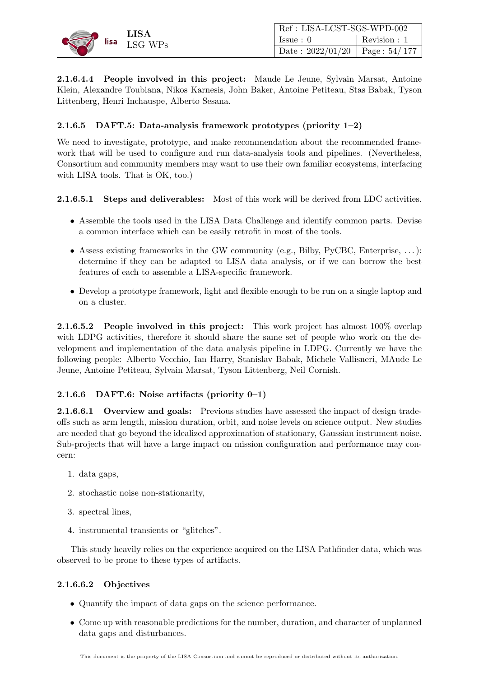

2.1.6.4.4 People involved in this project: Maude Le Jeune, Sylvain Marsat, Antoine Klein, Alexandre Toubiana, Nikos Karnesis, John Baker, Antoine Petiteau, Stas Babak, Tyson Littenberg, Henri Inchauspe, Alberto Sesana.

### 2.1.6.5 DAFT.5: Data-analysis framework prototypes (priority 1–2)

We need to investigate, prototype, and make recommendation about the recommended framework that will be used to configure and run data-analysis tools and pipelines. (Nevertheless, Consortium and community members may want to use their own familiar ecosystems, interfacing with LISA tools. That is OK, too.)

2.1.6.5.1 Steps and deliverables: Most of this work will be derived from LDC activities.

- Assemble the tools used in the LISA Data Challenge and identify common parts. Devise a common interface which can be easily retrofit in most of the tools.
- Assess existing frameworks in the GW community (e.g., Bilby, PyCBC, Enterprise,  $\dots$ ): determine if they can be adapted to LISA data analysis, or if we can borrow the best features of each to assemble a LISA-specific framework.
- Develop a prototype framework, light and flexible enough to be run on a single laptop and on a cluster.

2.1.6.5.2 People involved in this project: This work project has almost 100% overlap with LDPG activities, therefore it should share the same set of people who work on the development and implementation of the data analysis pipeline in LDPG. Currently we have the following people: Alberto Vecchio, Ian Harry, Stanislav Babak, Michele Vallisneri, MAude Le Jeune, Antoine Petiteau, Sylvain Marsat, Tyson Littenberg, Neil Cornish.

### 2.1.6.6 DAFT.6: Noise artifacts (priority  $0-1$ )

<span id="page-55-0"></span>2.1.6.6.1 Overview and goals: Previous studies have assessed the impact of design tradeoffs such as arm length, mission duration, orbit, and noise levels on science output. New studies are needed that go beyond the idealized approximation of stationary, Gaussian instrument noise. Sub-projects that will have a large impact on mission configuration and performance may concern:

- 1. data gaps,
- 2. stochastic noise non-stationarity,
- 3. spectral lines,
- 4. instrumental transients or "glitches".

This study heavily relies on the experience acquired on the LISA Pathfinder data, which was observed to be prone to these types of artifacts.

### 2.1.6.6.2 Objectives

- Quantify the impact of data gaps on the science performance.
- Come up with reasonable predictions for the number, duration, and character of unplanned data gaps and disturbances.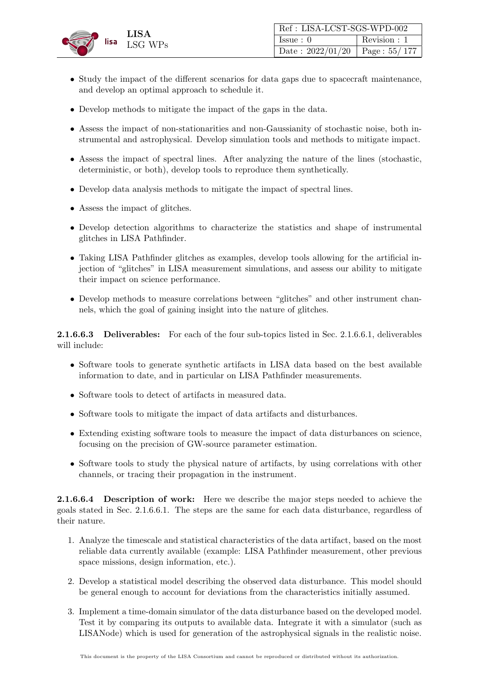

- Study the impact of the different scenarios for data gaps due to spacecraft maintenance, and develop an optimal approach to schedule it.
- Develop methods to mitigate the impact of the gaps in the data.
- Assess the impact of non-stationarities and non-Gaussianity of stochastic noise, both instrumental and astrophysical. Develop simulation tools and methods to mitigate impact.
- Assess the impact of spectral lines. After analyzing the nature of the lines (stochastic, deterministic, or both), develop tools to reproduce them synthetically.
- Develop data analysis methods to mitigate the impact of spectral lines.
- Assess the impact of glitches.
- Develop detection algorithms to characterize the statistics and shape of instrumental glitches in LISA Pathfinder.
- Taking LISA Pathfinder glitches as examples, develop tools allowing for the artificial injection of "glitches" in LISA measurement simulations, and assess our ability to mitigate their impact on science performance.
- Develop methods to measure correlations between "glitches" and other instrument channels, which the goal of gaining insight into the nature of glitches.

**2.1.6.6.3** Deliverables: For each of the four sub-topics listed in Sec. [2.1.6.6.1,](#page-55-0) deliverables will include:

- Software tools to generate synthetic artifacts in LISA data based on the best available information to date, and in particular on LISA Pathfinder measurements.
- Software tools to detect of artifacts in measured data.
- Software tools to mitigate the impact of data artifacts and disturbances.
- Extending existing software tools to measure the impact of data disturbances on science, focusing on the precision of GW-source parameter estimation.
- Software tools to study the physical nature of artifacts, by using correlations with other channels, or tracing their propagation in the instrument.

2.1.6.6.4 Description of work: Here we describe the major steps needed to achieve the goals stated in Sec. [2.1.6.6.1.](#page-55-0) The steps are the same for each data disturbance, regardless of their nature.

- 1. Analyze the timescale and statistical characteristics of the data artifact, based on the most reliable data currently available (example: LISA Pathfinder measurement, other previous space missions, design information, etc.).
- 2. Develop a statistical model describing the observed data disturbance. This model should be general enough to account for deviations from the characteristics initially assumed.
- 3. Implement a time-domain simulator of the data disturbance based on the developed model. Test it by comparing its outputs to available data. Integrate it with a simulator (such as LISANode) which is used for generation of the astrophysical signals in the realistic noise.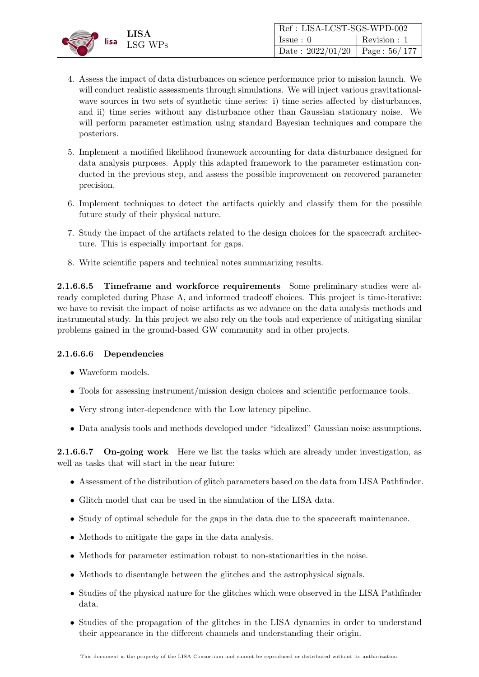

| Ref: LISA-LCST-SGS-WPD-002          |                      |
|-------------------------------------|----------------------|
| $I_{\text{ssue}}:0$                 | $\vert$ Revision : 1 |
| Date: $2022/01/20$   Page: $56/177$ |                      |

- 4. Assess the impact of data disturbances on science performance prior to mission launch. We will conduct realistic assessments through simulations. We will inject various gravitationalwave sources in two sets of synthetic time series: i) time series affected by disturbances, and ii) time series without any disturbance other than Gaussian stationary noise. We will perform parameter estimation using standard Bayesian techniques and compare the posteriors.
- 5. Implement a modified likelihood framework accounting for data disturbance designed for data analysis purposes. Apply this adapted framework to the parameter estimation conducted in the previous step, and assess the possible improvement on recovered parameter precision.
- 6. Implement techniques to detect the artifacts quickly and classify them for the possible future study of their physical nature.
- 7. Study the impact of the artifacts related to the design choices for the spacecraft architecture. This is especially important for gaps.
- 8. Write scientific papers and technical notes summarizing results.

2.1.6.6.5 Timeframe and workforce requirements Some preliminary studies were already completed during Phase A, and informed tradeoff choices. This project is time-iterative: we have to revisit the impact of noise artifacts as we advance on the data analysis methods and instrumental study. In this project we also rely on the tools and experience of mitigating similar problems gained in the ground-based GW community and in other projects.

### 2.1.6.6.6 Dependencies

- Waveform models.
- Tools for assessing instrument/mission design choices and scientific performance tools.
- Very strong inter-dependence with the Low latency pipeline.
- Data analysis tools and methods developed under "idealized" Gaussian noise assumptions.

2.1.6.6.7 On-going work Here we list the tasks which are already under investigation, as well as tasks that will start in the near future:

- Assessment of the distribution of glitch parameters based on the data from LISA Pathfinder.
- Glitch model that can be used in the simulation of the LISA data.
- Study of optimal schedule for the gaps in the data due to the spacecraft maintenance.
- Methods to mitigate the gaps in the data analysis.
- Methods for parameter estimation robust to non-stationarities in the noise.
- Methods to disentangle between the glitches and the astrophysical signals.
- Studies of the physical nature for the glitches which were observed in the LISA Pathfinder data.
- Studies of the propagation of the glitches in the LISA dynamics in order to understand their appearance in the different channels and understanding their origin.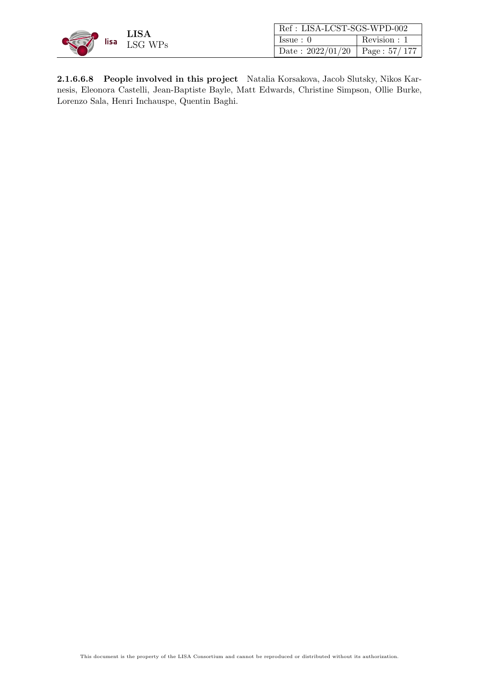

| Ref: LISA-LCST-SGS-WPD-002        |                |
|-----------------------------------|----------------|
| $I_{\text{ssue}}: 0$              | Revision : $1$ |
| Date: $2022/01/20$   Page: 57/177 |                |

2.1.6.6.8 People involved in this project Natalia Korsakova, Jacob Slutsky, Nikos Karnesis, Eleonora Castelli, Jean-Baptiste Bayle, Matt Edwards, Christine Simpson, Ollie Burke, Lorenzo Sala, Henri Inchauspe, Quentin Baghi.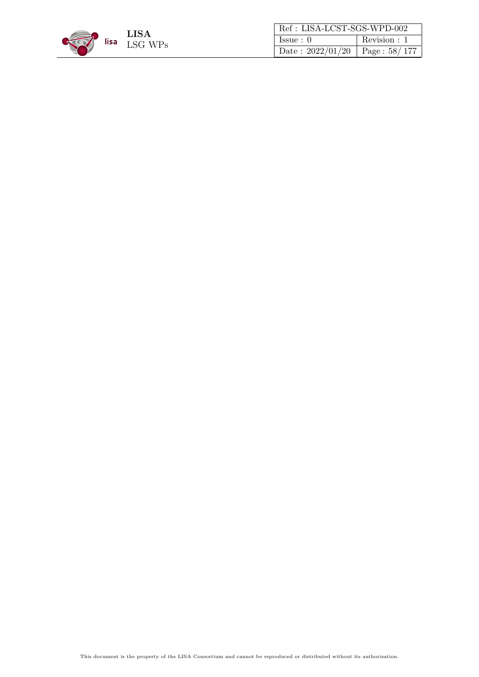

| Ref: LISA-LCST-SGS-WPD-002 |                 |
|----------------------------|-----------------|
| Issue:0                    | Revision : 1    |
| Date: $2022/01/20$         | Page : $58/177$ |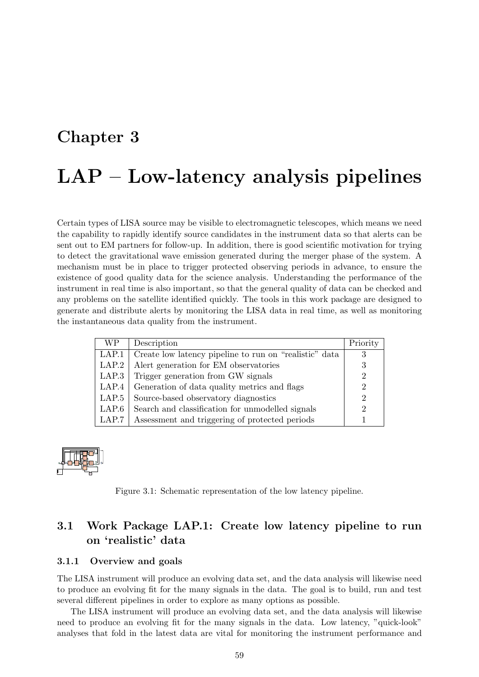## Chapter 3

# LAP – Low-latency analysis pipelines

Certain types of LISA source may be visible to electromagnetic telescopes, which means we need the capability to rapidly identify source candidates in the instrument data so that alerts can be sent out to EM partners for follow-up. In addition, there is good scientific motivation for trying to detect the gravitational wave emission generated during the merger phase of the system. A mechanism must be in place to trigger protected observing periods in advance, to ensure the existence of good quality data for the science analysis. Understanding the performance of the instrument in real time is also important, so that the general quality of data can be checked and any problems on the satellite identified quickly. The tools in this work package are designed to generate and distribute alerts by monitoring the LISA data in real time, as well as monitoring the instantaneous data quality from the instrument.

| WP.   | Description                                            | Priority |
|-------|--------------------------------------------------------|----------|
| LAP.1 | Create low latency pipeline to run on "realistic" data | 3        |
| LAP.2 | Alert generation for EM observatories                  |          |
| LAP.3 | Trigger generation from GW signals                     | 2        |
| LAP.4 | Generation of data quality metrics and flags           |          |
| LAP.5 | Source-based observatory diagnostics                   | 2        |
| LAP.6 | Search and classification for unmodelled signals       | 2        |
| LAP.7 | Assessment and triggering of protected periods         |          |



<span id="page-60-0"></span>Figure 3.1: Schematic representation of the low latency pipeline.

## 3.1 Work Package LAP.1: Create low latency pipeline to run on 'realistic' data

#### 3.1.1 Overview and goals

The LISA instrument will produce an evolving data set, and the data analysis will likewise need to produce an evolving fit for the many signals in the data. The goal is to build, run and test several different pipelines in order to explore as many options as possible.

The LISA instrument will produce an evolving data set, and the data analysis will likewise need to produce an evolving fit for the many signals in the data. Low latency, "quick-look" analyses that fold in the latest data are vital for monitoring the instrument performance and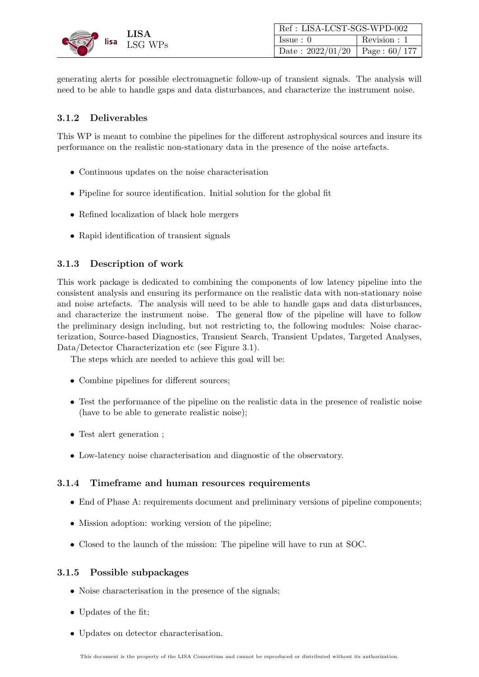

generating alerts for possible electromagnetic follow-up of transient signals. The analysis will need to be able to handle gaps and data disturbances, and characterize the instrument noise.

### 3.1.2 Deliverables

This WP is meant to combine the pipelines for the different astrophysical sources and insure its performance on the realistic non-stationary data in the presence of the noise artefacts.

- Continuous updates on the noise characterisation
- Pipeline for source identification. Initial solution for the global fit
- Refined localization of black hole mergers
- Rapid identification of transient signals

### 3.1.3 Description of work

This work package is dedicated to combining the components of low latency pipeline into the consistent analysis and ensuring its performance on the realistic data with non-stationary noise and noise artefacts. The analysis will need to be able to handle gaps and data disturbances, and characterize the instrument noise. The general flow of the pipeline will have to follow the preliminary design including, but not restricting to, the following modules: Noise characterization, Source-based Diagnostics, Transient Search, Transient Updates, Targeted Analyses, Data/Detector Characterization etc (see Figure [3.1\)](#page-60-0).

The steps which are needed to achieve this goal will be:

- Combine pipelines for different sources;
- Test the performance of the pipeline on the realistic data in the presence of realistic noise (have to be able to generate realistic noise);
- Test alert generation ;
- Low-latency noise characterisation and diagnostic of the observatory.

### 3.1.4 Timeframe and human resources requirements

- End of Phase A: requirements document and preliminary versions of pipeline components;
- Mission adoption: working version of the pipeline;
- Closed to the launch of the mission: The pipeline will have to run at SOC.

### 3.1.5 Possible subpackages

- Noise characterisation in the presence of the signals;
- Updates of the fit;
- Updates on detector characterisation.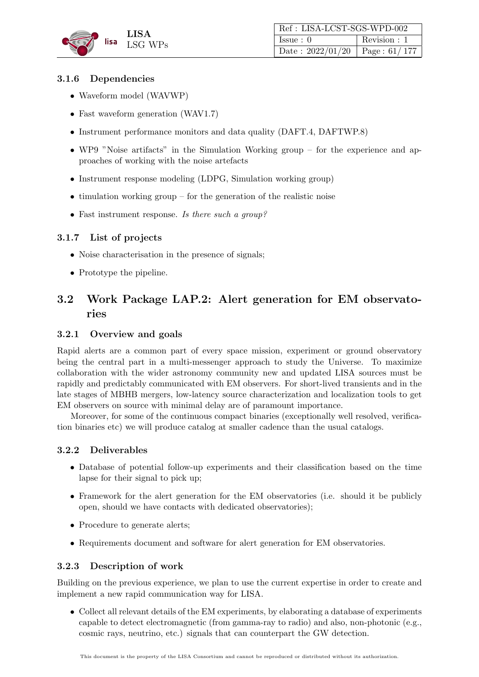

| Ref: LISA-LCST-SGS-WPD-002        |                      |
|-----------------------------------|----------------------|
| $I_{\text{ssue}}:0$               | $\vert$ Revision : 1 |
| Date: $2022/01/20$   Page: 61/177 |                      |

### 3.1.6 Dependencies

- Waveform model (WAVWP)
- Fast waveform generation (WAV1.7)
- Instrument performance monitors and data quality (DAFT.4, DAFTWP.8)
- WP9 "Noise artifacts" in the Simulation Working group for the experience and approaches of working with the noise artefacts
- Instrument response modeling (LDPG, Simulation working group)
- $\bullet$  timulation working group for the generation of the realistic noise
- Fast instrument response. Is there such a group?

### 3.1.7 List of projects

- Noise characterisation in the presence of signals;
- Prototype the pipeline.

## 3.2 Work Package LAP.2: Alert generation for EM observatories

### 3.2.1 Overview and goals

Rapid alerts are a common part of every space mission, experiment or ground observatory being the central part in a multi-messenger approach to study the Universe. To maximize collaboration with the wider astronomy community new and updated LISA sources must be rapidly and predictably communicated with EM observers. For short-lived transients and in the late stages of MBHB mergers, low-latency source characterization and localization tools to get EM observers on source with minimal delay are of paramount importance.

Moreover, for some of the continuous compact binaries (exceptionally well resolved, verification binaries etc) we will produce catalog at smaller cadence than the usual catalogs.

### 3.2.2 Deliverables

- Database of potential follow-up experiments and their classification based on the time lapse for their signal to pick up;
- Framework for the alert generation for the EM observatories (i.e. should it be publicly open, should we have contacts with dedicated observatories);
- Procedure to generate alerts;
- Requirements document and software for alert generation for EM observatories.

### 3.2.3 Description of work

Building on the previous experience, we plan to use the current expertise in order to create and implement a new rapid communication way for LISA.

• Collect all relevant details of the EM experiments, by elaborating a database of experiments capable to detect electromagnetic (from gamma-ray to radio) and also, non-photonic (e.g., cosmic rays, neutrino, etc.) signals that can counterpart the GW detection.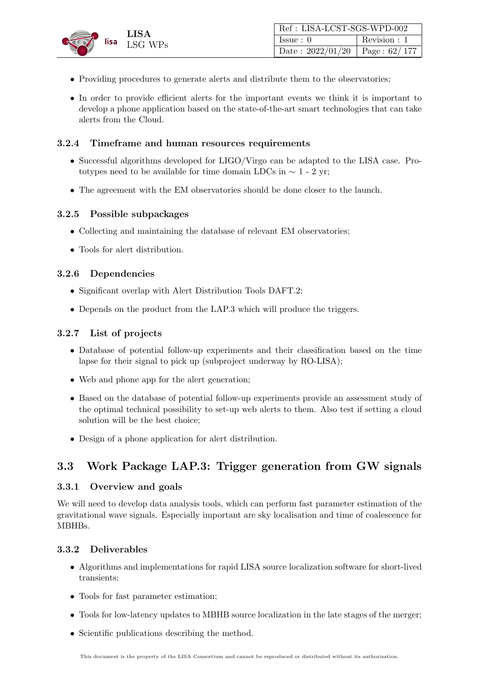

- Providing procedures to generate alerts and distribute them to the observatories;
- In order to provide efficient alerts for the important events we think it is important to develop a phone application based on the state-of-the-art smart technologies that can take alerts from the Cloud.

### 3.2.4 Timeframe and human resources requirements

- Successful algorithms developed for LIGO/Virgo can be adapted to the LISA case. Prototypes need to be available for time domain LDCs in  $\sim$  1 - 2 yr;
- The agreement with the EM observatories should be done closer to the launch.

### 3.2.5 Possible subpackages

- Collecting and maintaining the database of relevant EM observatories;
- Tools for alert distribution.

### 3.2.6 Dependencies

- Significant overlap with Alert Distribution Tools DAFT.2;
- Depends on the product from the LAP.3 which will produce the triggers.

### 3.2.7 List of projects

- Database of potential follow-up experiments and their classification based on the time lapse for their signal to pick up (subproject underway by RO-LISA);
- Web and phone app for the alert generation;
- Based on the database of potential follow-up experiments provide an assessment study of the optimal technical possibility to set-up web alerts to them. Also test if setting a cloud solution will be the best choice;
- Design of a phone application for a left distribution.

## 3.3 Work Package LAP.3: Trigger generation from GW signals

### 3.3.1 Overview and goals

We will need to develop data analysis tools, which can perform fast parameter estimation of the gravitational wave signals. Especially important are sky localisation and time of coalescence for MBHBs.

### 3.3.2 Deliverables

- Algorithms and implementations for rapid LISA source localization software for short-lived transients;
- Tools for fast parameter estimation;
- Tools for low-latency updates to MBHB source localization in the late stages of the merger;
- Scientific publications describing the method.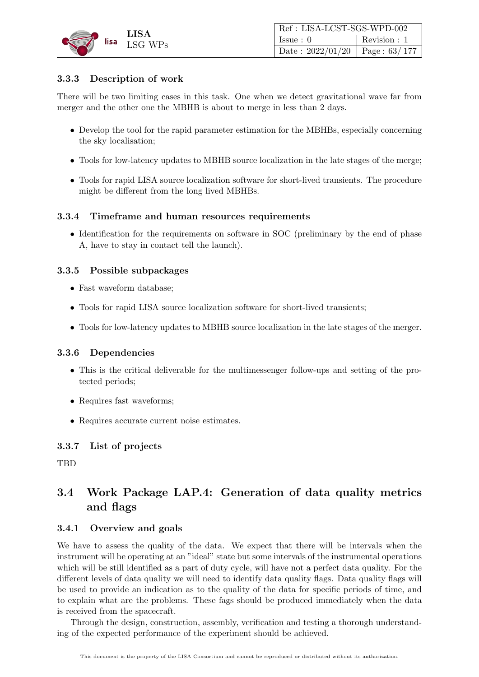

| Ref: LISA-LCST-SGS-WPD-002        |              |
|-----------------------------------|--------------|
| $\text{Issue}:0$                  | Revision : 1 |
| Date: $2022/01/20$   Page: 63/177 |              |

### 3.3.3 Description of work

There will be two limiting cases in this task. One when we detect gravitational wave far from merger and the other one the MBHB is about to merge in less than 2 days.

- Develop the tool for the rapid parameter estimation for the MBHBs, especially concerning the sky localisation;
- Tools for low-latency updates to MBHB source localization in the late stages of the merge;
- Tools for rapid LISA source localization software for short-lived transients. The procedure might be different from the long lived MBHBs.

### 3.3.4 Timeframe and human resources requirements

• Identification for the requirements on software in SOC (preliminary by the end of phase A, have to stay in contact tell the launch).

### 3.3.5 Possible subpackages

- Fast waveform database;
- Tools for rapid LISA source localization software for short-lived transients;
- Tools for low-latency updates to MBHB source localization in the late stages of the merger.

### 3.3.6 Dependencies

- This is the critical deliverable for the multimessenger follow-ups and setting of the protected periods;
- Requires fast waveforms;
- Requires accurate current noise estimates.

### 3.3.7 List of projects

**TBD** 

## 3.4 Work Package LAP.4: Generation of data quality metrics and flags

### 3.4.1 Overview and goals

We have to assess the quality of the data. We expect that there will be intervals when the instrument will be operating at an "ideal" state but some intervals of the instrumental operations which will be still identified as a part of duty cycle, will have not a perfect data quality. For the different levels of data quality we will need to identify data quality flags. Data quality flags will be used to provide an indication as to the quality of the data for specific periods of time, and to explain what are the problems. These fags should be produced immediately when the data is received from the spacecraft.

Through the design, construction, assembly, verification and testing a thorough understanding of the expected performance of the experiment should be achieved.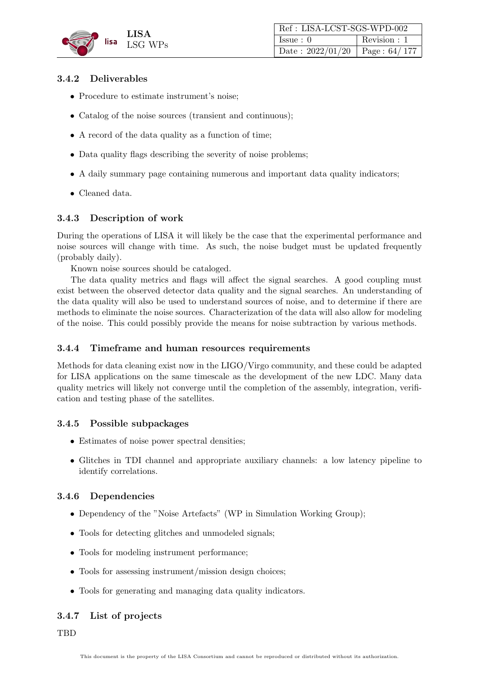

| Ref: LISA-LCST-SGS-WPD-002        |              |
|-----------------------------------|--------------|
| $\text{I}\text{ssue}:0$           | Revision : 1 |
| Date: $2022/01/20$   Page: 64/177 |              |

### 3.4.2 Deliverables

- Procedure to estimate instrument's noise;
- Catalog of the noise sources (transient and continuous);
- A record of the data quality as a function of time;
- Data quality flags describing the severity of noise problems;
- A daily summary page containing numerous and important data quality indicators;
- Cleaned data.

### 3.4.3 Description of work

During the operations of LISA it will likely be the case that the experimental performance and noise sources will change with time. As such, the noise budget must be updated frequently (probably daily).

Known noise sources should be cataloged.

The data quality metrics and flags will affect the signal searches. A good coupling must exist between the observed detector data quality and the signal searches. An understanding of the data quality will also be used to understand sources of noise, and to determine if there are methods to eliminate the noise sources. Characterization of the data will also allow for modeling of the noise. This could possibly provide the means for noise subtraction by various methods.

### 3.4.4 Timeframe and human resources requirements

Methods for data cleaning exist now in the LIGO/Virgo community, and these could be adapted for LISA applications on the same timescale as the development of the new LDC. Many data quality metrics will likely not converge until the completion of the assembly, integration, verification and testing phase of the satellites.

### 3.4.5 Possible subpackages

- Estimates of noise power spectral densities;
- Glitches in TDI channel and appropriate auxiliary channels: a low latency pipeline to identify correlations.

### 3.4.6 Dependencies

- Dependency of the "Noise Artefacts" (WP in Simulation Working Group);
- Tools for detecting glitches and unmodeled signals;
- Tools for modeling instrument performance;
- Tools for assessing instrument/mission design choices;
- Tools for generating and managing data quality indicators.

### 3.4.7 List of projects

**TBD**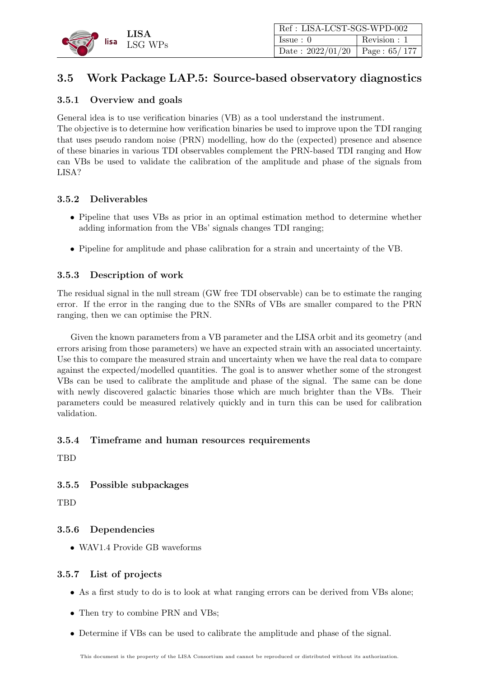

## 3.5 Work Package LAP.5: Source-based observatory diagnostics

### 3.5.1 Overview and goals

General idea is to use verification binaries (VB) as a tool understand the instrument. The objective is to determine how verification binaries be used to improve upon the TDI ranging that uses pseudo random noise (PRN) modelling, how do the (expected) presence and absence of these binaries in various TDI observables complement the PRN-based TDI ranging and How can VBs be used to validate the calibration of the amplitude and phase of the signals from LISA?

### 3.5.2 Deliverables

- Pipeline that uses VBs as prior in an optimal estimation method to determine whether adding information from the VBs' signals changes TDI ranging;
- Pipeline for amplitude and phase calibration for a strain and uncertainty of the VB.

### 3.5.3 Description of work

The residual signal in the null stream (GW free TDI observable) can be to estimate the ranging error. If the error in the ranging due to the SNRs of VBs are smaller compared to the PRN ranging, then we can optimise the PRN.

Given the known parameters from a VB parameter and the LISA orbit and its geometry (and errors arising from those parameters) we have an expected strain with an associated uncertainty. Use this to compare the measured strain and uncertainty when we have the real data to compare against the expected/modelled quantities. The goal is to answer whether some of the strongest VBs can be used to calibrate the amplitude and phase of the signal. The same can be done with newly discovered galactic binaries those which are much brighter than the VBs. Their parameters could be measured relatively quickly and in turn this can be used for calibration validation.

### 3.5.4 Timeframe and human resources requirements

TBD

3.5.5 Possible subpackages

TBD

### 3.5.6 Dependencies

• WAV1.4 Provide GB waveforms

### 3.5.7 List of projects

- As a first study to do is to look at what ranging errors can be derived from VBs alone;
- Then try to combine PRN and VBs;
- Determine if VBs can be used to calibrate the amplitude and phase of the signal.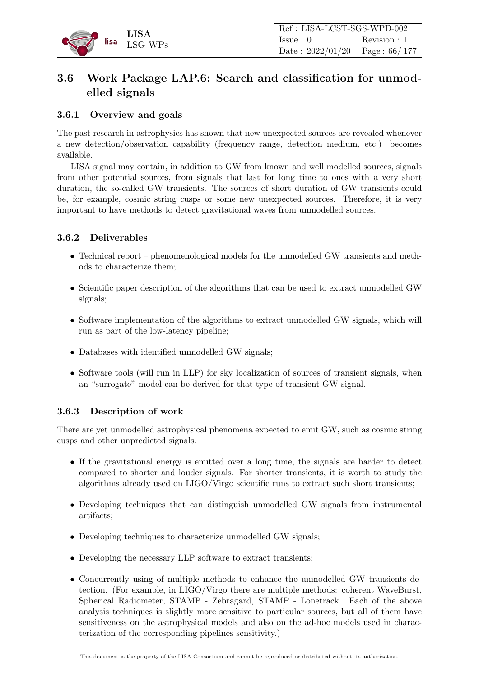

## 3.6 Work Package LAP.6: Search and classification for unmodelled signals

### 3.6.1 Overview and goals

The past research in astrophysics has shown that new unexpected sources are revealed whenever a new detection/observation capability (frequency range, detection medium, etc.) becomes available.

LISA signal may contain, in addition to GW from known and well modelled sources, signals from other potential sources, from signals that last for long time to ones with a very short duration, the so-called GW transients. The sources of short duration of GW transients could be, for example, cosmic string cusps or some new unexpected sources. Therefore, it is very important to have methods to detect gravitational waves from unmodelled sources.

### 3.6.2 Deliverables

- Technical report phenomenological models for the unmodelled GW transients and methods to characterize them;
- Scientific paper description of the algorithms that can be used to extract unmodelled GW signals;
- Software implementation of the algorithms to extract unmodelled GW signals, which will run as part of the low-latency pipeline;
- Databases with identified unmodelled GW signals;
- Software tools (will run in LLP) for sky localization of sources of transient signals, when an "surrogate" model can be derived for that type of transient GW signal.

### 3.6.3 Description of work

There are yet unmodelled astrophysical phenomena expected to emit GW, such as cosmic string cusps and other unpredicted signals.

- If the gravitational energy is emitted over a long time, the signals are harder to detect compared to shorter and louder signals. For shorter transients, it is worth to study the algorithms already used on LIGO/Virgo scientific runs to extract such short transients;
- Developing techniques that can distinguish unmodelled GW signals from instrumental artifacts;
- Developing techniques to characterize unmodelled GW signals;
- Developing the necessary LLP software to extract transients;
- Concurrently using of multiple methods to enhance the unmodelled GW transients detection. (For example, in LIGO/Virgo there are multiple methods: coherent WaveBurst, Spherical Radiometer, STAMP - Zebragard, STAMP - Lonetrack. Each of the above analysis techniques is slightly more sensitive to particular sources, but all of them have sensitiveness on the astrophysical models and also on the ad-hoc models used in characterization of the corresponding pipelines sensitivity.)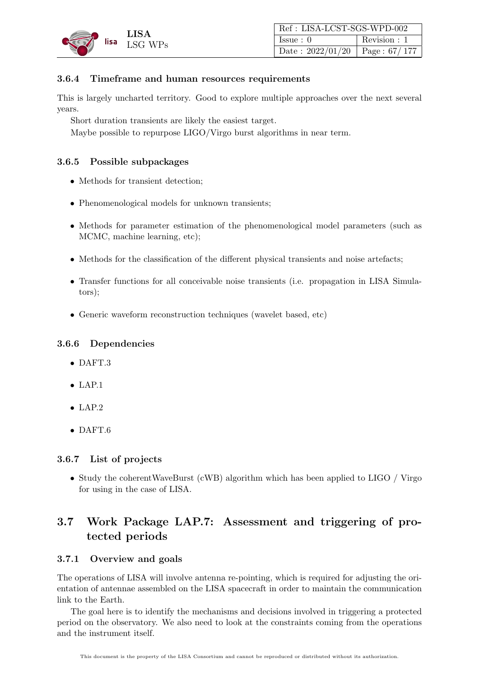

### 3.6.4 Timeframe and human resources requirements

This is largely uncharted territory. Good to explore multiple approaches over the next several years.

Short duration transients are likely the easiest target.

Maybe possible to repurpose LIGO/Virgo burst algorithms in near term.

### 3.6.5 Possible subpackages

- Methods for transient detection;
- Phenomenological models for unknown transients;
- Methods for parameter estimation of the phenomenological model parameters (such as MCMC, machine learning, etc);
- Methods for the classification of the different physical transients and noise artefacts;
- Transfer functions for all conceivable noise transients (i.e. propagation in LISA Simulators);
- Generic waveform reconstruction techniques (wavelet based, etc)

### 3.6.6 Dependencies

- DAFT.3
- LAP.1
- $\bullet$  LAP.2
- DAFT.6

### 3.6.7 List of projects

• Study the coherent WaveBurst (cWB) algorithm which has been applied to LIGO / Virgo for using in the case of LISA.

## 3.7 Work Package LAP.7: Assessment and triggering of protected periods

### 3.7.1 Overview and goals

The operations of LISA will involve antenna re-pointing, which is required for adjusting the orientation of antennae assembled on the LISA spacecraft in order to maintain the communication link to the Earth.

The goal here is to identify the mechanisms and decisions involved in triggering a protected period on the observatory. We also need to look at the constraints coming from the operations and the instrument itself.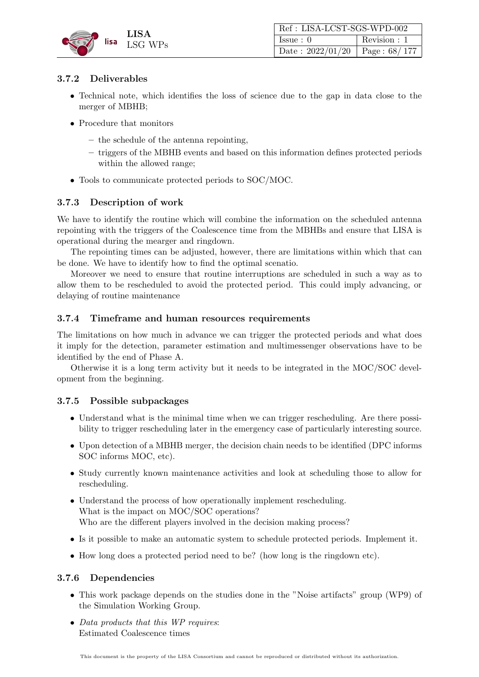

| Ref: LISA-LCST-SGS-WPD-002        |                      |
|-----------------------------------|----------------------|
| $I_{\text{ssue}}:0$               | $\vert$ Revision : 1 |
| Date: $2022/01/20$   Page: 68/177 |                      |

### 3.7.2 Deliverables

- Technical note, which identifies the loss of science due to the gap in data close to the merger of MBHB;
- Procedure that monitors
	- the schedule of the antenna repointing,
	- triggers of the MBHB events and based on this information defines protected periods within the allowed range;
- Tools to communicate protected periods to SOC/MOC.

### 3.7.3 Description of work

We have to identify the routine which will combine the information on the scheduled antenna repointing with the triggers of the Coalescence time from the MBHBs and ensure that LISA is operational during the mearger and ringdown.

The repointing times can be adjusted, however, there are limitations within which that can be done. We have to identify how to find the optimal scenatio.

Moreover we need to ensure that routine interruptions are scheduled in such a way as to allow them to be rescheduled to avoid the protected period. This could imply advancing, or delaying of routine maintenance

### 3.7.4 Timeframe and human resources requirements

The limitations on how much in advance we can trigger the protected periods and what does it imply for the detection, parameter estimation and multimessenger observations have to be identified by the end of Phase A.

Otherwise it is a long term activity but it needs to be integrated in the MOC/SOC development from the beginning.

### 3.7.5 Possible subpackages

- Understand what is the minimal time when we can trigger rescheduling. Are there possibility to trigger rescheduling later in the emergency case of particularly interesting source.
- Upon detection of a MBHB merger, the decision chain needs to be identified (DPC informs SOC informs MOC, etc).
- Study currently known maintenance activities and look at scheduling those to allow for rescheduling.
- Understand the process of how operationally implement rescheduling. What is the impact on MOC/SOC operations? Who are the different players involved in the decision making process?
- Is it possible to make an automatic system to schedule protected periods. Implement it.
- How long does a protected period need to be? (how long is the ringdown etc).

### 3.7.6 Dependencies

- This work package depends on the studies done in the "Noise artifacts" group (WP9) of the Simulation Working Group.
- Data products that this WP requires: Estimated Coalescence times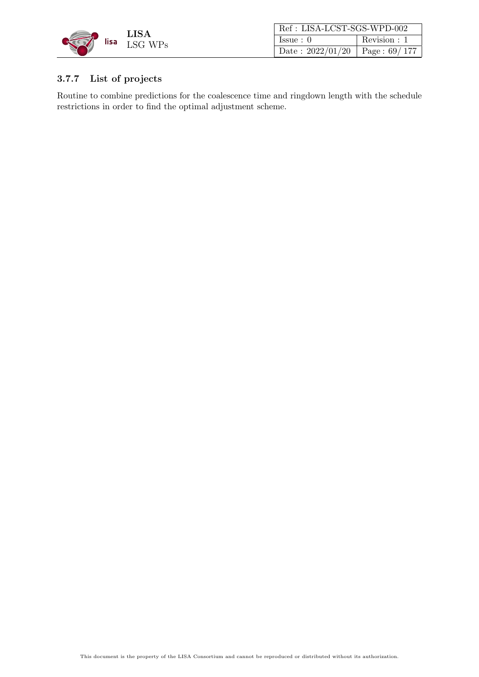

| Ref: LISA-LCST-SGS-WPD-002        |                      |
|-----------------------------------|----------------------|
| Issue:0                           | $\vert$ Revision : 1 |
| Date: $2022/01/20$   Page: 69/177 |                      |

## 3.7.7 List of projects

Routine to combine predictions for the coalescence time and ringdown length with the schedule restrictions in order to find the optimal adjustment scheme.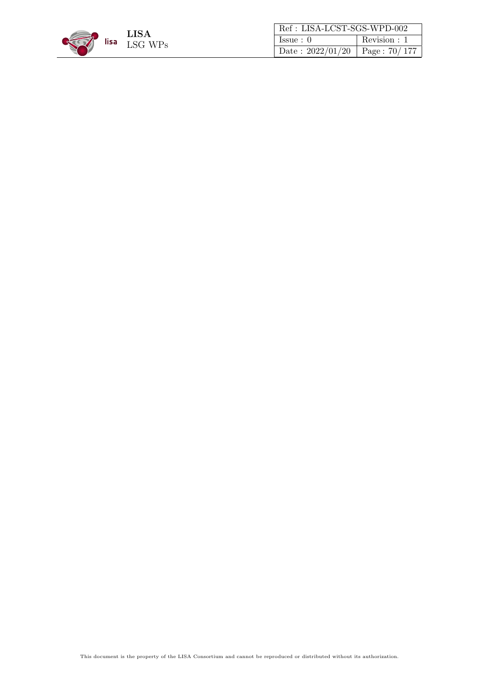

| Ref : LISA-LCST-SGS-WPD-002 |                           |
|-----------------------------|---------------------------|
| Issue:0                     | $\mathbb{R}$ Revision : 1 |
| Date: $2022/01/20$          | Page : $70/177$           |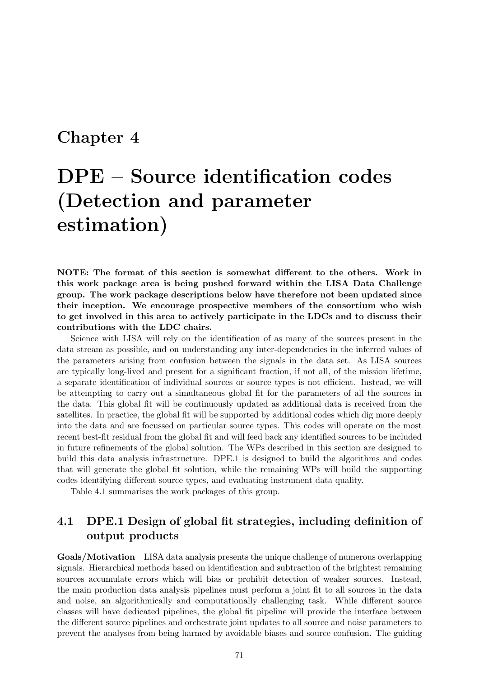# Chapter 4

# DPE – Source identification codes (Detection and parameter estimation)

NOTE: The format of this section is somewhat different to the others. Work in this work package area is being pushed forward within the LISA Data Challenge group. The work package descriptions below have therefore not been updated since their inception. We encourage prospective members of the consortium who wish to get involved in this area to actively participate in the LDCs and to discuss their contributions with the LDC chairs.

Science with LISA will rely on the identification of as many of the sources present in the data stream as possible, and on understanding any inter-dependencies in the inferred values of the parameters arising from confusion between the signals in the data set. As LISA sources are typically long-lived and present for a significant fraction, if not all, of the mission lifetime, a separate identification of individual sources or source types is not efficient. Instead, we will be attempting to carry out a simultaneous global fit for the parameters of all the sources in the data. This global fit will be continuously updated as additional data is received from the satellites. In practice, the global fit will be supported by additional codes which dig more deeply into the data and are focussed on particular source types. This codes will operate on the most recent best-fit residual from the global fit and will feed back any identified sources to be included in future refinements of the global solution. The WPs described in this section are designed to build this data analysis infrastructure. DPE.1 is designed to build the algorithms and codes that will generate the global fit solution, while the remaining WPs will build the supporting codes identifying different source types, and evaluating instrument data quality.

Table [4.1](#page-73-0) summarises the work packages of this group.

# 4.1 DPE.1 Design of global fit strategies, including definition of output products

Goals/Motivation LISA data analysis presents the unique challenge of numerous overlapping signals. Hierarchical methods based on identification and subtraction of the brightest remaining sources accumulate errors which will bias or prohibit detection of weaker sources. Instead, the main production data analysis pipelines must perform a joint fit to all sources in the data and noise, an algorithmically and computationally challenging task. While different source classes will have dedicated pipelines, the global fit pipeline will provide the interface between the different source pipelines and orchestrate joint updates to all source and noise parameters to prevent the analyses from being harmed by avoidable biases and source confusion. The guiding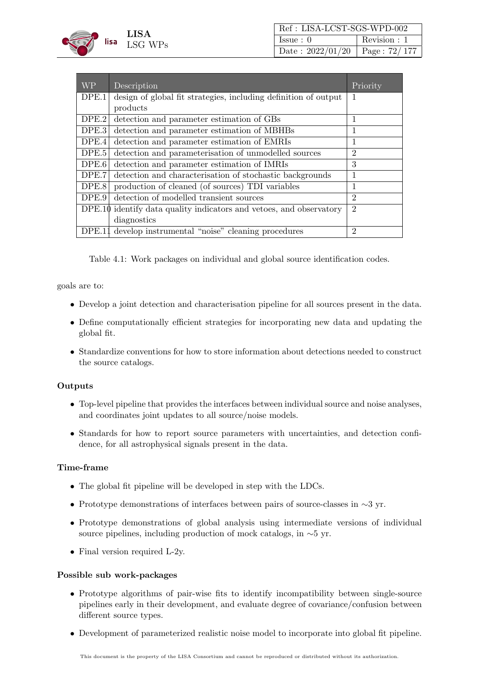

| Ref: LISA-LCST-SGS-WPD-002 |                |  |
|----------------------------|----------------|--|
| Issue:0                    | Revision : 1   |  |
| Date: $2022/01/20$         | Page: $72/177$ |  |

| WP    | Description                                                         | Priority                    |
|-------|---------------------------------------------------------------------|-----------------------------|
| DPE.1 | design of global fit strategies, including definition of output     | 1                           |
|       | products                                                            |                             |
| DPE.2 | detection and parameter estimation of GBs                           | 1                           |
| DPE.3 | detection and parameter estimation of MBHBs                         | 1                           |
| DPE.4 | detection and parameter estimation of EMRIs                         |                             |
| DPE.5 | detection and parameterisation of unmodelled sources                | $\overline{2}$              |
| DPE.6 | detection and parameter estimation of IMRIs                         | 3                           |
| DPE.7 | detection and characterisation of stochastic backgrounds            |                             |
| DPE.8 | production of cleaned (of sources) TDI variables                    |                             |
| DPE.9 | detection of modelled transient sources                             | $\overline{2}$              |
|       | DPE.10 identify data quality indicators and vetoes, and observatory | $\mathcal{D}_{\mathcal{L}}$ |
|       | diagnostics                                                         |                             |
|       | DPE.11 develop instrumental "noise" cleaning procedures             | $\overline{2}$              |

<span id="page-73-0"></span>Table 4.1: Work packages on individual and global source identification codes.

goals are to:

- Develop a joint detection and characterisation pipeline for all sources present in the data.
- Define computationally efficient strategies for incorporating new data and updating the global fit.
- Standardize conventions for how to store information about detections needed to construct the source catalogs.

## **Outputs**

- Top-level pipeline that provides the interfaces between individual source and noise analyses, and coordinates joint updates to all source/noise models.
- Standards for how to report source parameters with uncertainties, and detection confidence, for all astrophysical signals present in the data.

### Time-frame

- The global fit pipeline will be developed in step with the LDCs.
- Prototype demonstrations of interfaces between pairs of source-classes in ∼3 yr.
- Prototype demonstrations of global analysis using intermediate versions of individual source pipelines, including production of mock catalogs, in ∼5 yr.
- Final version required L-2y.

### Possible sub work-packages

- Prototype algorithms of pair-wise fits to identify incompatibility between single-source pipelines early in their development, and evaluate degree of covariance/confusion between different source types.
- Development of parameterized realistic noise model to incorporate into global fit pipeline.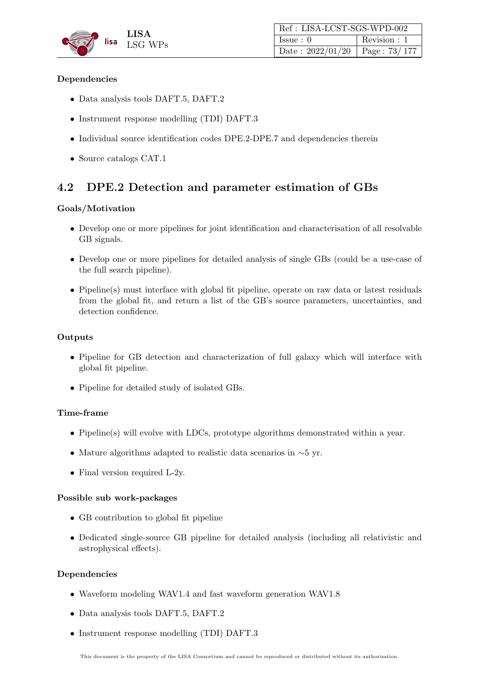

| Ref: LISA-LCST-SGS-WPD-002        |                      |  |  |
|-----------------------------------|----------------------|--|--|
| Issue:0                           | $\vert$ Revision : 1 |  |  |
| Date: $2022/01/20$   Page: 73/177 |                      |  |  |

## Dependencies

- Data analysis tools DAFT.5, DAFT.2
- Instrument response modelling (TDI) DAFT.3
- Individual source identification codes DPE.2-DPE.7 and dependencies therein
- Source catalogs CAT.1

# 4.2 DPE.2 Detection and parameter estimation of GBs

## Goals/Motivation

- Develop one or more pipelines for joint identification and characterisation of all resolvable GB signals.
- Develop one or more pipelines for detailed analysis of single GBs (could be a use-case of the full search pipeline).
- Pipeline(s) must interface with global fit pipeline, operate on raw data or latest residuals from the global fit, and return a list of the GB's source parameters, uncertainties, and detection confidence.

## **Outputs**

- Pipeline for GB detection and characterization of full galaxy which will interface with global fit pipeline.
- Pipeline for detailed study of isolated GBs.

### Time-frame

- Pipeline(s) will evolve with LDCs, prototype algorithms demonstrated within a year.
- Mature algorithms adapted to realistic data scenarios in ∼5 yr.
- Final version required L-2y.

### Possible sub work-packages

- GB contribution to global fit pipeline
- Dedicated single-source GB pipeline for detailed analysis (including all relativistic and astrophysical effects).

## Dependencies

- Waveform modeling WAV1.4 and fast waveform generation WAV1.8
- Data analysis tools DAFT.5, DAFT.2
- Instrument response modelling (TDI) DAFT.3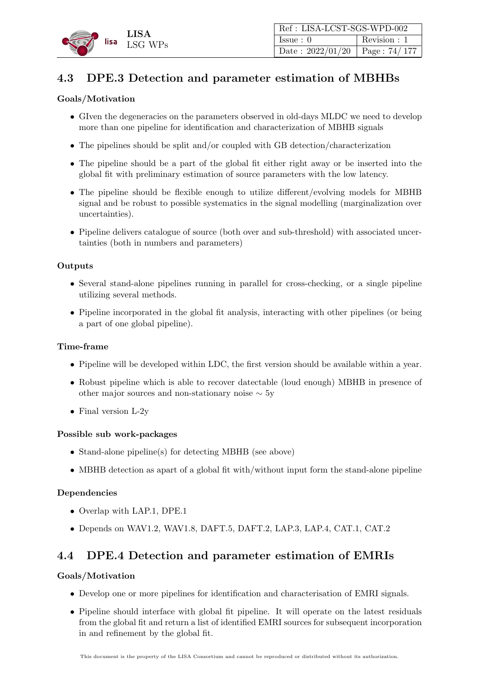

# 4.3 DPE.3 Detection and parameter estimation of MBHBs

## Goals/Motivation

- GIven the degeneracies on the parameters observed in old-days MLDC we need to develop more than one pipeline for identification and characterization of MBHB signals
- The pipelines should be split and/or coupled with GB detection/characterization
- The pipeline should be a part of the global fit either right away or be inserted into the global fit with preliminary estimation of source parameters with the low latency.
- The pipeline should be flexible enough to utilize different/evolving models for MBHB signal and be robust to possible systematics in the signal modelling (marginalization over uncertainties).
- Pipeline delivers catalogue of source (both over and sub-threshold) with associated uncertainties (both in numbers and parameters)

## **Outputs**

- Several stand-alone pipelines running in parallel for cross-checking, or a single pipeline utilizing several methods.
- Pipeline incorporated in the global fit analysis, interacting with other pipelines (or being a part of one global pipeline).

## Time-frame

- Pipeline will be developed within LDC, the first version should be available within a year.
- Robust pipeline which is able to recover datectable (loud enough) MBHB in presence of other major sources and non-stationary noise ∼ 5y
- Final version L-2y

### Possible sub work-packages

- Stand-alone pipeline(s) for detecting MBHB (see above)
- MBHB detection as apart of a global fit with/without input form the stand-alone pipeline

## Dependencies

- Overlap with LAP.1, DPE.1
- Depends on WAV1.2, WAV1.8, DAFT.5, DAFT.2, LAP.3, LAP.4, CAT.1, CAT.2

# 4.4 DPE.4 Detection and parameter estimation of EMRIs

## Goals/Motivation

- Develop one or more pipelines for identification and characterisation of EMRI signals.
- Pipeline should interface with global fit pipeline. It will operate on the latest residuals from the global fit and return a list of identified EMRI sources for subsequent incorporation in and refinement by the global fit.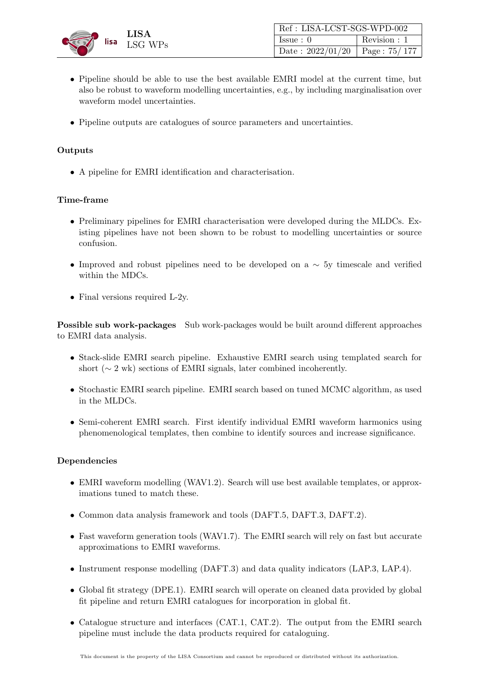

- Pipeline should be able to use the best available EMRI model at the current time, but also be robust to waveform modelling uncertainties, e.g., by including marginalisation over waveform model uncertainties.
- Pipeline outputs are catalogues of source parameters and uncertainties.

## **Outputs**

• A pipeline for EMRI identification and characterisation.

### Time-frame

- Preliminary pipelines for EMRI characterisation were developed during the MLDCs. Existing pipelines have not been shown to be robust to modelling uncertainties or source confusion.
- Improved and robust pipelines need to be developed on a  $\sim$  5y timescale and verified within the MDCs.
- Final versions required L-2y.

Possible sub work-packages Sub work-packages would be built around different approaches to EMRI data analysis.

- Stack-slide EMRI search pipeline. Exhaustive EMRI search using templated search for short ( $\sim$  2 wk) sections of EMRI signals, later combined incoherently.
- Stochastic EMRI search pipeline. EMRI search based on tuned MCMC algorithm, as used in the MLDCs.
- Semi-coherent EMRI search. First identify individual EMRI waveform harmonics using phenomenological templates, then combine to identify sources and increase significance.

### Dependencies

- EMRI waveform modelling (WAV1.2). Search will use best available templates, or approximations tuned to match these.
- Common data analysis framework and tools (DAFT.5, DAFT.3, DAFT.2).
- Fast waveform generation tools (WAV1.7). The EMRI search will rely on fast but accurate approximations to EMRI waveforms.
- Instrument response modelling (DAFT.3) and data quality indicators (LAP.3, LAP.4).
- Global fit strategy (DPE.1). EMRI search will operate on cleaned data provided by global fit pipeline and return EMRI catalogues for incorporation in global fit.
- Catalogue structure and interfaces (CAT.1, CAT.2). The output from the EMRI search pipeline must include the data products required for cataloguing.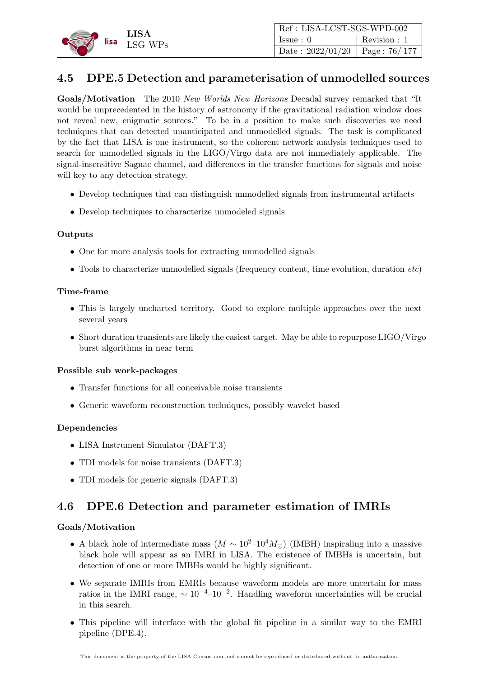

# 4.5 DPE.5 Detection and parameterisation of unmodelled sources

Goals/Motivation The 2010 New Worlds New Horizons Decadal survey remarked that "It would be unprecedented in the history of astronomy if the gravitational radiation window does not reveal new, enigmatic sources." To be in a position to make such discoveries we need techniques that can detected unanticipated and unmodelled signals. The task is complicated by the fact that LISA is one instrument, so the coherent network analysis techniques used to search for unmodelled signals in the LIGO/Virgo data are not immediately applicable. The signal-insensitive Sagnac channel, and differences in the transfer functions for signals and noise will key to any detection strategy.

- Develop techniques that can distinguish unmodelled signals from instrumental artifacts
- Develop techniques to characterize unmodeled signals

## **Outputs**

- One for more analysis tools for extracting unmodelled signals
- Tools to characterize unmodelled signals (frequency content, time evolution, duration  $etc$ )

## Time-frame

- This is largely uncharted territory. Good to explore multiple approaches over the next several years
- Short duration transients are likely the easiest target. May be able to repurpose LIGO/Virgo burst algorithms in near term

### Possible sub work-packages

- Transfer functions for all conceivable noise transients
- Generic waveform reconstruction techniques, possibly wavelet based

### Dependencies

- LISA Instrument Simulator (DAFT.3)
- TDI models for noise transients (DAFT.3)
- TDI models for generic signals (DAFT.3)

## 4.6 DPE.6 Detection and parameter estimation of IMRIs

### Goals/Motivation

- A black hole of intermediate mass  $(M \sim 10^2 10^4 M_{\odot})$  (IMBH) inspiraling into a massive black hole will appear as an IMRI in LISA. The existence of IMBHs is uncertain, but detection of one or more IMBHs would be highly significant.
- We separate IMRIs from EMRIs because waveform models are more uncertain for mass ratios in the IMRI range,  $\sim 10^{-4}$ – $10^{-2}$ . Handling waveform uncertainties will be crucial in this search.
- This pipeline will interface with the global fit pipeline in a similar way to the EMRI pipeline (DPE.4).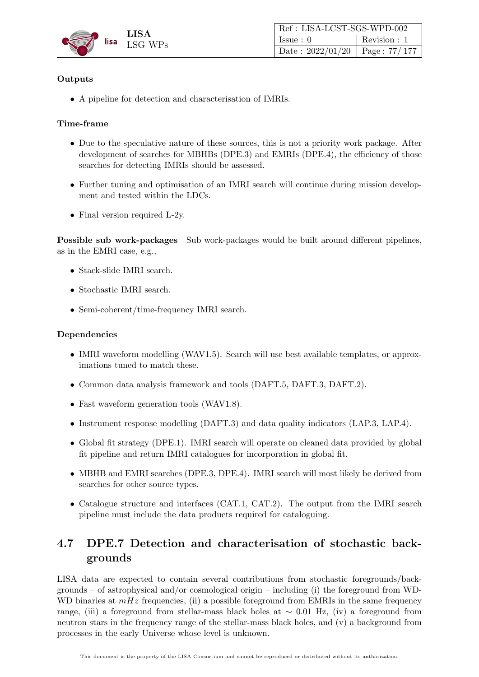

| Ref: LISA-LCST-SGS-WPD-002        |                      |  |  |
|-----------------------------------|----------------------|--|--|
| Issue: 0                          | $\vert$ Revision : 1 |  |  |
| Date: $2022/01/20$   Page: 77/177 |                      |  |  |

## **Outputs**

• A pipeline for detection and characterisation of IMRIs.

## Time-frame

- Due to the speculative nature of these sources, this is not a priority work package. After development of searches for MBHBs (DPE.3) and EMRIs (DPE.4), the efficiency of those searches for detecting IMRIs should be assessed.
- Further tuning and optimisation of an IMRI search will continue during mission development and tested within the LDCs.
- Final version required L-2y.

Possible sub work-packages Sub work-packages would be built around different pipelines, as in the EMRI case, e.g.,

- Stack-slide IMRI search.
- Stochastic IMRI search.
- Semi-coherent/time-frequency IMRI search.

## Dependencies

- IMRI waveform modelling (WAV1.5). Search will use best available templates, or approximations tuned to match these.
- Common data analysis framework and tools (DAFT.5, DAFT.3, DAFT.2).
- Fast waveform generation tools (WAV1.8).
- Instrument response modelling (DAFT.3) and data quality indicators (LAP.3, LAP.4).
- Global fit strategy (DPE.1). IMRI search will operate on cleaned data provided by global fit pipeline and return IMRI catalogues for incorporation in global fit.
- MBHB and EMRI searches (DPE.3, DPE.4). IMRI search will most likely be derived from searches for other source types.
- Catalogue structure and interfaces (CAT.1, CAT.2). The output from the IMRI search pipeline must include the data products required for cataloguing.

# 4.7 DPE.7 Detection and characterisation of stochastic backgrounds

LISA data are expected to contain several contributions from stochastic foregrounds/backgrounds – of astrophysical and/or cosmological origin – including  $(i)$  the foreground from WD-WD binaries at  $mHz$  frequencies, (ii) a possible foreground from EMRIs in the same frequency range, (iii) a foreground from stellar-mass black holes at  $\sim 0.01$  Hz, (iv) a foreground from neutron stars in the frequency range of the stellar-mass black holes, and (v) a background from processes in the early Universe whose level is unknown.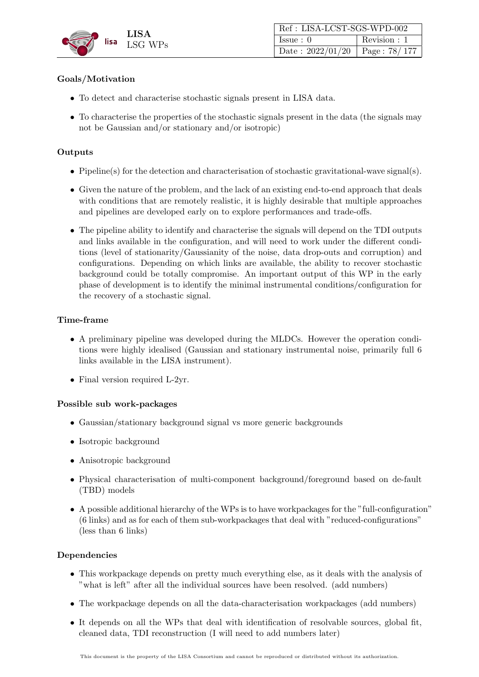

## Goals/Motivation

- To detect and characterise stochastic signals present in LISA data.
- To characterise the properties of the stochastic signals present in the data (the signals may not be Gaussian and/or stationary and/or isotropic)

## **Outputs**

- Pipeline(s) for the detection and characterisation of stochastic gravitational-wave signal(s).
- Given the nature of the problem, and the lack of an existing end-to-end approach that deals with conditions that are remotely realistic, it is highly desirable that multiple approaches and pipelines are developed early on to explore performances and trade-offs.
- The pipeline ability to identify and characterise the signals will depend on the TDI outputs and links available in the configuration, and will need to work under the different conditions (level of stationarity/Gaussianity of the noise, data drop-outs and corruption) and configurations. Depending on which links are available, the ability to recover stochastic background could be totally compromise. An important output of this WP in the early phase of development is to identify the minimal instrumental conditions/configuration for the recovery of a stochastic signal.

## Time-frame

- A preliminary pipeline was developed during the MLDCs. However the operation conditions were highly idealised (Gaussian and stationary instrumental noise, primarily full 6 links available in the LISA instrument).
- Final version required L-2yr.

## Possible sub work-packages

- Gaussian/stationary background signal vs more generic backgrounds
- Isotropic background
- Anisotropic background
- Physical characterisation of multi-component background/foreground based on de-fault (TBD) models
- A possible additional hierarchy of the WPs is to have workpackages for the "full-configuration" (6 links) and as for each of them sub-workpackages that deal with "reduced-configurations" (less than 6 links)

## Dependencies

- This workpackage depends on pretty much everything else, as it deals with the analysis of "what is left" after all the individual sources have been resolved. (add numbers)
- The workpackage depends on all the data-characterisation workpackages (add numbers)
- It depends on all the WPs that deal with identification of resolvable sources, global fit, cleaned data, TDI reconstruction (I will need to add numbers later)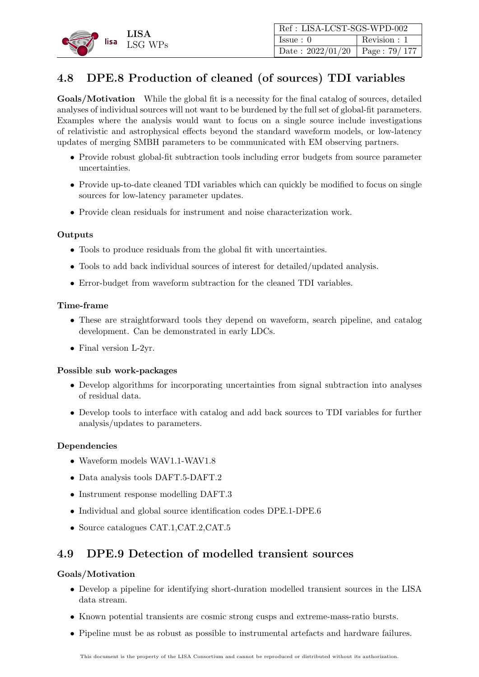

# 4.8 DPE.8 Production of cleaned (of sources) TDI variables

Goals/Motivation While the global fit is a necessity for the final catalog of sources, detailed analyses of individual sources will not want to be burdened by the full set of global-fit parameters. Examples where the analysis would want to focus on a single source include investigations of relativistic and astrophysical effects beyond the standard waveform models, or low-latency updates of merging SMBH parameters to be communicated with EM observing partners.

- Provide robust global-fit subtraction tools including error budgets from source parameter uncertainties.
- Provide up-to-date cleaned TDI variables which can quickly be modified to focus on single sources for low-latency parameter updates.
- Provide clean residuals for instrument and noise characterization work.

## **Outputs**

- Tools to produce residuals from the global fit with uncertainties.
- Tools to add back individual sources of interest for detailed/updated analysis.
- Error-budget from waveform subtraction for the cleaned TDI variables.

## Time-frame

- These are straightforward tools they depend on waveform, search pipeline, and catalog development. Can be demonstrated in early LDCs.
- Final version L-2yr.

### Possible sub work-packages

- Develop algorithms for incorporating uncertainties from signal subtraction into analyses of residual data.
- Develop tools to interface with catalog and add back sources to TDI variables for further analysis/updates to parameters.

## Dependencies

- Waveform models WAV1.1-WAV1.8
- Data analysis tools DAFT.5-DAFT.2
- Instrument response modelling DAFT.3
- Individual and global source identification codes DPE.1-DPE.6
- Source catalogues CAT.1, CAT.2, CAT.5

# 4.9 DPE.9 Detection of modelled transient sources

### Goals/Motivation

- Develop a pipeline for identifying short-duration modelled transient sources in the LISA data stream.
- Known potential transients are cosmic strong cusps and extreme-mass-ratio bursts.
- Pipeline must be as robust as possible to instrumental artefacts and hardware failures.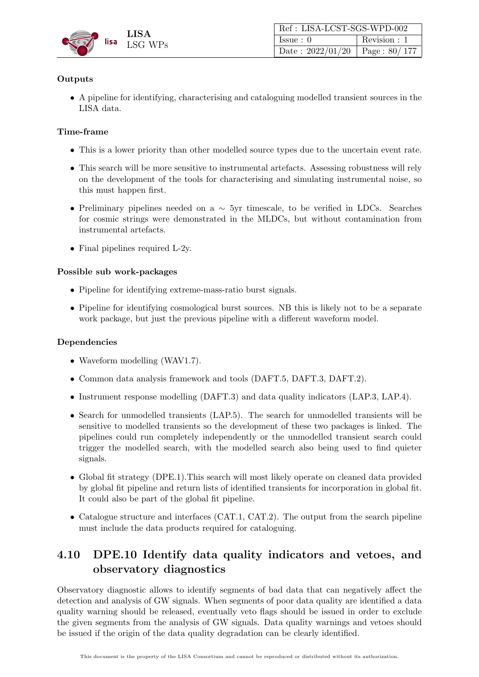

| Ref: LISA-LCST-SGS-WPD-002          |                |  |
|-------------------------------------|----------------|--|
| $I_{\text{ssue}}:0$                 | Revision : $1$ |  |
| Date: $2022/01/20$   Page: $80/177$ |                |  |

## **Outputs**

• A pipeline for identifying, characterising and cataloguing modelled transient sources in the LISA data.

## Time-frame

- This is a lower priority than other modelled source types due to the uncertain event rate.
- This search will be more sensitive to instrumental artefacts. Assessing robustness will rely on the development of the tools for characterising and simulating instrumental noise, so this must happen first.
- Preliminary pipelines needed on a  $\sim$  5yr timescale, to be verified in LDCs. Searches for cosmic strings were demonstrated in the MLDCs, but without contamination from instrumental artefacts.
- Final pipelines required L-2y.

## Possible sub work-packages

- Pipeline for identifying extreme-mass-ratio burst signals.
- Pipeline for identifying cosmological burst sources. NB this is likely not to be a separate work package, but just the previous pipeline with a different waveform model.

## Dependencies

- Waveform modelling (WAV1.7).
- Common data analysis framework and tools (DAFT.5, DAFT.3, DAFT.2).
- Instrument response modelling (DAFT.3) and data quality indicators (LAP.3, LAP.4).
- Search for unmodelled transients (LAP.5). The search for unmodelled transients will be sensitive to modelled transients so the development of these two packages is linked. The pipelines could run completely independently or the unmodelled transient search could trigger the modelled search, with the modelled search also being used to find quieter signals.
- Global fit strategy (DPE.1).This search will most likely operate on cleaned data provided by global fit pipeline and return lists of identified transients for incorporation in global fit. It could also be part of the global fit pipeline.
- Catalogue structure and interfaces (CAT.1, CAT.2). The output from the search pipeline must include the data products required for cataloguing.

# 4.10 DPE.10 Identify data quality indicators and vetoes, and observatory diagnostics

Observatory diagnostic allows to identify segments of bad data that can negatively affect the detection and analysis of GW signals. When segments of poor data quality are identified a data quality warning should be released, eventually veto flags should be issued in order to exclude the given segments from the analysis of GW signals. Data quality warnings and vetoes should be issued if the origin of the data quality degradation can be clearly identified.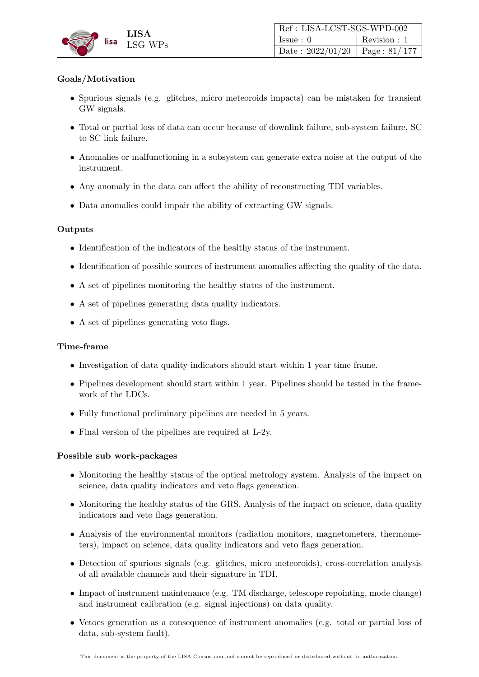

| Ref: LISA-LCST-SGS-WPD-002          |                      |  |  |
|-------------------------------------|----------------------|--|--|
| Issue:0                             | $\vert$ Revision : 1 |  |  |
| Date: $2022/01/20$   Page: $81/177$ |                      |  |  |

## Goals/Motivation

- Spurious signals (e.g. glitches, micro meteoroids impacts) can be mistaken for transient GW signals.
- Total or partial loss of data can occur because of downlink failure, sub-system failure, SC to SC link failure.
- Anomalies or malfunctioning in a subsystem can generate extra noise at the output of the instrument.
- Any anomaly in the data can affect the ability of reconstructing TDI variables.
- Data anomalies could impair the ability of extracting GW signals.

### **Outputs**

- Identification of the indicators of the healthy status of the instrument.
- Identification of possible sources of instrument anomalies affecting the quality of the data.
- A set of pipelines monitoring the healthy status of the instrument.
- A set of pipelines generating data quality indicators.
- A set of pipelines generating veto flags.

### Time-frame

- Investigation of data quality indicators should start within 1 year time frame.
- Pipelines development should start within 1 year. Pipelines should be tested in the framework of the LDCs.
- Fully functional preliminary pipelines are needed in 5 years.
- Final version of the pipelines are required at L-2y.

### Possible sub work-packages

- Monitoring the healthy status of the optical metrology system. Analysis of the impact on science, data quality indicators and veto flags generation.
- Monitoring the healthy status of the GRS. Analysis of the impact on science, data quality indicators and veto flags generation.
- Analysis of the environmental monitors (radiation monitors, magnetometers, thermometers), impact on science, data quality indicators and veto flags generation.
- Detection of spurious signals (e.g. glitches, micro meteoroids), cross-correlation analysis of all available channels and their signature in TDI.
- Impact of instrument maintenance (e.g. TM discharge, telescope repointing, mode change) and instrument calibration (e.g. signal injections) on data quality.
- Vetoes generation as a consequence of instrument anomalies (e.g. total or partial loss of data, sub-system fault).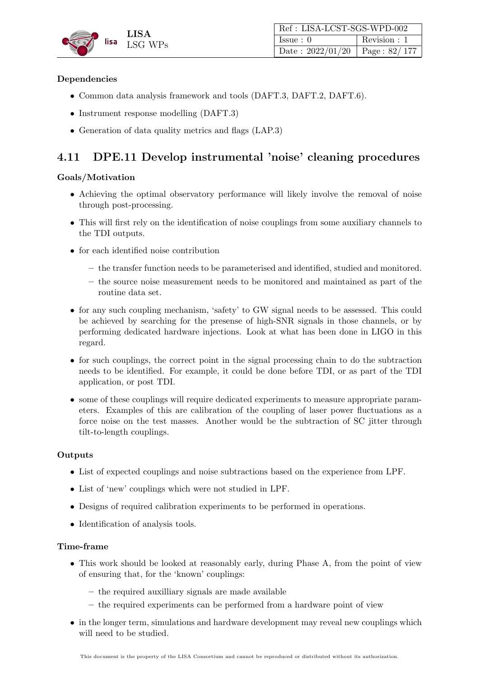

| Ref: LISA-LCST-SGS-WPD-002          |                      |  |  |
|-------------------------------------|----------------------|--|--|
| $I_{\text{ssue}}: 0$                | $\vert$ Revision : 1 |  |  |
| Date: $2022/01/20$   Page: $82/177$ |                      |  |  |

## Dependencies

- Common data analysis framework and tools (DAFT.3, DAFT.2, DAFT.6).
- Instrument response modelling (DAFT.3)
- Generation of data quality metrics and flags (LAP.3)

# 4.11 DPE.11 Develop instrumental 'noise' cleaning procedures

## Goals/Motivation

- Achieving the optimal observatory performance will likely involve the removal of noise through post-processing.
- This will first rely on the identification of noise couplings from some auxiliary channels to the TDI outputs.
- for each identified noise contribution
	- the transfer function needs to be parameterised and identified, studied and monitored.
	- the source noise measurement needs to be monitored and maintained as part of the routine data set.
- for any such coupling mechanism, 'safety' to GW signal needs to be assessed. This could be achieved by searching for the presense of high-SNR signals in those channels, or by performing dedicated hardware injections. Look at what has been done in LIGO in this regard.
- for such couplings, the correct point in the signal processing chain to do the subtraction needs to be identified. For example, it could be done before TDI, or as part of the TDI application, or post TDI.
- some of these couplings will require dedicated experiments to measure appropriate parameters. Examples of this are calibration of the coupling of laser power fluctuations as a force noise on the test masses. Another would be the subtraction of SC jitter through tilt-to-length couplings.

### **Outputs**

- List of expected couplings and noise subtractions based on the experience from LPF.
- List of 'new' couplings which were not studied in LPF.
- Designs of required calibration experiments to be performed in operations.
- Identification of analysis tools.

## Time-frame

- This work should be looked at reasonably early, during Phase A, from the point of view of ensuring that, for the 'known' couplings:
	- the required auxilliary signals are made available
	- the required experiments can be performed from a hardware point of view
- in the longer term, simulations and hardware development may reveal new couplings which will need to be studied.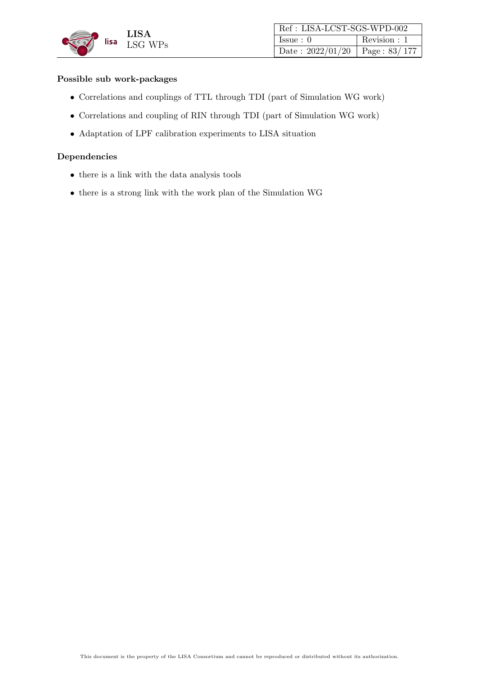

| Ref: LISA-LCST-SGS-WPD-002          |                      |  |
|-------------------------------------|----------------------|--|
| $I_{\text{ssue}}:0$                 | $\vert$ Revision : 1 |  |
| Date: $2022/01/20$   Page: $83/177$ |                      |  |

## Possible sub work-packages

- Correlations and couplings of TTL through TDI (part of Simulation WG work)
- Correlations and coupling of RIN through TDI (part of Simulation WG work)
- Adaptation of LPF calibration experiments to LISA situation

### Dependencies

- $\bullet\,$  there is a link with the data analysis tools
- there is a strong link with the work plan of the Simulation WG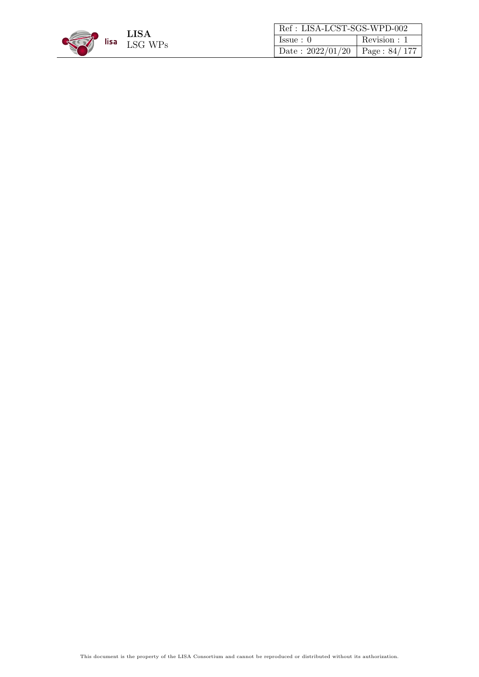

| Ref : LISA-LCST-SGS-WPD-002 |                       |  |
|-----------------------------|-----------------------|--|
| $\text{I}\text{ssue}:0$     | Revision : 1          |  |
| Date: $2022/01/20$          | $\vert$ Page : 84/177 |  |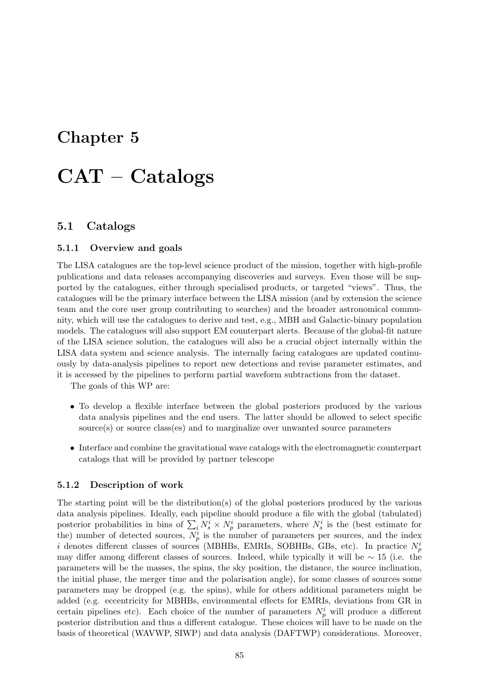# Chapter 5

# CAT – Catalogs

## 5.1 Catalogs

#### 5.1.1 Overview and goals

The LISA catalogues are the top-level science product of the mission, together with high-profile publications and data releases accompanying discoveries and surveys. Even those will be supported by the catalogues, either through specialised products, or targeted "views". Thus, the catalogues will be the primary interface between the LISA mission (and by extension the science team and the core user group contributing to searches) and the broader astronomical community, which will use the catalogues to derive and test, e.g., MBH and Galactic-binary population models. The catalogues will also support EM counterpart alerts. Because of the global-fit nature of the LISA science solution, the catalogues will also be a crucial object internally within the LISA data system and science analysis. The internally facing catalogues are updated continuously by data-analysis pipelines to report new detections and revise parameter estimates, and it is accessed by the pipelines to perform partial waveform subtractions from the dataset.

The goals of this WP are:

- To develop a flexible interface between the global posteriors produced by the various data analysis pipelines and the end users. The latter should be allowed to select specific source(s) or source class(es) and to marginalize over unwanted source parameters
- Interface and combine the gravitational wave catalogs with the electromagnetic counterpart catalogs that will be provided by partner telescope

#### 5.1.2 Description of work

The starting point will be the distribution(s) of the global posteriors produced by the various data analysis pipelines. Ideally, each pipeline should produce a file with the global (tabulated) posterior probabilities in bins of  $\sum_i N_s^i \times N_p^i$  parameters, where  $N_s^i$  is the (best estimate for the) number of detected sources,  $N_p^i$  is the number of parameters per sources, and the index i denotes different classes of sources (MBHBs, EMRIs, SOBHBs, GBs, etc). In practice  $N_p^i$ may different classes of sources. Indeed, while typically it will be  $~15$  (i.e. the parameters will be the masses, the spins, the sky position, the distance, the source inclination, the initial phase, the merger time and the polarisation angle), for some classes of sources some parameters may be dropped (e.g. the spins), while for others additional parameters might be added (e.g. eccentricity for MBHBs, environmental effects for EMRIs, deviations from GR in certain pipelines etc). Each choice of the number of parameters  $N_p^i$  will produce a different posterior distribution and thus a different catalogue. These choices will have to be made on the basis of theoretical (WAVWP, SIWP) and data analysis (DAFTWP) considerations. Moreover,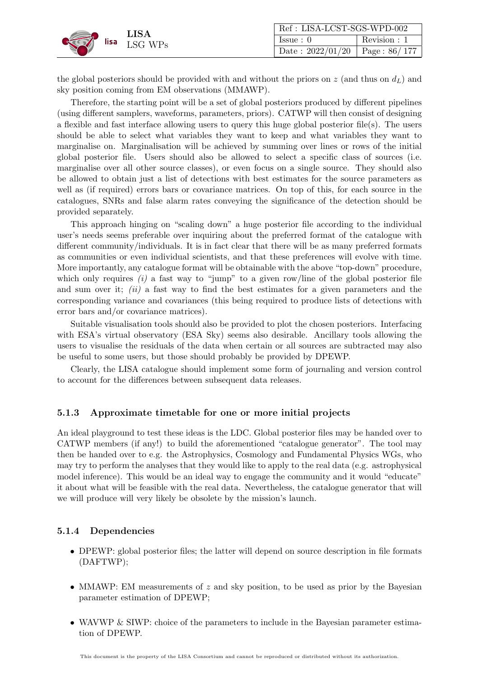| lisa<br>$\geq$ | LSG WPs | Ref: LISA-LCST-SGS-WPD-002          |              |
|----------------|---------|-------------------------------------|--------------|
|                |         | $\text{I}\text{ssue}:0$             | Revision : 1 |
|                |         | Date: $2022/01/20$   Page: $86/177$ |              |

the global posteriors should be provided with and without the priors on  $z$  (and thus on  $d<sub>L</sub>$ ) and sky position coming from EM observations (MMAWP).

Therefore, the starting point will be a set of global posteriors produced by different pipelines (using different samplers, waveforms, parameters, priors). CATWP will then consist of designing a flexible and fast interface allowing users to query this huge global posterior file(s). The users should be able to select what variables they want to keep and what variables they want to marginalise on. Marginalisation will be achieved by summing over lines or rows of the initial global posterior file. Users should also be allowed to select a specific class of sources (i.e. marginalise over all other source classes), or even focus on a single source. They should also be allowed to obtain just a list of detections with best estimates for the source parameters as well as (if required) errors bars or covariance matrices. On top of this, for each source in the catalogues, SNRs and false alarm rates conveying the significance of the detection should be provided separately.

This approach hinging on "scaling down" a huge posterior file according to the individual user's needs seems preferable over inquiring about the preferred format of the catalogue with different community/individuals. It is in fact clear that there will be as many preferred formats as communities or even individual scientists, and that these preferences will evolve with time. More importantly, any catalogue format will be obtainable with the above "top-down" procedure, which only requires  $(i)$  a fast way to "jump" to a given row/line of the global posterior file and sum over it;  $(ii)$  a fast way to find the best estimates for a given parameters and the corresponding variance and covariances (this being required to produce lists of detections with error bars and/or covariance matrices).

Suitable visualisation tools should also be provided to plot the chosen posteriors. Interfacing with ESA's virtual observatory (ESA Sky) seems also desirable. Ancillary tools allowing the users to visualise the residuals of the data when certain or all sources are subtracted may also be useful to some users, but those should probably be provided by DPEWP.

Clearly, the LISA catalogue should implement some form of journaling and version control to account for the differences between subsequent data releases.

### 5.1.3 Approximate timetable for one or more initial projects

An ideal playground to test these ideas is the LDC. Global posterior files may be handed over to CATWP members (if any!) to build the aforementioned "catalogue generator". The tool may then be handed over to e.g. the Astrophysics, Cosmology and Fundamental Physics WGs, who may try to perform the analyses that they would like to apply to the real data (e.g. astrophysical model inference). This would be an ideal way to engage the community and it would "educate" it about what will be feasible with the real data. Nevertheless, the catalogue generator that will we will produce will very likely be obsolete by the mission's launch.

### 5.1.4 Dependencies

- DPEWP: global posterior files; the latter will depend on source description in file formats (DAFTWP);
- MMAWP: EM measurements of  $z$  and sky position, to be used as prior by the Bayesian parameter estimation of DPEWP;
- WAVWP  $\&$  SIWP: choice of the parameters to include in the Bayesian parameter estimation of DPEWP.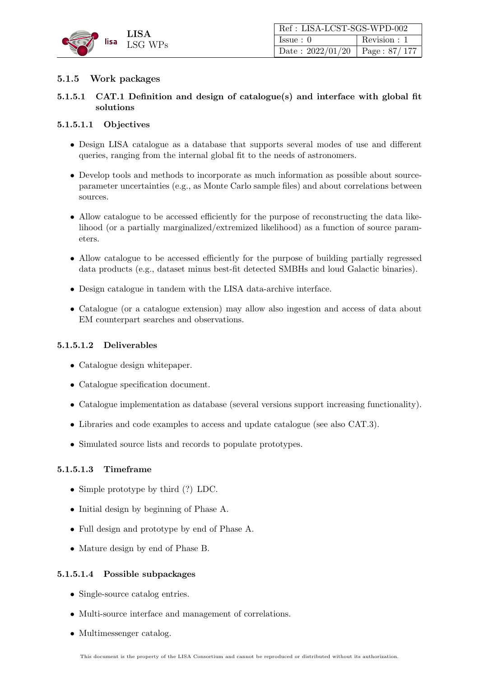

| Ref: LISA-LCST-SGS-WPD-002          |                      |  |  |
|-------------------------------------|----------------------|--|--|
| Is sue: 0                           | $\vert$ Revision : 1 |  |  |
| Date: $2022/01/20$   Page: $87/177$ |                      |  |  |

## 5.1.5 Work packages

## 5.1.5.1 CAT.1 Definition and design of catalogue(s) and interface with global fit solutions

## 5.1.5.1.1 Objectives

- Design LISA catalogue as a database that supports several modes of use and different queries, ranging from the internal global fit to the needs of astronomers.
- Develop tools and methods to incorporate as much information as possible about sourceparameter uncertainties (e.g., as Monte Carlo sample files) and about correlations between sources.
- Allow catalogue to be accessed efficiently for the purpose of reconstructing the data likelihood (or a partially marginalized/extremized likelihood) as a function of source parameters.
- Allow catalogue to be accessed efficiently for the purpose of building partially regressed data products (e.g., dataset minus best-fit detected SMBHs and loud Galactic binaries).
- Design catalogue in tandem with the LISA data-archive interface.
- Catalogue (or a catalogue extension) may allow also ingestion and access of data about EM counterpart searches and observations.

### 5.1.5.1.2 Deliverables

- Catalogue design whitepaper.
- Catalogue specification document.
- Catalogue implementation as database (several versions support increasing functionality).
- Libraries and code examples to access and update catalogue (see also CAT.3).
- Simulated source lists and records to populate prototypes.

### 5.1.5.1.3 Timeframe

- Simple prototype by third  $(?)$  LDC.
- Initial design by beginning of Phase A.
- Full design and prototype by end of Phase A.
- Mature design by end of Phase B.

### 5.1.5.1.4 Possible subpackages

- Single-source catalog entries.
- Multi-source interface and management of correlations.
- Multimessenger catalog.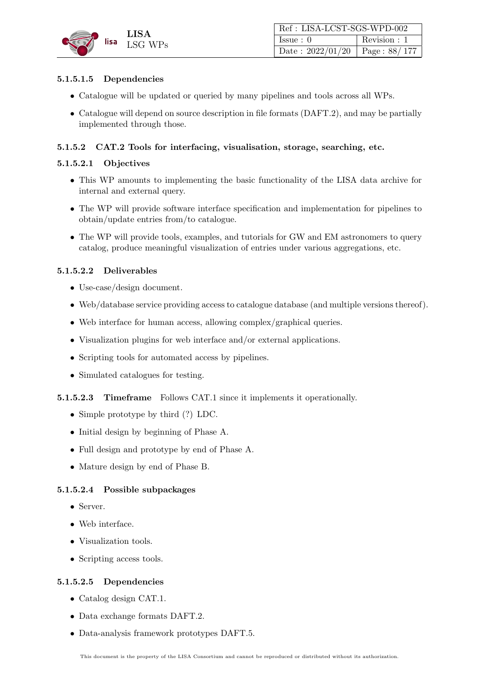

## 5.1.5.1.5 Dependencies

- Catalogue will be updated or queried by many pipelines and tools across all WPs.
- Catalogue will depend on source description in file formats (DAFT.2), and may be partially implemented through those.

## 5.1.5.2 CAT.2 Tools for interfacing, visualisation, storage, searching, etc.

## 5.1.5.2.1 Objectives

- This WP amounts to implementing the basic functionality of the LISA data archive for internal and external query.
- The WP will provide software interface specification and implementation for pipelines to obtain/update entries from/to catalogue.
- The WP will provide tools, examples, and tutorials for GW and EM astronomers to query catalog, produce meaningful visualization of entries under various aggregations, etc.

## 5.1.5.2.2 Deliverables

- Use-case/design document.
- Web/database service providing access to catalogue database (and multiple versions thereof).
- Web interface for human access, allowing complex/graphical queries.
- Visualization plugins for web interface and/or external applications.
- Scripting tools for automated access by pipelines.
- Simulated catalogues for testing.

### 5.1.5.2.3 Timeframe Follows CAT.1 since it implements it operationally.

- Simple prototype by third  $(?)$  LDC.
- Initial design by beginning of Phase A.
- Full design and prototype by end of Phase A.
- Mature design by end of Phase B.

### 5.1.5.2.4 Possible subpackages

- Server.
- Web interface.
- Visualization tools.
- Scripting access tools.

## 5.1.5.2.5 Dependencies

- Catalog design CAT.1.
- Data exchange formats DAFT.2.
- Data-analysis framework prototypes DAFT.5.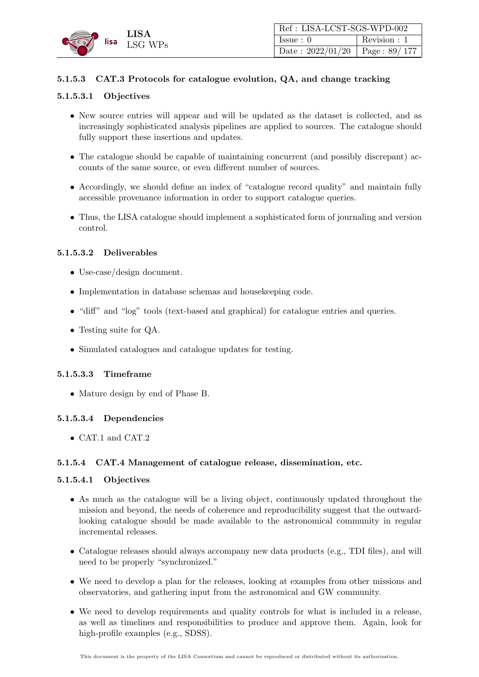

## 5.1.5.3 CAT.3 Protocols for catalogue evolution, QA, and change tracking

## 5.1.5.3.1 Objectives

- New source entries will appear and will be updated as the dataset is collected, and as increasingly sophisticated analysis pipelines are applied to sources. The catalogue should fully support these insertions and updates.
- The catalogue should be capable of maintaining concurrent (and possibly discrepant) accounts of the same source, or even different number of sources.
- Accordingly, we should define an index of "catalogue record quality" and maintain fully accessible provenance information in order to support catalogue queries.
- Thus, the LISA catalogue should implement a sophisticated form of journaling and version control.

## 5.1.5.3.2 Deliverables

- Use-case/design document.
- Implementation in database schemas and housekeeping code.
- "diff" and "log" tools (text-based and graphical) for catalogue entries and queries.
- Testing suite for QA.
- Simulated catalogues and catalogue updates for testing.

### 5.1.5.3.3 Timeframe

• Mature design by end of Phase B.

## 5.1.5.3.4 Dependencies

• CAT.1 and CAT.2

## 5.1.5.4 CAT.4 Management of catalogue release, dissemination, etc.

### 5.1.5.4.1 Objectives

- As much as the catalogue will be a living object, continuously updated throughout the mission and beyond, the needs of coherence and reproducibility suggest that the outwardlooking catalogue should be made available to the astronomical community in regular incremental releases.
- Catalogue releases should always accompany new data products (e.g., TDI files), and will need to be properly "synchronized."
- We need to develop a plan for the releases, looking at examples from other missions and observatories, and gathering input from the astronomical and GW community.
- We need to develop requirements and quality controls for what is included in a release. as well as timelines and responsibilities to produce and approve them. Again, look for high-profile examples (e.g., SDSS).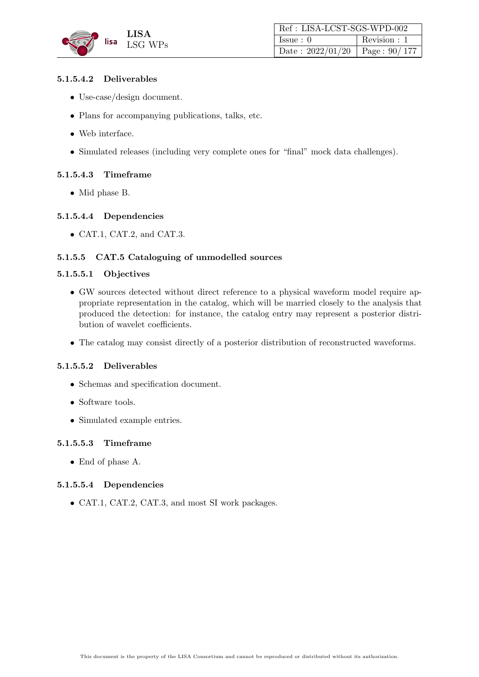

## 5.1.5.4.2 Deliverables

- Use-case/design document.
- Plans for accompanying publications, talks, etc.
- Web interface.
- Simulated releases (including very complete ones for "final" mock data challenges).

## 5.1.5.4.3 Timeframe

• Mid phase B.

## 5.1.5.4.4 Dependencies

• CAT.1, CAT.2, and CAT.3.

## 5.1.5.5 CAT.5 Cataloguing of unmodelled sources

### 5.1.5.5.1 Objectives

- GW sources detected without direct reference to a physical waveform model require appropriate representation in the catalog, which will be married closely to the analysis that produced the detection: for instance, the catalog entry may represent a posterior distribution of wavelet coefficients.
- The catalog may consist directly of a posterior distribution of reconstructed waveforms.

### 5.1.5.5.2 Deliverables

- Schemas and specification document.
- Software tools.
- Simulated example entries.

### 5.1.5.5.3 Timeframe

• End of phase A.

### 5.1.5.5.4 Dependencies

• CAT.1, CAT.2, CAT.3, and most SI work packages.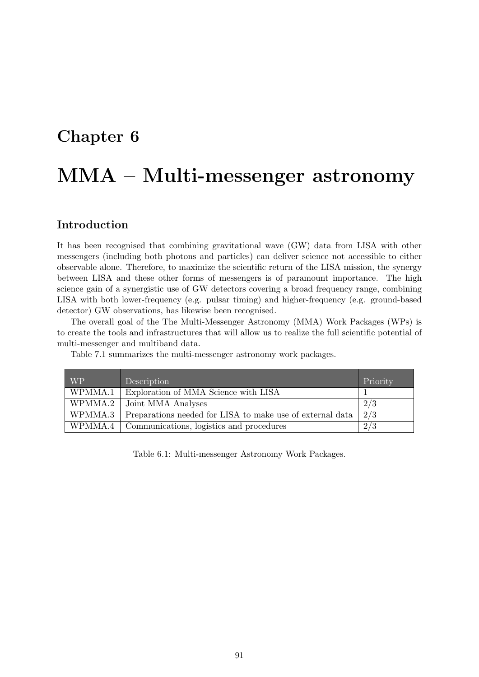# Chapter 6

# MMA – Multi-messenger astronomy

## Introduction

It has been recognised that combining gravitational wave (GW) data from LISA with other messengers (including both photons and particles) can deliver science not accessible to either observable alone. Therefore, to maximize the scientific return of the LISA mission, the synergy between LISA and these other forms of messengers is of paramount importance. The high science gain of a synergistic use of GW detectors covering a broad frequency range, combining LISA with both lower-frequency (e.g. pulsar timing) and higher-frequency (e.g. ground-based detector) GW observations, has likewise been recognised.

The overall goal of the The Multi-Messenger Astronomy (MMA) Work Packages (WPs) is to create the tools and infrastructures that will allow us to realize the full scientific potential of multi-messenger and multiband data.

| <b>WP</b> | Description                                               | Priority |
|-----------|-----------------------------------------------------------|----------|
| WPMMA.1   | Exploration of MMA Science with LISA                      |          |
| WPMMA.2   | Joint MMA Analyses                                        | 2/3      |
| WPMMA.3   | Preparations needed for LISA to make use of external data | 2/3      |
| WPMMA.4   | Communications, logistics and procedures                  | 2/3      |

Table [7.1](#page-109-0) summarizes the multi-messenger astronomy work packages.

Table 6.1: Multi-messenger Astronomy Work Packages.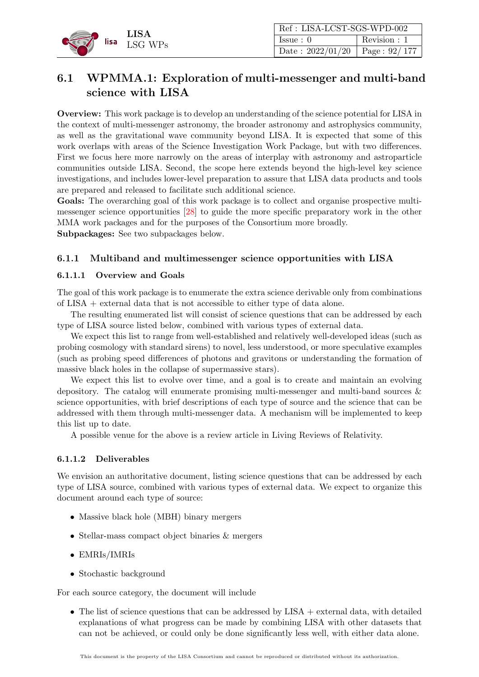

# 6.1 WPMMA.1: Exploration of multi-messenger and multi-band science with LISA

Overview: This work package is to develop an understanding of the science potential for LISA in the context of multi-messenger astronomy, the broader astronomy and astrophysics community, as well as the gravitational wave community beyond LISA. It is expected that some of this work overlaps with areas of the Science Investigation Work Package, but with two differences. First we focus here more narrowly on the areas of interplay with astronomy and astroparticle communities outside LISA. Second, the scope here extends beyond the high-level key science investigations, and includes lower-level preparation to assure that LISA data products and tools are prepared and released to facilitate such additional science.

Goals: The overarching goal of this work package is to collect and organise prospective multimessenger science opportunities [\[28\]](#page-169-0) to guide the more specific preparatory work in the other MMA work packages and for the purposes of the Consortium more broadly.

Subpackages: See two subpackages below.

## 6.1.1 Multiband and multimessenger science opportunities with LISA

## 6.1.1.1 Overview and Goals

The goal of this work package is to enumerate the extra science derivable only from combinations of LISA + external data that is not accessible to either type of data alone.

The resulting enumerated list will consist of science questions that can be addressed by each type of LISA source listed below, combined with various types of external data.

We expect this list to range from well-established and relatively well-developed ideas (such as probing cosmology with standard sirens) to novel, less understood, or more speculative examples (such as probing speed differences of photons and gravitons or understanding the formation of massive black holes in the collapse of supermassive stars).

We expect this list to evolve over time, and a goal is to create and maintain an evolving depository. The catalog will enumerate promising multi-messenger and multi-band sources & science opportunities, with brief descriptions of each type of source and the science that can be addressed with them through multi-messenger data. A mechanism will be implemented to keep this list up to date.

A possible venue for the above is a review article in Living Reviews of Relativity.

### 6.1.1.2 Deliverables

We envision an authoritative document, listing science questions that can be addressed by each type of LISA source, combined with various types of external data. We expect to organize this document around each type of source:

- Massive black hole (MBH) binary mergers
- Stellar-mass compact object binaries & mergers
- EMRIs/IMRIs
- Stochastic background

For each source category, the document will include

• The list of science questions that can be addressed by  $LISA +$  external data, with detailed explanations of what progress can be made by combining LISA with other datasets that can not be achieved, or could only be done significantly less well, with either data alone.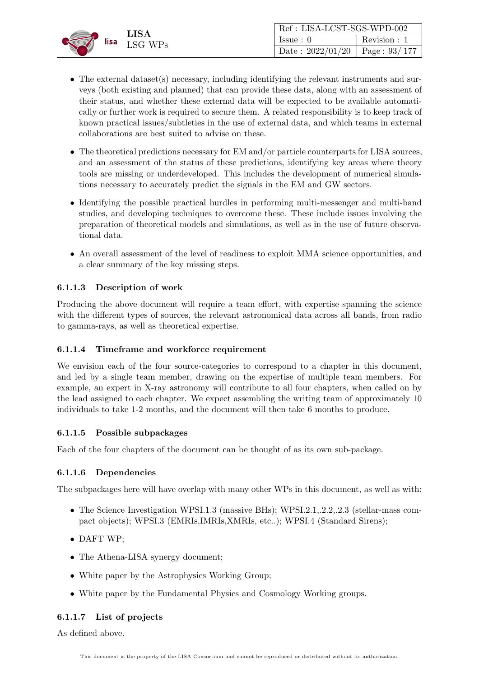

- The external dataset(s) necessary, including identifying the relevant instruments and surveys (both existing and planned) that can provide these data, along with an assessment of their status, and whether these external data will be expected to be available automatically or further work is required to secure them. A related responsibility is to keep track of known practical issues/subtleties in the use of external data, and which teams in external collaborations are best suited to advise on these.
- The theoretical predictions necessary for EM and/or particle counterparts for LISA sources, and an assessment of the status of these predictions, identifying key areas where theory tools are missing or underdeveloped. This includes the development of numerical simulations necessary to accurately predict the signals in the EM and GW sectors.
- Identifying the possible practical hurdles in performing multi-messenger and multi-band studies, and developing techniques to overcome these. These include issues involving the preparation of theoretical models and simulations, as well as in the use of future observational data.
- An overall assessment of the level of readiness to exploit MMA science opportunities, and a clear summary of the key missing steps.

## 6.1.1.3 Description of work

Producing the above document will require a team effort, with expertise spanning the science with the different types of sources, the relevant astronomical data across all bands, from radio to gamma-rays, as well as theoretical expertise.

## 6.1.1.4 Timeframe and workforce requirement

We envision each of the four source-categories to correspond to a chapter in this document, and led by a single team member, drawing on the expertise of multiple team members. For example, an expert in X-ray astronomy will contribute to all four chapters, when called on by the lead assigned to each chapter. We expect assembling the writing team of approximately 10 individuals to take 1-2 months, and the document will then take 6 months to produce.

## 6.1.1.5 Possible subpackages

Each of the four chapters of the document can be thought of as its own sub-package.

## 6.1.1.6 Dependencies

The subpackages here will have overlap with many other WPs in this document, as well as with:

- The Science Investigation WPSI.1.3 (massive BHs); WPSI.2.1,.2.2,.2.3 (stellar-mass compact objects); WPSI.3 (EMRIs,IMRIs,XMRIs, etc..); WPSI.4 (Standard Sirens);
- DAFT WP;
- The Athena-LISA synergy document;
- White paper by the Astrophysics Working Group;
- White paper by the Fundamental Physics and Cosmology Working groups.

## 6.1.1.7 List of projects

As defined above.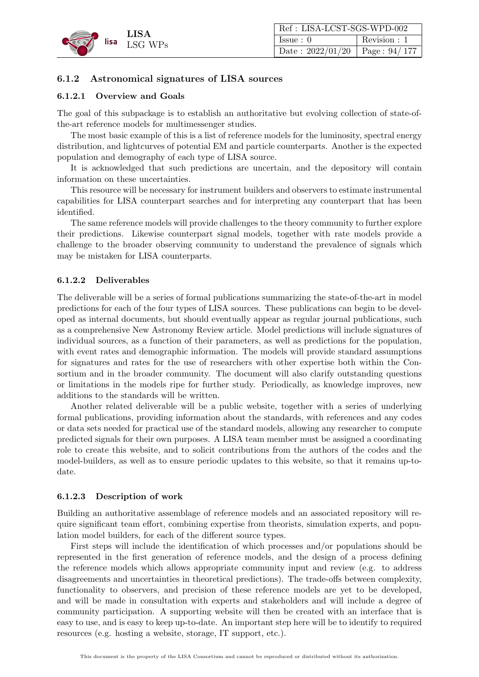

| Ref: LISA-LCST-SGS-WPD-002          |                      |
|-------------------------------------|----------------------|
| $I_{\text{ssue}}:0$                 | $\vert$ Revision : 1 |
| Date: $2022/01/20$   Page: $94/177$ |                      |

## 6.1.2 Astronomical signatures of LISA sources

## 6.1.2.1 Overview and Goals

The goal of this subpackage is to establish an authoritative but evolving collection of state-ofthe-art reference models for multimessenger studies.

The most basic example of this is a list of reference models for the luminosity, spectral energy distribution, and lightcurves of potential EM and particle counterparts. Another is the expected population and demography of each type of LISA source.

It is acknowledged that such predictions are uncertain, and the depository will contain information on these uncertainties.

This resource will be necessary for instrument builders and observers to estimate instrumental capabilities for LISA counterpart searches and for interpreting any counterpart that has been identified.

The same reference models will provide challenges to the theory community to further explore their predictions. Likewise counterpart signal models, together with rate models provide a challenge to the broader observing community to understand the prevalence of signals which may be mistaken for LISA counterparts.

## 6.1.2.2 Deliverables

The deliverable will be a series of formal publications summarizing the state-of-the-art in model predictions for each of the four types of LISA sources. These publications can begin to be developed as internal documents, but should eventually appear as regular journal publications, such as a comprehensive New Astronomy Review article. Model predictions will include signatures of individual sources, as a function of their parameters, as well as predictions for the population, with event rates and demographic information. The models will provide standard assumptions for signatures and rates for the use of researchers with other expertise both within the Consortium and in the broader community. The document will also clarify outstanding questions or limitations in the models ripe for further study. Periodically, as knowledge improves, new additions to the standards will be written.

Another related deliverable will be a public website, together with a series of underlying formal publications, providing information about the standards, with references and any codes or data sets needed for practical use of the standard models, allowing any researcher to compute predicted signals for their own purposes. A LISA team member must be assigned a coordinating role to create this website, and to solicit contributions from the authors of the codes and the model-builders, as well as to ensure periodic updates to this website, so that it remains up-todate.

### 6.1.2.3 Description of work

Building an authoritative assemblage of reference models and an associated repository will require significant team effort, combining expertise from theorists, simulation experts, and population model builders, for each of the different source types.

First steps will include the identification of which processes and/or populations should be represented in the first generation of reference models, and the design of a process defining the reference models which allows appropriate community input and review (e.g. to address disagreements and uncertainties in theoretical predictions). The trade-offs between complexity, functionality to observers, and precision of these reference models are yet to be developed, and will be made in consultation with experts and stakeholders and will include a degree of community participation. A supporting website will then be created with an interface that is easy to use, and is easy to keep up-to-date. An important step here will be to identify to required resources (e.g. hosting a website, storage, IT support, etc.).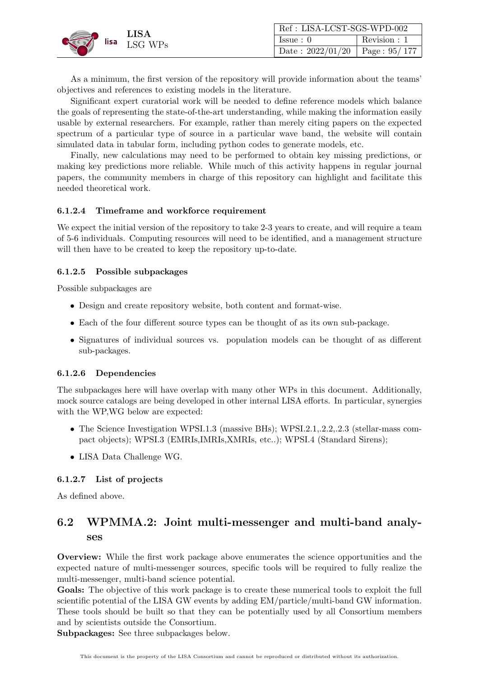

As a minimum, the first version of the repository will provide information about the teams' objectives and references to existing models in the literature.

Significant expert curatorial work will be needed to define reference models which balance the goals of representing the state-of-the-art understanding, while making the information easily usable by external researchers. For example, rather than merely citing papers on the expected spectrum of a particular type of source in a particular wave band, the website will contain simulated data in tabular form, including python codes to generate models, etc.

Finally, new calculations may need to be performed to obtain key missing predictions, or making key predictions more reliable. While much of this activity happens in regular journal papers, the community members in charge of this repository can highlight and facilitate this needed theoretical work.

#### 6.1.2.4 Timeframe and workforce requirement

We expect the initial version of the repository to take 2-3 years to create, and will require a team of 5-6 individuals. Computing resources will need to be identified, and a management structure will then have to be created to keep the repository up-to-date.

#### 6.1.2.5 Possible subpackages

Possible subpackages are

- Design and create repository website, both content and format-wise.
- Each of the four different source types can be thought of as its own sub-package.
- Signatures of individual sources vs. population models can be thought of as different sub-packages.

### 6.1.2.6 Dependencies

The subpackages here will have overlap with many other WPs in this document. Additionally, mock source catalogs are being developed in other internal LISA efforts. In particular, synergies with the WP,WG below are expected:

- The Science Investigation WPSI.1.3 (massive BHs); WPSI.2.1,.2.2,.2.3 (stellar-mass compact objects); WPSI.3 (EMRIs,IMRIs,XMRIs, etc..); WPSI.4 (Standard Sirens);
- LISA Data Challenge WG.

### 6.1.2.7 List of projects

As defined above.

# 6.2 WPMMA.2: Joint multi-messenger and multi-band analyses

Overview: While the first work package above enumerates the science opportunities and the expected nature of multi-messenger sources, specific tools will be required to fully realize the multi-messenger, multi-band science potential.

Goals: The objective of this work package is to create these numerical tools to exploit the full scientific potential of the LISA GW events by adding EM/particle/multi-band GW information. These tools should be built so that they can be potentially used by all Consortium members and by scientists outside the Consortium.

Subpackages: See three subpackages below.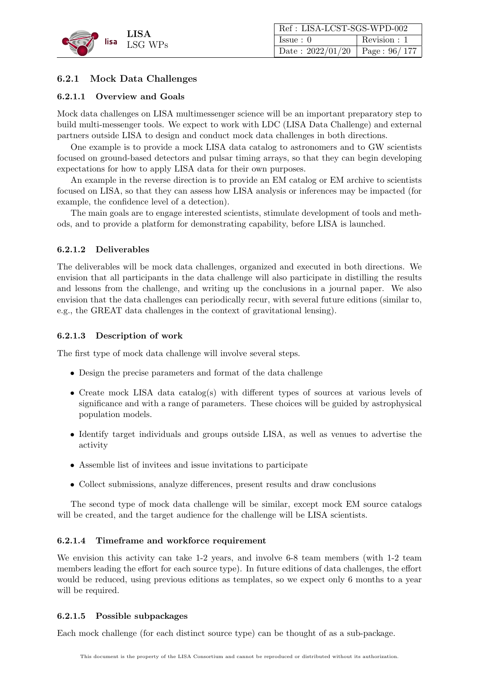

| Ref: LISA-LCST-SGS-WPD-002          |                      |
|-------------------------------------|----------------------|
| $I_{\text{ssue}}:0$                 | $\vert$ Revision : 1 |
| Date: $2022/01/20$   Page: $96/177$ |                      |

## 6.2.1 Mock Data Challenges

## 6.2.1.1 Overview and Goals

Mock data challenges on LISA multimessenger science will be an important preparatory step to build multi-messenger tools. We expect to work with LDC (LISA Data Challenge) and external partners outside LISA to design and conduct mock data challenges in both directions.

One example is to provide a mock LISA data catalog to astronomers and to GW scientists focused on ground-based detectors and pulsar timing arrays, so that they can begin developing expectations for how to apply LISA data for their own purposes.

An example in the reverse direction is to provide an EM catalog or EM archive to scientists focused on LISA, so that they can assess how LISA analysis or inferences may be impacted (for example, the confidence level of a detection).

The main goals are to engage interested scientists, stimulate development of tools and methods, and to provide a platform for demonstrating capability, before LISA is launched.

## 6.2.1.2 Deliverables

The deliverables will be mock data challenges, organized and executed in both directions. We envision that all participants in the data challenge will also participate in distilling the results and lessons from the challenge, and writing up the conclusions in a journal paper. We also envision that the data challenges can periodically recur, with several future editions (similar to, e.g., the GREAT data challenges in the context of gravitational lensing).

## 6.2.1.3 Description of work

The first type of mock data challenge will involve several steps.

- Design the precise parameters and format of the data challenge
- Create mock LISA data catalog(s) with different types of sources at various levels of significance and with a range of parameters. These choices will be guided by astrophysical population models.
- Identify target individuals and groups outside LISA, as well as venues to advertise the activity
- Assemble list of invitees and issue invitations to participate
- Collect submissions, analyze differences, present results and draw conclusions

The second type of mock data challenge will be similar, except mock EM source catalogs will be created, and the target audience for the challenge will be LISA scientists.

### 6.2.1.4 Timeframe and workforce requirement

We envision this activity can take 1-2 years, and involve 6-8 team members (with 1-2 team members leading the effort for each source type). In future editions of data challenges, the effort would be reduced, using previous editions as templates, so we expect only 6 months to a year will be required.

### 6.2.1.5 Possible subpackages

Each mock challenge (for each distinct source type) can be thought of as a sub-package.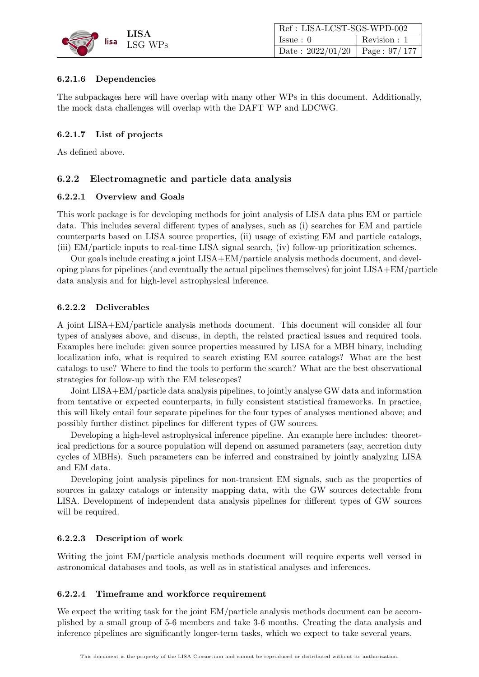

| Ref: LISA-LCST-SGS-WPD-002          |              |
|-------------------------------------|--------------|
| Issue:0                             | Revision : 1 |
| Date: $2022/01/20$   Page: $97/177$ |              |

## 6.2.1.6 Dependencies

The subpackages here will have overlap with many other WPs in this document. Additionally, the mock data challenges will overlap with the DAFT WP and LDCWG.

## 6.2.1.7 List of projects

As defined above.

## 6.2.2 Electromagnetic and particle data analysis

## 6.2.2.1 Overview and Goals

This work package is for developing methods for joint analysis of LISA data plus EM or particle data. This includes several different types of analyses, such as (i) searches for EM and particle counterparts based on LISA source properties, (ii) usage of existing EM and particle catalogs, (iii) EM/particle inputs to real-time LISA signal search, (iv) follow-up prioritization schemes.

Our goals include creating a joint LISA+EM/particle analysis methods document, and developing plans for pipelines (and eventually the actual pipelines themselves) for joint LISA+EM/particle data analysis and for high-level astrophysical inference.

## 6.2.2.2 Deliverables

A joint LISA+EM/particle analysis methods document. This document will consider all four types of analyses above, and discuss, in depth, the related practical issues and required tools. Examples here include: given source properties measured by LISA for a MBH binary, including localization info, what is required to search existing EM source catalogs? What are the best catalogs to use? Where to find the tools to perform the search? What are the best observational strategies for follow-up with the EM telescopes?

Joint LISA+EM/particle data analysis pipelines, to jointly analyse GW data and information from tentative or expected counterparts, in fully consistent statistical frameworks. In practice, this will likely entail four separate pipelines for the four types of analyses mentioned above; and possibly further distinct pipelines for different types of GW sources.

Developing a high-level astrophysical inference pipeline. An example here includes: theoretical predictions for a source population will depend on assumed parameters (say, accretion duty cycles of MBHs). Such parameters can be inferred and constrained by jointly analyzing LISA and EM data.

Developing joint analysis pipelines for non-transient EM signals, such as the properties of sources in galaxy catalogs or intensity mapping data, with the GW sources detectable from LISA. Development of independent data analysis pipelines for different types of GW sources will be required.

## 6.2.2.3 Description of work

Writing the joint EM/particle analysis methods document will require experts well versed in astronomical databases and tools, as well as in statistical analyses and inferences.

## 6.2.2.4 Timeframe and workforce requirement

We expect the writing task for the joint  $EM/particle$  analysis methods document can be accomplished by a small group of 5-6 members and take 3-6 months. Creating the data analysis and inference pipelines are significantly longer-term tasks, which we expect to take several years.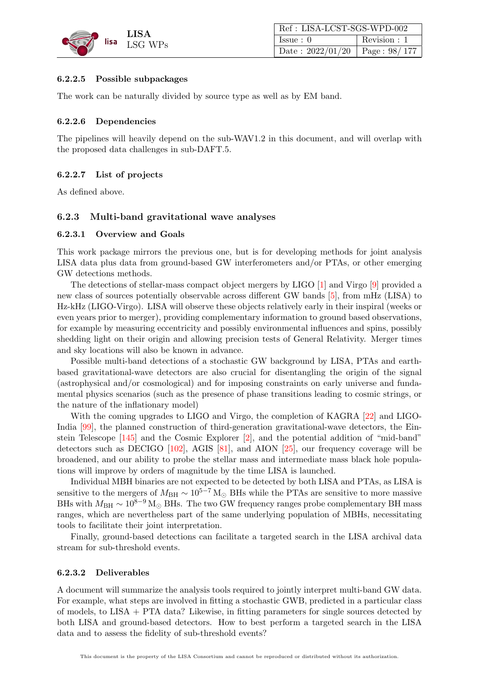

| Ref: LISA-LCST-SGS-WPD-002          |              |
|-------------------------------------|--------------|
| Issue:0                             | Revision : 1 |
| Date: $2022/01/20$   Page: $98/177$ |              |

## 6.2.2.5 Possible subpackages

The work can be naturally divided by source type as well as by EM band.

#### 6.2.2.6 Dependencies

The pipelines will heavily depend on the sub-WAV1.2 in this document, and will overlap with the proposed data challenges in sub-DAFT.5.

### 6.2.2.7 List of projects

As defined above.

## 6.2.3 Multi-band gravitational wave analyses

#### 6.2.3.1 Overview and Goals

This work package mirrors the previous one, but is for developing methods for joint analysis LISA data plus data from ground-based GW interferometers and/or PTAs, or other emerging GW detections methods.

The detections of stellar-mass compact object mergers by LIGO [\[1\]](#page-168-0) and Virgo [\[9\]](#page-168-1) provided a new class of sources potentially observable across different GW bands [\[5\]](#page-168-2), from mHz (LISA) to Hz-kHz (LIGO-Virgo). LISA will observe these objects relatively early in their inspiral (weeks or even years prior to merger), providing complementary information to ground based observations, for example by measuring eccentricity and possibly environmental influences and spins, possibly shedding light on their origin and allowing precision tests of General Relativity. Merger times and sky locations will also be known in advance.

Possible multi-band detections of a stochastic GW background by LISA, PTAs and earthbased gravitational-wave detectors are also crucial for disentangling the origin of the signal (astrophysical and/or cosmological) and for imposing constraints on early universe and fundamental physics scenarios (such as the presence of phase transitions leading to cosmic strings, or the nature of the inflationary model)

With the coming upgrades to LIGO and Virgo, the completion of KAGRA [\[22\]](#page-169-1) and LIGO-India [\[99\]](#page-174-0), the planned construction of third-generation gravitational-wave detectors, the Einstein Telescope [\[145\]](#page-177-0) and the Cosmic Explorer [\[2\]](#page-168-3), and the potential addition of "mid-band" detectors such as DECIGO  $[102]$ , AGIS  $[81]$ , and AION  $[25]$ , our frequency coverage will be broadened, and our ability to probe the stellar mass and intermediate mass black hole populations will improve by orders of magnitude by the time LISA is launched.

Individual MBH binaries are not expected to be detected by both LISA and PTAs, as LISA is sensitive to the mergers of  $M_{\text{BH}} \sim 10^{5-7} \,\text{M}_{\odot}$  BHs while the PTAs are sensitive to more massive BHs with  $M_{\rm BH} \sim 10^{8-9}$  M<sub>⊙</sub> BHs. The two GW frequency ranges probe complementary BH mass ranges, which are nevertheless part of the same underlying population of MBHs, necessitating tools to facilitate their joint interpretation.

Finally, ground-based detections can facilitate a targeted search in the LISA archival data stream for sub-threshold events.

### 6.2.3.2 Deliverables

A document will summarize the analysis tools required to jointly interpret multi-band GW data. For example, what steps are involved in fitting a stochastic GWB, predicted in a particular class of models, to  $LISA + PTA$  data? Likewise, in fitting parameters for single sources detected by both LISA and ground-based detectors. How to best perform a targeted search in the LISA data and to assess the fidelity of sub-threshold events?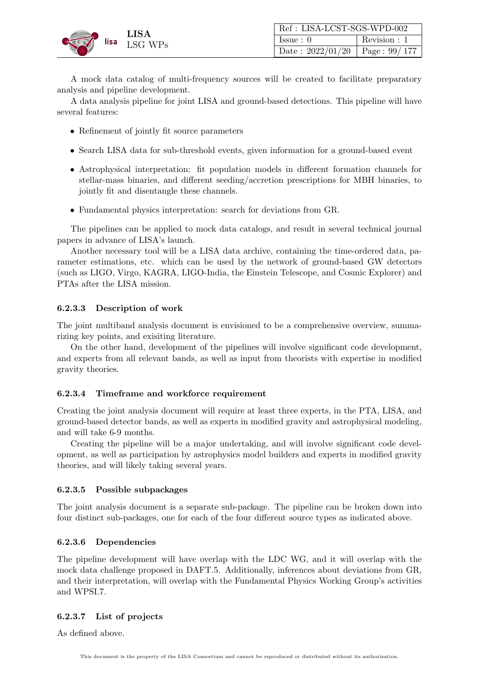

| Ref: LISA-LCST-SGS-WPD-002          |                      |
|-------------------------------------|----------------------|
| Issue:0                             | $\vert$ Revision : 1 |
| Date: $2022/01/20$   Page: $99/177$ |                      |

A mock data catalog of multi-frequency sources will be created to facilitate preparatory analysis and pipeline development.

A data analysis pipeline for joint LISA and ground-based detections. This pipeline will have several features:

- Refinement of jointly fit source parameters
- Search LISA data for sub-threshold events, given information for a ground-based event
- Astrophysical interpretation: fit population models in different formation channels for stellar-mass binaries, and different seeding/accretion prescriptions for MBH binaries, to jointly fit and disentangle these channels.
- Fundamental physics interpretation: search for deviations from GR.

The pipelines can be applied to mock data catalogs, and result in several technical journal papers in advance of LISA's launch.

Another necessary tool will be a LISA data archive, containing the time-ordered data, parameter estimations, etc. which can be used by the network of ground-based GW detectors (such as LIGO, Virgo, KAGRA, LIGO-India, the Einstein Telescope, and Cosmic Explorer) and PTAs after the LISA mission.

#### 6.2.3.3 Description of work

The joint multiband analysis document is envisioned to be a comprehensive overview, summarizing key points, and exisiting literature.

On the other hand, development of the pipelines will involve significant code development, and experts from all relevant bands, as well as input from theorists with expertise in modified gravity theories.

#### 6.2.3.4 Timeframe and workforce requirement

Creating the joint analysis document will require at least three experts, in the PTA, LISA, and ground-based detector bands, as well as experts in modified gravity and astrophysical modeling, and will take 6-9 months.

Creating the pipeline will be a major undertaking, and will involve significant code development, as well as participation by astrophysics model builders and experts in modified gravity theories, and will likely taking several years.

#### 6.2.3.5 Possible subpackages

The joint analysis document is a separate sub-package. The pipeline can be broken down into four distinct sub-packages, one for each of the four different source types as indicated above.

#### 6.2.3.6 Dependencies

The pipeline development will have overlap with the LDC WG, and it will overlap with the mock data challenge proposed in DAFT.5. Additionally, inferences about deviations from GR, and their interpretation, will overlap with the Fundamental Physics Working Group's activities and WPSI.7.

### 6.2.3.7 List of projects

As defined above.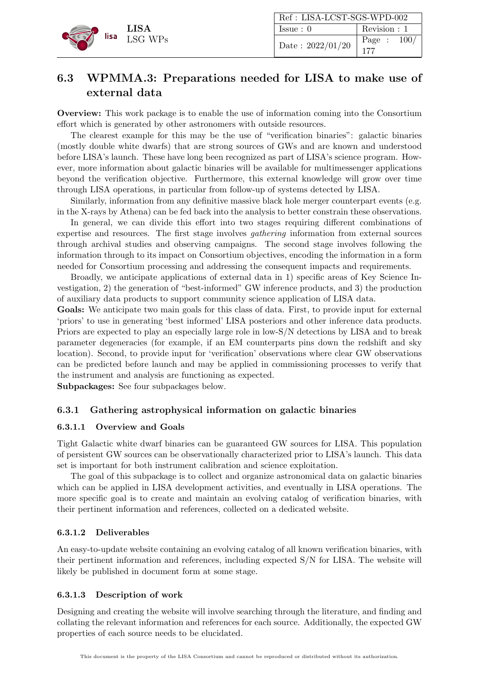

| Ref: LISA-LCST-SGS-WPD-002 |                      |
|----------------------------|----------------------|
| $\[ Issue : 0$             | Revision : 1         |
| Date: $2022/01/20$         | Page : $100/$<br>177 |

# 6.3 WPMMA.3: Preparations needed for LISA to make use of external data

Overview: This work package is to enable the use of information coming into the Consortium effort which is generated by other astronomers with outside resources.

The clearest example for this may be the use of "verification binaries": galactic binaries (mostly double white dwarfs) that are strong sources of GWs and are known and understood before LISA's launch. These have long been recognized as part of LISA's science program. However, more information about galactic binaries will be available for multimessenger applications beyond the verification objective. Furthermore, this external knowledge will grow over time through LISA operations, in particular from follow-up of systems detected by LISA.

Similarly, information from any definitive massive black hole merger counterpart events (e.g. in the X-rays by Athena) can be fed back into the analysis to better constrain these observations.

In general, we can divide this effort into two stages requiring different combinations of expertise and resources. The first stage involves gathering information from external sources through archival studies and observing campaigns. The second stage involves following the information through to its impact on Consortium objectives, encoding the information in a form needed for Consortium processing and addressing the consequent impacts and requirements.

Broadly, we anticipate applications of external data in 1) specific areas of Key Science Investigation, 2) the generation of "best-informed" GW inference products, and 3) the production of auxiliary data products to support community science application of LISA data.

Goals: We anticipate two main goals for this class of data. First, to provide input for external 'priors' to use in generating 'best informed' LISA posteriors and other inference data products. Priors are expected to play an especially large role in low-S/N detections by LISA and to break parameter degeneracies (for example, if an EM counterparts pins down the redshift and sky location). Second, to provide input for 'verification' observations where clear GW observations can be predicted before launch and may be applied in commissioning processes to verify that the instrument and analysis are functioning as expected.

Subpackages: See four subpackages below.

### 6.3.1 Gathering astrophysical information on galactic binaries

### 6.3.1.1 Overview and Goals

Tight Galactic white dwarf binaries can be guaranteed GW sources for LISA. This population of persistent GW sources can be observationally characterized prior to LISA's launch. This data set is important for both instrument calibration and science exploitation.

The goal of this subpackage is to collect and organize astronomical data on galactic binaries which can be applied in LISA development activities, and eventually in LISA operations. The more specific goal is to create and maintain an evolving catalog of verification binaries, with their pertinent information and references, collected on a dedicated website.

### 6.3.1.2 Deliverables

An easy-to-update website containing an evolving catalog of all known verification binaries, with their pertinent information and references, including expected S/N for LISA. The website will likely be published in document form at some stage.

### 6.3.1.3 Description of work

Designing and creating the website will involve searching through the literature, and finding and collating the relevant information and references for each source. Additionally, the expected GW properties of each source needs to be elucidated.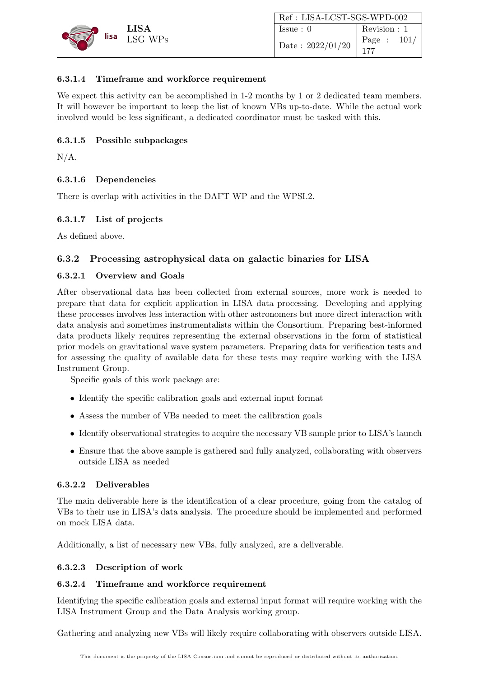

| Ref: LISA-LCST-SGS-WPD-002 |                      |
|----------------------------|----------------------|
| Issue:0                    | Revision : 1         |
| Date: $2022/01/20$         | Page : $101/$<br>177 |

## 6.3.1.4 Timeframe and workforce requirement

We expect this activity can be accomplished in 1-2 months by 1 or 2 dedicated team members. It will however be important to keep the list of known VBs up-to-date. While the actual work involved would be less significant, a dedicated coordinator must be tasked with this.

## 6.3.1.5 Possible subpackages

N/A.

## 6.3.1.6 Dependencies

There is overlap with activities in the DAFT WP and the WPSI.2.

## 6.3.1.7 List of projects

As defined above.

## 6.3.2 Processing astrophysical data on galactic binaries for LISA

### 6.3.2.1 Overview and Goals

After observational data has been collected from external sources, more work is needed to prepare that data for explicit application in LISA data processing. Developing and applying these processes involves less interaction with other astronomers but more direct interaction with data analysis and sometimes instrumentalists within the Consortium. Preparing best-informed data products likely requires representing the external observations in the form of statistical prior models on gravitational wave system parameters. Preparing data for verification tests and for assessing the quality of available data for these tests may require working with the LISA Instrument Group.

Specific goals of this work package are:

- Identify the specific calibration goals and external input format
- Assess the number of VBs needed to meet the calibration goals
- Identify observational strategies to acquire the necessary VB sample prior to LISA's launch
- Ensure that the above sample is gathered and fully analyzed, collaborating with observers outside LISA as needed

### 6.3.2.2 Deliverables

The main deliverable here is the identification of a clear procedure, going from the catalog of VBs to their use in LISA's data analysis. The procedure should be implemented and performed on mock LISA data.

Additionally, a list of necessary new VBs, fully analyzed, are a deliverable.

### 6.3.2.3 Description of work

### 6.3.2.4 Timeframe and workforce requirement

Identifying the specific calibration goals and external input format will require working with the LISA Instrument Group and the Data Analysis working group.

Gathering and analyzing new VBs will likely require collaborating with observers outside LISA.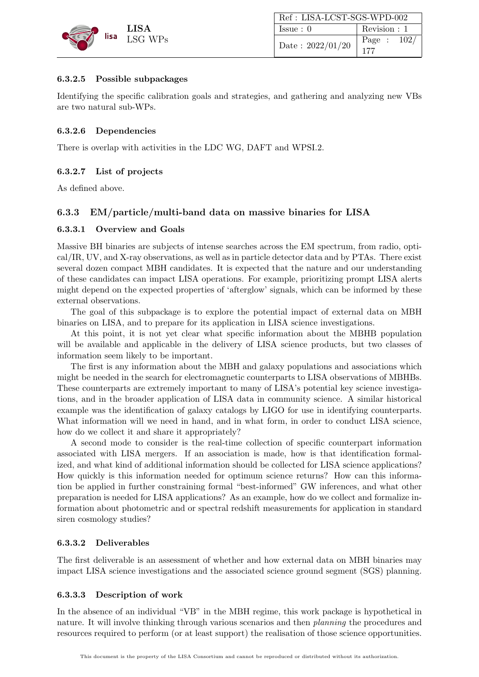

| Ref: LISA-LCST-SGS-WPD-002 |                      |
|----------------------------|----------------------|
| $I_{\text{ssue}}: 0$       | Revision : 1         |
| Date: $2022/01/20$         | Page : $102/$<br>177 |

## 6.3.2.5 Possible subpackages

Identifying the specific calibration goals and strategies, and gathering and analyzing new VBs are two natural sub-WPs.

## 6.3.2.6 Dependencies

There is overlap with activities in the LDC WG, DAFT and WPSI.2.

## 6.3.2.7 List of projects

As defined above.

## 6.3.3 EM/particle/multi-band data on massive binaries for LISA

### 6.3.3.1 Overview and Goals

Massive BH binaries are subjects of intense searches across the EM spectrum, from radio, optical/IR, UV, and X-ray observations, as well as in particle detector data and by PTAs. There exist several dozen compact MBH candidates. It is expected that the nature and our understanding of these candidates can impact LISA operations. For example, prioritizing prompt LISA alerts might depend on the expected properties of 'afterglow' signals, which can be informed by these external observations.

The goal of this subpackage is to explore the potential impact of external data on MBH binaries on LISA, and to prepare for its application in LISA science investigations.

At this point, it is not yet clear what specific information about the MBHB population will be available and applicable in the delivery of LISA science products, but two classes of information seem likely to be important.

The first is any information about the MBH and galaxy populations and associations which might be needed in the search for electromagnetic counterparts to LISA observations of MBHBs. These counterparts are extremely important to many of LISA's potential key science investigations, and in the broader application of LISA data in community science. A similar historical example was the identification of galaxy catalogs by LIGO for use in identifying counterparts. What information will we need in hand, and in what form, in order to conduct LISA science, how do we collect it and share it appropriately?

A second mode to consider is the real-time collection of specific counterpart information associated with LISA mergers. If an association is made, how is that identification formalized, and what kind of additional information should be collected for LISA science applications? How quickly is this information needed for optimum science returns? How can this information be applied in further constraining formal "best-informed" GW inferences, and what other preparation is needed for LISA applications? As an example, how do we collect and formalize information about photometric and or spectral redshift measurements for application in standard siren cosmology studies?

### 6.3.3.2 Deliverables

The first deliverable is an assessment of whether and how external data on MBH binaries may impact LISA science investigations and the associated science ground segment (SGS) planning.

### 6.3.3.3 Description of work

In the absence of an individual "VB" in the MBH regime, this work package is hypothetical in nature. It will involve thinking through various scenarios and then *planning* the procedures and resources required to perform (or at least support) the realisation of those science opportunities.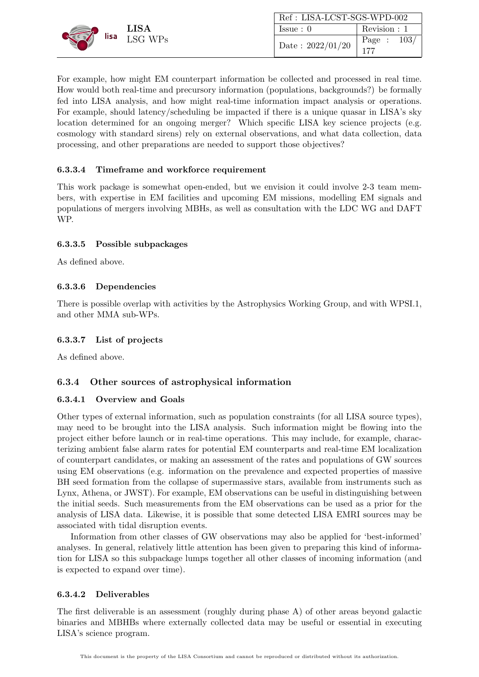

For example, how might EM counterpart information be collected and processed in real time. How would both real-time and precursory information (populations, backgrounds?) be formally fed into LISA analysis, and how might real-time information impact analysis or operations. For example, should latency/scheduling be impacted if there is a unique quasar in LISA's sky location determined for an ongoing merger? Which specific LISA key science projects (e.g. cosmology with standard sirens) rely on external observations, and what data collection, data processing, and other preparations are needed to support those objectives?

## 6.3.3.4 Timeframe and workforce requirement

This work package is somewhat open-ended, but we envision it could involve 2-3 team members, with expertise in EM facilities and upcoming EM missions, modelling EM signals and populations of mergers involving MBHs, as well as consultation with the LDC WG and DAFT WP.

## 6.3.3.5 Possible subpackages

As defined above.

## 6.3.3.6 Dependencies

There is possible overlap with activities by the Astrophysics Working Group, and with WPSI.1, and other MMA sub-WPs.

## 6.3.3.7 List of projects

As defined above.

## 6.3.4 Other sources of astrophysical information

### 6.3.4.1 Overview and Goals

Other types of external information, such as population constraints (for all LISA source types), may need to be brought into the LISA analysis. Such information might be flowing into the project either before launch or in real-time operations. This may include, for example, characterizing ambient false alarm rates for potential EM counterparts and real-time EM localization of counterpart candidates, or making an assessment of the rates and populations of GW sources using EM observations (e.g. information on the prevalence and expected properties of massive BH seed formation from the collapse of supermassive stars, available from instruments such as Lynx, Athena, or JWST). For example, EM observations can be useful in distinguishing between the initial seeds. Such measurements from the EM observations can be used as a prior for the analysis of LISA data. Likewise, it is possible that some detected LISA EMRI sources may be associated with tidal disruption events.

Information from other classes of GW observations may also be applied for 'best-informed' analyses. In general, relatively little attention has been given to preparing this kind of information for LISA so this subpackage lumps together all other classes of incoming information (and is expected to expand over time).

## 6.3.4.2 Deliverables

The first deliverable is an assessment (roughly during phase A) of other areas beyond galactic binaries and MBHBs where externally collected data may be useful or essential in executing LISA's science program.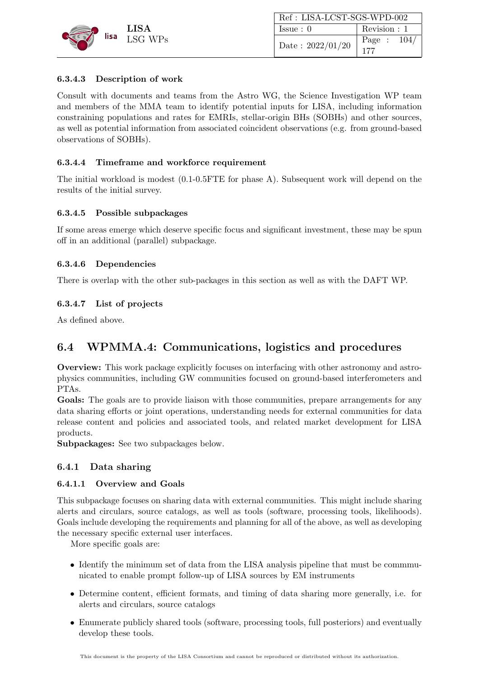

| Ref: LISA-LCST-SGS-WPD-002 |                      |
|----------------------------|----------------------|
| Issue:0                    | Revision : 1         |
| Date: $2022/01/20$         | Page : $104/$<br>177 |

## 6.3.4.3 Description of work

Consult with documents and teams from the Astro WG, the Science Investigation WP team and members of the MMA team to identify potential inputs for LISA, including information constraining populations and rates for EMRIs, stellar-origin BHs (SOBHs) and other sources, as well as potential information from associated coincident observations (e.g. from ground-based observations of SOBHs).

## 6.3.4.4 Timeframe and workforce requirement

The initial workload is modest (0.1-0.5FTE for phase A). Subsequent work will depend on the results of the initial survey.

## 6.3.4.5 Possible subpackages

If some areas emerge which deserve specific focus and significant investment, these may be spun off in an additional (parallel) subpackage.

## 6.3.4.6 Dependencies

There is overlap with the other sub-packages in this section as well as with the DAFT WP.

## 6.3.4.7 List of projects

As defined above.

# 6.4 WPMMA.4: Communications, logistics and procedures

Overview: This work package explicitly focuses on interfacing with other astronomy and astrophysics communities, including GW communities focused on ground-based interferometers and PTAs.

Goals: The goals are to provide liaison with those communities, prepare arrangements for any data sharing efforts or joint operations, understanding needs for external communities for data release content and policies and associated tools, and related market development for LISA products.

Subpackages: See two subpackages below.

## 6.4.1 Data sharing

### 6.4.1.1 Overview and Goals

This subpackage focuses on sharing data with external communities. This might include sharing alerts and circulars, source catalogs, as well as tools (software, processing tools, likelihoods). Goals include developing the requirements and planning for all of the above, as well as developing the necessary specific external user interfaces.

More specific goals are:

- Identify the minimum set of data from the LISA analysis pipeline that must be commmunicated to enable prompt follow-up of LISA sources by EM instruments
- Determine content, efficient formats, and timing of data sharing more generally, i.e. for alerts and circulars, source catalogs
- Enumerate publicly shared tools (software, processing tools, full posteriors) and eventually develop these tools.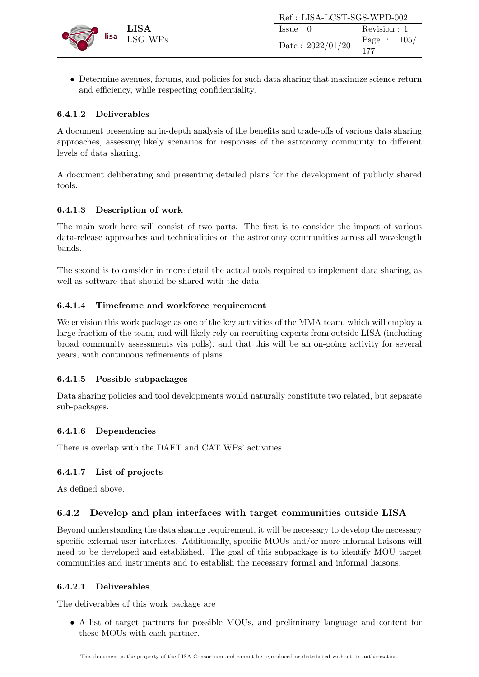

• Determine avenues, forums, and policies for such data sharing that maximize science return and efficiency, while respecting confidentiality.

## 6.4.1.2 Deliverables

A document presenting an in-depth analysis of the benefits and trade-offs of various data sharing approaches, assessing likely scenarios for responses of the astronomy community to different levels of data sharing.

A document deliberating and presenting detailed plans for the development of publicly shared tools.

## 6.4.1.3 Description of work

The main work here will consist of two parts. The first is to consider the impact of various data-release approaches and technicalities on the astronomy communities across all wavelength bands.

The second is to consider in more detail the actual tools required to implement data sharing, as well as software that should be shared with the data.

## 6.4.1.4 Timeframe and workforce requirement

We envision this work package as one of the key activities of the MMA team, which will employ a large fraction of the team, and will likely rely on recruiting experts from outside LISA (including broad community assessments via polls), and that this will be an on-going activity for several years, with continuous refinements of plans.

### 6.4.1.5 Possible subpackages

Data sharing policies and tool developments would naturally constitute two related, but separate sub-packages.

### 6.4.1.6 Dependencies

There is overlap with the DAFT and CAT WPs' activities.

## 6.4.1.7 List of projects

As defined above.

## 6.4.2 Develop and plan interfaces with target communities outside LISA

Beyond understanding the data sharing requirement, it will be necessary to develop the necessary specific external user interfaces. Additionally, specific MOUs and/or more informal liaisons will need to be developed and established. The goal of this subpackage is to identify MOU target communities and instruments and to establish the necessary formal and informal liaisons.

### 6.4.2.1 Deliverables

The deliverables of this work package are

• A list of target partners for possible MOUs, and preliminary language and content for these MOUs with each partner.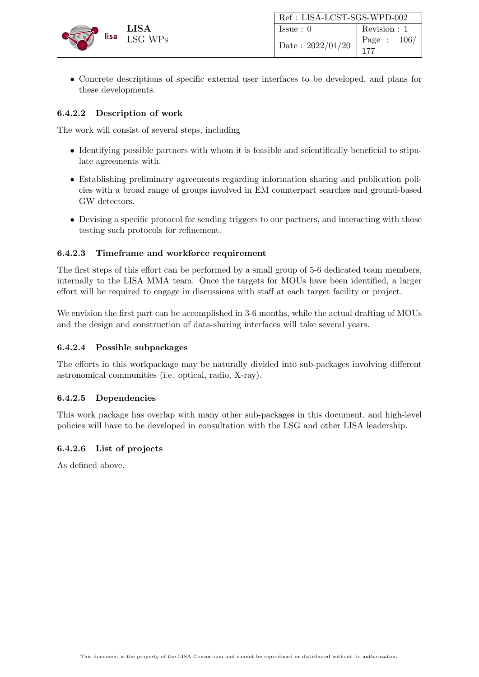

• Concrete descriptions of specific external user interfaces to be developed, and plans for these developments.

## 6.4.2.2 Description of work

The work will consist of several steps, including

- Identifying possible partners with whom it is feasible and scientifically beneficial to stipulate agreements with.
- Establishing preliminary agreements regarding information sharing and publication policies with a broad range of groups involved in EM counterpart searches and ground-based GW detectors.
- Devising a specific protocol for sending triggers to our partners, and interacting with those testing such protocols for refinement.

## 6.4.2.3 Timeframe and workforce requirement

The first steps of this effort can be performed by a small group of 5-6 dedicated team members, internally to the LISA MMA team. Once the targets for MOUs have been identified, a larger effort will be required to engage in discussions with staff at each target facility or project.

We envision the first part can be accomplished in 3-6 months, while the actual drafting of MOUs and the design and construction of data-sharing interfaces will take several years.

### 6.4.2.4 Possible subpackages

The efforts in this workpackage may be naturally divided into sub-packages involving different astronomical communities (i.e. optical, radio, X-ray).

### 6.4.2.5 Dependencies

This work package has overlap with many other sub-packages in this document, and high-level policies will have to be developed in consultation with the LSG and other LISA leadership.

### 6.4.2.6 List of projects

As defined above.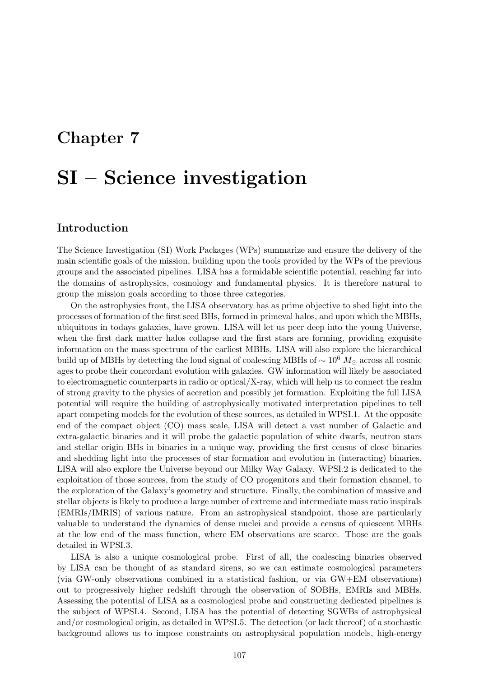# Chapter 7

# SI – Science investigation

## Introduction

The Science Investigation (SI) Work Packages (WPs) summarize and ensure the delivery of the main scientific goals of the mission, building upon the tools provided by the WPs of the previous groups and the associated pipelines. LISA has a formidable scientific potential, reaching far into the domains of astrophysics, cosmology and fundamental physics. It is therefore natural to group the mission goals according to those three categories.

On the astrophysics front, the LISA observatory has as prime objective to shed light into the processes of formation of the first seed BHs, formed in primeval halos, and upon which the MBHs, ubiquitous in todays galaxies, have grown. LISA will let us peer deep into the young Universe, when the first dark matter halos collapse and the first stars are forming, providing exquisite information on the mass spectrum of the earliest MBHs. LISA will also explore the hierarchical build up of MBHs by detecting the loud signal of coalescing MBHs of  $\sim 10^6 M_{\odot}$  across all cosmic ages to probe their concordant evolution with galaxies. GW information will likely be associated to electromagnetic counterparts in radio or optical/X-ray, which will help us to connect the realm of strong gravity to the physics of accretion and possibly jet formation. Exploiting the full LISA potential will require the building of astrophysically motivated interpretation pipelines to tell apart competing models for the evolution of these sources, as detailed in WPSI.1. At the opposite end of the compact object (CO) mass scale, LISA will detect a vast number of Galactic and extra-galactic binaries and it will probe the galactic population of white dwarfs, neutron stars and stellar origin BHs in binaries in a unique way, providing the first census of close binaries and shedding light into the processes of star formation and evolution in (interacting) binaries. LISA will also explore the Universe beyond our Milky Way Galaxy. WPSI.2 is dedicated to the exploitation of those sources, from the study of CO progenitors and their formation channel, to the exploration of the Galaxy's geometry and structure. Finally, the combination of massive and stellar objects is likely to produce a large number of extreme and intermediate mass ratio inspirals (EMRIs/IMRIS) of various nature. From an astrophysical standpoint, those are particularly valuable to understand the dynamics of dense nuclei and provide a census of quiescent MBHs at the low end of the mass function, where EM observations are scarce. Those are the goals detailed in WPSI.3.

LISA is also a unique cosmological probe. First of all, the coalescing binaries observed by LISA can be thought of as standard sirens, so we can estimate cosmological parameters (via GW-only observations combined in a statistical fashion, or via GW+EM observations) out to progressively higher redshift through the observation of SOBHs, EMRIs and MBHs. Assessing the potential of LISA as a cosmological probe and constructing dedicated pipelines is the subject of WPSI.4. Second, LISA has the potential of detecting SGWBs of astrophysical and/or cosmological origin, as detailed in WPSI.5. The detection (or lack thereof) of a stochastic background allows us to impose constraints on astrophysical population models, high-energy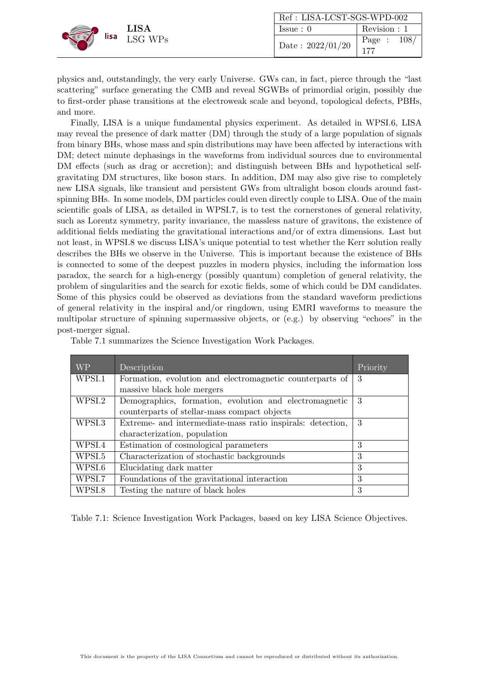| lisa<br>LSG WPs | Ref: LISA-LCST-SGS-WPD-002                                                   |              |  |
|-----------------|------------------------------------------------------------------------------|--------------|--|
|                 | Issue: 0                                                                     | Revision : 1 |  |
|                 | Date: $2022/01/20$ $\begin{array}{ c c } \text{Page} & \text{:} \end{array}$ | $108\,$      |  |
|                 |                                                                              |              |  |

physics and, outstandingly, the very early Universe. GWs can, in fact, pierce through the "last scattering" surface generating the CMB and reveal SGWBs of primordial origin, possibly due to first-order phase transitions at the electroweak scale and beyond, topological defects, PBHs, and more.

Finally, LISA is a unique fundamental physics experiment. As detailed in WPSI.6, LISA may reveal the presence of dark matter (DM) through the study of a large population of signals from binary BHs, whose mass and spin distributions may have been affected by interactions with DM; detect minute dephasings in the waveforms from individual sources due to environmental DM effects (such as drag or accretion); and distinguish between BHs and hypothetical selfgravitating DM structures, like boson stars. In addition, DM may also give rise to completely new LISA signals, like transient and persistent GWs from ultralight boson clouds around fastspinning BHs. In some models, DM particles could even directly couple to LISA. One of the main scientific goals of LISA, as detailed in WPSI.7, is to test the cornerstones of general relativity, such as Lorentz symmetry, parity invariance, the massless nature of gravitons, the existence of additional fields mediating the gravitational interactions and/or of extra dimensions. Last but not least, in WPSI.8 we discuss LISA's unique potential to test whether the Kerr solution really describes the BHs we observe in the Universe. This is important because the existence of BHs is connected to some of the deepest puzzles in modern physics, including the information loss paradox, the search for a high-energy (possibly quantum) completion of general relativity, the problem of singularities and the search for exotic fields, some of which could be DM candidates. Some of this physics could be observed as deviations from the standard waveform predictions of general relativity in the inspiral and/or ringdown, using EMRI waveforms to measure the multipolar structure of spinning supermassive objects, or (e.g.) by observing "echoes" in the post-merger signal.

| WР     | Description                                                | Priority      |
|--------|------------------------------------------------------------|---------------|
| WPSI.1 | Formation, evolution and electromagnetic counterparts of   | 3             |
|        | massive black hole mergers                                 |               |
| WPSI.2 | Demographics, formation, evolution and electromagnetic     | 3             |
|        | counterparts of stellar-mass compact objects               |               |
| WPSI.3 | Extreme- and intermediate-mass ratio inspirals: detection, | $\mathcal{R}$ |
|        | characterization, population                               |               |
| WPSI.4 | Estimation of cosmological parameters                      | 3             |
| WPSI.5 | Characterization of stochastic backgrounds                 | 3             |
| WPSI.6 | Elucidating dark matter                                    | 3             |
| WPSI.7 | Foundations of the gravitational interaction               | 3             |
| WPSI.8 | Testing the nature of black holes                          | 3             |

Table [7.1](#page-109-0) summarizes the Science Investigation Work Packages.

<span id="page-109-0"></span>Table 7.1: Science Investigation Work Packages, based on key LISA Science Objectives.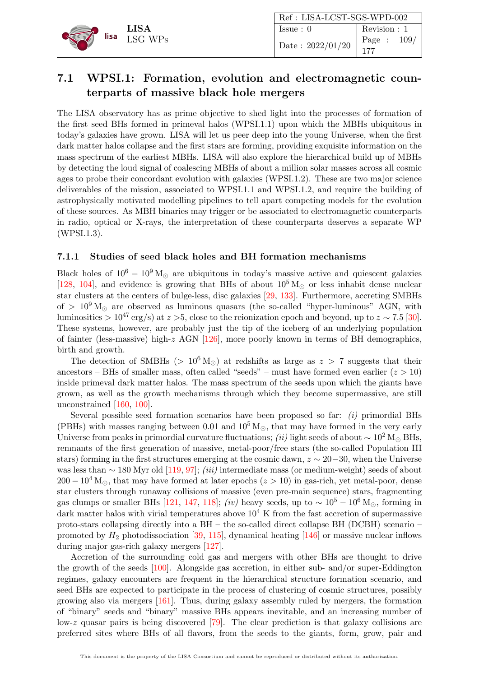

| Ref: LISA-LCST-SGS-WPD-002 |                      |  |
|----------------------------|----------------------|--|
| $I_{\text{ssue}}: 0$       | $\mid$ Revision : 1  |  |
| Date: $2022/01/20$         | Page : $109/$<br>177 |  |

## 7.1 WPSI.1: Formation, evolution and electromagnetic counterparts of massive black hole mergers

The LISA observatory has as prime objective to shed light into the processes of formation of the first seed BHs formed in primeval halos (WPSI.1.1) upon which the MBHs ubiquitous in today's galaxies have grown. LISA will let us peer deep into the young Universe, when the first dark matter halos collapse and the first stars are forming, providing exquisite information on the mass spectrum of the earliest MBHs. LISA will also explore the hierarchical build up of MBHs by detecting the loud signal of coalescing MBHs of about a million solar masses across all cosmic ages to probe their concordant evolution with galaxies (WPSI.1.2). These are two major science deliverables of the mission, associated to WPSI.1.1 and WPSI.1.2, and require the building of astrophysically motivated modelling pipelines to tell apart competing models for the evolution of these sources. As MBH binaries may trigger or be associated to electromagnetic counterparts in radio, optical or X-rays, the interpretation of these counterparts deserves a separate WP (WPSI.1.3).

#### 7.1.1 Studies of seed black holes and BH formation mechanisms

Black holes of  $10^6 - 10^9$  M<sub> $\odot$ </sub> are ubiquitous in today's massive active and quiescent galaxies [\[128,](#page-176-0) [104\]](#page-174-0), and evidence is growing that BHs of about  $10^5 M_{\odot}$  or less inhabit dense nuclear star clusters at the centers of bulge-less, disc galaxies [\[29,](#page-169-0) [133\]](#page-176-1). Furthermore, accreting SMBHs of  $> 10^9$  M<sub>o</sub> are observed as luminous quasars (the so-called "hyper-luminous" AGN, with luminosities >  $10^{47}$  erg/s) at  $z > 5$ , close to the reionization epoch and beyond, up to  $z \sim 7.5$  [\[30\]](#page-170-0). These systems, however, are probably just the tip of the iceberg of an underlying population of fainter (less-massive) high-z AGN [\[126\]](#page-175-0), more poorly known in terms of BH demographics, birth and growth.

The detection of SMBHs ( $> 10^6$  M<sub> $\odot$ </sub>) at redshifts as large as  $z > 7$  suggests that their ancestors – BHs of smaller mass, often called "seeds" – must have formed even earlier  $(z > 10)$ inside primeval dark matter halos. The mass spectrum of the seeds upon which the giants have grown, as well as the growth mechanisms through which they become supermassive, are still unconstrained [\[160,](#page-178-1) [100\]](#page-174-1).

Several possible seed formation scenarios have been proposed so far: *(i)* primordial BHs (PBHs) with masses ranging between 0.01 and  $10^5 M_{\odot}$ , that may have formed in the very early Universe from peaks in primordial curvature fluctuations; (ii) light seeds of about  $\sim 10^2 \,\mathrm{M}_{\odot}$  BHs, remnants of the first generation of massive, metal-poor/free stars (the so-called Population III stars) forming in the first structures emerging at the cosmic dawn,  $z \sim 20-30$ , when the Universe was less than  $\sim$  180 Myr old [\[119,](#page-175-1) [97\]](#page-174-2); *(iii)* intermediate mass (or medium-weight) seeds of about  $200-10^4$  M<sub>o</sub>, that may have formed at later epochs ( $z > 10$ ) in gas-rich, yet metal-poor, dense star clusters through runaway collisions of massive (even pre-main sequence) stars, fragmenting gas clumps or smaller BHs [\[121,](#page-175-2) [147,](#page-177-0) [118\]](#page-175-3); *(iv)* heavy seeds, up to  $\sim 10^5 - 10^6$  M<sub>o</sub>, forming in dark matter halos with virial temperatures above  $10^4$  K from the fast accretion of supermassive proto-stars collapsing directly into a BH – the so-called direct collapse BH (DCBH) scenario – promoted by  $H_2$  photodissociation [\[39,](#page-170-1) [115\]](#page-175-4), dynamical heating [\[146\]](#page-177-1) or massive nuclear inflows during major gas-rich galaxy mergers [\[127\]](#page-175-5).

Accretion of the surrounding cold gas and mergers with other BHs are thought to drive the growth of the seeds [\[100\]](#page-174-1). Alongside gas accretion, in either sub- and/or super-Eddington regimes, galaxy encounters are frequent in the hierarchical structure formation scenario, and seed BHs are expected to participate in the process of clustering of cosmic structures, possibly growing also via mergers [\[161\]](#page-178-2). Thus, during galaxy assembly ruled by mergers, the formation of "binary" seeds and "binary" massive BHs appears inevitable, and an increasing number of low-z quasar pairs is being discovered [\[79\]](#page-172-0). The clear prediction is that galaxy collisions are preferred sites where BHs of all flavors, from the seeds to the giants, form, grow, pair and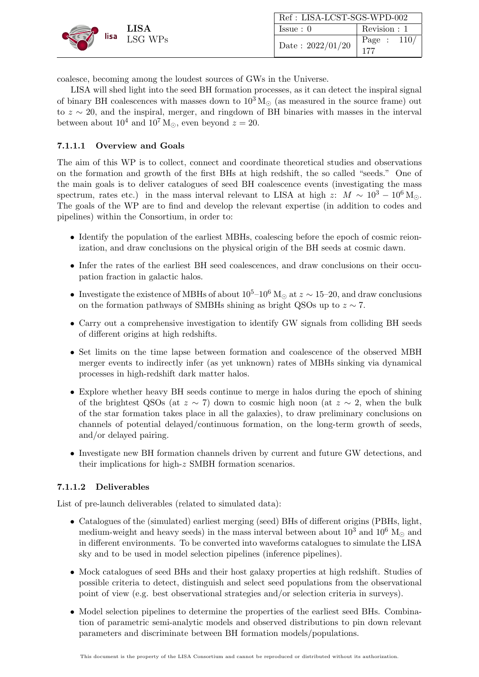| lisa<br>LSG WPs | Ref: LISA-LCST-SGS-WPD-002                                                   |             |
|-----------------|------------------------------------------------------------------------------|-------------|
|                 | Is sue: 0                                                                    | Revision: 1 |
|                 | Date: $2022/01/20$ $\begin{array}{ c c } \text{Page} & \text{:} \end{array}$ | 110/        |
|                 |                                                                              |             |

coalesce, becoming among the loudest sources of GWs in the Universe.

LISA will shed light into the seed BH formation processes, as it can detect the inspiral signal of binary BH coalescences with masses down to  $10^3 M_{\odot}$  (as measured in the source frame) out to  $z \sim 20$ , and the inspiral, merger, and ringdown of BH binaries with masses in the interval between about  $10^4$  and  $10^7$  M<sub> $\odot$ </sub>, even beyond  $z = 20$ .

## 7.1.1.1 Overview and Goals

The aim of this WP is to collect, connect and coordinate theoretical studies and observations on the formation and growth of the first BHs at high redshift, the so called "seeds." One of the main goals is to deliver catalogues of seed BH coalescence events (investigating the mass spectrum, rates etc.) in the mass interval relevant to LISA at high  $z: M \sim 10^3 - 10^6$  M. The goals of the WP are to find and develop the relevant expertise (in addition to codes and pipelines) within the Consortium, in order to:

- Identify the population of the earliest MBHs, coalescing before the epoch of cosmic reionization, and draw conclusions on the physical origin of the BH seeds at cosmic dawn.
- Infer the rates of the earliest BH seed coalescences, and draw conclusions on their occupation fraction in galactic halos.
- Investigate the existence of MBHs of about  $10^5$ – $10^6$  M<sub> $\odot$ </sub> at  $z \sim 15$ –20, and draw conclusions on the formation pathways of SMBHs shining as bright QSOs up to  $z \sim 7$ .
- Carry out a comprehensive investigation to identify GW signals from colliding BH seeds of different origins at high redshifts.
- Set limits on the time lapse between formation and coalescence of the observed MBH merger events to indirectly infer (as yet unknown) rates of MBHs sinking via dynamical processes in high-redshift dark matter halos.
- Explore whether heavy BH seeds continue to merge in halos during the epoch of shining of the brightest QSOs (at  $z \sim 7$ ) down to cosmic high noon (at  $z \sim 2$ , when the bulk of the star formation takes place in all the galaxies), to draw preliminary conclusions on channels of potential delayed/continuous formation, on the long-term growth of seeds, and/or delayed pairing.
- Investigate new BH formation channels driven by current and future GW detections, and their implications for high-z SMBH formation scenarios.

## 7.1.1.2 Deliverables

List of pre-launch deliverables (related to simulated data):

- Catalogues of the (simulated) earliest merging (seed) BHs of different origins (PBHs, light, medium-weight and heavy seeds) in the mass interval between about  $10^3$  and  $10^6$  M<sub> $\odot$ </sub> and in different environments. To be converted into waveforms catalogues to simulate the LISA sky and to be used in model selection pipelines (inference pipelines).
- Mock catalogues of seed BHs and their host galaxy properties at high redshift. Studies of possible criteria to detect, distinguish and select seed populations from the observational point of view (e.g. best observational strategies and/or selection criteria in surveys).
- Model selection pipelines to determine the properties of the earliest seed BHs. Combination of parametric semi-analytic models and observed distributions to pin down relevant parameters and discriminate between BH formation models/populations.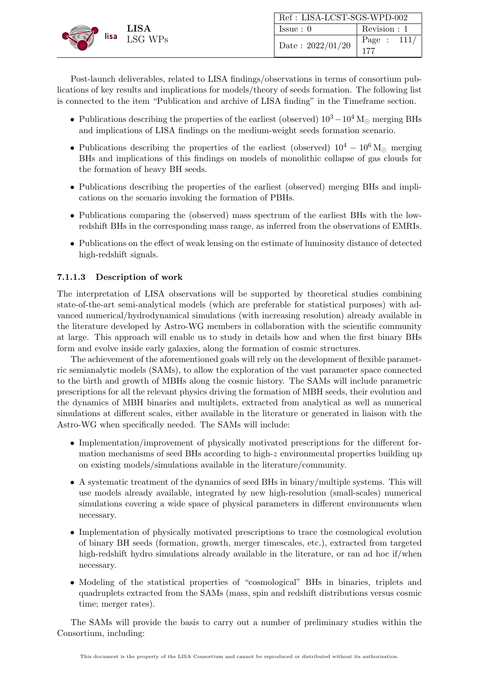

Post-launch deliverables, related to LISA findings/observations in terms of consortium publications of key results and implications for models/theory of seeds formation. The following list is connected to the item "Publication and archive of LISA finding" in the Timeframe section.

- Publications describing the properties of the earliest (observed)  $10^3 10^4$  M<sub>o</sub> merging BHs and implications of LISA findings on the medium-weight seeds formation scenario.
- Publications describing the properties of the earliest (observed)  $10^4 10^6$  M<sub>o</sub> merging BHs and implications of this findings on models of monolithic collapse of gas clouds for the formation of heavy BH seeds.
- Publications describing the properties of the earliest (observed) merging BHs and implications on the scenario invoking the formation of PBHs.
- Publications comparing the (observed) mass spectrum of the earliest BHs with the lowredshift BHs in the corresponding mass range, as inferred from the observations of EMRIs.
- Publications on the effect of weak lensing on the estimate of luminosity distance of detected high-redshift signals.

## 7.1.1.3 Description of work

The interpretation of LISA observations will be supported by theoretical studies combining state-of-the-art semi-analytical models (which are preferable for statistical purposes) with advanced numerical/hydrodynamical simulations (with increasing resolution) already available in the literature developed by Astro-WG members in collaboration with the scientific community at large. This approach will enable us to study in details how and when the first binary BHs form and evolve inside early galaxies, along the formation of cosmic structures.

The achievement of the aforementioned goals will rely on the development of flexible parametric semianalytic models (SAMs), to allow the exploration of the vast parameter space connected to the birth and growth of MBHs along the cosmic history. The SAMs will include parametric prescriptions for all the relevant physics driving the formation of MBH seeds, their evolution and the dynamics of MBH binaries and multiplets, extracted from analytical as well as numerical simulations at different scales, either available in the literature or generated in liaison with the Astro-WG when specifically needed. The SAMs will include:

- Implementation/improvement of physically motivated prescriptions for the different formation mechanisms of seed BHs according to high-z environmental properties building up on existing models/simulations available in the literature/community.
- A systematic treatment of the dynamics of seed BHs in binary/multiple systems. This will use models already available, integrated by new high-resolution (small-scales) numerical simulations covering a wide space of physical parameters in different environments when necessary.
- Implementation of physically motivated prescriptions to trace the cosmological evolution of binary BH seeds (formation, growth, merger timescales, etc.), extracted from targeted high-redshift hydro simulations already available in the literature, or ran ad hoc if/when necessary.
- Modeling of the statistical properties of "cosmological" BHs in binaries, triplets and quadruplets extracted from the SAMs (mass, spin and redshift distributions versus cosmic time; merger rates).

The SAMs will provide the basis to carry out a number of preliminary studies within the Consortium, including: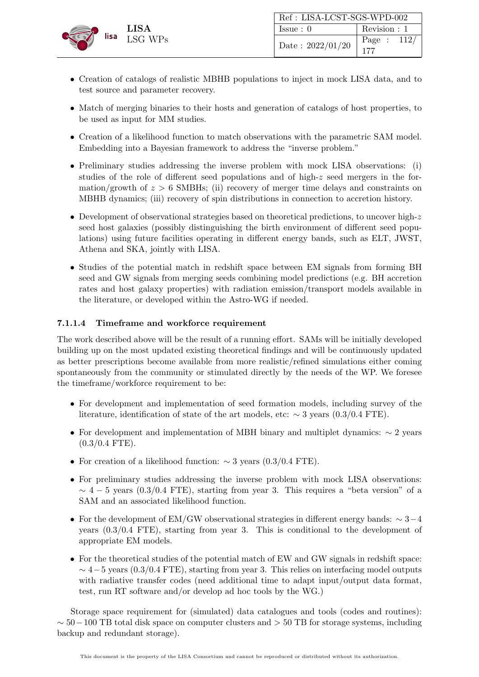

- Creation of catalogs of realistic MBHB populations to inject in mock LISA data, and to test source and parameter recovery.
- Match of merging binaries to their hosts and generation of catalogs of host properties, to be used as input for MM studies.
- Creation of a likelihood function to match observations with the parametric SAM model. Embedding into a Bayesian framework to address the "inverse problem."
- Preliminary studies addressing the inverse problem with mock LISA observations: (i) studies of the role of different seed populations and of high-z seed mergers in the formation/growth of  $z > 6$  SMBHs; (ii) recovery of merger time delays and constraints on MBHB dynamics; (iii) recovery of spin distributions in connection to accretion history.
- Development of observational strategies based on theoretical predictions, to uncover high- $z$ seed host galaxies (possibly distinguishing the birth environment of different seed populations) using future facilities operating in different energy bands, such as ELT, JWST, Athena and SKA, jointly with LISA.
- Studies of the potential match in redshift space between EM signals from forming BH seed and GW signals from merging seeds combining model predictions (e.g. BH accretion rates and host galaxy properties) with radiation emission/transport models available in the literature, or developed within the Astro-WG if needed.

## 7.1.1.4 Timeframe and workforce requirement

The work described above will be the result of a running effort. SAMs will be initially developed building up on the most updated existing theoretical findings and will be continuously updated as better prescriptions become available from more realistic/refined simulations either coming spontaneously from the community or stimulated directly by the needs of the WP. We foresee the timeframe/workforce requirement to be:

- For development and implementation of seed formation models, including survey of the literature, identification of state of the art models, etc:  $\sim$  3 years (0.3/0.4 FTE).
- For development and implementation of MBH binary and multiplet dynamics:  $\sim$  2 years  $(0.3/0.4$  FTE).
- For creation of a likelihood function:  $\sim$  3 years (0.3/0.4 FTE).
- For preliminary studies addressing the inverse problem with mock LISA observations:  $\sim$  4 − 5 years (0.3/0.4 FTE), starting from year 3. This requires a "beta version" of a SAM and an associated likelihood function.
- For the development of EM/GW observational strategies in different energy bands:  $\sim 3-4$ years (0.3/0.4 FTE), starting from year 3. This is conditional to the development of appropriate EM models.
- For the theoretical studies of the potential match of EW and GW signals in redshift space:  $\sim$  4−5 years (0.3/0.4 FTE), starting from year 3. This relies on interfacing model outputs with radiative transfer codes (need additional time to adapt input/output data format, test, run RT software and/or develop ad hoc tools by the WG.)

Storage space requirement for (simulated) data catalogues and tools (codes and routines):  $\sim$  50 − 100 TB total disk space on computer clusters and  $>$  50 TB for storage systems, including backup and redundant storage).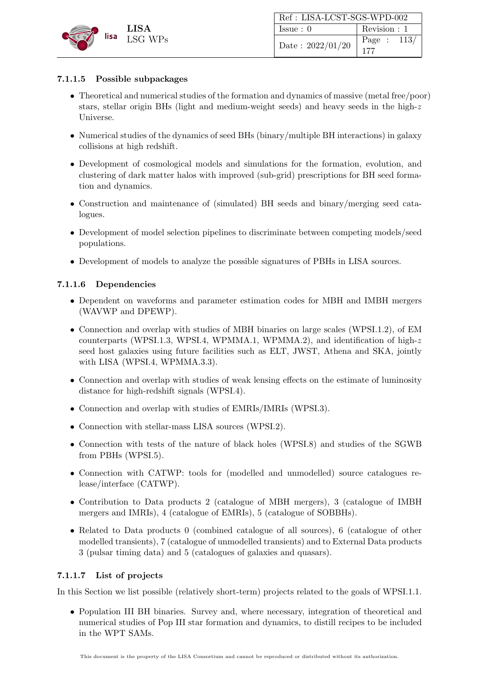

## 7.1.1.5 Possible subpackages

- Theoretical and numerical studies of the formation and dynamics of massive (metal free/poor) stars, stellar origin BHs (light and medium-weight seeds) and heavy seeds in the high-z Universe.
- Numerical studies of the dynamics of seed BHs (binary/multiple BH interactions) in galaxy collisions at high redshift.
- Development of cosmological models and simulations for the formation, evolution, and clustering of dark matter halos with improved (sub-grid) prescriptions for BH seed formation and dynamics.
- Construction and maintenance of (simulated) BH seeds and binary/merging seed catalogues.
- Development of model selection pipelines to discriminate between competing models/seed populations.
- Development of models to analyze the possible signatures of PBHs in LISA sources.

#### 7.1.1.6 Dependencies

- Dependent on waveforms and parameter estimation codes for MBH and IMBH mergers (WAVWP and DPEWP).
- Connection and overlap with studies of MBH binaries on large scales (WPSI.1.2), of EM counterparts (WPSI.1.3, WPSI.4, WPMMA.1, WPMMA.2), and identification of high-z seed host galaxies using future facilities such as ELT, JWST, Athena and SKA, jointly with LISA (WPSI.4, WPMMA.3.3).
- Connection and overlap with studies of weak lensing effects on the estimate of luminosity distance for high-redshift signals (WPSI.4).
- Connection and overlap with studies of EMRIs/IMRIs (WPSI.3).
- Connection with stellar-mass LISA sources (WPSI.2).
- Connection with tests of the nature of black holes (WPSI.8) and studies of the SGWB from PBHs (WPSI.5).
- Connection with CATWP: tools for (modelled and unmodelled) source catalogues release/interface (CATWP).
- Contribution to Data products 2 (catalogue of MBH mergers), 3 (catalogue of IMBH mergers and IMRIs), 4 (catalogue of EMRIs), 5 (catalogue of SOBBHs).
- Related to Data products 0 (combined catalogue of all sources), 6 (catalogue of other modelled transients), 7 (catalogue of unmodelled transients) and to External Data products 3 (pulsar timing data) and 5 (catalogues of galaxies and quasars).

## 7.1.1.7 List of projects

In this Section we list possible (relatively short-term) projects related to the goals of WPSI.1.1.

• Population III BH binaries. Survey and, where necessary, integration of theoretical and numerical studies of Pop III star formation and dynamics, to distill recipes to be included in the WPT SAMs.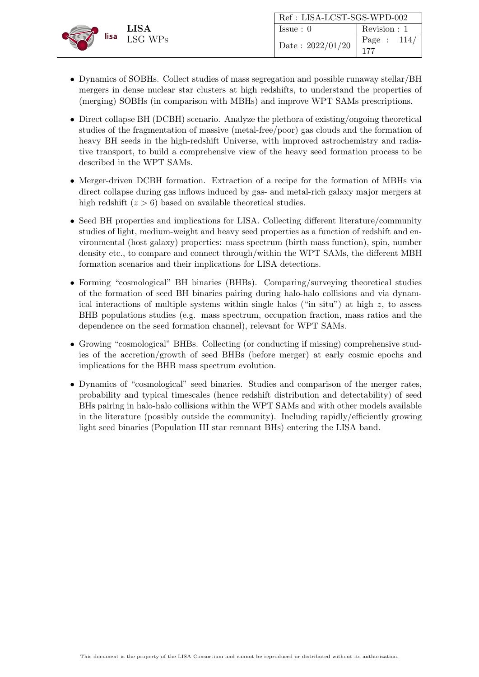

- Dynamics of SOBHs. Collect studies of mass segregation and possible runaway stellar/BH mergers in dense nuclear star clusters at high redshifts, to understand the properties of (merging) SOBHs (in comparison with MBHs) and improve WPT SAMs prescriptions.
- Direct collapse BH (DCBH) scenario. Analyze the plethora of existing/ongoing theoretical studies of the fragmentation of massive (metal-free/poor) gas clouds and the formation of heavy BH seeds in the high-redshift Universe, with improved astrochemistry and radiative transport, to build a comprehensive view of the heavy seed formation process to be described in the WPT SAMs.
- Merger-driven DCBH formation. Extraction of a recipe for the formation of MBHs via direct collapse during gas inflows induced by gas- and metal-rich galaxy major mergers at high redshift  $(z > 6)$  based on available theoretical studies.
- Seed BH properties and implications for LISA. Collecting different literature/community studies of light, medium-weight and heavy seed properties as a function of redshift and environmental (host galaxy) properties: mass spectrum (birth mass function), spin, number density etc., to compare and connect through/within the WPT SAMs, the different MBH formation scenarios and their implications for LISA detections.
- Forming "cosmological" BH binaries (BHBs). Comparing/surveying theoretical studies of the formation of seed BH binaries pairing during halo-halo collisions and via dynamical interactions of multiple systems within single halos ("in situ") at high z, to assess BHB populations studies (e.g. mass spectrum, occupation fraction, mass ratios and the dependence on the seed formation channel), relevant for WPT SAMs.
- Growing "cosmological" BHBs. Collecting (or conducting if missing) comprehensive studies of the accretion/growth of seed BHBs (before merger) at early cosmic epochs and implications for the BHB mass spectrum evolution.
- Dynamics of "cosmological" seed binaries. Studies and comparison of the merger rates, probability and typical timescales (hence redshift distribution and detectability) of seed BHs pairing in halo-halo collisions within the WPT SAMs and with other models available in the literature (possibly outside the community). Including rapidly/efficiently growing light seed binaries (Population III star remnant BHs) entering the LISA band.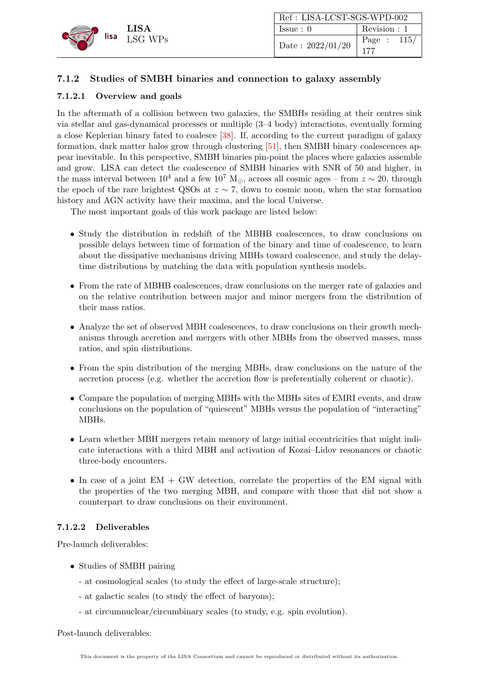

| Ref: LISA-LCST-SGS-WPD-002 |                      |  |
|----------------------------|----------------------|--|
| Issue:0                    | Revision : 1         |  |
| Date: $2022/01/20$         | Page : $115/$<br>177 |  |

## 7.1.2 Studies of SMBH binaries and connection to galaxy assembly

## 7.1.2.1 Overview and goals

In the aftermath of a collision between two galaxies, the SMBHs residing at their centres sink via stellar and gas-dynamical processes or multiple (3–4 body) interactions, eventually forming a close Keplerian binary fated to coalesce [\[38\]](#page-170-2). If, according to the current paradigm of galaxy formation, dark matter halos grow through clustering [\[51\]](#page-171-0), then SMBH binary coalescences appear inevitable. In this perspective, SMBH binaries pin-point the places where galaxies assemble and grow. LISA can detect the coalescence of SMBH binaries with SNR of 50 and higher, in the mass interval between  $10^4$  and a few  $10^7$  M<sub> $\odot$ </sub>, across all cosmic ages – from  $z \sim 20$ , through the epoch of the rare brightest QSOs at  $z \sim 7$ , down to cosmic noon, when the star formation history and AGN activity have their maxima, and the local Universe.

The most important goals of this work package are listed below:

- Study the distribution in redshift of the MBHB coalescences, to draw conclusions on possible delays between time of formation of the binary and time of coalescence, to learn about the dissipative mechanisms driving MBHs toward coalescence, and study the delaytime distributions by matching the data with population synthesis models.
- From the rate of MBHB coalescences, draw conclusions on the merger rate of galaxies and on the relative contribution between major and minor mergers from the distribution of their mass ratios.
- Analyze the set of observed MBH coalescences, to draw conclusions on their growth mechanisms through accretion and mergers with other MBHs from the observed masses, mass ratios, and spin distributions.
- From the spin distribution of the merging MBHs, draw conclusions on the nature of the accretion process (e.g. whether the accretion flow is preferentially coherent or chaotic).
- Compare the population of merging MBHs with the MBHs sites of EMRI events, and draw conclusions on the population of "quiescent" MBHs versus the population of "interacting" MBHs.
- Learn whether MBH mergers retain memory of large initial eccentricities that might indicate interactions with a third MBH and activation of Kozai–Lidov resonances or chaotic three-body encounters.
- In case of a joint  $EM + GW$  detection, correlate the properties of the EM signal with the properties of the two merging MBH, and compare with those that did not show a counterpart to draw conclusions on their environment.

## 7.1.2.2 Deliverables

Pre-launch deliverables:

- Studies of SMBH pairing
	- at cosmological scales (to study the effect of large-scale structure);
	- at galactic scales (to study the effect of baryons);
	- at circumnuclear/circumbinary scales (to study, e.g. spin evolution).

Post-launch deliverables: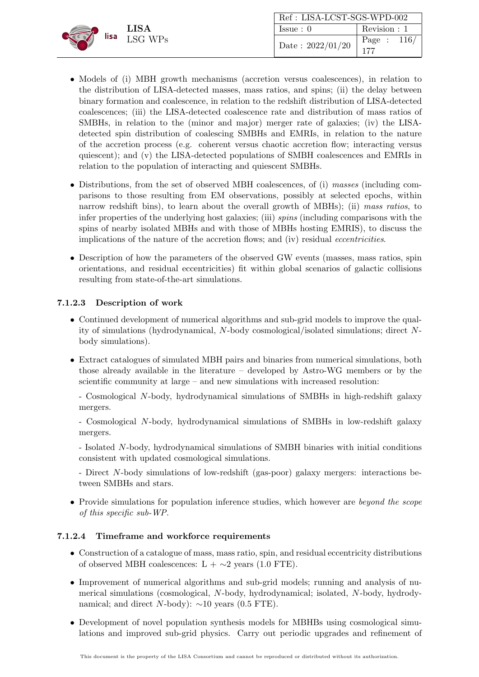

| Ref: LISA-LCST-SGS-WPD-002 |                      |
|----------------------------|----------------------|
| Issue:0                    | Revision : 1         |
| Date: $2022/01/20$         | Page : $116/$<br>177 |

- Models of (i) MBH growth mechanisms (accretion versus coalescences), in relation to the distribution of LISA-detected masses, mass ratios, and spins; (ii) the delay between binary formation and coalescence, in relation to the redshift distribution of LISA-detected coalescences; (iii) the LISA-detected coalescence rate and distribution of mass ratios of SMBHs, in relation to the (minor and major) merger rate of galaxies; (iv) the LISAdetected spin distribution of coalescing SMBHs and EMRIs, in relation to the nature of the accretion process (e.g. coherent versus chaotic accretion flow; interacting versus quiescent); and (v) the LISA-detected populations of SMBH coalescences and EMRIs in relation to the population of interacting and quiescent SMBHs.
- Distributions, from the set of observed MBH coalescences, of (i) masses (including comparisons to those resulting from EM observations, possibly at selected epochs, within narrow redshift bins), to learn about the overall growth of MBHs); (ii) mass ratios, to infer properties of the underlying host galaxies; (iii) *spins* (including comparisons with the spins of nearby isolated MBHs and with those of MBHs hosting EMRIS), to discuss the implications of the nature of the accretion flows; and (iv) residual *eccentricities*.
- Description of how the parameters of the observed GW events (masses, mass ratios, spin orientations, and residual eccentricities) fit within global scenarios of galactic collisions resulting from state-of-the-art simulations.

#### 7.1.2.3 Description of work

- Continued development of numerical algorithms and sub-grid models to improve the quality of simulations (hydrodynamical, N-body cosmological/isolated simulations; direct Nbody simulations).
- Extract catalogues of simulated MBH pairs and binaries from numerical simulations, both those already available in the literature – developed by Astro-WG members or by the scientific community at large – and new simulations with increased resolution:

- Cosmological N-body, hydrodynamical simulations of SMBHs in high-redshift galaxy mergers.

- Cosmological N-body, hydrodynamical simulations of SMBHs in low-redshift galaxy mergers.

- Isolated N-body, hydrodynamical simulations of SMBH binaries with initial conditions consistent with updated cosmological simulations.

- Direct N-body simulations of low-redshift (gas-poor) galaxy mergers: interactions between SMBHs and stars.

• Provide simulations for population inference studies, which however are *beyond the scope* of this specific sub-WP.

#### 7.1.2.4 Timeframe and workforce requirements

- Construction of a catalogue of mass, mass ratio, spin, and residual eccentricity distributions of observed MBH coalescences: L +  $\sim$ 2 years (1.0 FTE).
- Improvement of numerical algorithms and sub-grid models; running and analysis of numerical simulations (cosmological, N-body, hydrodynamical; isolated, N-body, hydrodynamical; and direct N-body):  $\sim$ 10 years (0.5 FTE).
- Development of novel population synthesis models for MBHBs using cosmological simulations and improved sub-grid physics. Carry out periodic upgrades and refinement of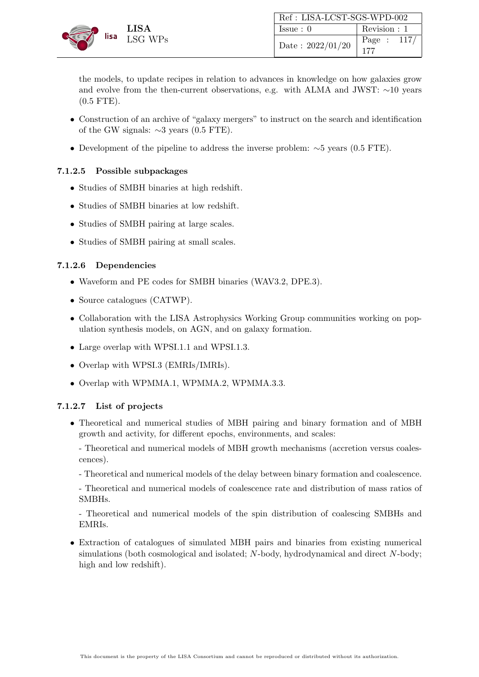

| Ref: LISA-LCST-SGS-WPD-002 |                      |  |
|----------------------------|----------------------|--|
| Issue:0                    | Revision : 1         |  |
| Date: $2022/01/20$         | Page : $117/$<br>177 |  |

the models, to update recipes in relation to advances in knowledge on how galaxies grow and evolve from the then-current observations, e.g. with ALMA and JWST: ∼10 years (0.5 FTE).

- Construction of an archive of "galaxy mergers" to instruct on the search and identification of the GW signals:  $\sim$ 3 years (0.5 FTE).
- Development of the pipeline to address the inverse problem:  $\sim$ 5 years (0.5 FTE).

#### 7.1.2.5 Possible subpackages

- Studies of SMBH binaries at high redshift.
- Studies of SMBH binaries at low redshift.
- Studies of SMBH pairing at large scales.
- Studies of SMBH pairing at small scales.

#### 7.1.2.6 Dependencies

- Waveform and PE codes for SMBH binaries (WAV3.2, DPE.3).
- Source catalogues (CATWP).
- Collaboration with the LISA Astrophysics Working Group communities working on population synthesis models, on AGN, and on galaxy formation.
- Large overlap with WPSI.1.1 and WPSI.1.3.
- Overlap with WPSI.3 (EMRIs/IMRIs).
- Overlap with WPMMA.1, WPMMA.2, WPMMA.3.3.

#### 7.1.2.7 List of projects

• Theoretical and numerical studies of MBH pairing and binary formation and of MBH growth and activity, for different epochs, environments, and scales:

- Theoretical and numerical models of MBH growth mechanisms (accretion versus coalescences).

- Theoretical and numerical models of the delay between binary formation and coalescence.

- Theoretical and numerical models of coalescence rate and distribution of mass ratios of SMBHs.

- Theoretical and numerical models of the spin distribution of coalescing SMBHs and EMRIs.

• Extraction of catalogues of simulated MBH pairs and binaries from existing numerical simulations (both cosmological and isolated;  $N$ -body, hydrodynamical and direct  $N$ -body; high and low redshift).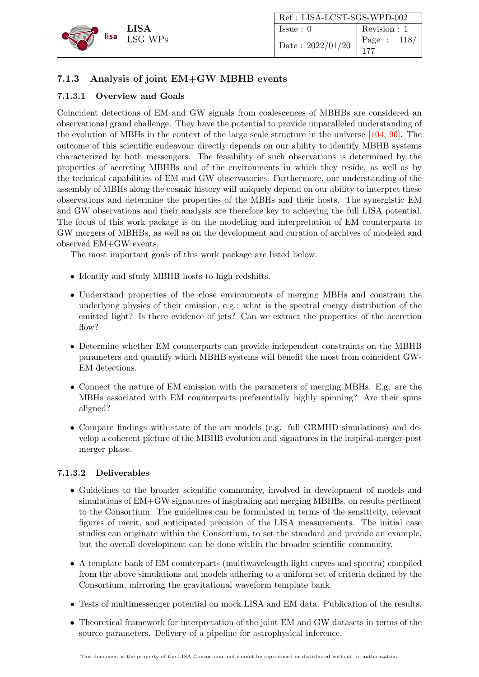

| Ref: LISA-LCST-SGS-WPD-002 |                      |  |
|----------------------------|----------------------|--|
| Issue:0                    | Revision : 1         |  |
| Date: $2022/01/20$         | Page : $118/$<br>177 |  |

## 7.1.3 Analysis of joint EM+GW MBHB events

## 7.1.3.1 Overview and Goals

Coincident detections of EM and GW signals from coalescences of MBHBs are considered an observational grand challenge. They have the potential to provide unparalleled understanding of the evolution of MBHs in the context of the large scale structure in the universe [\[104,](#page-174-0) [96\]](#page-174-3). The outcome of this scientific endeavour directly depends on our ability to identify MBHB systems characterized by both messengers. The feasibility of such observations is determined by the properties of accreting MBHBs and of the environments in which they reside, as well as by the technical capabilities of EM and GW observatories. Furthermore, our understanding of the assembly of MBHs along the cosmic history will uniquely depend on our ability to interpret these observations and determine the properties of the MBHs and their hosts. The synergistic EM and GW observations and their analysis are therefore key to achieving the full LISA potential. The focus of this work package is on the modelling and interpretation of EM counterparts to GW mergers of MBHBs, as well as on the development and curation of archives of modeled and observed EM+GW events.

The most important goals of this work package are listed below.

- Identify and study MBHB hosts to high redshifts.
- Understand properties of the close environments of merging MBHs and constrain the underlying physics of their emission, e.g.: what is the spectral energy distribution of the emitted light? Is there evidence of jets? Can we extract the properties of the accretion flow?
- Determine whether EM counterparts can provide independent constraints on the MBHB parameters and quantify which MBHB systems will benefit the most from coincident GW-EM detections.
- Connect the nature of EM emission with the parameters of merging MBHs. E.g. are the MBHs associated with EM counterparts preferentially highly spinning? Are their spins aligned?
- Compare findings with state of the art models (e.g. full GRMHD simulations) and develop a coherent picture of the MBHB evolution and signatures in the inspiral-merger-post merger phase.

## 7.1.3.2 Deliverables

- Guidelines to the broader scientific community, involved in development of models and simulations of EM+GW signatures of inspiraling and merging MBHBs, on results pertinent to the Consortium. The guidelines can be formulated in terms of the sensitivity, relevant figures of merit, and anticipated precision of the LISA measurements. The initial case studies can originate within the Consortium, to set the standard and provide an example, but the overall development can be done within the broader scientific community.
- A template bank of EM counterparts (multiwavelength light curves and spectra) compiled from the above simulations and models adhering to a uniform set of criteria defined by the Consortium, mirroring the gravitational waveform template bank.
- Tests of multimessenger potential on mock LISA and EM data. Publication of the results.
- Theoretical framework for interpretation of the joint EM and GW datasets in terms of the source parameters. Delivery of a pipeline for astrophysical inference.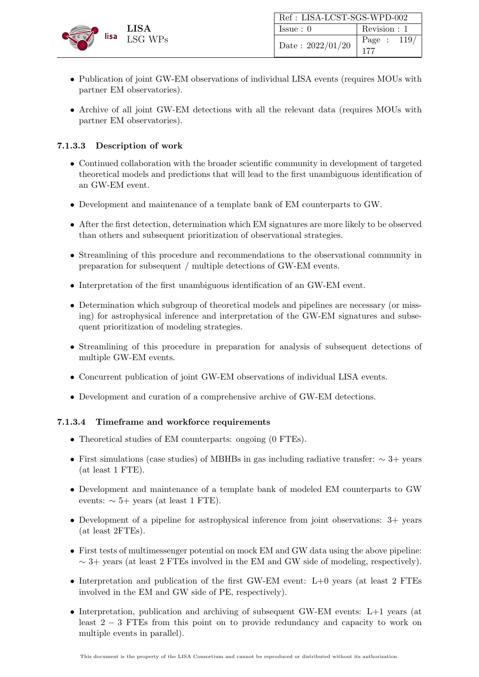

- Publication of joint GW-EM observations of individual LISA events (requires MOUs with partner EM observatories).
- Archive of all joint GW-EM detections with all the relevant data (requires MOUs with partner EM observatories).

## 7.1.3.3 Description of work

- Continued collaboration with the broader scientific community in development of targeted theoretical models and predictions that will lead to the first unambiguous identification of an GW-EM event.
- Development and maintenance of a template bank of EM counterparts to GW.
- After the first detection, determination which EM signatures are more likely to be observed than others and subsequent prioritization of observational strategies.
- Streamlining of this procedure and recommendations to the observational community in preparation for subsequent / multiple detections of GW-EM events.
- Interpretation of the first unambiguous identification of an GW-EM event.
- Determination which subgroup of theoretical models and pipelines are necessary (or missing) for astrophysical inference and interpretation of the GW-EM signatures and subsequent prioritization of modeling strategies.
- Streamlining of this procedure in preparation for analysis of subsequent detections of multiple GW-EM events.
- Concurrent publication of joint GW-EM observations of individual LISA events.
- Development and curation of a comprehensive archive of GW-EM detections.

#### 7.1.3.4 Timeframe and workforce requirements

- Theoretical studies of EM counterparts: ongoing (0 FTEs).
- First simulations (case studies) of MBHBs in gas including radiative transfer:  $\sim 3+$  years (at least 1 FTE).
- Development and maintenance of a template bank of modeled EM counterparts to GW events:  $\sim$  5+ years (at least 1 FTE).
- Development of a pipeline for astrophysical inference from joint observations: 3+ years (at least 2FTEs).
- First tests of multimessenger potential on mock EM and GW data using the above pipeline:  $\sim$  3+ years (at least 2 FTEs involved in the EM and GW side of modeling, respectively).
- Interpretation and publication of the first GW-EM event: L+0 years (at least 2 FTEs involved in the EM and GW side of PE, respectively).
- Interpretation, publication and archiving of subsequent GW-EM events:  $L+1$  years (at least 2 − 3 FTEs from this point on to provide redundancy and capacity to work on multiple events in parallel).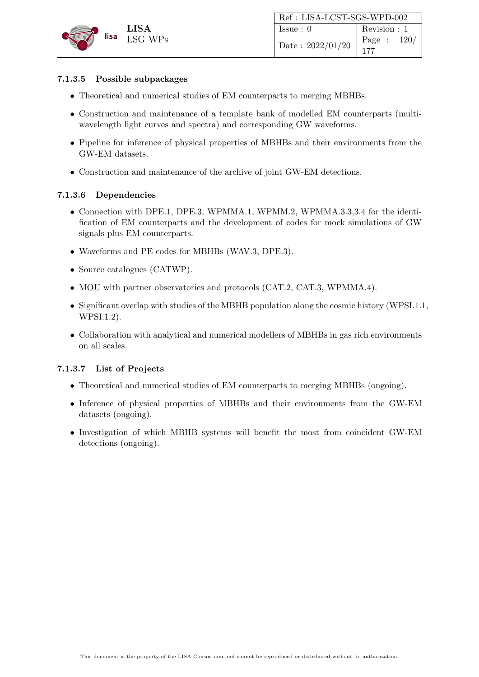

## 7.1.3.5 Possible subpackages

- Theoretical and numerical studies of EM counterparts to merging MBHBs.
- Construction and maintenance of a template bank of modelled EM counterparts (multiwavelength light curves and spectra) and corresponding GW waveforms.
- Pipeline for inference of physical properties of MBHBs and their environments from the GW-EM datasets.
- Construction and maintenance of the archive of joint GW-EM detections.

#### 7.1.3.6 Dependencies

- Connection with DPE.1, DPE.3, WPMMA.1, WPMM.2, WPMMA.3.3,3.4 for the identification of EM counterparts and the development of codes for mock simulations of GW signals plus EM counterparts.
- Waveforms and PE codes for MBHBs (WAV.3, DPE.3).
- Source catalogues (CATWP).
- MOU with partner observatories and protocols (CAT.2, CAT.3, WPMMA.4).
- Significant overlap with studies of the MBHB population along the cosmic history (WPSI.1.1, WPSI.1.2).
- Collaboration with analytical and numerical modellers of MBHBs in gas rich environments on all scales.

#### 7.1.3.7 List of Projects

- Theoretical and numerical studies of EM counterparts to merging MBHBs (ongoing).
- Inference of physical properties of MBHBs and their environments from the GW-EM datasets (ongoing).
- Investigation of which MBHB systems will benefit the most from coincident GW-EM detections (ongoing).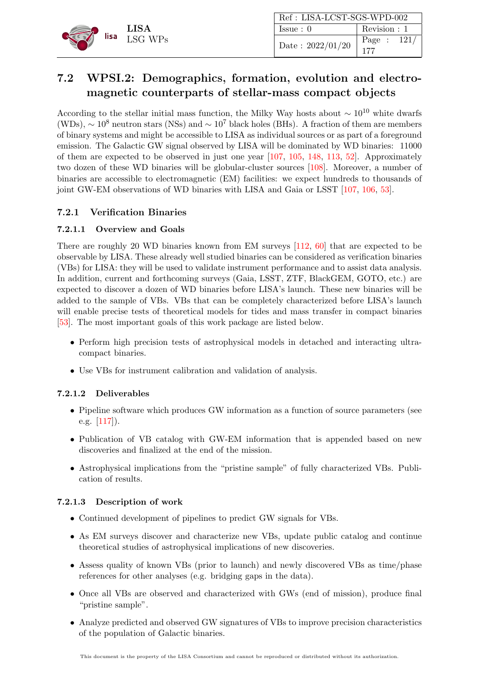

# 7.2 WPSI.2: Demographics, formation, evolution and electromagnetic counterparts of stellar-mass compact objects

According to the stellar initial mass function, the Milky Way hosts about  $\sim 10^{10}$  white dwarfs (WDs),  $\sim 10^8$  neutron stars (NSs) and  $\sim 10^7$  black holes (BHs). A fraction of them are members of binary systems and might be accessible to LISA as individual sources or as part of a foreground emission. The Galactic GW signal observed by LISA will be dominated by WD binaries: 11000 of them are expected to be observed in just one year [\[107,](#page-174-4) [105,](#page-174-5) [148,](#page-177-2) [113,](#page-175-6) [52\]](#page-171-1). Approximately two dozen of these WD binaries will be globular-cluster sources [\[108\]](#page-174-6). Moreover, a number of binaries are accessible to electromagnetic (EM) facilities: we expect hundreds to thousands of joint GW-EM observations of WD binaries with LISA and Gaia or LSST [\[107,](#page-174-4) [106,](#page-174-7) [53\]](#page-171-2).

## 7.2.1 Verification Binaries

## 7.2.1.1 Overview and Goals

There are roughly 20 WD binaries known from EM surveys [\[112,](#page-175-7) [60\]](#page-171-3) that are expected to be observable by LISA. These already well studied binaries can be considered as verification binaries (VBs) for LISA: they will be used to validate instrument performance and to assist data analysis. In addition, current and forthcoming surveys (Gaia, LSST, ZTF, BlackGEM, GOTO, etc.) are expected to discover a dozen of WD binaries before LISA's launch. These new binaries will be added to the sample of VBs. VBs that can be completely characterized before LISA's launch will enable precise tests of theoretical models for tides and mass transfer in compact binaries [\[53\]](#page-171-2). The most important goals of this work package are listed below.

- Perform high precision tests of astrophysical models in detached and interacting ultracompact binaries.
- Use VBs for instrument calibration and validation of analysis.

## 7.2.1.2 Deliverables

- Pipeline software which produces GW information as a function of source parameters (see e.g. [\[117\]](#page-175-8)).
- Publication of VB catalog with GW-EM information that is appended based on new discoveries and finalized at the end of the mission.
- Astrophysical implications from the "pristine sample" of fully characterized VBs. Publication of results.

## 7.2.1.3 Description of work

- Continued development of pipelines to predict GW signals for VBs.
- As EM surveys discover and characterize new VBs, update public catalog and continue theoretical studies of astrophysical implications of new discoveries.
- Assess quality of known VBs (prior to launch) and newly discovered VBs as time/phase references for other analyses (e.g. bridging gaps in the data).
- Once all VBs are observed and characterized with GWs (end of mission), produce final "pristine sample".
- Analyze predicted and observed GW signatures of VBs to improve precision characteristics of the population of Galactic binaries.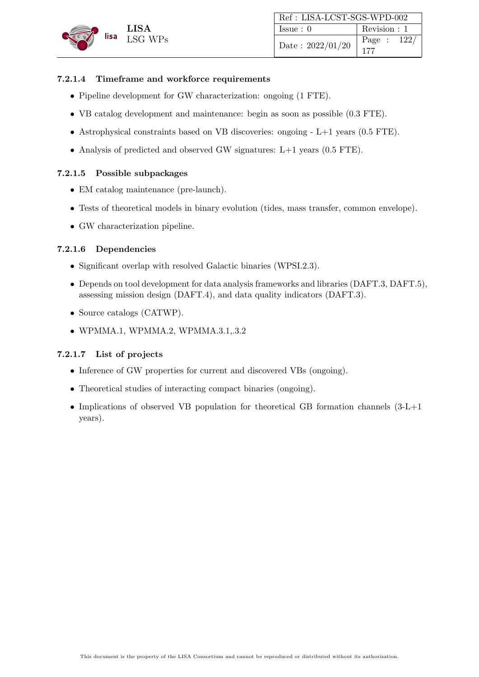

## 7.2.1.4 Timeframe and workforce requirements

- Pipeline development for GW characterization: ongoing (1 FTE).
- VB catalog development and maintenance: begin as soon as possible (0.3 FTE).
- Astrophysical constraints based on VB discoveries: ongoing L+1 years (0.5 FTE).
- Analysis of predicted and observed GW signatures: L+1 years (0.5 FTE).

## 7.2.1.5 Possible subpackages

- EM catalog maintenance (pre-launch).
- Tests of theoretical models in binary evolution (tides, mass transfer, common envelope).
- GW characterization pipeline.

## 7.2.1.6 Dependencies

- Significant overlap with resolved Galactic binaries (WPSI.2.3).
- Depends on tool development for data analysis frameworks and libraries (DAFT.3, DAFT.5), assessing mission design (DAFT.4), and data quality indicators (DAFT.3).
- Source catalogs (CATWP).
- WPMMA.1, WPMMA.2, WPMMA.3.1,.3.2

## 7.2.1.7 List of projects

- Inference of GW properties for current and discovered VBs (ongoing).
- Theoretical studies of interacting compact binaries (ongoing).
- Implications of observed VB population for theoretical GB formation channels (3-L+1 years).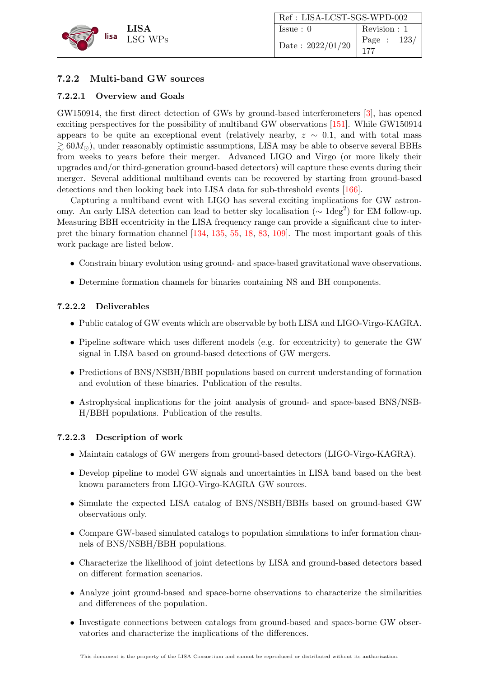

| Ref: LISA-LCST-SGS-WPD-002 |                      |  |
|----------------------------|----------------------|--|
| $I_{\text{ssue}}: 0$       | Revision : 1         |  |
| Date: $2022/01/20$         | Page : $123/$<br>177 |  |

## 7.2.2 Multi-band GW sources

## 7.2.2.1 Overview and Goals

GW150914, the first direct detection of GWs by ground-based interferometers [\[3\]](#page-168-0), has opened exciting perspectives for the possibility of multiband GW observations [\[151\]](#page-177-3). While GW150914 appears to be quite an exceptional event (relatively nearby,  $z \sim 0.1$ , and with total mass  $\gtrsim 60 M_{\odot}$ ), under reasonably optimistic assumptions, LISA may be able to observe several BBHs from weeks to years before their merger. Advanced LIGO and Virgo (or more likely their upgrades and/or third-generation ground-based detectors) will capture these events during their merger. Several additional multiband events can be recovered by starting from ground-based detections and then looking back into LISA data for sub-threshold events [\[166\]](#page-178-3).

Capturing a multiband event with LIGO has several exciting implications for GW astronomy. An early LISA detection can lead to better sky localisation ( $\sim 1 \text{deg}^2$ ) for EM follow-up. Measuring BBH eccentricity in the LISA frequency range can provide a significant clue to interpret the binary formation channel [\[134,](#page-176-2) [135,](#page-176-3) [55,](#page-171-4) [18,](#page-169-1) [83,](#page-173-0) [109\]](#page-174-8). The most important goals of this work package are listed below.

- Constrain binary evolution using ground- and space-based gravitational wave observations.
- Determine formation channels for binaries containing NS and BH components.

#### 7.2.2.2 Deliverables

- Public catalog of GW events which are observable by both LISA and LIGO-Virgo-KAGRA.
- Pipeline software which uses different models (e.g. for eccentricity) to generate the GW signal in LISA based on ground-based detections of GW mergers.
- Predictions of BNS/NSBH/BBH populations based on current understanding of formation and evolution of these binaries. Publication of the results.
- Astrophysical implications for the joint analysis of ground- and space-based BNS/NSB-H/BBH populations. Publication of the results.

#### 7.2.2.3 Description of work

- Maintain catalogs of GW mergers from ground-based detectors (LIGO-Virgo-KAGRA).
- Develop pipeline to model GW signals and uncertainties in LISA band based on the best known parameters from LIGO-Virgo-KAGRA GW sources.
- Simulate the expected LISA catalog of BNS/NSBH/BBHs based on ground-based GW observations only.
- Compare GW-based simulated catalogs to population simulations to infer formation channels of BNS/NSBH/BBH populations.
- Characterize the likelihood of joint detections by LISA and ground-based detectors based on different formation scenarios.
- Analyze joint ground-based and space-borne observations to characterize the similarities and differences of the population.
- Investigate connections between catalogs from ground-based and space-borne GW observatories and characterize the implications of the differences.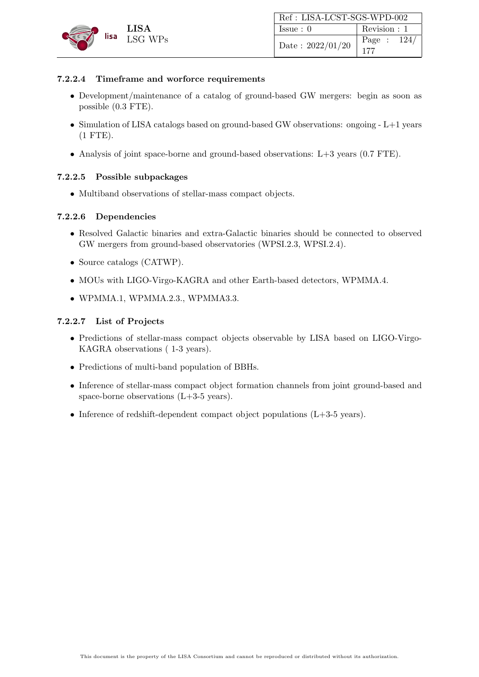

## 7.2.2.4 Timeframe and worforce requirements

- Development/maintenance of a catalog of ground-based GW mergers: begin as soon as possible (0.3 FTE).
- Simulation of LISA catalogs based on ground-based GW observations: ongoing L+1 years (1 FTE).
- Analysis of joint space-borne and ground-based observations: L+3 years (0.7 FTE).

#### 7.2.2.5 Possible subpackages

• Multiband observations of stellar-mass compact objects.

#### 7.2.2.6 Dependencies

- Resolved Galactic binaries and extra-Galactic binaries should be connected to observed GW mergers from ground-based observatories (WPSI.2.3, WPSI.2.4).
- Source catalogs (CATWP).
- MOUs with LIGO-Virgo-KAGRA and other Earth-based detectors, WPMMA.4.
- WPMMA.1, WPMMA.2.3., WPMMA3.3.

#### 7.2.2.7 List of Projects

- Predictions of stellar-mass compact objects observable by LISA based on LIGO-Virgo-KAGRA observations ( 1-3 years).
- Predictions of multi-band population of BBHs.
- Inference of stellar-mass compact object formation channels from joint ground-based and space-borne observations  $(L+3-5 \text{ years}).$
- Inference of redshift-dependent compact object populations (L+3-5 years).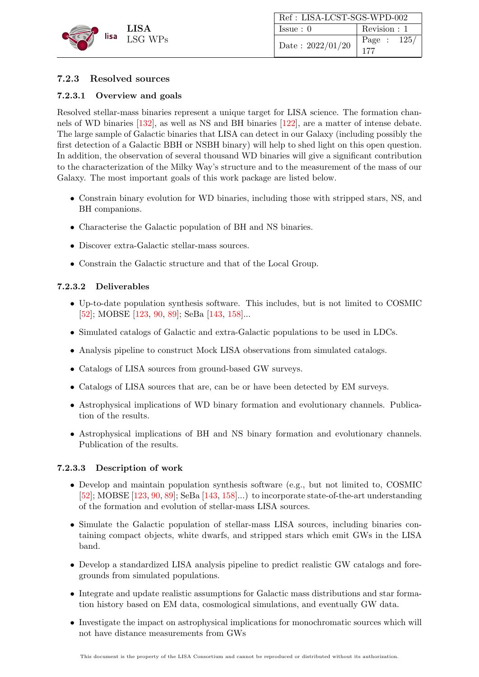

| Ref: LISA-LCST-SGS-WPD-002 |                      |  |
|----------------------------|----------------------|--|
| $I_{\text{ssue}}: 0$       | Revision : 1         |  |
| Date: $2022/01/20$         | Page : $125/$<br>177 |  |

## 7.2.3 Resolved sources

## 7.2.3.1 Overview and goals

Resolved stellar-mass binaries represent a unique target for LISA science. The formation channels of WD binaries [\[132\]](#page-176-4), as well as NS and BH binaries [\[122\]](#page-175-9), are a matter of intense debate. The large sample of Galactic binaries that LISA can detect in our Galaxy (including possibly the first detection of a Galactic BBH or NSBH binary) will help to shed light on this open question. In addition, the observation of several thousand WD binaries will give a significant contribution to the characterization of the Milky Way's structure and to the measurement of the mass of our Galaxy. The most important goals of this work package are listed below.

- Constrain binary evolution for WD binaries, including those with stripped stars, NS, and BH companions.
- Characterise the Galactic population of BH and NS binaries.
- Discover extra-Galactic stellar-mass sources.
- Constrain the Galactic structure and that of the Local Group.

## 7.2.3.2 Deliverables

- Up-to-date population synthesis software. This includes, but is not limited to COSMIC [\[52\]](#page-171-1); MOBSE [\[123,](#page-175-10) [90,](#page-173-1) [89\]](#page-173-2); SeBa [\[143,](#page-176-5) [158\]](#page-177-4)...
- Simulated catalogs of Galactic and extra-Galactic populations to be used in LDCs.
- Analysis pipeline to construct Mock LISA observations from simulated catalogs.
- Catalogs of LISA sources from ground-based GW surveys.
- Catalogs of LISA sources that are, can be or have been detected by EM surveys.
- Astrophysical implications of WD binary formation and evolutionary channels. Publication of the results.
- Astrophysical implications of BH and NS binary formation and evolutionary channels. Publication of the results.

## 7.2.3.3 Description of work

- Develop and maintain population synthesis software (e.g., but not limited to, COSMIC [\[52\]](#page-171-1); MOBSE [\[123,](#page-175-10) [90,](#page-173-1) [89\]](#page-173-2); SeBa [\[143,](#page-176-5) [158\]](#page-177-4)...) to incorporate state-of-the-art understanding of the formation and evolution of stellar-mass LISA sources.
- Simulate the Galactic population of stellar-mass LISA sources, including binaries containing compact objects, white dwarfs, and stripped stars which emit GWs in the LISA band.
- Develop a standardized LISA analysis pipeline to predict realistic GW catalogs and foregrounds from simulated populations.
- Integrate and update realistic assumptions for Galactic mass distributions and star formation history based on EM data, cosmological simulations, and eventually GW data.
- Investigate the impact on astrophysical implications for monochromatic sources which will not have distance measurements from GWs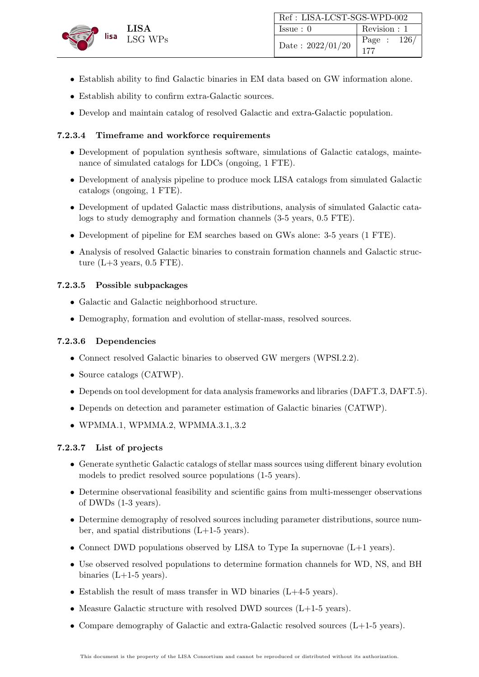

- Establish ability to find Galactic binaries in EM data based on GW information alone.
- Establish ability to confirm extra-Galactic sources.
- Develop and maintain catalog of resolved Galactic and extra-Galactic population.

## 7.2.3.4 Timeframe and workforce requirements

- Development of population synthesis software, simulations of Galactic catalogs, maintenance of simulated catalogs for LDCs (ongoing, 1 FTE).
- Development of analysis pipeline to produce mock LISA catalogs from simulated Galactic catalogs (ongoing, 1 FTE).
- Development of updated Galactic mass distributions, analysis of simulated Galactic catalogs to study demography and formation channels (3-5 years, 0.5 FTE).
- Development of pipeline for EM searches based on GWs alone: 3-5 years (1 FTE).
- Analysis of resolved Galactic binaries to constrain formation channels and Galactic structure  $(L+3 \text{ years}, 0.5 \text{ FTE}).$

## 7.2.3.5 Possible subpackages

- Galactic and Galactic neighborhood structure.
- Demography, formation and evolution of stellar-mass, resolved sources.

## 7.2.3.6 Dependencies

- Connect resolved Galactic binaries to observed GW mergers (WPSI.2.2).
- Source catalogs (CATWP).
- Depends on tool development for data analysis frameworks and libraries (DAFT.3, DAFT.5).
- Depends on detection and parameter estimation of Galactic binaries (CATWP).
- WPMMA.1, WPMMA.2, WPMMA.3.1,.3.2

## 7.2.3.7 List of projects

- Generate synthetic Galactic catalogs of stellar mass sources using different binary evolution models to predict resolved source populations (1-5 years).
- Determine observational feasibility and scientific gains from multi-messenger observations of DWDs (1-3 years).
- Determine demography of resolved sources including parameter distributions, source number, and spatial distributions (L+1-5 years).
- Connect DWD populations observed by LISA to Type Ia supernovae (L+1 years).
- Use observed resolved populations to determine formation channels for WD, NS, and BH binaries  $(L+1-5 \text{ years}).$
- Establish the result of mass transfer in WD binaries (L+4-5 years).
- Measure Galactic structure with resolved DWD sources  $(L+1-5 \text{ years})$ .
- Compare demography of Galactic and extra-Galactic resolved sources (L+1-5 years).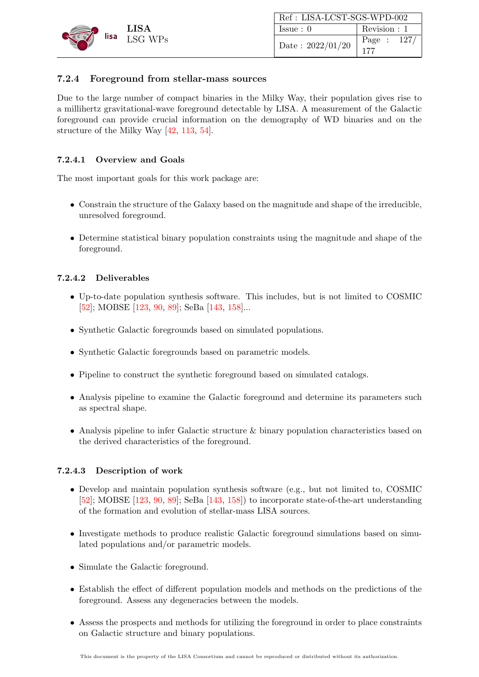

| Ref: LISA-LCST-SGS-WPD-002 |                      |  |
|----------------------------|----------------------|--|
| Issue:0                    | Revision : 1         |  |
| Date: $2022/01/20$         | Page : $127/$<br>177 |  |

## 7.2.4 Foreground from stellar-mass sources

Due to the large number of compact binaries in the Milky Way, their population gives rise to a millihertz gravitational-wave foreground detectable by LISA. A measurement of the Galactic foreground can provide crucial information on the demography of WD binaries and on the structure of the Milky Way [\[42,](#page-170-3) [113,](#page-175-6) [54\]](#page-171-5).

## 7.2.4.1 Overview and Goals

The most important goals for this work package are:

- Constrain the structure of the Galaxy based on the magnitude and shape of the irreducible, unresolved foreground.
- Determine statistical binary population constraints using the magnitude and shape of the foreground.

## 7.2.4.2 Deliverables

- Up-to-date population synthesis software. This includes, but is not limited to COSMIC [\[52\]](#page-171-1); MOBSE [\[123,](#page-175-10) [90,](#page-173-1) [89\]](#page-173-2); SeBa [\[143,](#page-176-5) [158\]](#page-177-4)...
- Synthetic Galactic foregrounds based on simulated populations.
- Synthetic Galactic foregrounds based on parametric models.
- Pipeline to construct the synthetic foreground based on simulated catalogs.
- Analysis pipeline to examine the Galactic foreground and determine its parameters such as spectral shape.
- Analysis pipeline to infer Galactic structure & binary population characteristics based on the derived characteristics of the foreground.

## 7.2.4.3 Description of work

- Develop and maintain population synthesis software (e.g., but not limited to, COSMIC [\[52\]](#page-171-1); MOBSE [\[123,](#page-175-10) [90,](#page-173-1) [89\]](#page-173-2); SeBa [\[143,](#page-176-5) [158\]](#page-177-4)) to incorporate state-of-the-art understanding of the formation and evolution of stellar-mass LISA sources.
- Investigate methods to produce realistic Galactic foreground simulations based on simulated populations and/or parametric models.
- Simulate the Galactic foreground.
- Establish the effect of different population models and methods on the predictions of the foreground. Assess any degeneracies between the models.
- Assess the prospects and methods for utilizing the foreground in order to place constraints on Galactic structure and binary populations.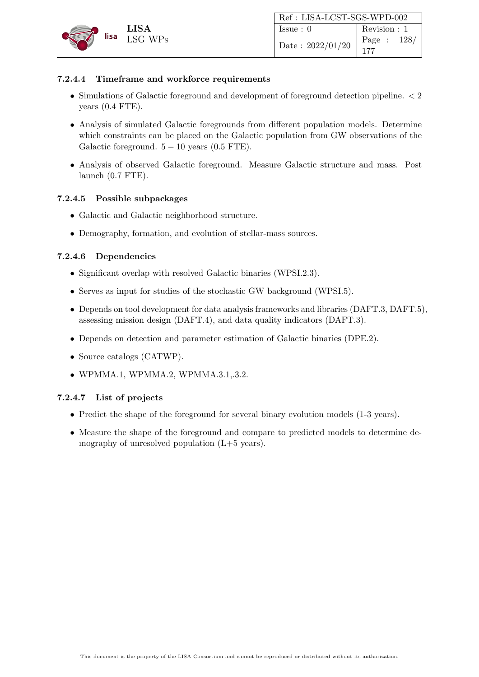

## 7.2.4.4 Timeframe and workforce requirements

- Simulations of Galactic foreground and development of foreground detection pipeline.  $\langle 2 \rangle$ years (0.4 FTE).
- Analysis of simulated Galactic foregrounds from different population models. Determine which constraints can be placed on the Galactic population from GW observations of the Galactic foreground.  $5 - 10$  years (0.5 FTE).
- Analysis of observed Galactic foreground. Measure Galactic structure and mass. Post launch (0.7 FTE).

## 7.2.4.5 Possible subpackages

- Galactic and Galactic neighborhood structure.
- Demography, formation, and evolution of stellar-mass sources.

#### 7.2.4.6 Dependencies

- Significant overlap with resolved Galactic binaries (WPSI.2.3).
- Serves as input for studies of the stochastic GW background (WPSI.5).
- Depends on tool development for data analysis frameworks and libraries (DAFT.3, DAFT.5), assessing mission design (DAFT.4), and data quality indicators (DAFT.3).
- Depends on detection and parameter estimation of Galactic binaries (DPE.2).
- Source catalogs (CATWP).
- WPMMA.1, WPMMA.2, WPMMA.3.1,.3.2.

## 7.2.4.7 List of projects

- Predict the shape of the foreground for several binary evolution models (1-3 years).
- Measure the shape of the foreground and compare to predicted models to determine demography of unresolved population (L+5 years).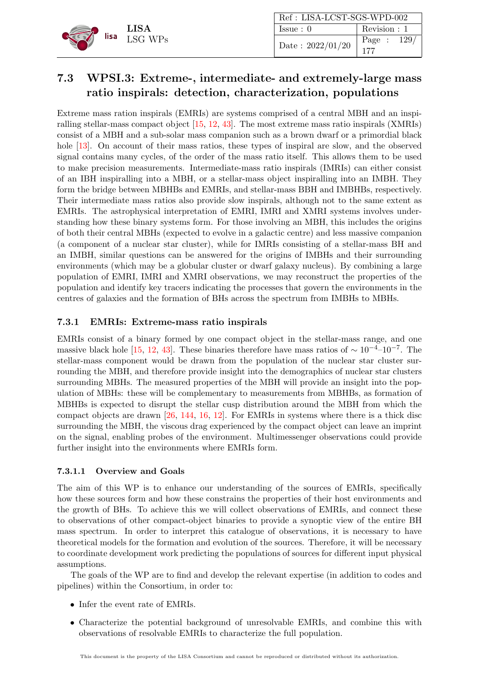

| Ref: LISA-LCST-SGS-WPD-002 |                      |  |
|----------------------------|----------------------|--|
| Issue:0                    | Revision : 1         |  |
| Date: $2022/01/20$         | Page : $129/$<br>177 |  |

# 7.3 WPSI.3: Extreme-, intermediate- and extremely-large mass ratio inspirals: detection, characterization, populations

Extreme mass ration inspirals (EMRIs) are systems comprised of a central MBH and an inspiralling stellar-mass compact object [\[15,](#page-168-1) [12,](#page-168-2) [43\]](#page-170-4). The most extreme mass ratio inspirals (XMRIs) consist of a MBH and a sub-solar mass companion such as a brown dwarf or a primordial black hole [\[13\]](#page-168-3). On account of their mass ratios, these types of inspiral are slow, and the observed signal contains many cycles, of the order of the mass ratio itself. This allows them to be used to make precision measurements. Intermediate-mass ratio inspirals (IMRIs) can either consist of an IBH inspiralling into a MBH, or a stellar-mass object inspiralling into an IMBH. They form the bridge between MBHBs and EMRIs, and stellar-mass BBH and IMBHBs, respectively. Their intermediate mass ratios also provide slow inspirals, although not to the same extent as EMRIs. The astrophysical interpretation of EMRI, IMRI and XMRI systems involves understanding how these binary systems form. For those involving an MBH, this includes the origins of both their central MBHs (expected to evolve in a galactic centre) and less massive companion (a component of a nuclear star cluster), while for IMRIs consisting of a stellar-mass BH and an IMBH, similar questions can be answered for the origins of IMBHs and their surrounding environments (which may be a globular cluster or dwarf galaxy nucleus). By combining a large population of EMRI, IMRI and XMRI observations, we may reconstruct the properties of the population and identify key tracers indicating the processes that govern the environments in the centres of galaxies and the formation of BHs across the spectrum from IMBHs to MBHs.

## 7.3.1 EMRIs: Extreme-mass ratio inspirals

EMRIs consist of a binary formed by one compact object in the stellar-mass range, and one massive black hole [\[15,](#page-168-1) [12,](#page-168-2) [43\]](#page-170-4). These binaries therefore have mass ratios of  $\sim 10^{-4}$ – $10^{-7}$ . The stellar-mass component would be drawn from the population of the nuclear star cluster surrounding the MBH, and therefore provide insight into the demographics of nuclear star clusters surrounding MBHs. The measured properties of the MBH will provide an insight into the population of MBHs: these will be complementary to measurements from MBHBs, as formation of MBHBs is expected to disrupt the stellar cusp distribution around the MBH from which the compact objects are drawn [\[26,](#page-169-2) [144,](#page-177-5) [16,](#page-169-3) [12\]](#page-168-2). For EMRIs in systems where there is a thick disc surrounding the MBH, the viscous drag experienced by the compact object can leave an imprint on the signal, enabling probes of the environment. Multimessenger observations could provide further insight into the environments where EMRIs form.

## 7.3.1.1 Overview and Goals

The aim of this WP is to enhance our understanding of the sources of EMRIs, specifically how these sources form and how these constrains the properties of their host environments and the growth of BHs. To achieve this we will collect observations of EMRIs, and connect these to observations of other compact-object binaries to provide a synoptic view of the entire BH mass spectrum. In order to interpret this catalogue of observations, it is necessary to have theoretical models for the formation and evolution of the sources. Therefore, it will be necessary to coordinate development work predicting the populations of sources for different input physical assumptions.

The goals of the WP are to find and develop the relevant expertise (in addition to codes and pipelines) within the Consortium, in order to:

- Infer the event rate of EMRIs.
- Characterize the potential background of unresolvable EMRIs, and combine this with observations of resolvable EMRIs to characterize the full population.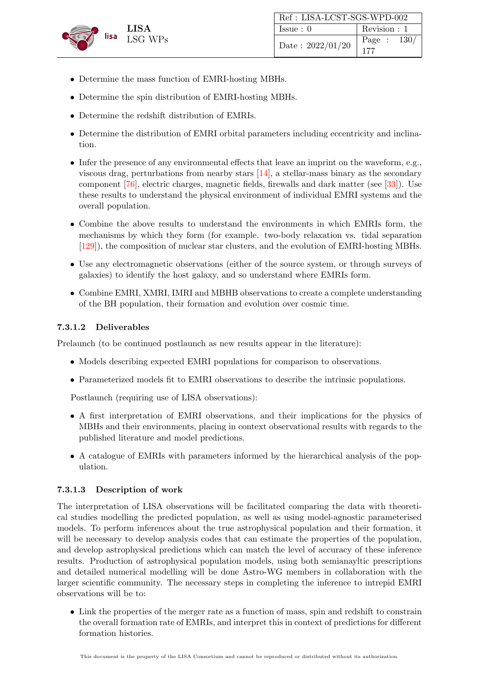

| Ref: LISA-LCST-SGS-WPD-002 |                      |
|----------------------------|----------------------|
| $I_{\text{ssue}}: 0$       | Revision : 1         |
| Date: $2022/01/20$         | Page : $130/$<br>177 |

- Determine the mass function of EMRI-hosting MBHs.
- Determine the spin distribution of EMRI-hosting MBHs.
- Determine the redshift distribution of EMRIs.
- Determine the distribution of EMRI orbital parameters including eccentricity and inclination.
- Infer the presence of any environmental effects that leave an imprint on the waveform, e.g., viscous drag, perturbations from nearby stars [\[14\]](#page-168-4), a stellar-mass binary as the secondary component [\[76\]](#page-172-1), electric charges, magnetic fields, firewalls and dark matter (see [\[33\]](#page-170-5)). Use these results to understand the physical environment of individual EMRI systems and the overall population.
- Combine the above results to understand the environments in which EMRIs form, the mechanisms by which they form (for example. two-body relaxation vs. tidal separation [\[129\]](#page-176-6)), the composition of nuclear star clusters, and the evolution of EMRI-hosting MBHs.
- Use any electromagnetic observations (either of the source system, or through surveys of galaxies) to identify the host galaxy, and so understand where EMRIs form.
- Combine EMRI, XMRI, IMRI and MBHB observations to create a complete understanding of the BH population, their formation and evolution over cosmic time.

## 7.3.1.2 Deliverables

Prelaunch (to be continued postlaunch as new results appear in the literature):

- Models describing expected EMRI populations for comparison to observations.
- Parameterized models fit to EMRI observations to describe the intrinsic populations.

Postlaunch (requiring use of LISA observations):

- A first interpretation of EMRI observations, and their implications for the physics of MBHs and their environments, placing in context observational results with regards to the published literature and model predictions.
- A catalogue of EMRIs with parameters informed by the hierarchical analysis of the population.

## 7.3.1.3 Description of work

The interpretation of LISA observations will be facilitated comparing the data with theoretical studies modelling the predicted population, as well as using model-agnostic parameterised models. To perform inferences about the true astrophysical population and their formation, it will be necessary to develop analysis codes that can estimate the properties of the population, and develop astrophysical predictions which can match the level of accuracy of these inference results. Production of astrophysical population models, using both semianayltic prescriptions and detailed numerical modelling will be done Astro-WG members in collaboration with the larger scientific community. The necessary steps in completing the inference to intrepid EMRI observations will be to:

• Link the properties of the merger rate as a function of mass, spin and redshift to constrain the overall formation rate of EMRIs, and interpret this in context of predictions for different formation histories.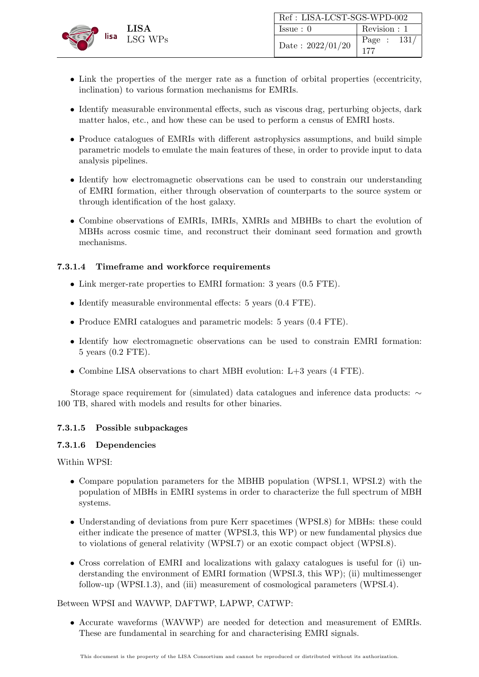

- Link the properties of the merger rate as a function of orbital properties (eccentricity, inclination) to various formation mechanisms for EMRIs.
- Identify measurable environmental effects, such as viscous drag, perturbing objects, dark matter halos, etc., and how these can be used to perform a census of EMRI hosts.
- Produce catalogues of EMRIs with different astrophysics assumptions, and build simple parametric models to emulate the main features of these, in order to provide input to data analysis pipelines.
- Identify how electromagnetic observations can be used to constrain our understanding of EMRI formation, either through observation of counterparts to the source system or through identification of the host galaxy.
- Combine observations of EMRIs, IMRIs, XMRIs and MBHBs to chart the evolution of MBHs across cosmic time, and reconstruct their dominant seed formation and growth mechanisms.

#### 7.3.1.4 Timeframe and workforce requirements

- Link merger-rate properties to EMRI formation: 3 years (0.5 FTE).
- Identify measurable environmental effects: 5 years (0.4 FTE).
- Produce EMRI catalogues and parametric models: 5 years (0.4 FTE).
- Identify how electromagnetic observations can be used to constrain EMRI formation: 5 years (0.2 FTE).
- Combine LISA observations to chart MBH evolution: L+3 years (4 FTE).

Storage space requirement for (simulated) data catalogues and inference data products: ∼ 100 TB, shared with models and results for other binaries.

#### 7.3.1.5 Possible subpackages

#### 7.3.1.6 Dependencies

Within WPSI:

- Compare population parameters for the MBHB population (WPSI.1, WPSI.2) with the population of MBHs in EMRI systems in order to characterize the full spectrum of MBH systems.
- Understanding of deviations from pure Kerr spacetimes (WPSI.8) for MBHs: these could either indicate the presence of matter (WPSI.3, this WP) or new fundamental physics due to violations of general relativity (WPSI.7) or an exotic compact object (WPSI.8).
- Cross correlation of EMRI and localizations with galaxy catalogues is useful for (i) understanding the environment of EMRI formation (WPSI.3, this WP); (ii) multimessenger follow-up (WPSI.1.3), and (iii) measurement of cosmological parameters (WPSI.4).

#### Between WPSI and WAVWP, DAFTWP, LAPWP, CATWP:

• Accurate waveforms (WAVWP) are needed for detection and measurement of EMRIs. These are fundamental in searching for and characterising EMRI signals.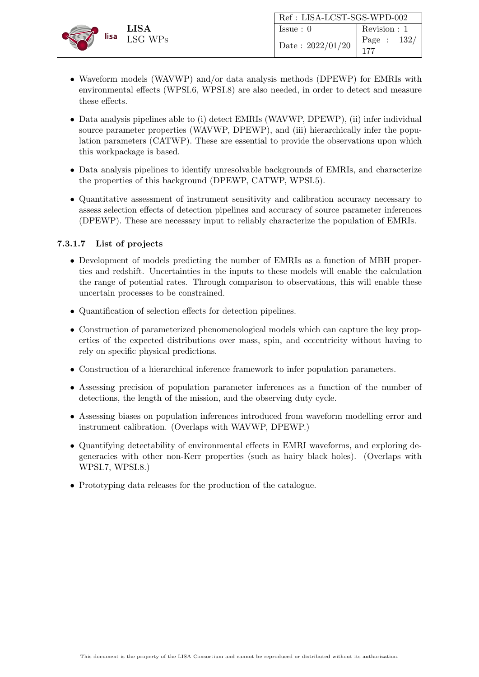

- Waveform models (WAVWP) and/or data analysis methods (DPEWP) for EMRIs with environmental effects (WPSI.6, WPSI.8) are also needed, in order to detect and measure these effects.
- Data analysis pipelines able to (i) detect EMRIs (WAVWP, DPEWP), (ii) infer individual source parameter properties (WAVWP, DPEWP), and (iii) hierarchically infer the population parameters (CATWP). These are essential to provide the observations upon which this workpackage is based.
- Data analysis pipelines to identify unresolvable backgrounds of EMRIs, and characterize the properties of this background (DPEWP, CATWP, WPSI.5).
- Quantitative assessment of instrument sensitivity and calibration accuracy necessary to assess selection effects of detection pipelines and accuracy of source parameter inferences (DPEWP). These are necessary input to reliably characterize the population of EMRIs.

## 7.3.1.7 List of projects

LISA LSG WPs

- Development of models predicting the number of EMRIs as a function of MBH properties and redshift. Uncertainties in the inputs to these models will enable the calculation the range of potential rates. Through comparison to observations, this will enable these uncertain processes to be constrained.
- Quantification of selection effects for detection pipelines.
- Construction of parameterized phenomenological models which can capture the key properties of the expected distributions over mass, spin, and eccentricity without having to rely on specific physical predictions.
- Construction of a hierarchical inference framework to infer population parameters.
- Assessing precision of population parameter inferences as a function of the number of detections, the length of the mission, and the observing duty cycle.
- Assessing biases on population inferences introduced from waveform modelling error and instrument calibration. (Overlaps with WAVWP, DPEWP.)
- Quantifying detectability of environmental effects in EMRI waveforms, and exploring degeneracies with other non-Kerr properties (such as hairy black holes). (Overlaps with WPSI.7, WPSI.8.)
- Prototyping data releases for the production of the catalogue.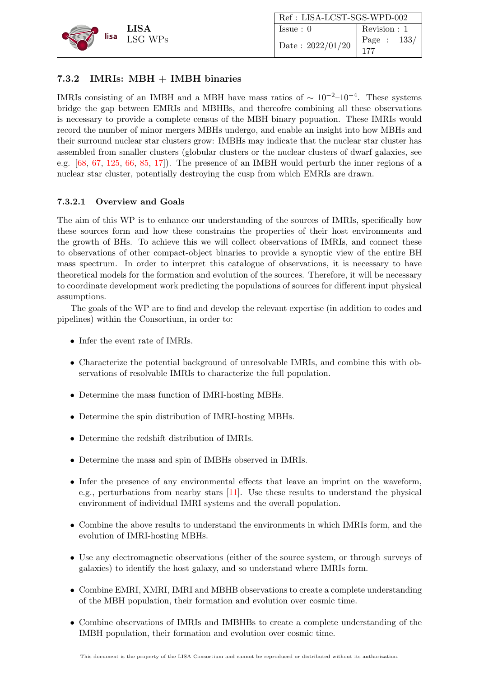

| Ref: LISA-LCST-SGS-WPD-002 |                      |
|----------------------------|----------------------|
| Issue:0                    | Revision : 1         |
| Date: $2022/01/20$         | Page : $133/$<br>177 |

## 7.3.2 IMRIs: MBH + IMBH binaries

IMRIs consisting of an IMBH and a MBH have mass ratios of  $\sim 10^{-2}$ – $10^{-4}$ . These systems bridge the gap between EMRIs and MBHBs, and thereofre combining all these observations is necessary to provide a complete census of the MBH binary popuation. These IMRIs would record the number of minor mergers MBHs undergo, and enable an insight into how MBHs and their surround nuclear star clusters grow: IMBHs may indicate that the nuclear star cluster has assembled from smaller clusters (globular clusters or the nuclear clusters of dwarf galaxies, see e.g. [\[68,](#page-172-2) [67,](#page-172-3) [125,](#page-175-11) [66,](#page-172-4) [85,](#page-173-3) [17\]](#page-169-4)). The presence of an IMBH would perturb the inner regions of a nuclear star cluster, potentially destroying the cusp from which EMRIs are drawn.

## 7.3.2.1 Overview and Goals

The aim of this WP is to enhance our understanding of the sources of IMRIs, specifically how these sources form and how these constrains the properties of their host environments and the growth of BHs. To achieve this we will collect observations of IMRIs, and connect these to observations of other compact-object binaries to provide a synoptic view of the entire BH mass spectrum. In order to interpret this catalogue of observations, it is necessary to have theoretical models for the formation and evolution of the sources. Therefore, it will be necessary to coordinate development work predicting the populations of sources for different input physical assumptions.

The goals of the WP are to find and develop the relevant expertise (in addition to codes and pipelines) within the Consortium, in order to:

- Infer the event rate of IMRIs.
- Characterize the potential background of unresolvable IMRIs, and combine this with observations of resolvable IMRIs to characterize the full population.
- Determine the mass function of IMRI-hosting MBHs.
- Determine the spin distribution of IMRI-hosting MBHs.
- Determine the redshift distribution of IMRIs.
- Determine the mass and spin of IMBHs observed in IMRIs.
- Infer the presence of any environmental effects that leave an imprint on the waveform, e.g., perturbations from nearby stars [\[11\]](#page-168-5). Use these results to understand the physical environment of individual IMRI systems and the overall population.
- Combine the above results to understand the environments in which IMRIs form, and the evolution of IMRI-hosting MBHs.
- Use any electromagnetic observations (either of the source system, or through surveys of galaxies) to identify the host galaxy, and so understand where IMRIs form.
- Combine EMRI, XMRI, IMRI and MBHB observations to create a complete understanding of the MBH population, their formation and evolution over cosmic time.
- Combine observations of IMRIs and IMBHBs to create a complete understanding of the IMBH population, their formation and evolution over cosmic time.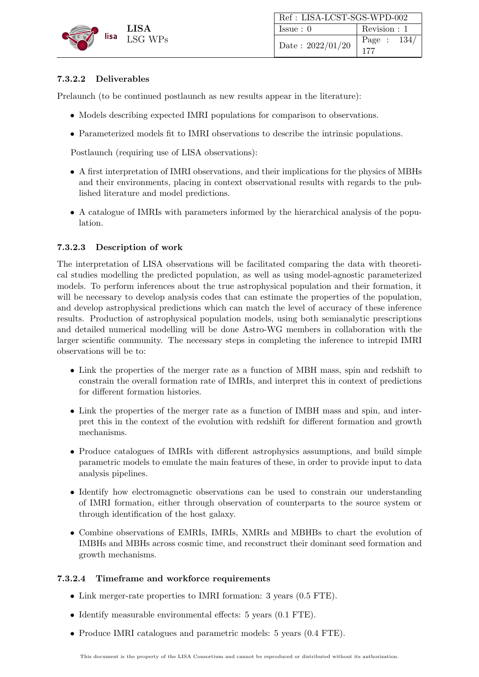

## 7.3.2.2 Deliverables

Prelaunch (to be continued postlaunch as new results appear in the literature):

- Models describing expected IMRI populations for comparison to observations.
- Parameterized models fit to IMRI observations to describe the intrinsic populations.

Postlaunch (requiring use of LISA observations):

- A first interpretation of IMRI observations, and their implications for the physics of MBHs and their environments, placing in context observational results with regards to the published literature and model predictions.
- A catalogue of IMRIs with parameters informed by the hierarchical analysis of the population.

## 7.3.2.3 Description of work

The interpretation of LISA observations will be facilitated comparing the data with theoretical studies modelling the predicted population, as well as using model-agnostic parameterized models. To perform inferences about the true astrophysical population and their formation, it will be necessary to develop analysis codes that can estimate the properties of the population, and develop astrophysical predictions which can match the level of accuracy of these inference results. Production of astrophysical population models, using both semianalytic prescriptions and detailed numerical modelling will be done Astro-WG members in collaboration with the larger scientific community. The necessary steps in completing the inference to intrepid IMRI observations will be to:

- Link the properties of the merger rate as a function of MBH mass, spin and redshift to constrain the overall formation rate of IMRIs, and interpret this in context of predictions for different formation histories.
- Link the properties of the merger rate as a function of IMBH mass and spin, and interpret this in the context of the evolution with redshift for different formation and growth mechanisms.
- Produce catalogues of IMRIs with different astrophysics assumptions, and build simple parametric models to emulate the main features of these, in order to provide input to data analysis pipelines.
- Identify how electromagnetic observations can be used to constrain our understanding of IMRI formation, either through observation of counterparts to the source system or through identification of the host galaxy.
- Combine observations of EMRIs, IMRIs, XMRIs and MBHBs to chart the evolution of IMBHs and MBHs across cosmic time, and reconstruct their dominant seed formation and growth mechanisms.

## 7.3.2.4 Timeframe and workforce requirements

- Link merger-rate properties to IMRI formation: 3 years (0.5 FTE).
- Identify measurable environmental effects: 5 years (0.1 FTE).
- Produce IMRI catalogues and parametric models: 5 years (0.4 FTE).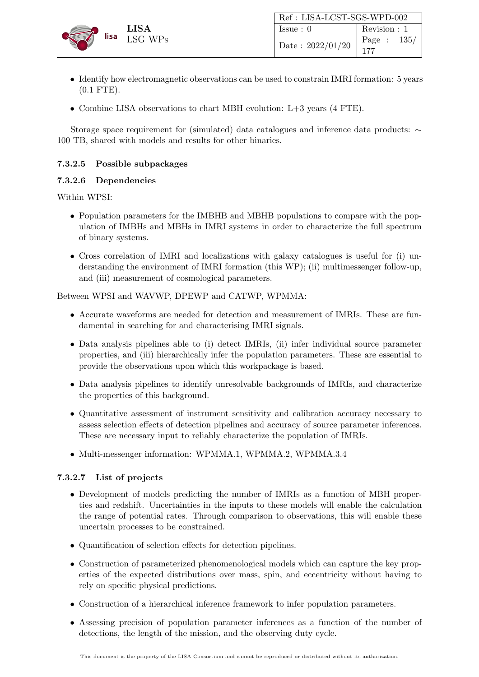

- Identify how electromagnetic observations can be used to constrain IMRI formation: 5 years (0.1 FTE).
- Combine LISA observations to chart MBH evolution: L+3 years (4 FTE).

Storage space requirement for (simulated) data catalogues and inference data products: ∼ 100 TB, shared with models and results for other binaries.

## 7.3.2.5 Possible subpackages

#### 7.3.2.6 Dependencies

Within WPSI:

- Population parameters for the IMBHB and MBHB populations to compare with the population of IMBHs and MBHs in IMRI systems in order to characterize the full spectrum of binary systems.
- Cross correlation of IMRI and localizations with galaxy catalogues is useful for (i) understanding the environment of IMRI formation (this WP); (ii) multimessenger follow-up, and (iii) measurement of cosmological parameters.

Between WPSI and WAVWP, DPEWP and CATWP, WPMMA:

- Accurate waveforms are needed for detection and measurement of IMRIs. These are fundamental in searching for and characterising IMRI signals.
- Data analysis pipelines able to (i) detect IMRIs, (ii) infer individual source parameter properties, and (iii) hierarchically infer the population parameters. These are essential to provide the observations upon which this workpackage is based.
- Data analysis pipelines to identify unresolvable backgrounds of IMRIs, and characterize the properties of this background.
- Quantitative assessment of instrument sensitivity and calibration accuracy necessary to assess selection effects of detection pipelines and accuracy of source parameter inferences. These are necessary input to reliably characterize the population of IMRIs.
- Multi-messenger information: WPMMA.1, WPMMA.2, WPMMA.3.4

## 7.3.2.7 List of projects

- Development of models predicting the number of IMRIs as a function of MBH properties and redshift. Uncertainties in the inputs to these models will enable the calculation the range of potential rates. Through comparison to observations, this will enable these uncertain processes to be constrained.
- Quantification of selection effects for detection pipelines.
- Construction of parameterized phenomenological models which can capture the key properties of the expected distributions over mass, spin, and eccentricity without having to rely on specific physical predictions.
- Construction of a hierarchical inference framework to infer population parameters.
- Assessing precision of population parameter inferences as a function of the number of detections, the length of the mission, and the observing duty cycle.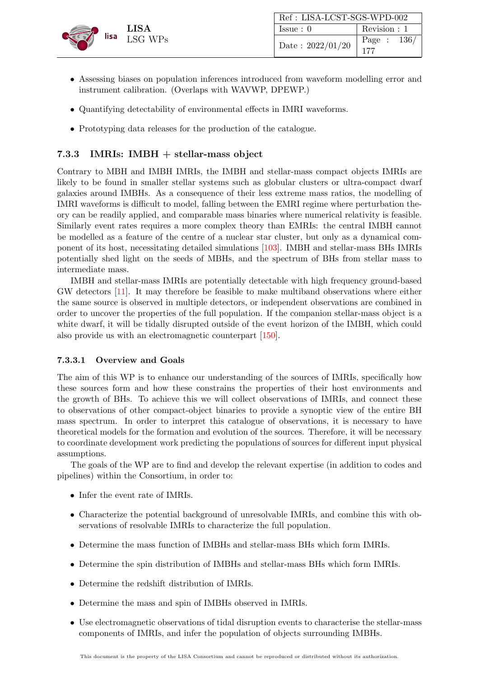

- Assessing biases on population inferences introduced from waveform modelling error and instrument calibration. (Overlaps with WAVWP, DPEWP.)
- Quantifying detectability of environmental effects in IMRI waveforms.
- Prototyping data releases for the production of the catalogue.

## 7.3.3 IMRIs: IMBH + stellar-mass object

Contrary to MBH and IMBH IMRIs, the IMBH and stellar-mass compact objects IMRIs are likely to be found in smaller stellar systems such as globular clusters or ultra-compact dwarf galaxies around IMBHs. As a consequence of their less extreme mass ratios, the modelling of IMRI waveforms is difficult to model, falling between the EMRI regime where perturbation theory can be readily applied, and comparable mass binaries where numerical relativity is feasible. Similarly event rates requires a more complex theory than EMRIs: the central IMBH cannot be modelled as a feature of the centre of a nuclear star cluster, but only as a dynamical component of its host, necessitating detailed simulations [\[103\]](#page-174-9). IMBH and stellar-mass BHs IMRIs potentially shed light on the seeds of MBHs, and the spectrum of BHs from stellar mass to intermediate mass.

IMBH and stellar-mass IMRIs are potentially detectable with high frequency ground-based GW detectors [\[11\]](#page-168-5). It may therefore be feasible to make multiband observations where either the same source is observed in multiple detectors, or independent observations are combined in order to uncover the properties of the full population. If the companion stellar-mass object is a white dwarf, it will be tidally disrupted outside of the event horizon of the IMBH, which could also provide us with an electromagnetic counterpart [\[150\]](#page-177-6).

## 7.3.3.1 Overview and Goals

The aim of this WP is to enhance our understanding of the sources of IMRIs, specifically how these sources form and how these constrains the properties of their host environments and the growth of BHs. To achieve this we will collect observations of IMRIs, and connect these to observations of other compact-object binaries to provide a synoptic view of the entire BH mass spectrum. In order to interpret this catalogue of observations, it is necessary to have theoretical models for the formation and evolution of the sources. Therefore, it will be necessary to coordinate development work predicting the populations of sources for different input physical assumptions.

The goals of the WP are to find and develop the relevant expertise (in addition to codes and pipelines) within the Consortium, in order to:

- Infer the event rate of IMRIs.
- Characterize the potential background of unresolvable IMRIs, and combine this with observations of resolvable IMRIs to characterize the full population.
- Determine the mass function of IMBHs and stellar-mass BHs which form IMRIs.
- Determine the spin distribution of IMBHs and stellar-mass BHs which form IMRIs.
- Determine the redshift distribution of IMRIs.
- Determine the mass and spin of IMBHs observed in IMRIs.
- Use electromagnetic observations of tidal disruption events to characterise the stellar-mass components of IMRIs, and infer the population of objects surrounding IMBHs.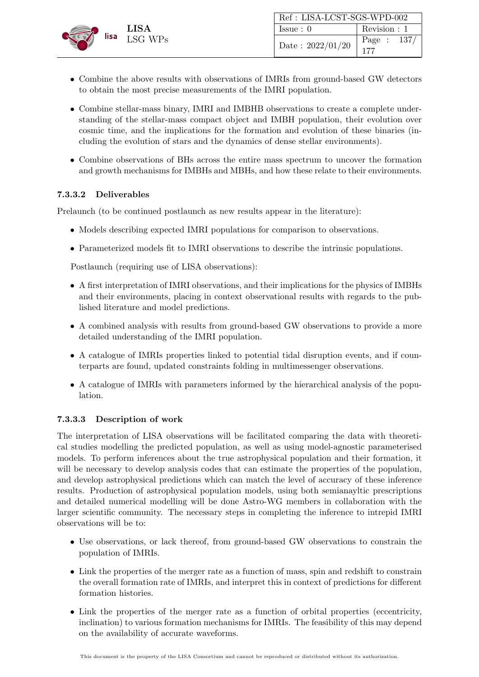

- Combine the above results with observations of IMRIs from ground-based GW detectors to obtain the most precise measurements of the IMRI population.
- Combine stellar-mass binary, IMRI and IMBHB observations to create a complete understanding of the stellar-mass compact object and IMBH population, their evolution over cosmic time, and the implications for the formation and evolution of these binaries (including the evolution of stars and the dynamics of dense stellar environments).
- Combine observations of BHs across the entire mass spectrum to uncover the formation and growth mechanisms for IMBHs and MBHs, and how these relate to their environments.

## 7.3.3.2 Deliverables

Prelaunch (to be continued postlaunch as new results appear in the literature):

- Models describing expected IMRI populations for comparison to observations.
- Parameterized models fit to IMRI observations to describe the intrinsic populations.

Postlaunch (requiring use of LISA observations):

- A first interpretation of IMRI observations, and their implications for the physics of IMBHs and their environments, placing in context observational results with regards to the published literature and model predictions.
- A combined analysis with results from ground-based GW observations to provide a more detailed understanding of the IMRI population.
- A catalogue of IMRIs properties linked to potential tidal disruption events, and if counterparts are found, updated constraints folding in multimessenger observations.
- A catalogue of IMRIs with parameters informed by the hierarchical analysis of the population.

## 7.3.3.3 Description of work

The interpretation of LISA observations will be facilitated comparing the data with theoretical studies modelling the predicted population, as well as using model-agnostic parameterised models. To perform inferences about the true astrophysical population and their formation, it will be necessary to develop analysis codes that can estimate the properties of the population, and develop astrophysical predictions which can match the level of accuracy of these inference results. Production of astrophysical population models, using both semianayltic prescriptions and detailed numerical modelling will be done Astro-WG members in collaboration with the larger scientific community. The necessary steps in completing the inference to intrepid IMRI observations will be to:

- Use observations, or lack thereof, from ground-based GW observations to constrain the population of IMRIs.
- Link the properties of the merger rate as a function of mass, spin and redshift to constrain the overall formation rate of IMRIs, and interpret this in context of predictions for different formation histories.
- Link the properties of the merger rate as a function of orbital properties (eccentricity, inclination) to various formation mechanisms for IMRIs. The feasibility of this may depend on the availability of accurate waveforms.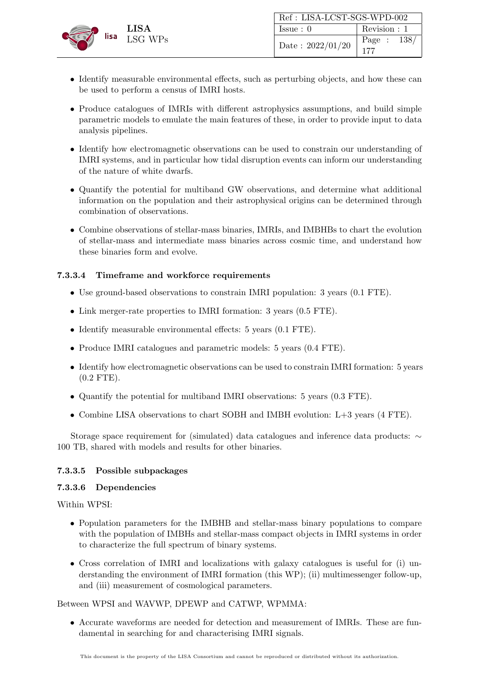

- Identify measurable environmental effects, such as perturbing objects, and how these can be used to perform a census of IMRI hosts.
- Produce catalogues of IMRIs with different astrophysics assumptions, and build simple parametric models to emulate the main features of these, in order to provide input to data analysis pipelines.
- Identify how electromagnetic observations can be used to constrain our understanding of IMRI systems, and in particular how tidal disruption events can inform our understanding of the nature of white dwarfs.
- Quantify the potential for multiband GW observations, and determine what additional information on the population and their astrophysical origins can be determined through combination of observations.
- Combine observations of stellar-mass binaries, IMRIs, and IMBHBs to chart the evolution of stellar-mass and intermediate mass binaries across cosmic time, and understand how these binaries form and evolve.

## 7.3.3.4 Timeframe and workforce requirements

- Use ground-based observations to constrain IMRI population: 3 years (0.1 FTE).
- Link merger-rate properties to IMRI formation: 3 years (0.5 FTE).
- Identify measurable environmental effects: 5 years (0.1 FTE).
- Produce IMRI catalogues and parametric models: 5 years (0.4 FTE).
- Identify how electromagnetic observations can be used to constrain IMRI formation: 5 years (0.2 FTE).
- Quantify the potential for multiband IMRI observations: 5 years (0.3 FTE).
- Combine LISA observations to chart SOBH and IMBH evolution: L+3 years (4 FTE).

Storage space requirement for (simulated) data catalogues and inference data products: ∼ 100 TB, shared with models and results for other binaries.

#### 7.3.3.5 Possible subpackages

## 7.3.3.6 Dependencies

Within WPSI:

- Population parameters for the IMBHB and stellar-mass binary populations to compare with the population of IMBHs and stellar-mass compact objects in IMRI systems in order to characterize the full spectrum of binary systems.
- Cross correlation of IMRI and localizations with galaxy catalogues is useful for (i) understanding the environment of IMRI formation (this WP); (ii) multimessenger follow-up, and (iii) measurement of cosmological parameters.

Between WPSI and WAVWP, DPEWP and CATWP, WPMMA:

• Accurate waveforms are needed for detection and measurement of IMRIs. These are fundamental in searching for and characterising IMRI signals.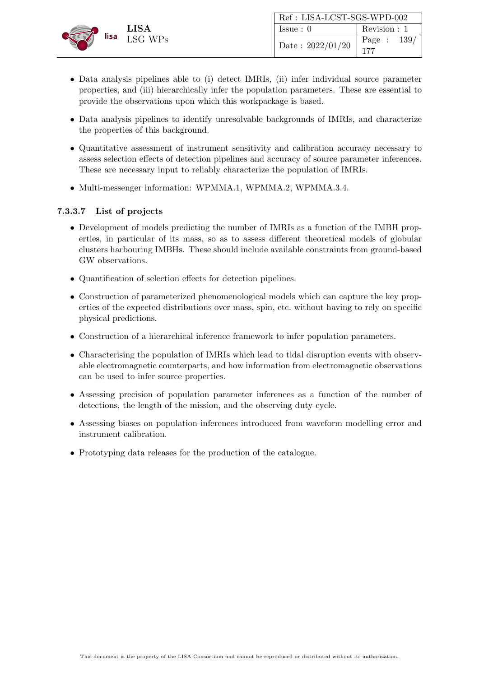

- Data analysis pipelines able to (i) detect IMRIs, (ii) infer individual source parameter properties, and (iii) hierarchically infer the population parameters. These are essential to provide the observations upon which this workpackage is based.
- Data analysis pipelines to identify unresolvable backgrounds of IMRIs, and characterize the properties of this background.
- Quantitative assessment of instrument sensitivity and calibration accuracy necessary to assess selection effects of detection pipelines and accuracy of source parameter inferences. These are necessary input to reliably characterize the population of IMRIs.
- Multi-messenger information: WPMMA.1, WPMMA.2, WPMMA.3.4.

## 7.3.3.7 List of projects

LISA LSG WPs

- Development of models predicting the number of IMRIs as a function of the IMBH properties, in particular of its mass, so as to assess different theoretical models of globular clusters harbouring IMBHs. These should include available constraints from ground-based GW observations.
- Quantification of selection effects for detection pipelines.
- Construction of parameterized phenomenological models which can capture the key properties of the expected distributions over mass, spin, etc. without having to rely on specific physical predictions.
- Construction of a hierarchical inference framework to infer population parameters.
- Characterising the population of IMRIs which lead to tidal disruption events with observable electromagnetic counterparts, and how information from electromagnetic observations can be used to infer source properties.
- Assessing precision of population parameter inferences as a function of the number of detections, the length of the mission, and the observing duty cycle.
- Assessing biases on population inferences introduced from waveform modelling error and instrument calibration.
- Prototyping data releases for the production of the catalogue.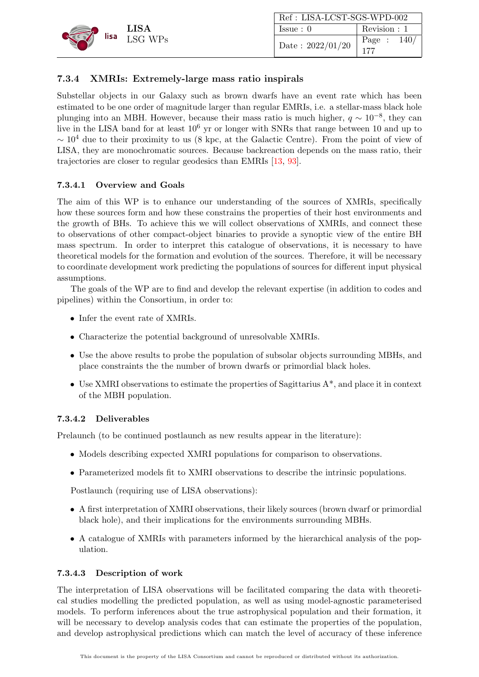

## 7.3.4 XMRIs: Extremely-large mass ratio inspirals

Substellar objects in our Galaxy such as brown dwarfs have an event rate which has been estimated to be one order of magnitude larger than regular EMRIs, i.e. a stellar-mass black hole plunging into an MBH. However, because their mass ratio is much higher,  $q \sim 10^{-8}$ , they can live in the LISA band for at least  $10^6$  yr or longer with SNRs that range between 10 and up to  $\sim 10^4$  due to their proximity to us (8 kpc, at the Galactic Centre). From the point of view of LISA, they are monochromatic sources. Because backreaction depends on the mass ratio, their trajectories are closer to regular geodesics than EMRIs [\[13,](#page-168-3) [93\]](#page-173-4).

## 7.3.4.1 Overview and Goals

The aim of this WP is to enhance our understanding of the sources of XMRIs, specifically how these sources form and how these constrains the properties of their host environments and the growth of BHs. To achieve this we will collect observations of XMRIs, and connect these to observations of other compact-object binaries to provide a synoptic view of the entire BH mass spectrum. In order to interpret this catalogue of observations, it is necessary to have theoretical models for the formation and evolution of the sources. Therefore, it will be necessary to coordinate development work predicting the populations of sources for different input physical assumptions.

The goals of the WP are to find and develop the relevant expertise (in addition to codes and pipelines) within the Consortium, in order to:

- Infer the event rate of XMRIs.
- Characterize the potential background of unresolvable XMRIs.
- Use the above results to probe the population of subsolar objects surrounding MBHs, and place constraints the the number of brown dwarfs or primordial black holes.
- Use XMRI observations to estimate the properties of Sagittarius  $A^*$ , and place it in context of the MBH population.

## 7.3.4.2 Deliverables

Prelaunch (to be continued postlaunch as new results appear in the literature):

- Models describing expected XMRI populations for comparison to observations.
- Parameterized models fit to XMRI observations to describe the intrinsic populations.

Postlaunch (requiring use of LISA observations):

- A first interpretation of XMRI observations, their likely sources (brown dwarf or primordial black hole), and their implications for the environments surrounding MBHs.
- A catalogue of XMRIs with parameters informed by the hierarchical analysis of the population.

## 7.3.4.3 Description of work

The interpretation of LISA observations will be facilitated comparing the data with theoretical studies modelling the predicted population, as well as using model-agnostic parameterised models. To perform inferences about the true astrophysical population and their formation, it will be necessary to develop analysis codes that can estimate the properties of the population, and develop astrophysical predictions which can match the level of accuracy of these inference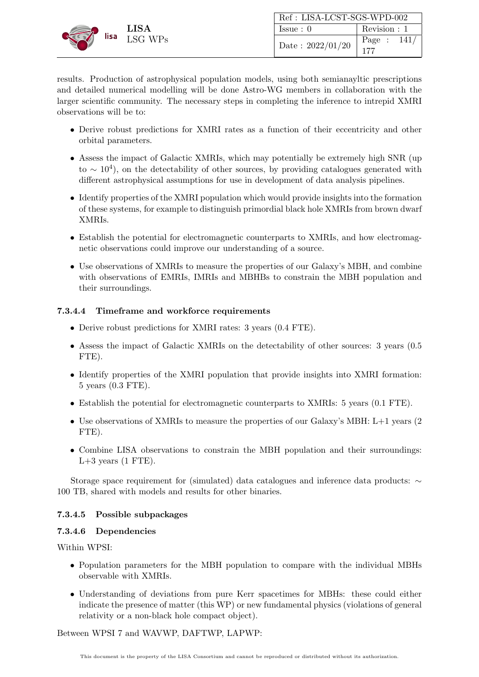

| Ref: LISA-LCST-SGS-WPD-002 |                       |
|----------------------------|-----------------------|
| Issue:0                    | Revision : 1          |
| Date: $2022/01/20$         | Page :<br>141/<br>177 |

results. Production of astrophysical population models, using both semianayltic prescriptions and detailed numerical modelling will be done Astro-WG members in collaboration with the larger scientific community. The necessary steps in completing the inference to intrepid XMRI observations will be to:

- Derive robust predictions for XMRI rates as a function of their eccentricity and other orbital parameters.
- Assess the impact of Galactic XMRIs, which may potentially be extremely high SNR (up to  $\sim 10^4$ ), on the detectability of other sources, by providing catalogues generated with different astrophysical assumptions for use in development of data analysis pipelines.
- Identify properties of the XMRI population which would provide insights into the formation of these systems, for example to distinguish primordial black hole XMRIs from brown dwarf XMRIs.
- Establish the potential for electromagnetic counterparts to XMRIs, and how electromagnetic observations could improve our understanding of a source.
- Use observations of XMRIs to measure the properties of our Galaxy's MBH, and combine with observations of EMRIs, IMRIs and MBHBs to constrain the MBH population and their surroundings.

## 7.3.4.4 Timeframe and workforce requirements

- Derive robust predictions for XMRI rates: 3 years (0.4 FTE).
- Assess the impact of Galactic XMRIs on the detectability of other sources: 3 years (0.5 FTE).
- Identify properties of the XMRI population that provide insights into XMRI formation: 5 years (0.3 FTE).
- Establish the potential for electromagnetic counterparts to XMRIs: 5 years (0.1 FTE).
- Use observations of XMRIs to measure the properties of our Galaxy's MBH: L+1 years (2) FTE).
- Combine LISA observations to constrain the MBH population and their surroundings:  $L+3$  years  $(1$  FTE).

Storage space requirement for (simulated) data catalogues and inference data products: ∼ 100 TB, shared with models and results for other binaries.

#### 7.3.4.5 Possible subpackages

#### 7.3.4.6 Dependencies

Within WPSI:

- Population parameters for the MBH population to compare with the individual MBHs observable with XMRIs.
- Understanding of deviations from pure Kerr spacetimes for MBHs: these could either indicate the presence of matter (this WP) or new fundamental physics (violations of general relativity or a non-black hole compact object).

Between WPSI 7 and WAVWP, DAFTWP, LAPWP: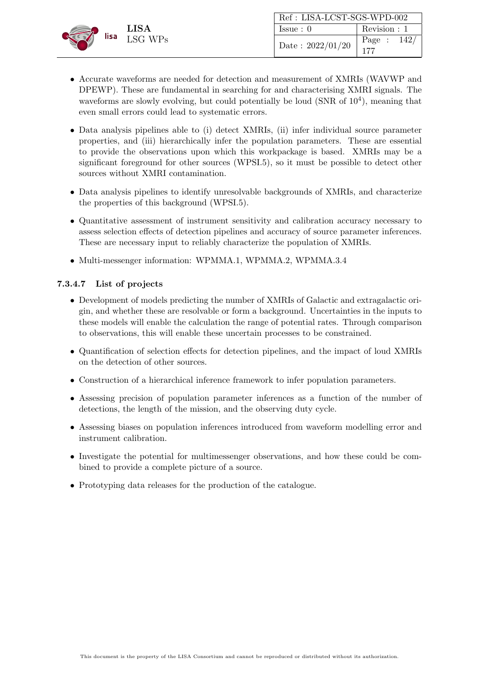

- Accurate waveforms are needed for detection and measurement of XMRIs (WAVWP and DPEWP). These are fundamental in searching for and characterising XMRI signals. The waveforms are slowly evolving, but could potentially be loud  $(SNR\ of\ 10^4)$ , meaning that even small errors could lead to systematic errors.
- Data analysis pipelines able to (i) detect XMRIs, (ii) infer individual source parameter properties, and (iii) hierarchically infer the population parameters. These are essential to provide the observations upon which this workpackage is based. XMRIs may be a significant foreground for other sources (WPSI.5), so it must be possible to detect other sources without XMRI contamination.
- Data analysis pipelines to identify unresolvable backgrounds of XMRIs, and characterize the properties of this background (WPSI.5).
- Quantitative assessment of instrument sensitivity and calibration accuracy necessary to assess selection effects of detection pipelines and accuracy of source parameter inferences. These are necessary input to reliably characterize the population of XMRIs.
- Multi-messenger information: WPMMA.1, WPMMA.2, WPMMA.3.4

## 7.3.4.7 List of projects

- Development of models predicting the number of XMRIs of Galactic and extragalactic origin, and whether these are resolvable or form a background. Uncertainties in the inputs to these models will enable the calculation the range of potential rates. Through comparison to observations, this will enable these uncertain processes to be constrained.
- Quantification of selection effects for detection pipelines, and the impact of loud XMRIs on the detection of other sources.
- Construction of a hierarchical inference framework to infer population parameters.
- Assessing precision of population parameter inferences as a function of the number of detections, the length of the mission, and the observing duty cycle.
- Assessing biases on population inferences introduced from waveform modelling error and instrument calibration.
- Investigate the potential for multimessenger observations, and how these could be combined to provide a complete picture of a source.
- Prototyping data releases for the production of the catalogue.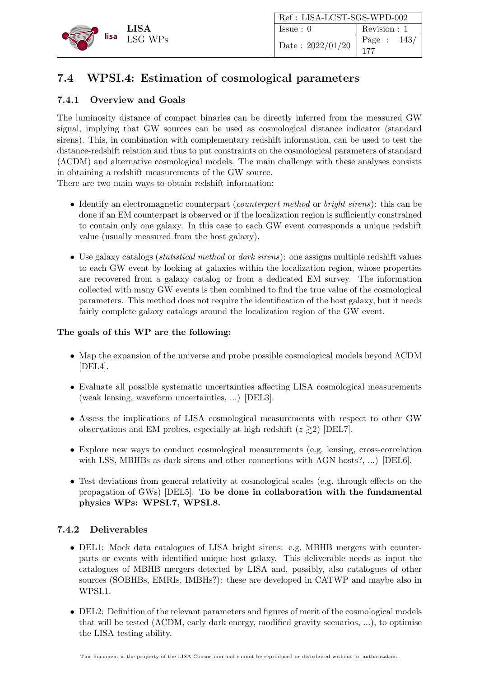

# 7.4 WPSI.4: Estimation of cosmological parameters

# 7.4.1 Overview and Goals

The luminosity distance of compact binaries can be directly inferred from the measured GW signal, implying that GW sources can be used as cosmological distance indicator (standard sirens). This, in combination with complementary redshift information, can be used to test the distance-redshift relation and thus to put constraints on the cosmological parameters of standard (ΛCDM) and alternative cosmological models. The main challenge with these analyses consists in obtaining a redshift measurements of the GW source.

There are two main ways to obtain redshift information:

- Identify an electromagnetic counterpart (*counterpart method* or *bright sirens*): this can be done if an EM counterpart is observed or if the localization region is sufficiently constrained to contain only one galaxy. In this case to each GW event corresponds a unique redshift value (usually measured from the host galaxy).
- Use galaxy catalogs *(statistical method* or *dark sirens)*: one assigns multiple redshift values to each GW event by looking at galaxies within the localization region, whose properties are recovered from a galaxy catalog or from a dedicated EM survey. The information collected with many GW events is then combined to find the true value of the cosmological parameters. This method does not require the identification of the host galaxy, but it needs fairly complete galaxy catalogs around the localization region of the GW event.

#### The goals of this WP are the following:

- Map the expansion of the universe and probe possible cosmological models beyond ΛCDM [DEL4].
- Evaluate all possible systematic uncertainties affecting LISA cosmological measurements (weak lensing, waveform uncertainties, ...) [DEL3].
- Assess the implications of LISA cosmological measurements with respect to other GW observations and EM probes, especially at high redshift  $(z \gtrsim 2)$  [DEL7].
- Explore new ways to conduct cosmological measurements (e.g. lensing, cross-correlation with LSS, MBHBs as dark sirens and other connections with AGN hosts?, ...) [DEL6].
- Test deviations from general relativity at cosmological scales (e.g. through effects on the propagation of GWs) [DEL5]. To be done in collaboration with the fundamental physics WPs: WPSI.7, WPSI.8.

# 7.4.2 Deliverables

- DEL1: Mock data catalogues of LISA bright sirens: e.g. MBHB mergers with counterparts or events with identified unique host galaxy. This deliverable needs as input the catalogues of MBHB mergers detected by LISA and, possibly, also catalogues of other sources (SOBHBs, EMRIs, IMBHs?): these are developed in CATWP and maybe also in WPSI.1.
- DEL2: Definition of the relevant parameters and figures of merit of the cosmological models that will be tested (ΛCDM, early dark energy, modified gravity scenarios, ...), to optimise the LISA testing ability.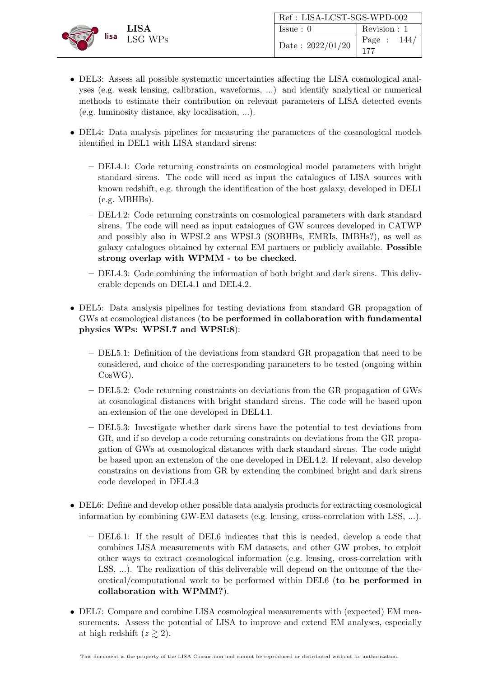

- DEL3: Assess all possible systematic uncertainties affecting the LISA cosmological analyses (e.g. weak lensing, calibration, waveforms, ...) and identify analytical or numerical methods to estimate their contribution on relevant parameters of LISA detected events (e.g. luminosity distance, sky localisation, ...).
- DEL4: Data analysis pipelines for measuring the parameters of the cosmological models identified in DEL1 with LISA standard sirens:
	- DEL4.1: Code returning constraints on cosmological model parameters with bright standard sirens. The code will need as input the catalogues of LISA sources with known redshift, e.g. through the identification of the host galaxy, developed in DEL1 (e.g. MBHBs).
	- DEL4.2: Code returning constraints on cosmological parameters with dark standard sirens. The code will need as input catalogues of GW sources developed in CATWP and possibly also in WPSI.2 ans WPSI.3 (SOBHBs, EMRIs, IMBHs?), as well as galaxy catalogues obtained by external EM partners or publicly available. Possible strong overlap with WPMM - to be checked.
	- DEL4.3: Code combining the information of both bright and dark sirens. This deliverable depends on DEL4.1 and DEL4.2.
- DEL5: Data analysis pipelines for testing deviations from standard GR propagation of GWs at cosmological distances (to be performed in collaboration with fundamental physics WPs: WPSI.7 and WPSI:8):
	- DEL5.1: Definition of the deviations from standard GR propagation that need to be considered, and choice of the corresponding parameters to be tested (ongoing within CosWG).
	- DEL5.2: Code returning constraints on deviations from the GR propagation of GWs at cosmological distances with bright standard sirens. The code will be based upon an extension of the one developed in DEL4.1.
	- DEL5.3: Investigate whether dark sirens have the potential to test deviations from GR, and if so develop a code returning constraints on deviations from the GR propagation of GWs at cosmological distances with dark standard sirens. The code might be based upon an extension of the one developed in DEL4.2. If relevant, also develop constrains on deviations from GR by extending the combined bright and dark sirens code developed in DEL4.3
- DEL6: Define and develop other possible data analysis products for extracting cosmological information by combining GW-EM datasets (e.g. lensing, cross-correlation with LSS, ...).
	- DEL6.1: If the result of DEL6 indicates that this is needed, develop a code that combines LISA measurements with EM datasets, and other GW probes, to exploit other ways to extract cosmological information (e.g. lensing, cross-correlation with LSS, ...). The realization of this deliverable will depend on the outcome of the theoretical/computational work to be performed within DEL6 (to be performed in collaboration with WPMM?).
- DEL7: Compare and combine LISA cosmological measurements with (expected) EM measurements. Assess the potential of LISA to improve and extend EM analyses, especially at high redshift  $(z \geq 2)$ .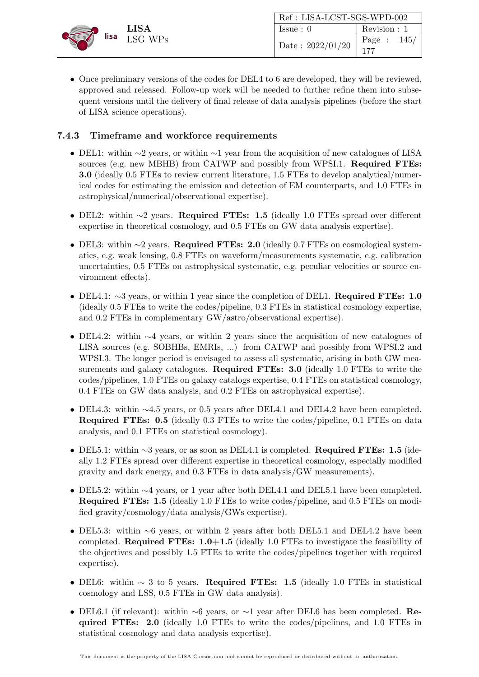

• Once preliminary versions of the codes for DEL4 to 6 are developed, they will be reviewed, approved and released. Follow-up work will be needed to further refine them into subsequent versions until the delivery of final release of data analysis pipelines (before the start of LISA science operations).

# 7.4.3 Timeframe and workforce requirements

- DEL1: within  $\sim$ 2 years, or within  $\sim$ 1 year from the acquisition of new catalogues of LISA sources (e.g. new MBHB) from CATWP and possibly from WPSI.1. Required FTEs: 3.0 (ideally 0.5 FTEs to review current literature, 1.5 FTEs to develop analytical/numerical codes for estimating the emission and detection of EM counterparts, and 1.0 FTEs in astrophysical/numerical/observational expertise).
- DEL2: within ∼2 years. Required FTEs: 1.5 (ideally 1.0 FTEs spread over different expertise in theoretical cosmology, and 0.5 FTEs on GW data analysis expertise).
- DEL3: within  $\sim$ 2 years. Required FTEs: 2.0 (ideally 0.7 FTEs on cosmological systematics, e.g. weak lensing, 0.8 FTEs on waveform/measurements systematic, e.g. calibration uncertainties, 0.5 FTEs on astrophysical systematic, e.g. peculiar velocities or source environment effects).
- DEL4.1: ∼3 years, or within 1 year since the completion of DEL1. Required FTEs: 1.0 (ideally 0.5 FTEs to write the codes/pipeline, 0.3 FTEs in statistical cosmology expertise, and 0.2 FTEs in complementary GW/astro/observational expertise).
- DEL4.2: within ∼4 years, or within 2 years since the acquisition of new catalogues of LISA sources (e.g. SOBHBs, EMRIs, ...) from CATWP and possibly from WPSI.2 and WPSI.3. The longer period is envisaged to assess all systematic, arising in both GW measurements and galaxy catalogues. Required FTEs: 3.0 (ideally 1.0 FTEs to write the codes/pipelines, 1.0 FTEs on galaxy catalogs expertise, 0.4 FTEs on statistical cosmology, 0.4 FTEs on GW data analysis, and 0.2 FTEs on astrophysical expertise).
- DEL4.3: within ∼4.5 years, or 0.5 years after DEL4.1 and DEL4.2 have been completed. Required FTEs: 0.5 (ideally 0.3 FTEs to write the codes/pipeline, 0.1 FTEs on data analysis, and 0.1 FTEs on statistical cosmology).
- DEL5.1: within ∼3 years, or as soon as DEL4.1 is completed. Required FTEs: 1.5 (ideally 1.2 FTEs spread over different expertise in theoretical cosmology, especially modified gravity and dark energy, and 0.3 FTEs in data analysis/GW measurements).
- DEL5.2: within ∼4 years, or 1 year after both DEL4.1 and DEL5.1 have been completed. Required FTEs: 1.5 (ideally 1.0 FTEs to write codes/pipeline, and 0.5 FTEs on modified gravity/cosmology/data analysis/GWs expertise).
- DEL5.3: within ∼6 years, or within 2 years after both DEL5.1 and DEL4.2 have been completed. **Required FTEs: 1.0+1.5** (ideally 1.0 FTEs to investigate the feasibility of the objectives and possibly 1.5 FTEs to write the codes/pipelines together with required expertise).
- DEL6: within  $\sim 3$  to 5 years. Required FTEs: 1.5 (ideally 1.0 FTEs in statistical cosmology and LSS, 0.5 FTEs in GW data analysis).
- DEL6.1 (if relevant): within ∼6 years, or ∼1 year after DEL6 has been completed. Required FTEs: 2.0 (ideally 1.0 FTEs to write the codes/pipelines, and 1.0 FTEs in statistical cosmology and data analysis expertise).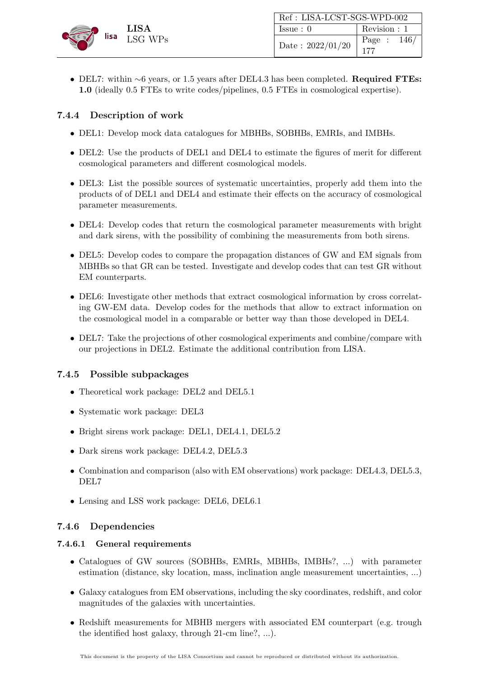

• DEL7: within ∼6 years, or 1.5 years after DEL4.3 has been completed. Required FTEs: 1.0 (ideally 0.5 FTEs to write codes/pipelines, 0.5 FTEs in cosmological expertise).

# 7.4.4 Description of work

- DEL1: Develop mock data catalogues for MBHBs, SOBHBs, EMRIs, and IMBHs.
- DEL2: Use the products of DEL1 and DEL4 to estimate the figures of merit for different cosmological parameters and different cosmological models.
- DEL3: List the possible sources of systematic uncertainties, properly add them into the products of of DEL1 and DEL4 and estimate their effects on the accuracy of cosmological parameter measurements.
- DEL4: Develop codes that return the cosmological parameter measurements with bright and dark sirens, with the possibility of combining the measurements from both sirens.
- DEL5: Develop codes to compare the propagation distances of GW and EM signals from MBHBs so that GR can be tested. Investigate and develop codes that can test GR without EM counterparts.
- DEL6: Investigate other methods that extract cosmological information by cross correlating GW-EM data. Develop codes for the methods that allow to extract information on the cosmological model in a comparable or better way than those developed in DEL4.
- DEL7: Take the projections of other cosmological experiments and combine/compare with our projections in DEL2. Estimate the additional contribution from LISA.

# 7.4.5 Possible subpackages

- Theoretical work package: DEL2 and DEL5.1
- Systematic work package: DEL3
- Bright sirens work package: DEL1, DEL4.1, DEL5.2
- Dark sirens work package: DEL4.2, DEL5.3
- Combination and comparison (also with EM observations) work package: DEL4.3, DEL5.3, DEL7
- Lensing and LSS work package: DEL6, DEL6.1

#### 7.4.6 Dependencies

#### 7.4.6.1 General requirements

- Catalogues of GW sources (SOBHBs, EMRIs, MBHBs, IMBHs?, ...) with parameter estimation (distance, sky location, mass, inclination angle measurement uncertainties, ...)
- Galaxy catalogues from EM observations, including the sky coordinates, redshift, and color magnitudes of the galaxies with uncertainties.
- Redshift measurements for MBHB mergers with associated EM counterpart (e.g. trough the identified host galaxy, through 21-cm line?, ...).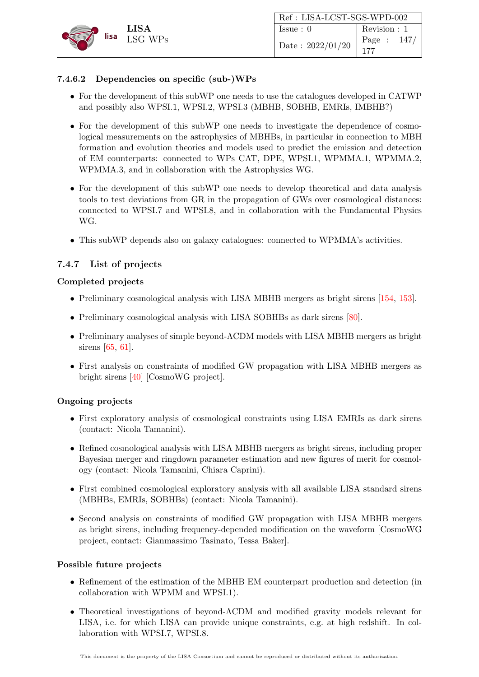

# 7.4.6.2 Dependencies on specific (sub-)WPs

- For the development of this subWP one needs to use the catalogues developed in CATWP and possibly also WPSI.1, WPSI.2, WPSI.3 (MBHB, SOBHB, EMRIs, IMBHB?)
- For the development of this subWP one needs to investigate the dependence of cosmological measurements on the astrophysics of MBHBs, in particular in connection to MBH formation and evolution theories and models used to predict the emission and detection of EM counterparts: connected to WPs CAT, DPE, WPSI.1, WPMMA.1, WPMMA.2, WPMMA.3, and in collaboration with the Astrophysics WG.
- For the development of this subWP one needs to develop theoretical and data analysis tools to test deviations from GR in the propagation of GWs over cosmological distances: connected to WPSI.7 and WPSI.8, and in collaboration with the Fundamental Physics WG.
- This subWP depends also on galaxy catalogues: connected to WPMMA's activities.

# 7.4.7 List of projects

#### Completed projects

- Preliminary cosmological analysis with LISA MBHB mergers as bright sirens [\[154,](#page-177-0) [153\]](#page-177-1).
- Preliminary cosmological analysis with LISA SOBHBs as dark sirens [\[80\]](#page-173-0).
- Preliminary analyses of simple beyond-ΛCDM models with LISA MBHB mergers as bright sirens [\[65,](#page-172-0) [61\]](#page-171-0).
- First analysis on constraints of modified GW propagation with LISA MBHB mergers as bright sirens [\[40\]](#page-170-0) [CosmoWG project].

#### Ongoing projects

- First exploratory analysis of cosmological constraints using LISA EMRIs as dark sirens (contact: Nicola Tamanini).
- Refined cosmological analysis with LISA MBHB mergers as bright sirens, including proper Bayesian merger and ringdown parameter estimation and new figures of merit for cosmology (contact: Nicola Tamanini, Chiara Caprini).
- First combined cosmological exploratory analysis with all available LISA standard sirens (MBHBs, EMRIs, SOBHBs) (contact: Nicola Tamanini).
- Second analysis on constraints of modified GW propagation with LISA MBHB mergers as bright sirens, including frequency-depended modification on the waveform [CosmoWG project, contact: Gianmassimo Tasinato, Tessa Baker].

#### Possible future projects

- Refinement of the estimation of the MBHB EM counterpart production and detection (in collaboration with WPMM and WPSI.1).
- Theoretical investigations of beyond-ΛCDM and modified gravity models relevant for LISA, i.e. for which LISA can provide unique constraints, e.g. at high redshift. In collaboration with WPSI.7, WPSI.8.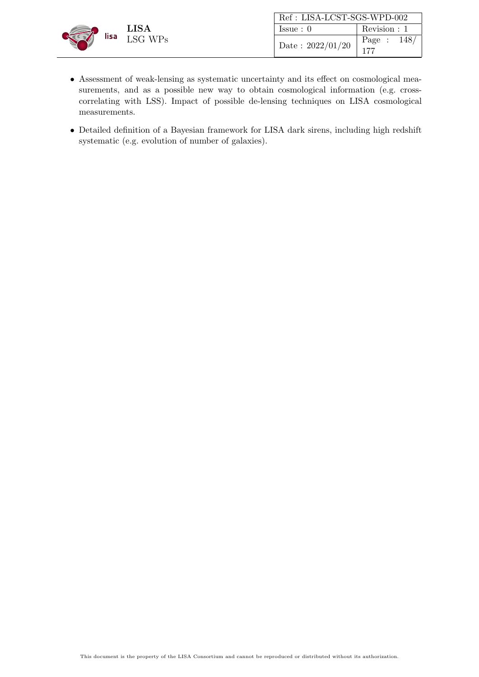

| Ref: LISA-LCST-SGS-WPD-002 |                      |
|----------------------------|----------------------|
| Issue:0                    | Revision : 1         |
| Date: $2022/01/20$         | Page : $148/$<br>177 |

- Assessment of weak-lensing as systematic uncertainty and its effect on cosmological measurements, and as a possible new way to obtain cosmological information (e.g. crosscorrelating with LSS). Impact of possible de-lensing techniques on LISA cosmological measurements.
- Detailed definition of a Bayesian framework for LISA dark sirens, including high redshift systematic (e.g. evolution of number of galaxies).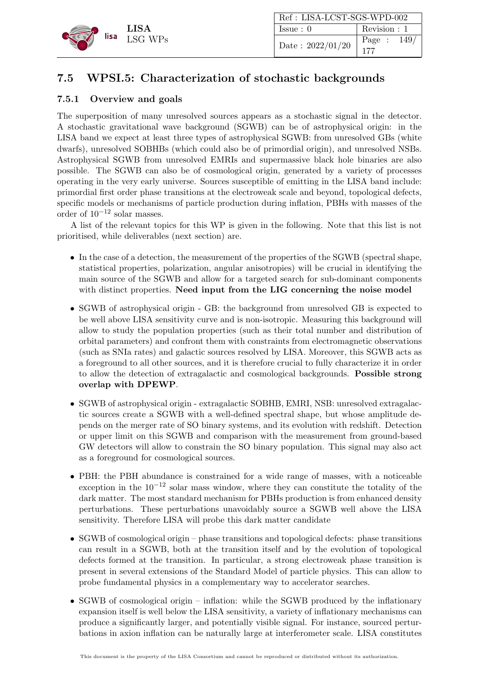

| Ref: LISA-LCST-SGS-WPD-002 |                            |
|----------------------------|----------------------------|
| Issue:0                    | Revision : 1               |
| Date: $2022/01/20$         | $\sqrt{Page : 149}$<br>177 |

# 7.5 WPSI.5: Characterization of stochastic backgrounds

# 7.5.1 Overview and goals

The superposition of many unresolved sources appears as a stochastic signal in the detector. A stochastic gravitational wave background (SGWB) can be of astrophysical origin: in the LISA band we expect at least three types of astrophysical SGWB: from unresolved GBs (white dwarfs), unresolved SOBHBs (which could also be of primordial origin), and unresolved NSBs. Astrophysical SGWB from unresolved EMRIs and supermassive black hole binaries are also possible. The SGWB can also be of cosmological origin, generated by a variety of processes operating in the very early universe. Sources susceptible of emitting in the LISA band include: primordial first order phase transitions at the electroweak scale and beyond, topological defects, specific models or mechanisms of particle production during inflation, PBHs with masses of the order of 10−<sup>12</sup> solar masses.

A list of the relevant topics for this WP is given in the following. Note that this list is not prioritised, while deliverables (next section) are.

- In the case of a detection, the measurement of the properties of the SGWB (spectral shape, statistical properties, polarization, angular anisotropies) will be crucial in identifying the main source of the SGWB and allow for a targeted search for sub-dominant components with distinct properties. Need input from the LIG concerning the noise model
- SGWB of astrophysical origin GB: the background from unresolved GB is expected to be well above LISA sensitivity curve and is non-isotropic. Measuring this background will allow to study the population properties (such as their total number and distribution of orbital parameters) and confront them with constraints from electromagnetic observations (such as SNIa rates) and galactic sources resolved by LISA. Moreover, this SGWB acts as a foreground to all other sources, and it is therefore crucial to fully characterize it in order to allow the detection of extragalactic and cosmological backgrounds. Possible strong overlap with DPEWP.
- SGWB of astrophysical origin extragalactic SOBHB, EMRI, NSB: unresolved extragalactic sources create a SGWB with a well-defined spectral shape, but whose amplitude depends on the merger rate of SO binary systems, and its evolution with redshift. Detection or upper limit on this SGWB and comparison with the measurement from ground-based GW detectors will allow to constrain the SO binary population. This signal may also act as a foreground for cosmological sources.
- PBH: the PBH abundance is constrained for a wide range of masses, with a noticeable exception in the  $10^{-12}$  solar mass window, where they can constitute the totality of the dark matter. The most standard mechanism for PBHs production is from enhanced density perturbations. These perturbations unavoidably source a SGWB well above the LISA sensitivity. Therefore LISA will probe this dark matter candidate
- SGWB of cosmological origin phase transitions and topological defects: phase transitions can result in a SGWB, both at the transition itself and by the evolution of topological defects formed at the transition. In particular, a strong electroweak phase transition is present in several extensions of the Standard Model of particle physics. This can allow to probe fundamental physics in a complementary way to accelerator searches.
- SGWB of cosmological origin inflation: while the SGWB produced by the inflationary expansion itself is well below the LISA sensitivity, a variety of inflationary mechanisms can produce a significantly larger, and potentially visible signal. For instance, sourced perturbations in axion inflation can be naturally large at interferometer scale. LISA constitutes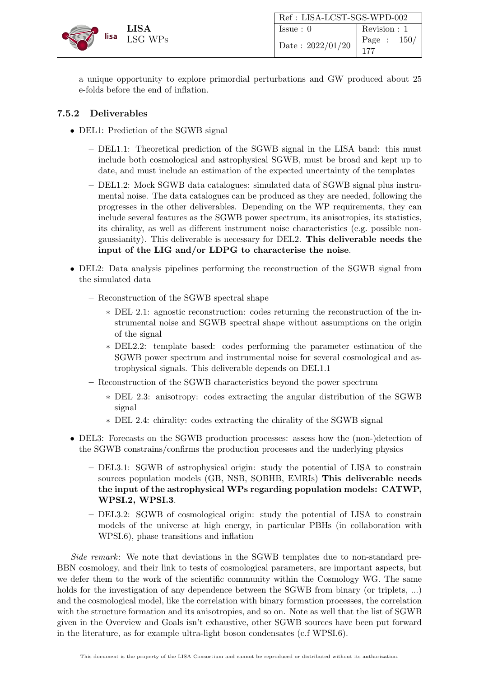

| Ref: LISA-LCST-SGS-WPD-002 |                      |
|----------------------------|----------------------|
| Issue:0                    | Revision : 1         |
| Date: $2022/01/20$         | Page : $150/$<br>177 |

a unique opportunity to explore primordial perturbations and GW produced about 25 e-folds before the end of inflation.

#### 7.5.2 Deliverables

- DEL1: Prediction of the SGWB signal
	- DEL1.1: Theoretical prediction of the SGWB signal in the LISA band: this must include both cosmological and astrophysical SGWB, must be broad and kept up to date, and must include an estimation of the expected uncertainty of the templates
	- DEL1.2: Mock SGWB data catalogues: simulated data of SGWB signal plus instrumental noise. The data catalogues can be produced as they are needed, following the progresses in the other deliverables. Depending on the WP requirements, they can include several features as the SGWB power spectrum, its anisotropies, its statistics, its chirality, as well as different instrument noise characteristics (e.g. possible nongaussianity). This deliverable is necessary for DEL2. This deliverable needs the input of the LIG and/or LDPG to characterise the noise.
- DEL2: Data analysis pipelines performing the reconstruction of the SGWB signal from the simulated data
	- Reconstruction of the SGWB spectral shape
		- ∗ DEL 2.1: agnostic reconstruction: codes returning the reconstruction of the instrumental noise and SGWB spectral shape without assumptions on the origin of the signal
		- ∗ DEL2.2: template based: codes performing the parameter estimation of the SGWB power spectrum and instrumental noise for several cosmological and astrophysical signals. This deliverable depends on DEL1.1
	- Reconstruction of the SGWB characteristics beyond the power spectrum
		- ∗ DEL 2.3: anisotropy: codes extracting the angular distribution of the SGWB signal
		- ∗ DEL 2.4: chirality: codes extracting the chirality of the SGWB signal
- DEL3: Forecasts on the SGWB production processes: assess how the (non-)detection of the SGWB constrains/confirms the production processes and the underlying physics
	- DEL3.1: SGWB of astrophysical origin: study the potential of LISA to constrain sources population models (GB, NSB, SOBHB, EMRIs) This deliverable needs the input of the astrophysical WPs regarding population models: CATWP, WPSI.2, WPSI.3.
	- DEL3.2: SGWB of cosmological origin: study the potential of LISA to constrain models of the universe at high energy, in particular PBHs (in collaboration with WPSI.6), phase transitions and inflation

Side remark: We note that deviations in the SGWB templates due to non-standard pre-BBN cosmology, and their link to tests of cosmological parameters, are important aspects, but we defer them to the work of the scientific community within the Cosmology WG. The same holds for the investigation of any dependence between the SGWB from binary (or triplets, ...) and the cosmological model, like the correlation with binary formation processes, the correlation with the structure formation and its anisotropies, and so on. Note as well that the list of SGWB given in the Overview and Goals isn't exhaustive, other SGWB sources have been put forward in the literature, as for example ultra-light boson condensates (c.f WPSI.6).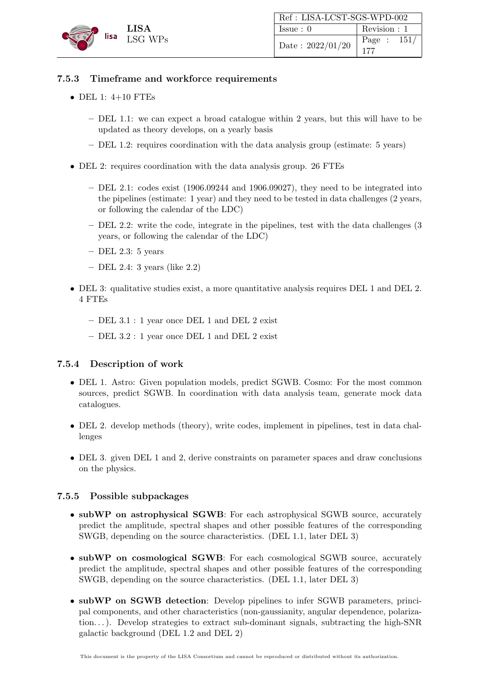

# 7.5.3 Timeframe and workforce requirements

- DEL 1:  $4+10$  FTEs
	- DEL 1.1: we can expect a broad catalogue within 2 years, but this will have to be updated as theory develops, on a yearly basis
	- DEL 1.2: requires coordination with the data analysis group (estimate: 5 years)
- DEL 2: requires coordination with the data analysis group. 26 FTEs
	- $-$  DEL 2.1: codes exist (1906.09244 and 1906.09027), they need to be integrated into the pipelines (estimate: 1 year) and they need to be tested in data challenges (2 years, or following the calendar of the LDC)
	- DEL 2.2: write the code, integrate in the pipelines, test with the data challenges (3 years, or following the calendar of the LDC)
	- $-$  DEL 2.3: 5 years
	- DEL 2.4: 3 years (like 2.2)
- DEL 3: qualitative studies exist, a more quantitative analysis requires DEL 1 and DEL 2. 4 FTEs
	- DEL 3.1 : 1 year once DEL 1 and DEL 2 exist
	- DEL 3.2 : 1 year once DEL 1 and DEL 2 exist

#### 7.5.4 Description of work

- DEL 1. Astro: Given population models, predict SGWB. Cosmo: For the most common sources, predict SGWB. In coordination with data analysis team, generate mock data catalogues.
- DEL 2. develop methods (theory), write codes, implement in pipelines, test in data challenges
- DEL 3. given DEL 1 and 2, derive constraints on parameter spaces and draw conclusions on the physics.

#### 7.5.5 Possible subpackages

- subWP on astrophysical SGWB: For each astrophysical SGWB source, accurately predict the amplitude, spectral shapes and other possible features of the corresponding SWGB, depending on the source characteristics. (DEL 1.1, later DEL 3)
- subWP on cosmological SGWB: For each cosmological SGWB source, accurately predict the amplitude, spectral shapes and other possible features of the corresponding SWGB, depending on the source characteristics. (DEL 1.1, later DEL 3)
- subWP on SGWB detection: Develop pipelines to infer SGWB parameters, principal components, and other characteristics (non-gaussianity, angular dependence, polarization...). Develop strategies to extract sub-dominant signals, subtracting the high-SNR galactic background (DEL 1.2 and DEL 2)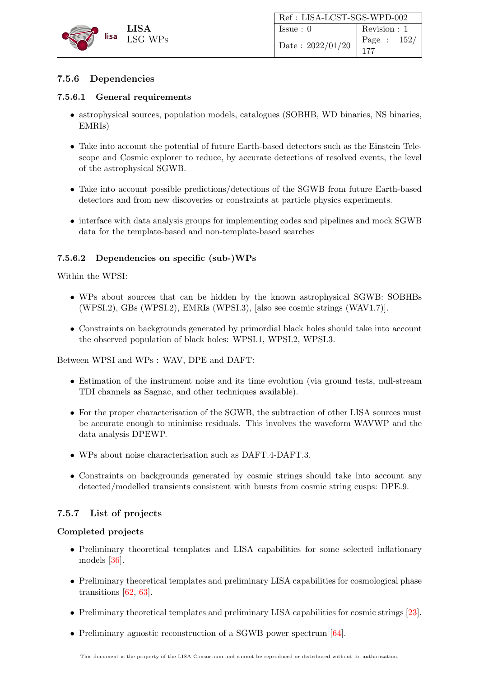

| Ref: LISA-LCST-SGS-WPD-002 |                      |
|----------------------------|----------------------|
| $I_{\text{ssue}}: 0$       | Revision : 1         |
| Date: $2022/01/20$         | Page : $152/$<br>177 |

# 7.5.6 Dependencies

#### 7.5.6.1 General requirements

- astrophysical sources, population models, catalogues (SOBHB, WD binaries, NS binaries, EMRIs)
- Take into account the potential of future Earth-based detectors such as the Einstein Telescope and Cosmic explorer to reduce, by accurate detections of resolved events, the level of the astrophysical SGWB.
- Take into account possible predictions/detections of the SGWB from future Earth-based detectors and from new discoveries or constraints at particle physics experiments.
- interface with data analysis groups for implementing codes and pipelines and mock SGWB data for the template-based and non-template-based searches

#### 7.5.6.2 Dependencies on specific (sub-)WPs

Within the WPSI:

- WPs about sources that can be hidden by the known astrophysical SGWB: SOBHBs (WPSI.2), GBs (WPSI.2), EMRIs (WPSI.3), [also see cosmic strings (WAV1.7)].
- Constraints on backgrounds generated by primordial black holes should take into account the observed population of black holes: WPSI.1, WPSI.2, WPSI.3.

Between WPSI and WPs : WAV, DPE and DAFT:

- Estimation of the instrument noise and its time evolution (via ground tests, null-stream TDI channels as Sagnac, and other techniques available).
- For the proper characterisation of the SGWB, the subtraction of other LISA sources must be accurate enough to minimise residuals. This involves the waveform WAVWP and the data analysis DPEWP.
- WPs about noise characterisation such as DAFT.4-DAFT.3.
- Constraints on backgrounds generated by cosmic strings should take into account any detected/modelled transients consistent with bursts from cosmic string cusps: DPE.9.

# 7.5.7 List of projects

#### Completed projects

- Preliminary theoretical templates and LISA capabilities for some selected inflationary models [\[36\]](#page-170-1).
- Preliminary theoretical templates and preliminary LISA capabilities for cosmological phase transitions [\[62,](#page-171-1) [63\]](#page-171-2).
- Preliminary theoretical templates and preliminary LISA capabilities for cosmic strings [\[23\]](#page-169-0).
- Preliminary agnostic reconstruction of a SGWB power spectrum [\[64\]](#page-172-1).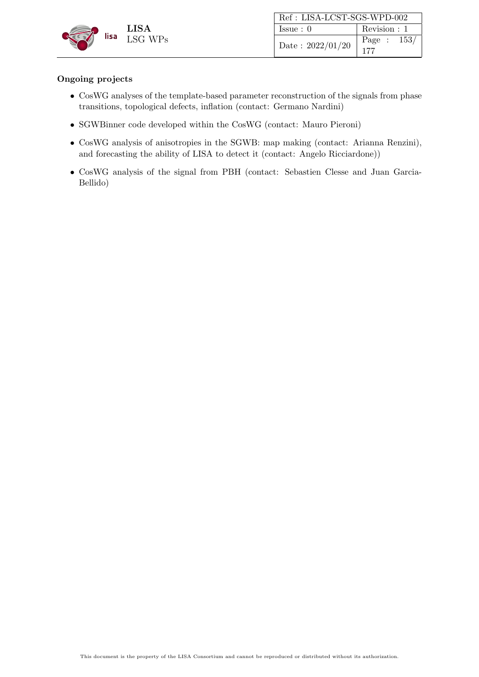

| Ref: LISA-LCST-SGS-WPD-002 |                      |
|----------------------------|----------------------|
| $I_{\text{ssue}}: 0$       | Revision : 1         |
| Date: $2022/01/20$         | Page : $153/$<br>177 |

#### Ongoing projects

- CosWG analyses of the template-based parameter reconstruction of the signals from phase transitions, topological defects, inflation (contact: Germano Nardini)
- SGWBinner code developed within the CosWG (contact: Mauro Pieroni)
- CosWG analysis of anisotropies in the SGWB: map making (contact: Arianna Renzini), and forecasting the ability of LISA to detect it (contact: Angelo Ricciardone))
- CosWG analysis of the signal from PBH (contact: Sebastien Clesse and Juan Garcia-Bellido)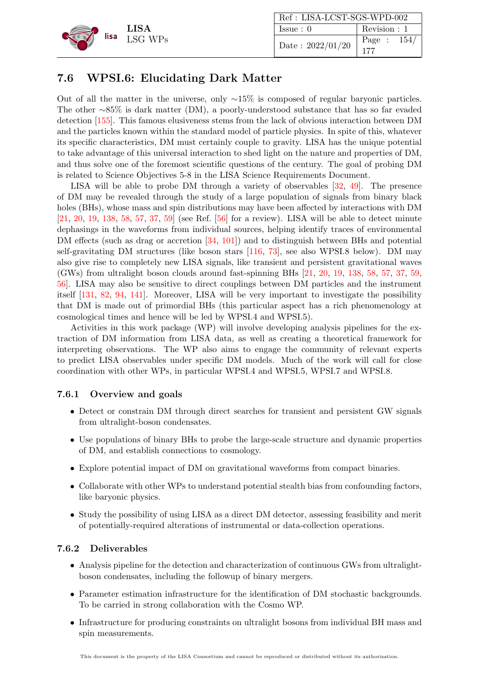

# 7.6 WPSI.6: Elucidating Dark Matter

LISA LSG WPs

Out of all the matter in the universe, only ∼15% is composed of regular baryonic particles. The other ∼85% is dark matter (DM), a poorly-understood substance that has so far evaded detection [\[155\]](#page-177-2). This famous elusiveness stems from the lack of obvious interaction between DM and the particles known within the standard model of particle physics. In spite of this, whatever its specific characteristics, DM must certainly couple to gravity. LISA has the unique potential to take advantage of this universal interaction to shed light on the nature and properties of DM, and thus solve one of the foremost scientific questions of the century. The goal of probing DM is related to Science Objectives 5-8 in the LISA Science Requirements Document.

LISA will be able to probe DM through a variety of observables [\[32,](#page-170-2) [49\]](#page-171-3). The presence of DM may be revealed through the study of a large population of signals from binary black holes (BHs), whose mass and spin distributions may have been affected by interactions with DM [\[21,](#page-169-1) [20,](#page-169-2) [19,](#page-169-3) [138,](#page-176-0) [58,](#page-171-4) [57,](#page-171-5) [37,](#page-170-3) [59\]](#page-171-6) (see Ref. [\[56\]](#page-171-7) for a review). LISA will be able to detect minute dephasings in the waveforms from individual sources, helping identify traces of environmental DM effects (such as drag or accretion [\[34,](#page-170-4) [101\]](#page-174-0)) and to distinguish between BHs and potential self-gravitating DM structures (like boson stars [\[116,](#page-175-0) [73\]](#page-172-2), see also WPSI.8 below). DM may also give rise to completely new LISA signals, like transient and persistent gravitational waves (GWs) from ultralight boson clouds around fast-spinning BHs [\[21,](#page-169-1) [20,](#page-169-2) [19,](#page-169-3) [138,](#page-176-0) [58,](#page-171-4) [57,](#page-171-5) [37,](#page-170-3) [59,](#page-171-6) [56\]](#page-171-7). LISA may also be sensitive to direct couplings between DM particles and the instrument itself [\[131,](#page-176-1) [82,](#page-173-1) [94,](#page-173-2) [141\]](#page-176-2). Moreover, LISA will be very important to investigate the possibility that DM is made out of primordial BHs (this particular aspect has a rich phenomenology at cosmological times and hence will be led by WPSI.4 and WPSI.5).

Activities in this work package (WP) will involve developing analysis pipelines for the extraction of DM information from LISA data, as well as creating a theoretical framework for interpreting observations. The WP also aims to engage the community of relevant experts to predict LISA observables under specific DM models. Much of the work will call for close coordination with other WPs, in particular WPSI.4 and WPSI.5, WPSI.7 and WPSI.8.

#### 7.6.1 Overview and goals

- Detect or constrain DM through direct searches for transient and persistent GW signals from ultralight-boson condensates.
- Use populations of binary BHs to probe the large-scale structure and dynamic properties of DM, and establish connections to cosmology.
- Explore potential impact of DM on gravitational waveforms from compact binaries.
- Collaborate with other WPs to understand potential stealth bias from confounding factors, like baryonic physics.
- Study the possibility of using LISA as a direct DM detector, assessing feasibility and merit of potentially-required alterations of instrumental or data-collection operations.

#### 7.6.2 Deliverables

- Analysis pipeline for the detection and characterization of continuous GWs from ultralightboson condensates, including the followup of binary mergers.
- Parameter estimation infrastructure for the identification of DM stochastic backgrounds. To be carried in strong collaboration with the Cosmo WP.
- Infrastructure for producing constraints on ultralight bosons from individual BH mass and spin measurements.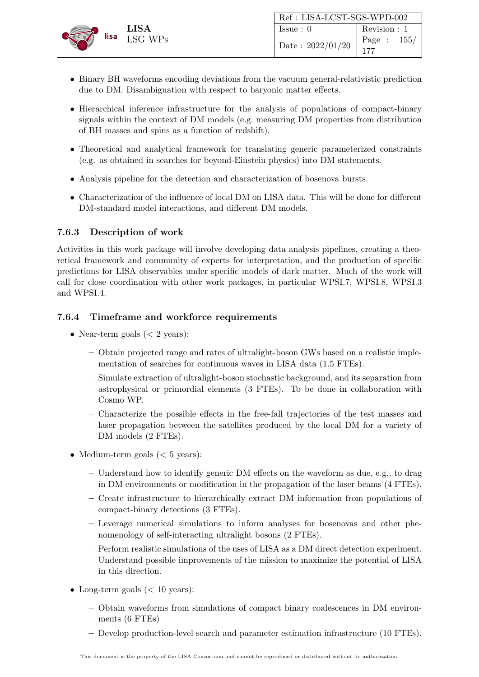

- Binary BH waveforms encoding deviations from the vacuum general-relativistic prediction due to DM. Disambiguation with respect to baryonic matter effects.
- Hierarchical inference infrastructure for the analysis of populations of compact-binary signals within the context of DM models (e.g. measuring DM properties from distribution of BH masses and spins as a function of redshift).
- Theoretical and analytical framework for translating generic parameterized constraints (e.g. as obtained in searches for beyond-Einstein physics) into DM statements.
- Analysis pipeline for the detection and characterization of bosenova bursts.
- Characterization of the influence of local DM on LISA data. This will be done for different DM-standard model interactions, and different DM models.

## 7.6.3 Description of work

Activities in this work package will involve developing data analysis pipelines, creating a theoretical framework and community of experts for interpretation, and the production of specific predictions for LISA observables under specific models of dark matter. Much of the work will call for close coordination with other work packages, in particular WPSI.7, WPSI.8, WPSI.3 and WPSI.4.

## 7.6.4 Timeframe and workforce requirements

- Near-term goals  $(< 2 \text{ years})$ :
	- Obtain projected range and rates of ultralight-boson GWs based on a realistic implementation of searches for continuous waves in LISA data (1.5 FTEs).
	- Simulate extraction of ultralight-boson stochastic background, and its separation from astrophysical or primordial elements (3 FTEs). To be done in collaboration with Cosmo WP.
	- Characterize the possible effects in the free-fall trajectories of the test masses and laser propagation between the satellites produced by the local DM for a variety of DM models (2 FTEs).
- Medium-term goals  $(< 5$  years):
	- Understand how to identify generic DM effects on the waveform as due, e.g., to drag in DM environments or modification in the propagation of the laser beams (4 FTEs).
	- Create infrastructure to hierarchically extract DM information from populations of compact-binary detections (3 FTEs).
	- Leverage numerical simulations to inform analyses for bosenovas and other phenomenology of self-interacting ultralight bosons (2 FTEs).
	- Perform realistic simulations of the uses of LISA as a DM direct detection experiment. Understand possible improvements of the mission to maximize the potential of LISA in this direction.
- Long-term goals  $(< 10 \text{ years})$ :
	- Obtain waveforms from simulations of compact binary coalescences in DM environments (6 FTEs)
	- Develop production-level search and parameter estimation infrastructure (10 FTEs).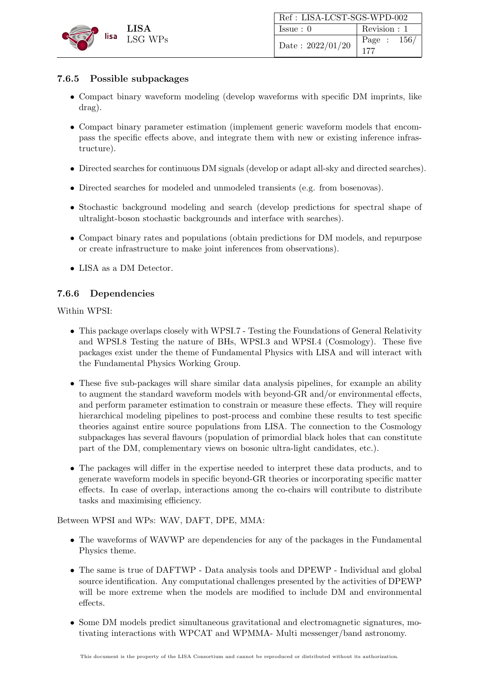

# 7.6.5 Possible subpackages

- Compact binary waveform modeling (develop waveforms with specific DM imprints, like drag).
- Compact binary parameter estimation (implement generic waveform models that encompass the specific effects above, and integrate them with new or existing inference infrastructure).
- Directed searches for continuous DM signals (develop or adapt all-sky and directed searches).
- Directed searches for modeled and unmodeled transients (e.g. from bosenovas).
- Stochastic background modeling and search (develop predictions for spectral shape of ultralight-boson stochastic backgrounds and interface with searches).
- Compact binary rates and populations (obtain predictions for DM models, and repurpose or create infrastructure to make joint inferences from observations).
- LISA as a DM Detector.

# 7.6.6 Dependencies

Within WPSI:

- This package overlaps closely with WPSI.7 Testing the Foundations of General Relativity and WPSI.8 Testing the nature of BHs, WPSI.3 and WPSI.4 (Cosmology). These five packages exist under the theme of Fundamental Physics with LISA and will interact with the Fundamental Physics Working Group.
- These five sub-packages will share similar data analysis pipelines, for example an ability to augment the standard waveform models with beyond-GR and/or environmental effects, and perform parameter estimation to constrain or measure these effects. They will require hierarchical modeling pipelines to post-process and combine these results to test specific theories against entire source populations from LISA. The connection to the Cosmology subpackages has several flavours (population of primordial black holes that can constitute part of the DM, complementary views on bosonic ultra-light candidates, etc.).
- The packages will differ in the expertise needed to interpret these data products, and to generate waveform models in specific beyond-GR theories or incorporating specific matter effects. In case of overlap, interactions among the co-chairs will contribute to distribute tasks and maximising efficiency.

Between WPSI and WPs: WAV, DAFT, DPE, MMA:

- The waveforms of WAVWP are dependencies for any of the packages in the Fundamental Physics theme.
- The same is true of DAFTWP Data analysis tools and DPEWP Individual and global source identification. Any computational challenges presented by the activities of DPEWP will be more extreme when the models are modified to include DM and environmental effects.
- Some DM models predict simultaneous gravitational and electromagnetic signatures, motivating interactions with WPCAT and WPMMA- Multi messenger/band astronomy.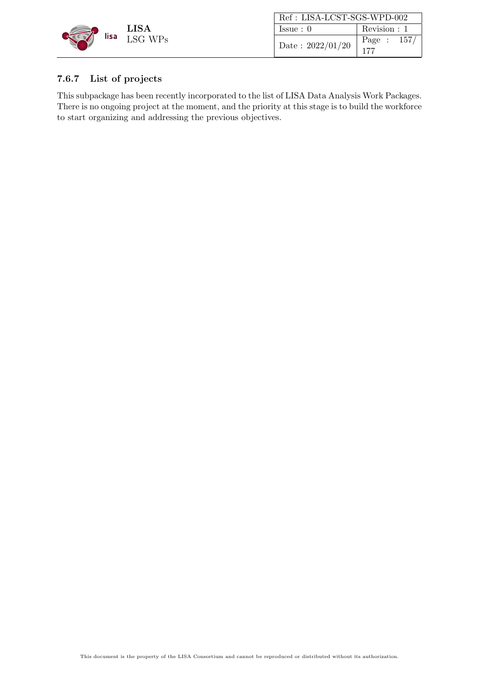

| Ref: LISA-LCST-SGS-WPD-002 |                      |
|----------------------------|----------------------|
| Issue:0                    | Revision : 1         |
| Date: $2022/01/20$         | Page : $157/$<br>177 |

# 7.6.7 List of projects

This subpackage has been recently incorporated to the list of LISA Data Analysis Work Packages. There is no ongoing project at the moment, and the priority at this stage is to build the workforce to start organizing and addressing the previous objectives.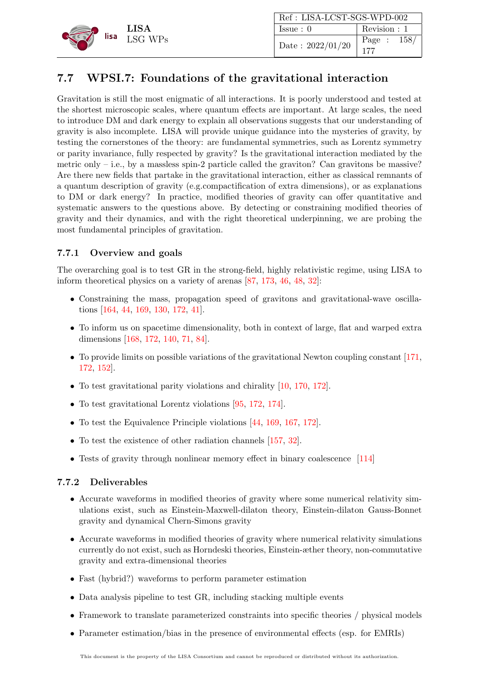#### Ref : LISA-LCST-SGS-WPD-002 Issue : 0 Revision : 1 Date :  $2022/01/20$   $\begin{array}{|l} \text{Page} : 158/01 \end{array}$ [177](#page-178-0)

# 7.7 WPSI.7: Foundations of the gravitational interaction

Gravitation is still the most enigmatic of all interactions. It is poorly understood and tested at the shortest microscopic scales, where quantum effects are important. At large scales, the need to introduce DM and dark energy to explain all observations suggests that our understanding of gravity is also incomplete. LISA will provide unique guidance into the mysteries of gravity, by testing the cornerstones of the theory: are fundamental symmetries, such as Lorentz symmetry or parity invariance, fully respected by gravity? Is the gravitational interaction mediated by the metric only – i.e., by a massless spin-2 particle called the graviton? Can gravitons be massive? Are there new fields that partake in the gravitational interaction, either as classical remnants of a quantum description of gravity (e.g.compactification of extra dimensions), or as explanations to DM or dark energy? In practice, modified theories of gravity can offer quantitative and systematic answers to the questions above. By detecting or constraining modified theories of gravity and their dynamics, and with the right theoretical underpinning, we are probing the most fundamental principles of gravitation.

# 7.7.1 Overview and goals

LISA LSG WPs

lisa

The overarching goal is to test GR in the strong-field, highly relativistic regime, using LISA to inform theoretical physics on a variety of arenas [\[87,](#page-173-3) [173,](#page-178-1) [46,](#page-170-5) [48,](#page-171-8) [32\]](#page-170-2):

- Constraining the mass, propagation speed of gravitons and gravitational-wave oscillations [\[164,](#page-178-2) [44,](#page-170-6) [169,](#page-178-3) [130,](#page-176-3) [172,](#page-178-4) [41\]](#page-170-7).
- To inform us on spacetime dimensionality, both in context of large, flat and warped extra dimensions [\[168,](#page-178-5) [172,](#page-178-4) [140,](#page-176-4) [71,](#page-172-3) [84\]](#page-173-4).
- To provide limits on possible variations of the gravitational Newton coupling constant [\[171,](#page-178-6) [172,](#page-178-4) [152\]](#page-177-3).
- To test gravitational parity violations and chirality [\[10,](#page-168-0) [170,](#page-178-7) [172\]](#page-178-4).
- To test gravitational Lorentz violations [\[95,](#page-173-5) [172,](#page-178-4) [174\]](#page-178-8).
- To test the Equivalence Principle violations [\[44,](#page-170-6) [169,](#page-178-3) [167,](#page-178-9) [172\]](#page-178-4).
- To test the existence of other radiation channels [\[157,](#page-177-4) [32\]](#page-170-2).
- Tests of gravity through nonlinear memory effect in binary coalescence [\[114\]](#page-175-1)

# 7.7.2 Deliverables

- Accurate waveforms in modified theories of gravity where some numerical relativity simulations exist, such as Einstein-Maxwell-dilaton theory, Einstein-dilaton Gauss-Bonnet gravity and dynamical Chern-Simons gravity
- Accurate waveforms in modified theories of gravity where numerical relativity simulations currently do not exist, such as Horndeski theories, Einstein-æther theory, non-commutative gravity and extra-dimensional theories
- Fast (hybrid?) waveforms to perform parameter estimation
- Data analysis pipeline to test GR, including stacking multiple events
- Framework to translate parameterized constraints into specific theories / physical models
- Parameter estimation/bias in the presence of environmental effects (esp. for EMRIs)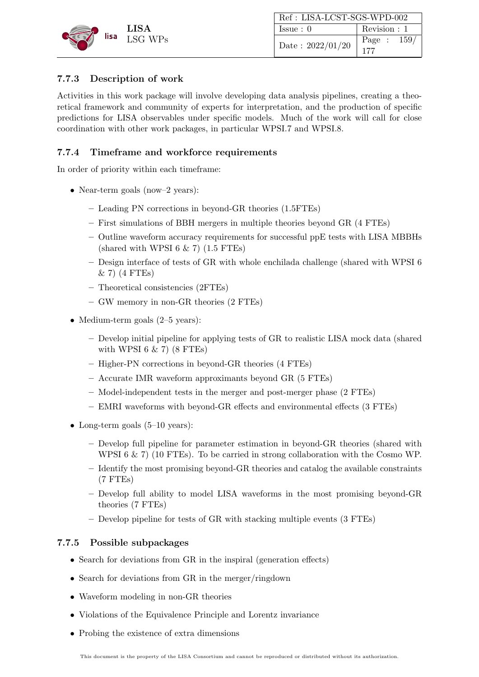

| Ref: LISA-LCST-SGS-WPD-002 |                      |
|----------------------------|----------------------|
| $I_{\text{ssue}}: 0$       | Revision : 1         |
| Date: $2022/01/20$         | Page : $159/$<br>177 |

# 7.7.3 Description of work

Activities in this work package will involve developing data analysis pipelines, creating a theoretical framework and community of experts for interpretation, and the production of specific predictions for LISA observables under specific models. Much of the work will call for close coordination with other work packages, in particular WPSI.7 and WPSI.8.

# 7.7.4 Timeframe and workforce requirements

In order of priority within each timeframe:

- Near-term goals (now-2 years):
	- Leading PN corrections in beyond-GR theories (1.5FTEs)
	- First simulations of BBH mergers in multiple theories beyond GR (4 FTEs)
	- Outline waveform accuracy requirements for successful ppE tests with LISA MBBHs (shared with WPSI 6  $\&$  7) (1.5 FTEs)
	- Design interface of tests of GR with whole enchilada challenge (shared with WPSI 6 & 7) (4 FTEs)
	- Theoretical consistencies (2FTEs)
	- GW memory in non-GR theories (2 FTEs)
- Medium-term goals (2–5 years):
	- Develop initial pipeline for applying tests of GR to realistic LISA mock data (shared with WPSI 6  $\&$  7) (8 FTEs)
	- Higher-PN corrections in beyond-GR theories (4 FTEs)
	- Accurate IMR waveform approximants beyond GR (5 FTEs)
	- Model-independent tests in the merger and post-merger phase (2 FTEs)
	- EMRI waveforms with beyond-GR effects and environmental effects (3 FTEs)
- Long-term goals  $(5-10 \text{ years})$ :
	- Develop full pipeline for parameter estimation in beyond-GR theories (shared with WPSI 6 & 7) (10 FTEs). To be carried in strong collaboration with the Cosmo WP.
	- Identify the most promising beyond-GR theories and catalog the available constraints (7 FTEs)
	- Develop full ability to model LISA waveforms in the most promising beyond-GR theories (7 FTEs)
	- Develop pipeline for tests of GR with stacking multiple events (3 FTEs)

#### 7.7.5 Possible subpackages

- Search for deviations from GR in the inspiral (generation effects)
- Search for deviations from GR in the merger/ringdown
- Waveform modeling in non-GR theories
- Violations of the Equivalence Principle and Lorentz invariance
- Probing the existence of extra dimensions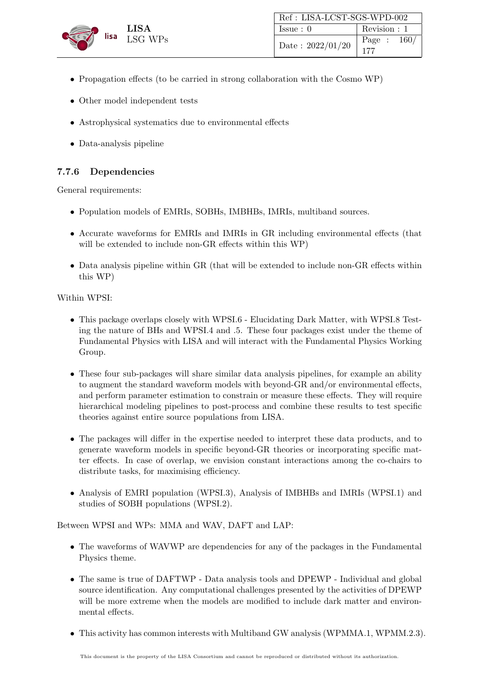

- Propagation effects (to be carried in strong collaboration with the Cosmo WP)
- Other model independent tests
- Astrophysical systematics due to environmental effects
- Data-analysis pipeline

# 7.7.6 Dependencies

General requirements:

- Population models of EMRIs, SOBHs, IMBHBs, IMRIs, multiband sources.
- Accurate waveforms for EMRIs and IMRIs in GR including environmental effects (that will be extended to include non-GR effects within this WP)
- Data analysis pipeline within GR (that will be extended to include non-GR effects within this WP)

Within WPSI:

- This package overlaps closely with WPSI.6 Elucidating Dark Matter, with WPSI.8 Testing the nature of BHs and WPSI.4 and .5. These four packages exist under the theme of Fundamental Physics with LISA and will interact with the Fundamental Physics Working Group.
- These four sub-packages will share similar data analysis pipelines, for example an ability to augment the standard waveform models with beyond-GR and/or environmental effects, and perform parameter estimation to constrain or measure these effects. They will require hierarchical modeling pipelines to post-process and combine these results to test specific theories against entire source populations from LISA.
- The packages will differ in the expertise needed to interpret these data products, and to generate waveform models in specific beyond-GR theories or incorporating specific matter effects. In case of overlap, we envision constant interactions among the co-chairs to distribute tasks, for maximising efficiency.
- Analysis of EMRI population (WPSI.3), Analysis of IMBHBs and IMRIs (WPSI.1) and studies of SOBH populations (WPSI.2).

Between WPSI and WPs: MMA and WAV, DAFT and LAP:

- The waveforms of WAVWP are dependencies for any of the packages in the Fundamental Physics theme.
- The same is true of DAFTWP Data analysis tools and DPEWP Individual and global source identification. Any computational challenges presented by the activities of DPEWP will be more extreme when the models are modified to include dark matter and environmental effects.
- This activity has common interests with Multiband GW analysis (WPMMA.1, WPMM.2.3).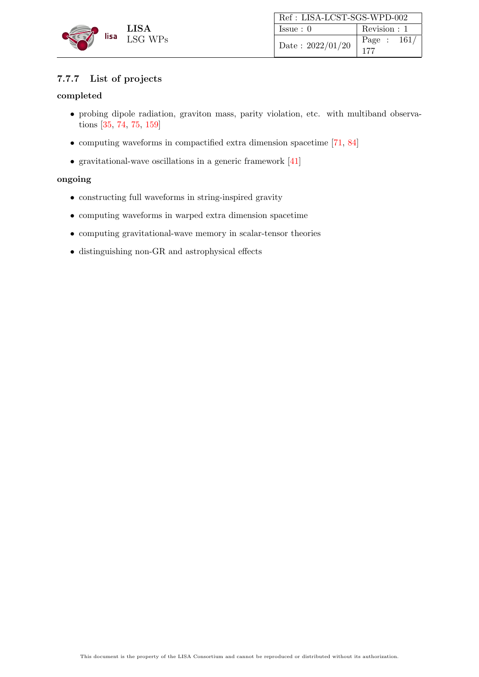

| Ref: LISA-LCST-SGS-WPD-002 |                      |
|----------------------------|----------------------|
| Issue:0                    | Revision : 1         |
| Date: $2022/01/20$         | Page : $161/$<br>177 |

# 7.7.7 List of projects

#### completed

- probing dipole radiation, graviton mass, parity violation, etc. with multiband observations [\[35,](#page-170-8) [74,](#page-172-4) [75,](#page-172-5) [159\]](#page-178-10)
- computing waveforms in compactified extra dimension spacetime [\[71,](#page-172-3) [84\]](#page-173-4)
- gravitational-wave oscillations in a generic framework [\[41\]](#page-170-7)

#### ongoing

- constructing full waveforms in string-inspired gravity
- computing waveforms in warped extra dimension spacetime
- computing gravitational-wave memory in scalar-tensor theories
- distinguishing non-GR and astrophysical effects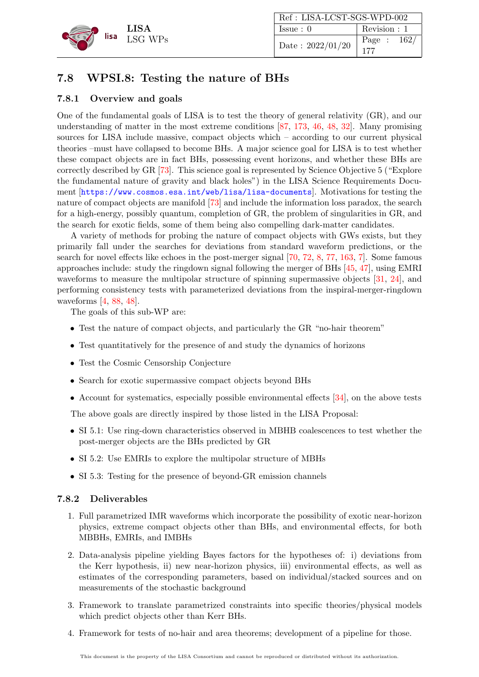

| Ref: LISA-LCST-SGS-WPD-002 |               |
|----------------------------|---------------|
| $I_{\text{ssue}}: 0$       | Revision : 1  |
| Date: $2022/01/20$         | Page : $162/$ |
|                            | 177           |

# 7.8 WPSI.8: Testing the nature of BHs

#### 7.8.1 Overview and goals

One of the fundamental goals of LISA is to test the theory of general relativity (GR), and our understanding of matter in the most extreme conditions [\[87,](#page-173-3) [173,](#page-178-1) [46,](#page-170-5) [48,](#page-171-8) [32\]](#page-170-2). Many promising sources for LISA include massive, compact objects which – according to our current physical theories –must have collapsed to become BHs. A major science goal for LISA is to test whether these compact objects are in fact BHs, possessing event horizons, and whether these BHs are correctly described by GR [\[73\]](#page-172-2). This science goal is represented by Science Objective 5 ("Explore the fundamental nature of gravity and black holes") in the LISA Science Requirements Document [<https://www.cosmos.esa.int/web/lisa/lisa-documents>]. Motivations for testing the nature of compact objects are manifold [\[73\]](#page-172-2) and include the information loss paradox, the search for a high-energy, possibly quantum, completion of GR, the problem of singularities in GR, and the search for exotic fields, some of them being also compelling dark-matter candidates.

A variety of methods for probing the nature of compact objects with GWs exists, but they primarily fall under the searches for deviations from standard waveform predictions, or the search for novel effects like echoes in the post-merger signal [\[70,](#page-172-6) [72,](#page-172-7) [8,](#page-168-1) [77,](#page-172-8) [163,](#page-178-11) [7\]](#page-168-2). Some famous approaches include: study the ringdown signal following the merger of BHs [\[45,](#page-170-9) [47\]](#page-171-9), using EMRI waveforms to measure the multipolar structure of spinning supermassive objects [\[31,](#page-170-10) [24\]](#page-169-4), and performing consistency tests with parameterized deviations from the inspiral-merger-ringdown waveforms [\[4,](#page-168-3) [88,](#page-173-6) [48\]](#page-171-8).

The goals of this sub-WP are:

- Test the nature of compact objects, and particularly the GR "no-hair theorem"
- Test quantitatively for the presence of and study the dynamics of horizons
- Test the Cosmic Censorship Conjecture
- Search for exotic supermassive compact objects beyond BHs
- Account for systematics, especially possible environmental effects [\[34\]](#page-170-4), on the above tests

The above goals are directly inspired by those listed in the LISA Proposal:

- SI 5.1: Use ring-down characteristics observed in MBHB coalescences to test whether the post-merger objects are the BHs predicted by GR
- SI 5.2: Use EMRIs to explore the multipolar structure of MBHs
- SI 5.3: Testing for the presence of beyond-GR emission channels

#### 7.8.2 Deliverables

- 1. Full parametrized IMR waveforms which incorporate the possibility of exotic near-horizon physics, extreme compact objects other than BHs, and environmental effects, for both MBBHs, EMRIs, and IMBHs
- 2. Data-analysis pipeline yielding Bayes factors for the hypotheses of: i) deviations from the Kerr hypothesis, ii) new near-horizon physics, iii) environmental effects, as well as estimates of the corresponding parameters, based on individual/stacked sources and on measurements of the stochastic background
- 3. Framework to translate parametrized constraints into specific theories/physical models which predict objects other than Kerr BHs.
- 4. Framework for tests of no-hair and area theorems; development of a pipeline for those.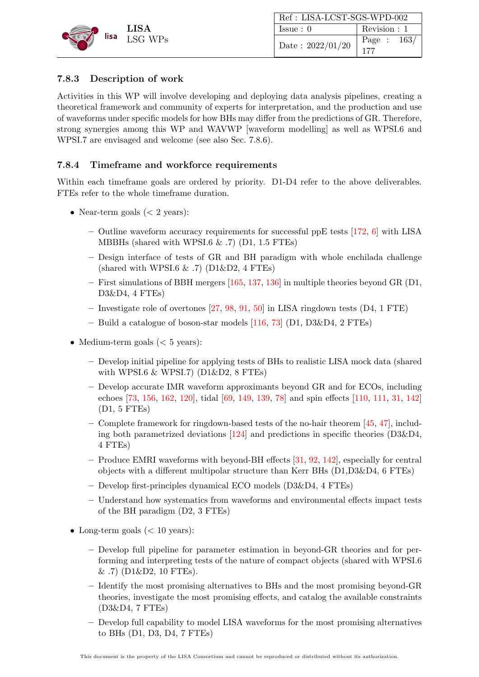

| Ref: LISA-LCST-SGS-WPD-002 |                      |
|----------------------------|----------------------|
| $\[ Issue : 0$             | Revision : 1         |
| Date: $2022/01/20$         | Page : $163/$<br>177 |

# 7.8.3 Description of work

Activities in this WP will involve developing and deploying data analysis pipelines, creating a theoretical framework and community of experts for interpretation, and the production and use of waveforms under specific models for how BHs may differ from the predictions of GR. Therefore, strong synergies among this WP and WAVWP [waveform modelling] as well as WPSI.6 and WPSI.7 are envisaged and welcome (see also Sec. [7.8.6\)](#page-165-0).

# <span id="page-164-0"></span>7.8.4 Timeframe and workforce requirements

Within each timeframe goals are ordered by priority. D1-D4 refer to the above deliverables. FTEs refer to the whole timeframe duration.

- Near-term goals  $(< 2$  years):
	- Outline waveform accuracy requirements for successful ppE tests [\[172,](#page-178-4) [6\]](#page-168-4) with LISA MBBHs (shared with WPSI.6 & .7) (D1, 1.5 FTEs)
	- Design interface of tests of GR and BH paradigm with whole enchilada challenge (shared with WPSI.6  $\&$  .7) (D1 $\&$ D2, 4 FTEs)
	- First simulations of BBH mergers [\[165,](#page-178-12) [137,](#page-176-5) [136\]](#page-176-6) in multiple theories beyond GR (D1, D3&D4, 4 FTEs)
	- Investigate role of overtones [\[27,](#page-169-5) [98,](#page-174-1) [91,](#page-173-7) [50\]](#page-171-10) in LISA ringdown tests (D4, 1 FTE)
	- $-$  Build a catalogue of boson-star models [\[116,](#page-175-0) [73\]](#page-172-2) (D1, D3&D4, 2 FTEs)
- Medium-term goals  $(< 5 \text{ years})$ :
	- Develop initial pipeline for applying tests of BHs to realistic LISA mock data (shared with WPSI.6 & WPSI.7) (D1&D2, 8 FTEs)
	- Develop accurate IMR waveform approximants beyond GR and for ECOs, including echoes [\[73,](#page-172-2) [156,](#page-177-5) [162,](#page-178-13) [120\]](#page-175-2), tidal [\[69,](#page-172-9) [149,](#page-177-6) [139,](#page-176-7) [78\]](#page-172-10) and spin effects [\[110,](#page-174-2) [111,](#page-174-3) [31,](#page-170-10) [142\]](#page-176-8) (D1, 5 FTEs)
	- Complete framework for ringdown-based tests of the no-hair theorem [\[45,](#page-170-9) [47\]](#page-171-9), including both parametrized deviations [\[124\]](#page-175-3) and predictions in specific theories (D3&D4, 4 FTEs)
	- Produce EMRI waveforms with beyond-BH effects [\[31,](#page-170-10) [92,](#page-173-8) [142\]](#page-176-8), especially for central objects with a different multipolar structure than Kerr BHs (D1,D3&D4, 6 FTEs)
	- Develop first-principles dynamical ECO models (D3&D4, 4 FTEs)
	- Understand how systematics from waveforms and environmental effects impact tests of the BH paradigm (D2, 3 FTEs)
- Long-term goals  $(< 10$  years):
	- Develop full pipeline for parameter estimation in beyond-GR theories and for performing and interpreting tests of the nature of compact objects (shared with WPSI.6  $\&$  .7) (D1 $\&$ D2, 10 FTEs).
	- Identify the most promising alternatives to BHs and the most promising beyond-GR theories, investigate the most promising effects, and catalog the available constraints (D3&D4, 7 FTEs)
	- Develop full capability to model LISA waveforms for the most promising alternatives to BHs (D1, D3, D4, 7 FTEs)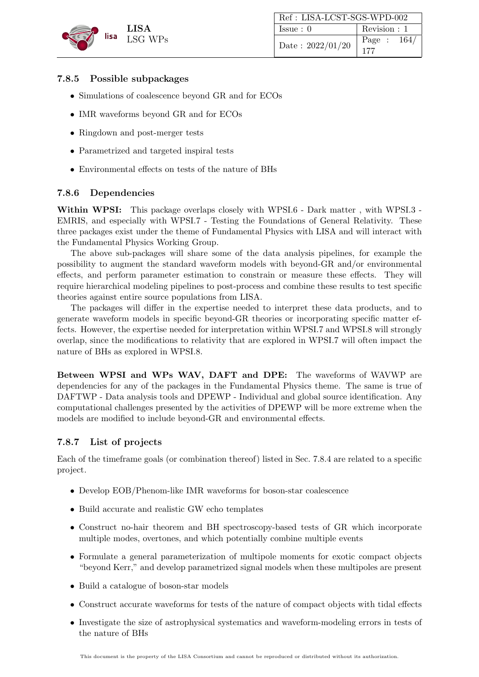

# 7.8.5 Possible subpackages

- Simulations of coalescence beyond GR and for ECOs
- IMR waveforms beyond GR and for ECOs
- Ringdown and post-merger tests
- Parametrized and targeted inspiral tests
- Environmental effects on tests of the nature of BHs

#### <span id="page-165-0"></span>7.8.6 Dependencies

Within WPSI: This package overlaps closely with WPSI.6 - Dark matter, with WPSI.3 -EMRIS, and especially with WPSI.7 - Testing the Foundations of General Relativity. These three packages exist under the theme of Fundamental Physics with LISA and will interact with the Fundamental Physics Working Group.

The above sub-packages will share some of the data analysis pipelines, for example the possibility to augment the standard waveform models with beyond-GR and/or environmental effects, and perform parameter estimation to constrain or measure these effects. They will require hierarchical modeling pipelines to post-process and combine these results to test specific theories against entire source populations from LISA.

The packages will differ in the expertise needed to interpret these data products, and to generate waveform models in specific beyond-GR theories or incorporating specific matter effects. However, the expertise needed for interpretation within WPSI.7 and WPSI.8 will strongly overlap, since the modifications to relativity that are explored in WPSI.7 will often impact the nature of BHs as explored in WPSI.8.

Between WPSI and WPs WAV, DAFT and DPE: The waveforms of WAVWP are dependencies for any of the packages in the Fundamental Physics theme. The same is true of DAFTWP - Data analysis tools and DPEWP - Individual and global source identification. Any computational challenges presented by the activities of DPEWP will be more extreme when the models are modified to include beyond-GR and environmental effects.

#### 7.8.7 List of projects

Each of the timeframe goals (or combination thereof) listed in Sec. [7.8.4](#page-164-0) are related to a specific project.

- Develop EOB/Phenom-like IMR waveforms for boson-star coalescence
- Build accurate and realistic GW echo templates
- Construct no-hair theorem and BH spectroscopy-based tests of GR which incorporate multiple modes, overtones, and which potentially combine multiple events
- Formulate a general parameterization of multipole moments for exotic compact objects "beyond Kerr," and develop parametrized signal models when these multipoles are present
- Build a catalogue of boson-star models
- Construct accurate waveforms for tests of the nature of compact objects with tidal effects
- Investigate the size of astrophysical systematics and waveform-modeling errors in tests of the nature of BHs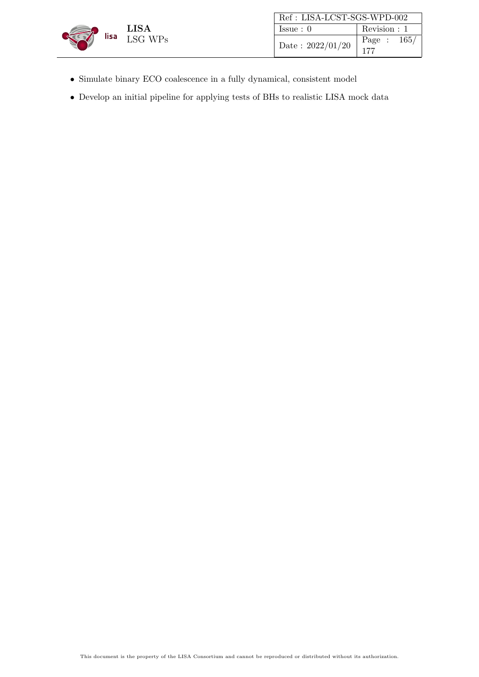

- Simulate binary ECO coalescence in a fully dynamical, consistent model
- Develop an initial pipeline for applying tests of BHs to realistic LISA mock data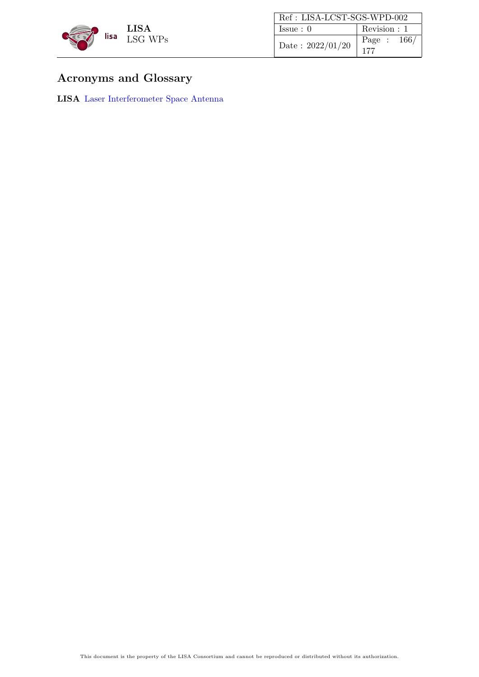

| Ref: LISA-LCST-SGS-WPD-002 |                      |
|----------------------------|----------------------|
| Issue:0                    | Revision : 1         |
| Date: $2022/01/20$         | Page : $166/$<br>177 |

# Acronyms and Glossary

LISA [Laser Interferometer Space Antenna](https://www.lisamission.org/)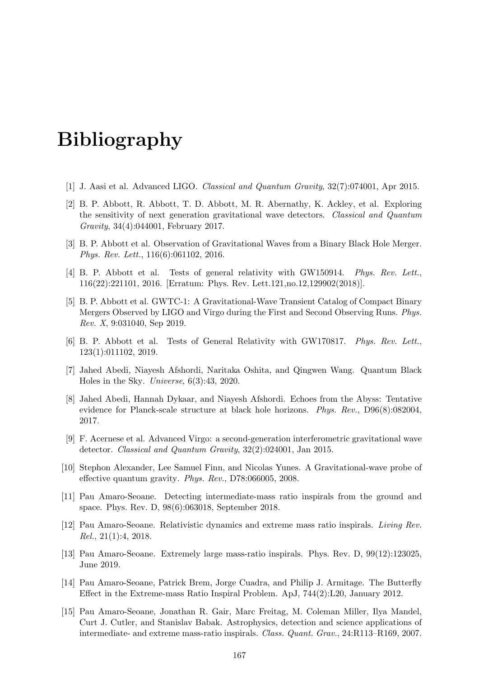# Bibliography

- [1] J. Aasi et al. Advanced LIGO. Classical and Quantum Gravity, 32(7):074001, Apr 2015.
- [2] B. P. Abbott, R. Abbott, T. D. Abbott, M. R. Abernathy, K. Ackley, et al. Exploring the sensitivity of next generation gravitational wave detectors. Classical and Quantum Gravity, 34(4):044001, February 2017.
- [3] B. P. Abbott et al. Observation of Gravitational Waves from a Binary Black Hole Merger. Phys. Rev. Lett., 116(6):061102, 2016.
- <span id="page-168-3"></span>[4] B. P. Abbott et al. Tests of general relativity with GW150914. Phys. Rev. Lett., 116(22):221101, 2016. [Erratum: Phys. Rev. Lett.121,no.12,129902(2018)].
- [5] B. P. Abbott et al. GWTC-1: A Gravitational-Wave Transient Catalog of Compact Binary Mergers Observed by LIGO and Virgo during the First and Second Observing Runs. Phys. Rev. X, 9:031040, Sep 2019.
- <span id="page-168-4"></span>[6] B. P. Abbott et al. Tests of General Relativity with GW170817. Phys. Rev. Lett., 123(1):011102, 2019.
- <span id="page-168-2"></span>[7] Jahed Abedi, Niayesh Afshordi, Naritaka Oshita, and Qingwen Wang. Quantum Black Holes in the Sky. Universe, 6(3):43, 2020.
- <span id="page-168-1"></span>[8] Jahed Abedi, Hannah Dykaar, and Niayesh Afshordi. Echoes from the Abyss: Tentative evidence for Planck-scale structure at black hole horizons. Phys. Rev., D96(8):082004, 2017.
- [9] F. Acernese et al. Advanced Virgo: a second-generation interferometric gravitational wave detector. Classical and Quantum Gravity, 32(2):024001, Jan 2015.
- <span id="page-168-0"></span>[10] Stephon Alexander, Lee Samuel Finn, and Nicolas Yunes. A Gravitational-wave probe of effective quantum gravity. Phys. Rev., D78:066005, 2008.
- [11] Pau Amaro-Seoane. Detecting intermediate-mass ratio inspirals from the ground and space. Phys. Rev. D, 98(6):063018, September 2018.
- [12] Pau Amaro-Seoane. Relativistic dynamics and extreme mass ratio inspirals. Living Rev. Rel., 21(1):4, 2018.
- [13] Pau Amaro-Seoane. Extremely large mass-ratio inspirals. Phys. Rev. D, 99(12):123025, June 2019.
- [14] Pau Amaro-Seoane, Patrick Brem, Jorge Cuadra, and Philip J. Armitage. The Butterfly Effect in the Extreme-mass Ratio Inspiral Problem. ApJ, 744(2):L20, January 2012.
- [15] Pau Amaro-Seoane, Jonathan R. Gair, Marc Freitag, M. Coleman Miller, Ilya Mandel, Curt J. Cutler, and Stanislav Babak. Astrophysics, detection and science applications of intermediate- and extreme mass-ratio inspirals. Class. Quant. Grav., 24:R113–R169, 2007.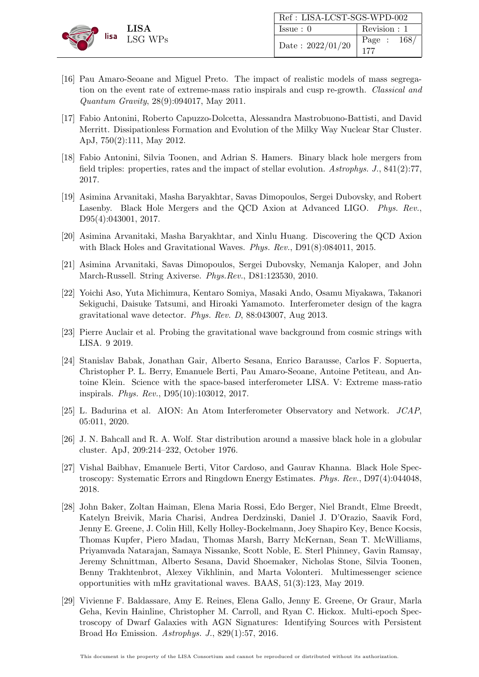

- [16] Pau Amaro-Seoane and Miguel Preto. The impact of realistic models of mass segregation on the event rate of extreme-mass ratio inspirals and cusp re-growth. Classical and Quantum Gravity, 28(9):094017, May 2011.
- [17] Fabio Antonini, Roberto Capuzzo-Dolcetta, Alessandra Mastrobuono-Battisti, and David Merritt. Dissipationless Formation and Evolution of the Milky Way Nuclear Star Cluster. ApJ, 750(2):111, May 2012.
- [18] Fabio Antonini, Silvia Toonen, and Adrian S. Hamers. Binary black hole mergers from field triples: properties, rates and the impact of stellar evolution. Astrophys. J., 841(2):77, 2017.
- <span id="page-169-3"></span>[19] Asimina Arvanitaki, Masha Baryakhtar, Savas Dimopoulos, Sergei Dubovsky, and Robert Lasenby. Black Hole Mergers and the QCD Axion at Advanced LIGO. Phys. Rev., D95(4):043001, 2017.
- <span id="page-169-2"></span>[20] Asimina Arvanitaki, Masha Baryakhtar, and Xinlu Huang. Discovering the QCD Axion with Black Holes and Gravitational Waves. Phys. Rev., D91(8):084011, 2015.
- <span id="page-169-1"></span>[21] Asimina Arvanitaki, Savas Dimopoulos, Sergei Dubovsky, Nemanja Kaloper, and John March-Russell. String Axiverse. Phys.Rev., D81:123530, 2010.
- [22] Yoichi Aso, Yuta Michimura, Kentaro Somiya, Masaki Ando, Osamu Miyakawa, Takanori Sekiguchi, Daisuke Tatsumi, and Hiroaki Yamamoto. Interferometer design of the kagra gravitational wave detector. Phys. Rev. D, 88:043007, Aug 2013.
- <span id="page-169-0"></span>[23] Pierre Auclair et al. Probing the gravitational wave background from cosmic strings with LISA. 9 2019.
- <span id="page-169-4"></span>[24] Stanislav Babak, Jonathan Gair, Alberto Sesana, Enrico Barausse, Carlos F. Sopuerta, Christopher P. L. Berry, Emanuele Berti, Pau Amaro-Seoane, Antoine Petiteau, and Antoine Klein. Science with the space-based interferometer LISA. V: Extreme mass-ratio inspirals. Phys. Rev., D95(10):103012, 2017.
- [25] L. Badurina et al. AION: An Atom Interferometer Observatory and Network. JCAP, 05:011, 2020.
- [26] J. N. Bahcall and R. A. Wolf. Star distribution around a massive black hole in a globular cluster. ApJ, 209:214–232, October 1976.
- <span id="page-169-5"></span>[27] Vishal Baibhav, Emanuele Berti, Vitor Cardoso, and Gaurav Khanna. Black Hole Spectroscopy: Systematic Errors and Ringdown Energy Estimates. Phys. Rev., D97(4):044048, 2018.
- [28] John Baker, Zoltan Haiman, Elena Maria Rossi, Edo Berger, Niel Brandt, Elme Breedt, Katelyn Breivik, Maria Charisi, Andrea Derdzinski, Daniel J. D'Orazio, Saavik Ford, Jenny E. Greene, J. Colin Hill, Kelly Holley-Bockelmann, Joey Shapiro Key, Bence Kocsis, Thomas Kupfer, Piero Madau, Thomas Marsh, Barry McKernan, Sean T. McWilliams, Priyamvada Natarajan, Samaya Nissanke, Scott Noble, E. Sterl Phinney, Gavin Ramsay, Jeremy Schnittman, Alberto Sesana, David Shoemaker, Nicholas Stone, Silvia Toonen, Benny Trakhtenbrot, Alexey Vikhlinin, and Marta Volonteri. Multimessenger science opportunities with mHz gravitational waves. BAAS, 51(3):123, May 2019.
- [29] Vivienne F. Baldassare, Amy E. Reines, Elena Gallo, Jenny E. Greene, Or Graur, Marla Geha, Kevin Hainline, Christopher M. Carroll, and Ryan C. Hickox. Multi-epoch Spectroscopy of Dwarf Galaxies with AGN Signatures: Identifying Sources with Persistent Broad H $\alpha$  Emission. Astrophys. J., 829(1):57, 2016.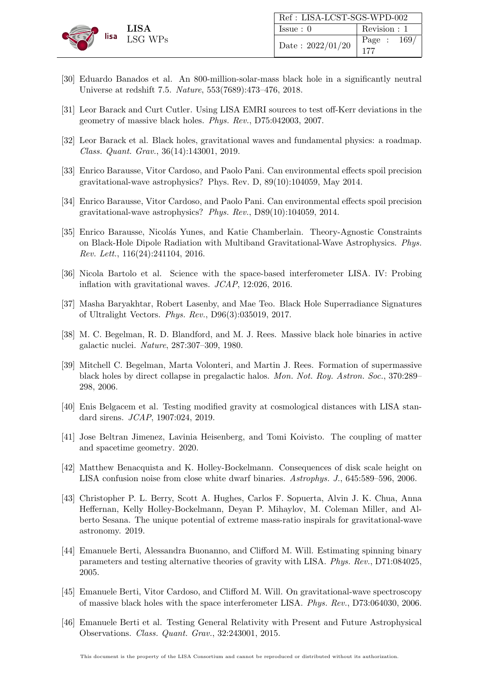

- [30] Eduardo Banados et al. An 800-million-solar-mass black hole in a significantly neutral Universe at redshift 7.5. Nature, 553(7689):473–476, 2018.
- <span id="page-170-10"></span>[31] Leor Barack and Curt Cutler. Using LISA EMRI sources to test off-Kerr deviations in the geometry of massive black holes. Phys. Rev., D75:042003, 2007.
- <span id="page-170-2"></span>[32] Leor Barack et al. Black holes, gravitational waves and fundamental physics: a roadmap. Class. Quant. Grav., 36(14):143001, 2019.
- [33] Enrico Barausse, Vitor Cardoso, and Paolo Pani. Can environmental effects spoil precision gravitational-wave astrophysics? Phys. Rev. D, 89(10):104059, May 2014.
- <span id="page-170-4"></span>[34] Enrico Barausse, Vitor Cardoso, and Paolo Pani. Can environmental effects spoil precision gravitational-wave astrophysics? Phys. Rev., D89(10):104059, 2014.
- <span id="page-170-8"></span>[35] Enrico Barausse, Nicolás Yunes, and Katie Chamberlain. Theory-Agnostic Constraints on Black-Hole Dipole Radiation with Multiband Gravitational-Wave Astrophysics. Phys. Rev. Lett., 116(24):241104, 2016.
- <span id="page-170-1"></span>[36] Nicola Bartolo et al. Science with the space-based interferometer LISA. IV: Probing inflation with gravitational waves. JCAP, 12:026, 2016.
- <span id="page-170-3"></span>[37] Masha Baryakhtar, Robert Lasenby, and Mae Teo. Black Hole Superradiance Signatures of Ultralight Vectors. Phys. Rev., D96(3):035019, 2017.
- [38] M. C. Begelman, R. D. Blandford, and M. J. Rees. Massive black hole binaries in active galactic nuclei. Nature, 287:307–309, 1980.
- [39] Mitchell C. Begelman, Marta Volonteri, and Martin J. Rees. Formation of supermassive black holes by direct collapse in pregalactic halos. Mon. Not. Roy. Astron. Soc., 370:289– 298, 2006.
- <span id="page-170-0"></span>[40] Enis Belgacem et al. Testing modified gravity at cosmological distances with LISA standard sirens. JCAP, 1907:024, 2019.
- <span id="page-170-7"></span>[41] Jose Beltran Jimenez, Lavinia Heisenberg, and Tomi Koivisto. The coupling of matter and spacetime geometry. 2020.
- [42] Matthew Benacquista and K. Holley-Bockelmann. Consequences of disk scale height on LISA confusion noise from close white dwarf binaries. Astrophys. J., 645:589–596, 2006.
- [43] Christopher P. L. Berry, Scott A. Hughes, Carlos F. Sopuerta, Alvin J. K. Chua, Anna Heffernan, Kelly Holley-Bockelmann, Deyan P. Mihaylov, M. Coleman Miller, and Alberto Sesana. The unique potential of extreme mass-ratio inspirals for gravitational-wave astronomy. 2019.
- <span id="page-170-6"></span>[44] Emanuele Berti, Alessandra Buonanno, and Clifford M. Will. Estimating spinning binary parameters and testing alternative theories of gravity with LISA. Phys. Rev., D71:084025, 2005.
- <span id="page-170-9"></span>[45] Emanuele Berti, Vitor Cardoso, and Clifford M. Will. On gravitational-wave spectroscopy of massive black holes with the space interferometer LISA. Phys. Rev., D73:064030, 2006.
- <span id="page-170-5"></span>[46] Emanuele Berti et al. Testing General Relativity with Present and Future Astrophysical Observations. Class. Quant. Grav., 32:243001, 2015.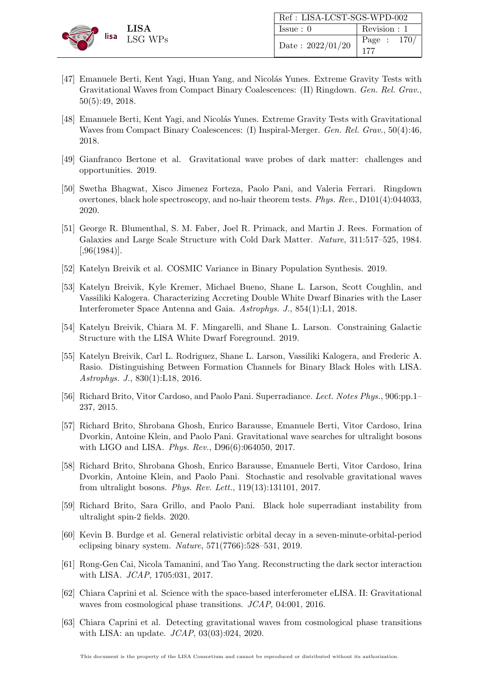

- <span id="page-171-9"></span>[47] Emanuele Berti, Kent Yagi, Huan Yang, and Nicolás Yunes. Extreme Gravity Tests with Gravitational Waves from Compact Binary Coalescences: (II) Ringdown. Gen. Rel. Grav., 50(5):49, 2018.
- <span id="page-171-8"></span>[48] Emanuele Berti, Kent Yagi, and Nicolás Yunes. Extreme Gravity Tests with Gravitational Waves from Compact Binary Coalescences: (I) Inspiral-Merger. Gen. Rel. Grav., 50(4):46, 2018.
- <span id="page-171-3"></span>[49] Gianfranco Bertone et al. Gravitational wave probes of dark matter: challenges and opportunities. 2019.
- <span id="page-171-10"></span>[50] Swetha Bhagwat, Xisco Jimenez Forteza, Paolo Pani, and Valeria Ferrari. Ringdown overtones, black hole spectroscopy, and no-hair theorem tests. Phys. Rev., D101(4):044033, 2020.
- [51] George R. Blumenthal, S. M. Faber, Joel R. Primack, and Martin J. Rees. Formation of Galaxies and Large Scale Structure with Cold Dark Matter. Nature, 311:517–525, 1984.  $[0.96(1984)]$ .
- [52] Katelyn Breivik et al. COSMIC Variance in Binary Population Synthesis. 2019.
- [53] Katelyn Breivik, Kyle Kremer, Michael Bueno, Shane L. Larson, Scott Coughlin, and Vassiliki Kalogera. Characterizing Accreting Double White Dwarf Binaries with the Laser Interferometer Space Antenna and Gaia. Astrophys. J., 854(1):L1, 2018.
- [54] Katelyn Breivik, Chiara M. F. Mingarelli, and Shane L. Larson. Constraining Galactic Structure with the LISA White Dwarf Foreground. 2019.
- [55] Katelyn Breivik, Carl L. Rodriguez, Shane L. Larson, Vassiliki Kalogera, and Frederic A. Rasio. Distinguishing Between Formation Channels for Binary Black Holes with LISA. Astrophys. J., 830(1):L18, 2016.
- <span id="page-171-7"></span>[56] Richard Brito, Vitor Cardoso, and Paolo Pani. Superradiance. Lect. Notes Phys., 906:pp.1– 237, 2015.
- <span id="page-171-5"></span>[57] Richard Brito, Shrobana Ghosh, Enrico Barausse, Emanuele Berti, Vitor Cardoso, Irina Dvorkin, Antoine Klein, and Paolo Pani. Gravitational wave searches for ultralight bosons with LIGO and LISA. Phys. Rev., D96(6):064050, 2017.
- <span id="page-171-4"></span>[58] Richard Brito, Shrobana Ghosh, Enrico Barausse, Emanuele Berti, Vitor Cardoso, Irina Dvorkin, Antoine Klein, and Paolo Pani. Stochastic and resolvable gravitational waves from ultralight bosons. Phys. Rev. Lett., 119(13):131101, 2017.
- <span id="page-171-6"></span>[59] Richard Brito, Sara Grillo, and Paolo Pani. Black hole superradiant instability from ultralight spin-2 fields. 2020.
- [60] Kevin B. Burdge et al. General relativistic orbital decay in a seven-minute-orbital-period eclipsing binary system. *Nature*,  $571(7766):528-531$ , 2019.
- <span id="page-171-0"></span>[61] Rong-Gen Cai, Nicola Tamanini, and Tao Yang. Reconstructing the dark sector interaction with LISA. JCAP, 1705:031, 2017.
- <span id="page-171-1"></span>[62] Chiara Caprini et al. Science with the space-based interferometer eLISA. II: Gravitational waves from cosmological phase transitions.  $JCAP$ , 04:001, 2016.
- <span id="page-171-2"></span>[63] Chiara Caprini et al. Detecting gravitational waves from cosmological phase transitions with LISA: an update. JCAP, 03(03):024, 2020.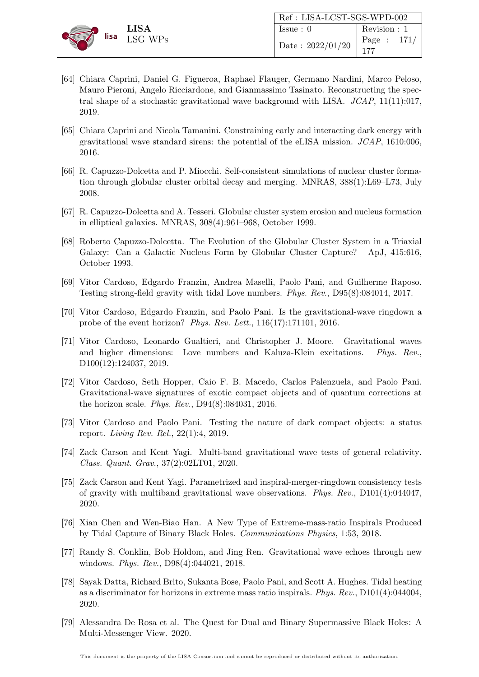

- <span id="page-172-1"></span>[64] Chiara Caprini, Daniel G. Figueroa, Raphael Flauger, Germano Nardini, Marco Peloso, Mauro Pieroni, Angelo Ricciardone, and Gianmassimo Tasinato. Reconstructing the spectral shape of a stochastic gravitational wave background with LISA.  $JCAP$ , 11(11):017, 2019.
- <span id="page-172-0"></span>[65] Chiara Caprini and Nicola Tamanini. Constraining early and interacting dark energy with gravitational wave standard sirens: the potential of the eLISA mission. JCAP, 1610:006, 2016.
- [66] R. Capuzzo-Dolcetta and P. Miocchi. Self-consistent simulations of nuclear cluster formation through globular cluster orbital decay and merging. MNRAS, 388(1):L69–L73, July 2008.
- [67] R. Capuzzo-Dolcetta and A. Tesseri. Globular cluster system erosion and nucleus formation in elliptical galaxies. MNRAS, 308(4):961–968, October 1999.
- [68] Roberto Capuzzo-Dolcetta. The Evolution of the Globular Cluster System in a Triaxial Galaxy: Can a Galactic Nucleus Form by Globular Cluster Capture? ApJ, 415:616, October 1993.
- <span id="page-172-9"></span>[69] Vitor Cardoso, Edgardo Franzin, Andrea Maselli, Paolo Pani, and Guilherme Raposo. Testing strong-field gravity with tidal Love numbers. Phys. Rev., D95(8):084014, 2017.
- <span id="page-172-6"></span>[70] Vitor Cardoso, Edgardo Franzin, and Paolo Pani. Is the gravitational-wave ringdown a probe of the event horizon? Phys. Rev. Lett., 116(17):171101, 2016.
- <span id="page-172-3"></span>[71] Vitor Cardoso, Leonardo Gualtieri, and Christopher J. Moore. Gravitational waves and higher dimensions: Love numbers and Kaluza-Klein excitations. Phys. Rev., D100(12):124037, 2019.
- <span id="page-172-7"></span>[72] Vitor Cardoso, Seth Hopper, Caio F. B. Macedo, Carlos Palenzuela, and Paolo Pani. Gravitational-wave signatures of exotic compact objects and of quantum corrections at the horizon scale. Phys. Rev., D94(8):084031, 2016.
- <span id="page-172-2"></span>[73] Vitor Cardoso and Paolo Pani. Testing the nature of dark compact objects: a status report. Living Rev. Rel., 22(1):4, 2019.
- <span id="page-172-4"></span>[74] Zack Carson and Kent Yagi. Multi-band gravitational wave tests of general relativity. Class. Quant. Grav., 37(2):02LT01, 2020.
- <span id="page-172-5"></span>[75] Zack Carson and Kent Yagi. Parametrized and inspiral-merger-ringdown consistency tests of gravity with multiband gravitational wave observations. *Phys. Rev.*,  $D101(4):044047$ , 2020.
- [76] Xian Chen and Wen-Biao Han. A New Type of Extreme-mass-ratio Inspirals Produced by Tidal Capture of Binary Black Holes. Communications Physics, 1:53, 2018.
- <span id="page-172-8"></span>[77] Randy S. Conklin, Bob Holdom, and Jing Ren. Gravitational wave echoes through new windows. Phys. Rev., D98(4):044021, 2018.
- <span id="page-172-10"></span>[78] Sayak Datta, Richard Brito, Sukanta Bose, Paolo Pani, and Scott A. Hughes. Tidal heating as a discriminator for horizons in extreme mass ratio inspirals. Phys. Rev., D101(4):044004, 2020.
- [79] Alessandra De Rosa et al. The Quest for Dual and Binary Supermassive Black Holes: A Multi-Messenger View. 2020.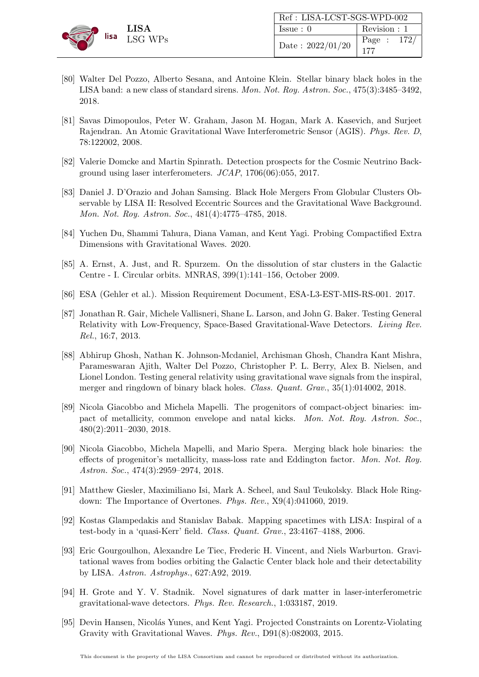

| Ref: LISA-LCST-SGS-WPD-002 |                      |
|----------------------------|----------------------|
| Issue:0                    | Revision : 1         |
| Date: $2022/01/20$         | Page : $172/$<br>177 |

- <span id="page-173-0"></span>[80] Walter Del Pozzo, Alberto Sesana, and Antoine Klein. Stellar binary black holes in the LISA band: a new class of standard sirens. Mon. Not. Roy. Astron. Soc., 475(3):3485–3492, 2018.
- [81] Savas Dimopoulos, Peter W. Graham, Jason M. Hogan, Mark A. Kasevich, and Surjeet Rajendran. An Atomic Gravitational Wave Interferometric Sensor (AGIS). Phys. Rev. D, 78:122002, 2008.
- <span id="page-173-1"></span>[82] Valerie Domcke and Martin Spinrath. Detection prospects for the Cosmic Neutrino Background using laser interferometers. JCAP, 1706(06):055, 2017.
- [83] Daniel J. D'Orazio and Johan Samsing. Black Hole Mergers From Globular Clusters Observable by LISA II: Resolved Eccentric Sources and the Gravitational Wave Background. Mon. Not. Roy. Astron. Soc., 481(4):4775–4785, 2018.
- <span id="page-173-4"></span>[84] Yuchen Du, Shammi Tahura, Diana Vaman, and Kent Yagi. Probing Compactified Extra Dimensions with Gravitational Waves. 2020.
- [85] A. Ernst, A. Just, and R. Spurzem. On the dissolution of star clusters in the Galactic Centre - I. Circular orbits. MNRAS, 399(1):141–156, October 2009.
- [86] ESA (Gehler et al.). Mission Requirement Document, ESA-L3-EST-MIS-RS-001. 2017.
- <span id="page-173-3"></span>[87] Jonathan R. Gair, Michele Vallisneri, Shane L. Larson, and John G. Baker. Testing General Relativity with Low-Frequency, Space-Based Gravitational-Wave Detectors. Living Rev. Rel., 16:7, 2013.
- <span id="page-173-6"></span>[88] Abhirup Ghosh, Nathan K. Johnson-Mcdaniel, Archisman Ghosh, Chandra Kant Mishra, Parameswaran Ajith, Walter Del Pozzo, Christopher P. L. Berry, Alex B. Nielsen, and Lionel London. Testing general relativity using gravitational wave signals from the inspiral, merger and ringdown of binary black holes. *Class. Quant. Grav.*,  $35(1):014002$ ,  $2018$ .
- [89] Nicola Giacobbo and Michela Mapelli. The progenitors of compact-object binaries: impact of metallicity, common envelope and natal kicks. Mon. Not. Roy. Astron. Soc., 480(2):2011–2030, 2018.
- [90] Nicola Giacobbo, Michela Mapelli, and Mario Spera. Merging black hole binaries: the effects of progenitor's metallicity, mass-loss rate and Eddington factor. Mon. Not. Roy. Astron. Soc., 474(3):2959–2974, 2018.
- <span id="page-173-7"></span>[91] Matthew Giesler, Maximiliano Isi, Mark A. Scheel, and Saul Teukolsky. Black Hole Ringdown: The Importance of Overtones. Phys. Rev., X9(4):041060, 2019.
- <span id="page-173-8"></span>[92] Kostas Glampedakis and Stanislav Babak. Mapping spacetimes with LISA: Inspiral of a test-body in a 'quasi-Kerr' field. Class. Quant. Grav., 23:4167–4188, 2006.
- [93] Eric Gourgoulhon, Alexandre Le Tiec, Frederic H. Vincent, and Niels Warburton. Gravitational waves from bodies orbiting the Galactic Center black hole and their detectability by LISA. Astron. Astrophys., 627:A92, 2019.
- <span id="page-173-2"></span>[94] H. Grote and Y. V. Stadnik. Novel signatures of dark matter in laser-interferometric gravitational-wave detectors. Phys. Rev. Research., 1:033187, 2019.
- <span id="page-173-5"></span>[95] Devin Hansen, Nicolás Yunes, and Kent Yagi. Projected Constraints on Lorentz-Violating Gravity with Gravitational Waves. Phys. Rev., D91(8):082003, 2015.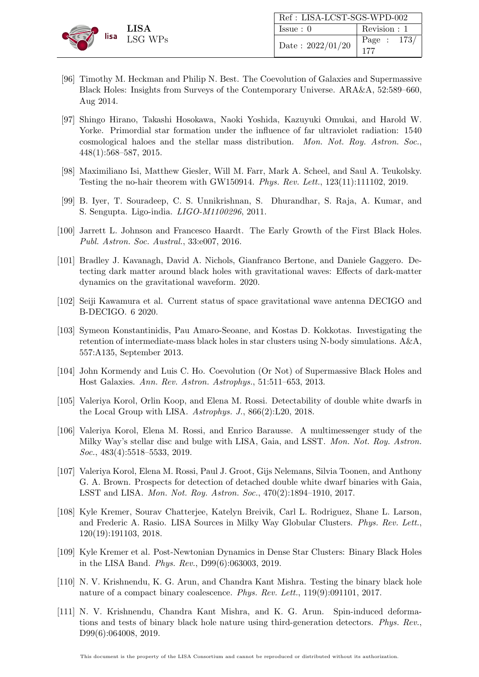

- [96] Timothy M. Heckman and Philip N. Best. The Coevolution of Galaxies and Supermassive Black Holes: Insights from Surveys of the Contemporary Universe. ARA&A, 52:589–660, Aug 2014.
- [97] Shingo Hirano, Takashi Hosokawa, Naoki Yoshida, Kazuyuki Omukai, and Harold W. Yorke. Primordial star formation under the influence of far ultraviolet radiation: 1540 cosmological haloes and the stellar mass distribution. Mon. Not. Roy. Astron. Soc., 448(1):568–587, 2015.
- <span id="page-174-1"></span>[98] Maximiliano Isi, Matthew Giesler, Will M. Farr, Mark A. Scheel, and Saul A. Teukolsky. Testing the no-hair theorem with GW150914. Phys. Rev. Lett., 123(11):111102, 2019.
- [99] B. Iyer, T. Souradeep, C. S. Unnikrishnan, S. Dhurandhar, S. Raja, A. Kumar, and S. Sengupta. Ligo-india. LIGO-M1100296, 2011.
- [100] Jarrett L. Johnson and Francesco Haardt. The Early Growth of the First Black Holes. Publ. Astron. Soc. Austral., 33:e007, 2016.
- <span id="page-174-0"></span>[101] Bradley J. Kavanagh, David A. Nichols, Gianfranco Bertone, and Daniele Gaggero. Detecting dark matter around black holes with gravitational waves: Effects of dark-matter dynamics on the gravitational waveform. 2020.
- [102] Seiji Kawamura et al. Current status of space gravitational wave antenna DECIGO and B-DECIGO. 6 2020.
- [103] Symeon Konstantinidis, Pau Amaro-Seoane, and Kostas D. Kokkotas. Investigating the retention of intermediate-mass black holes in star clusters using N-body simulations. A&A, 557:A135, September 2013.
- [104] John Kormendy and Luis C. Ho. Coevolution (Or Not) of Supermassive Black Holes and Host Galaxies. Ann. Rev. Astron. Astrophys., 51:511–653, 2013.
- [105] Valeriya Korol, Orlin Koop, and Elena M. Rossi. Detectability of double white dwarfs in the Local Group with LISA. Astrophys. J., 866(2):L20, 2018.
- [106] Valeriya Korol, Elena M. Rossi, and Enrico Barausse. A multimessenger study of the Milky Way's stellar disc and bulge with LISA, Gaia, and LSST. Mon. Not. Roy. Astron. Soc., 483(4):5518-5533, 2019.
- [107] Valeriya Korol, Elena M. Rossi, Paul J. Groot, Gijs Nelemans, Silvia Toonen, and Anthony G. A. Brown. Prospects for detection of detached double white dwarf binaries with Gaia, LSST and LISA. Mon. Not. Roy. Astron. Soc., 470(2):1894–1910, 2017.
- [108] Kyle Kremer, Sourav Chatterjee, Katelyn Breivik, Carl L. Rodriguez, Shane L. Larson, and Frederic A. Rasio. LISA Sources in Milky Way Globular Clusters. Phys. Rev. Lett., 120(19):191103, 2018.
- [109] Kyle Kremer et al. Post-Newtonian Dynamics in Dense Star Clusters: Binary Black Holes in the LISA Band. Phys. Rev., D99(6):063003, 2019.
- <span id="page-174-2"></span>[110] N. V. Krishnendu, K. G. Arun, and Chandra Kant Mishra. Testing the binary black hole nature of a compact binary coalescence. *Phys. Rev. Lett.*, 119(9):091101, 2017.
- <span id="page-174-3"></span>[111] N. V. Krishnendu, Chandra Kant Mishra, and K. G. Arun. Spin-induced deformations and tests of binary black hole nature using third-generation detectors. Phys. Rev., D99(6):064008, 2019.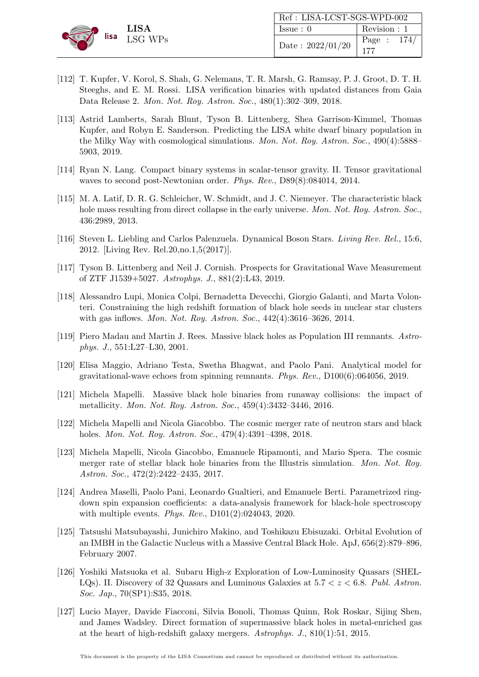

- [112] T. Kupfer, V. Korol, S. Shah, G. Nelemans, T. R. Marsh, G. Ramsay, P. J. Groot, D. T. H. Steeghs, and E. M. Rossi. LISA verification binaries with updated distances from Gaia Data Release 2. Mon. Not. Roy. Astron. Soc., 480(1):302–309, 2018.
- [113] Astrid Lamberts, Sarah Blunt, Tyson B. Littenberg, Shea Garrison-Kimmel, Thomas Kupfer, and Robyn E. Sanderson. Predicting the LISA white dwarf binary population in the Milky Way with cosmological simulations. Mon. Not. Roy. Astron. Soc., 490(4):5888– 5903, 2019.
- <span id="page-175-1"></span>[114] Ryan N. Lang. Compact binary systems in scalar-tensor gravity. II. Tensor gravitational waves to second post-Newtonian order. Phys. Rev., D89(8):084014, 2014.
- [115] M. A. Latif, D. R. G. Schleicher, W. Schmidt, and J. C. Niemeyer. The characteristic black hole mass resulting from direct collapse in the early universe. Mon. Not. Roy. Astron. Soc., 436:2989, 2013.
- <span id="page-175-0"></span>[116] Steven L. Liebling and Carlos Palenzuela. Dynamical Boson Stars. Living Rev. Rel., 15:6, 2012. [Living Rev. Rel.20,no.1,5(2017)].
- [117] Tyson B. Littenberg and Neil J. Cornish. Prospects for Gravitational Wave Measurement of ZTF J1539+5027. Astrophys. J., 881(2):L43, 2019.
- [118] Alessandro Lupi, Monica Colpi, Bernadetta Devecchi, Giorgio Galanti, and Marta Volonteri. Constraining the high redshift formation of black hole seeds in nuclear star clusters with gas inflows. *Mon. Not. Roy. Astron. Soc.*, 442(4):3616-3626, 2014.
- [119] Piero Madau and Martin J. Rees. Massive black holes as Population III remnants. Astrophys. J., 551:L27–L30, 2001.
- <span id="page-175-2"></span>[120] Elisa Maggio, Adriano Testa, Swetha Bhagwat, and Paolo Pani. Analytical model for gravitational-wave echoes from spinning remnants. Phys. Rev., D100(6):064056, 2019.
- [121] Michela Mapelli. Massive black hole binaries from runaway collisions: the impact of metallicity. Mon. Not. Roy. Astron. Soc., 459(4):3432–3446, 2016.
- [122] Michela Mapelli and Nicola Giacobbo. The cosmic merger rate of neutron stars and black holes. Mon. Not. Roy. Astron. Soc., 479(4):4391–4398, 2018.
- [123] Michela Mapelli, Nicola Giacobbo, Emanuele Ripamonti, and Mario Spera. The cosmic merger rate of stellar black hole binaries from the Illustris simulation. Mon. Not. Roy. Astron. Soc., 472(2):2422–2435, 2017.
- <span id="page-175-3"></span>[124] Andrea Maselli, Paolo Pani, Leonardo Gualtieri, and Emanuele Berti. Parametrized ringdown spin expansion coefficients: a data-analysis framework for black-hole spectroscopy with multiple events. Phys. Rev., D101(2):024043, 2020.
- [125] Tatsushi Matsubayashi, Junichiro Makino, and Toshikazu Ebisuzaki. Orbital Evolution of an IMBH in the Galactic Nucleus with a Massive Central Black Hole. ApJ, 656(2):879–896, February 2007.
- [126] Yoshiki Matsuoka et al. Subaru High-z Exploration of Low-Luminosity Quasars (SHEL-LQs). II. Discovery of 32 Quasars and Luminous Galaxies at  $5.7 < z < 6.8$ . Publ. Astron. Soc. Jap., 70(SP1):S35, 2018.
- [127] Lucio Mayer, Davide Fiacconi, Silvia Bonoli, Thomas Quinn, Rok Roskar, Sijing Shen, and James Wadsley. Direct formation of supermassive black holes in metal-enriched gas at the heart of high-redshift galaxy mergers. Astrophys. J., 810(1):51, 2015.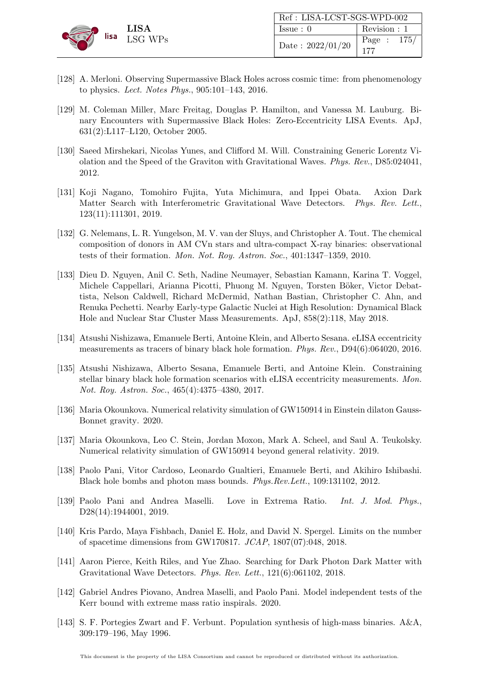

- [128] A. Merloni. Observing Supermassive Black Holes across cosmic time: from phenomenology to physics. Lect. Notes Phys., 905:101–143, 2016.
- [129] M. Coleman Miller, Marc Freitag, Douglas P. Hamilton, and Vanessa M. Lauburg. Binary Encounters with Supermassive Black Holes: Zero-Eccentricity LISA Events. ApJ, 631(2):L117–L120, October 2005.
- <span id="page-176-3"></span>[130] Saeed Mirshekari, Nicolas Yunes, and Clifford M. Will. Constraining Generic Lorentz Violation and the Speed of the Graviton with Gravitational Waves. Phys. Rev., D85:024041, 2012.
- <span id="page-176-1"></span>[131] Koji Nagano, Tomohiro Fujita, Yuta Michimura, and Ippei Obata. Axion Dark Matter Search with Interferometric Gravitational Wave Detectors. Phys. Rev. Lett., 123(11):111301, 2019.
- [132] G. Nelemans, L. R. Yungelson, M. V. van der Sluys, and Christopher A. Tout. The chemical composition of donors in AM CVn stars and ultra-compact X-ray binaries: observational tests of their formation. Mon. Not. Roy. Astron. Soc., 401:1347–1359, 2010.
- [133] Dieu D. Nguyen, Anil C. Seth, Nadine Neumayer, Sebastian Kamann, Karina T. Voggel, Michele Cappellari, Arianna Picotti, Phuong M. Nguyen, Torsten Böker, Victor Debattista, Nelson Caldwell, Richard McDermid, Nathan Bastian, Christopher C. Ahn, and Renuka Pechetti. Nearby Early-type Galactic Nuclei at High Resolution: Dynamical Black Hole and Nuclear Star Cluster Mass Measurements. ApJ, 858(2):118, May 2018.
- [134] Atsushi Nishizawa, Emanuele Berti, Antoine Klein, and Alberto Sesana. eLISA eccentricity measurements as tracers of binary black hole formation. Phys. Rev., D94(6):064020, 2016.
- [135] Atsushi Nishizawa, Alberto Sesana, Emanuele Berti, and Antoine Klein. Constraining stellar binary black hole formation scenarios with eLISA eccentricity measurements. Mon. Not. Roy. Astron. Soc., 465(4):4375–4380, 2017.
- <span id="page-176-6"></span>[136] Maria Okounkova. Numerical relativity simulation of GW150914 in Einstein dilaton Gauss-Bonnet gravity. 2020.
- <span id="page-176-5"></span>[137] Maria Okounkova, Leo C. Stein, Jordan Moxon, Mark A. Scheel, and Saul A. Teukolsky. Numerical relativity simulation of GW150914 beyond general relativity. 2019.
- <span id="page-176-0"></span>[138] Paolo Pani, Vitor Cardoso, Leonardo Gualtieri, Emanuele Berti, and Akihiro Ishibashi. Black hole bombs and photon mass bounds. Phys.Rev.Lett., 109:131102, 2012.
- <span id="page-176-7"></span>[139] Paolo Pani and Andrea Maselli. Love in Extrema Ratio. Int. J. Mod. Phys., D28(14):1944001, 2019.
- <span id="page-176-4"></span>[140] Kris Pardo, Maya Fishbach, Daniel E. Holz, and David N. Spergel. Limits on the number of spacetime dimensions from GW170817. JCAP, 1807(07):048, 2018.
- <span id="page-176-2"></span>[141] Aaron Pierce, Keith Riles, and Yue Zhao. Searching for Dark Photon Dark Matter with Gravitational Wave Detectors. Phys. Rev. Lett., 121(6):061102, 2018.
- <span id="page-176-8"></span>[142] Gabriel Andres Piovano, Andrea Maselli, and Paolo Pani. Model independent tests of the Kerr bound with extreme mass ratio inspirals. 2020.
- [143] S. F. Portegies Zwart and F. Verbunt. Population synthesis of high-mass binaries. A&A, 309:179–196, May 1996.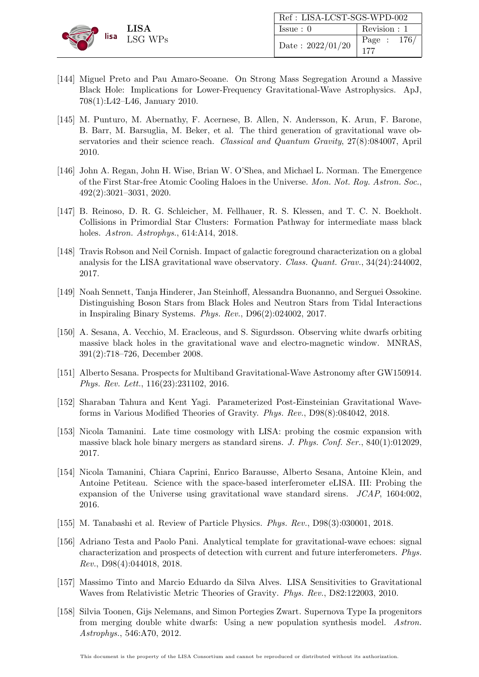

- [144] Miguel Preto and Pau Amaro-Seoane. On Strong Mass Segregation Around a Massive Black Hole: Implications for Lower-Frequency Gravitational-Wave Astrophysics. ApJ, 708(1):L42–L46, January 2010.
- [145] M. Punturo, M. Abernathy, F. Acernese, B. Allen, N. Andersson, K. Arun, F. Barone, B. Barr, M. Barsuglia, M. Beker, et al. The third generation of gravitational wave observatories and their science reach. Classical and Quantum Gravity, 27(8):084007, April 2010.
- [146] John A. Regan, John H. Wise, Brian W. O'Shea, and Michael L. Norman. The Emergence of the First Star-free Atomic Cooling Haloes in the Universe. Mon. Not. Roy. Astron. Soc., 492(2):3021–3031, 2020.
- [147] B. Reinoso, D. R. G. Schleicher, M. Fellhauer, R. S. Klessen, and T. C. N. Boekholt. Collisions in Primordial Star Clusters: Formation Pathway for intermediate mass black holes. Astron. Astrophys., 614:A14, 2018.
- [148] Travis Robson and Neil Cornish. Impact of galactic foreground characterization on a global analysis for the LISA gravitational wave observatory. Class. Quant. Grav., 34(24):244002, 2017.
- <span id="page-177-6"></span>[149] Noah Sennett, Tanja Hinderer, Jan Steinhoff, Alessandra Buonanno, and Serguei Ossokine. Distinguishing Boson Stars from Black Holes and Neutron Stars from Tidal Interactions in Inspiraling Binary Systems. Phys. Rev., D96(2):024002, 2017.
- [150] A. Sesana, A. Vecchio, M. Eracleous, and S. Sigurdsson. Observing white dwarfs orbiting massive black holes in the gravitational wave and electro-magnetic window. MNRAS, 391(2):718–726, December 2008.
- [151] Alberto Sesana. Prospects for Multiband Gravitational-Wave Astronomy after GW150914. Phys. Rev. Lett., 116(23):231102, 2016.
- <span id="page-177-3"></span>[152] Sharaban Tahura and Kent Yagi. Parameterized Post-Einsteinian Gravitational Waveforms in Various Modified Theories of Gravity. Phys. Rev., D98(8):084042, 2018.
- <span id="page-177-1"></span>[153] Nicola Tamanini. Late time cosmology with LISA: probing the cosmic expansion with massive black hole binary mergers as standard sirens. J. Phys. Conf. Ser., 840(1):012029, 2017.
- <span id="page-177-0"></span>[154] Nicola Tamanini, Chiara Caprini, Enrico Barausse, Alberto Sesana, Antoine Klein, and Antoine Petiteau. Science with the space-based interferometer eLISA. III: Probing the expansion of the Universe using gravitational wave standard sirens. JCAP, 1604:002, 2016.
- <span id="page-177-2"></span>[155] M. Tanabashi et al. Review of Particle Physics. Phys. Rev., D98(3):030001, 2018.
- <span id="page-177-5"></span>[156] Adriano Testa and Paolo Pani. Analytical template for gravitational-wave echoes: signal characterization and prospects of detection with current and future interferometers. Phys. Rev., D98(4):044018, 2018.
- <span id="page-177-4"></span>[157] Massimo Tinto and Marcio Eduardo da Silva Alves. LISA Sensitivities to Gravitational Waves from Relativistic Metric Theories of Gravity. Phys. Rev., D82:122003, 2010.
- [158] Silvia Toonen, Gijs Nelemans, and Simon Portegies Zwart. Supernova Type Ia progenitors from merging double white dwarfs: Using a new population synthesis model. Astron. Astrophys., 546:A70, 2012.